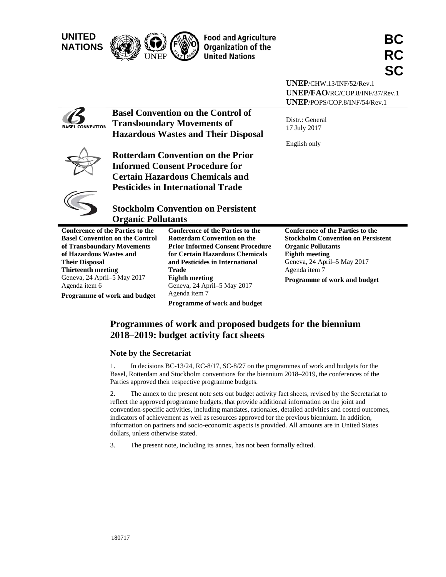| <b>UNITED</b><br><b>NATIONS</b>                                                                                                                                                                        |                                                                               | <b>Food and Agriculture</b><br><b>Organization of the</b><br><b>United Nations</b>                                                                                                                                                                                                                                      | BC<br><b>RC</b><br><b>SC</b>                                                                                                                                                                                               |
|--------------------------------------------------------------------------------------------------------------------------------------------------------------------------------------------------------|-------------------------------------------------------------------------------|-------------------------------------------------------------------------------------------------------------------------------------------------------------------------------------------------------------------------------------------------------------------------------------------------------------------------|----------------------------------------------------------------------------------------------------------------------------------------------------------------------------------------------------------------------------|
|                                                                                                                                                                                                        |                                                                               |                                                                                                                                                                                                                                                                                                                         | UNEP/CHW.13/INF/52/Rev.1<br>UNEP/FAO/RC/COP.8/INF/37/Rev.1<br>UNEP/POPS/COP.8/INF/54/Rev.1                                                                                                                                 |
| CONVENTION                                                                                                                                                                                             |                                                                               | <b>Basel Convention on the Control of</b><br><b>Transboundary Movements of</b><br><b>Hazardous Wastes and Their Disposal</b>                                                                                                                                                                                            | Distr.: General<br>17 July 2017<br>English only                                                                                                                                                                            |
|                                                                                                                                                                                                        |                                                                               | <b>Rotterdam Convention on the Prior</b><br><b>Informed Consent Procedure for</b><br><b>Certain Hazardous Chemicals and</b><br><b>Pesticides in International Trade</b>                                                                                                                                                 |                                                                                                                                                                                                                            |
|                                                                                                                                                                                                        | <b>Organic Pollutants</b>                                                     | <b>Stockholm Convention on Persistent</b>                                                                                                                                                                                                                                                                               |                                                                                                                                                                                                                            |
| <b>Conference of the Parties to the</b><br>of Transboundary Movements<br>of Hazardous Wastes and<br><b>Their Disposal</b><br><b>Thirteenth meeting</b><br>Geneva, 24 April-5 May 2017<br>Agenda item 6 | <b>Basel Convention on the Control</b><br><b>Programme of work and budget</b> | <b>Conference of the Parties to the</b><br><b>Rotterdam Convention on the</b><br><b>Prior Informed Consent Procedure</b><br>for Certain Hazardous Chemicals<br>and Pesticides in International<br><b>Trade</b><br><b>Eighth meeting</b><br>Geneva, 24 April-5 May 2017<br>Agenda item 7<br>Programme of work and budget | <b>Conference of the Parties to the</b><br><b>Stockholm Convention on Persistent</b><br><b>Organic Pollutants</b><br><b>Eighth meeting</b><br>Geneva, 24 April-5 May 2017<br>Agenda item 7<br>Programme of work and budget |

# Programmes of work and proposed budgets for the biennium 2018–2019: budget activity fact sheets

# **Note by the Secretariat**

1. Basel, Rotterdam and Stockholm conventions for the biennium 2018–2019, the conferences of the Parties approved their respective programme budgets. In decisions BC-13/24, RC-8/17, SC-8/27 on the programmes of work and budgets for the

2. reflect the approved programme budgets, that provide additional information on the joint and convention-specific activities, including mandates, rationales, detailed activities and costed outcomes, indicators of achievement as well as resources approved for the previous biennium. In addition, information on partners and socio-economic aspects is provided. All amounts are in United States dollars, unless otherwise stated. The annex to the present note sets out budget activity fact sheets, revised by the Secretariat to

3. The present note, including its annex, has not been formally edited.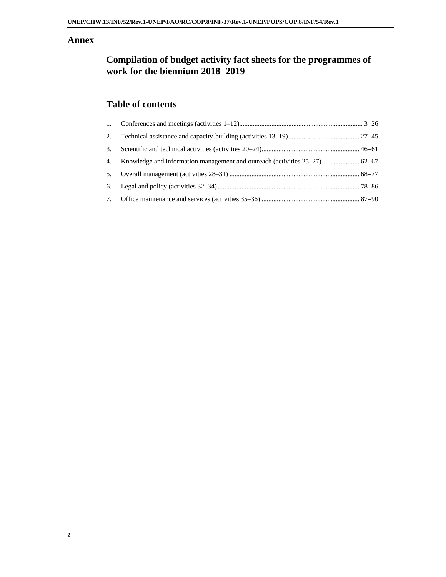# **Annex**

# **Compilation of budget activity fact sheets for the programmes of work for the biennium 20182019**

# **Table of contents**

| 2. |                                                                               |  |
|----|-------------------------------------------------------------------------------|--|
| 3. |                                                                               |  |
|    | 4. Knowledge and information management and outreach (activities 25–27) 62–67 |  |
|    |                                                                               |  |
|    |                                                                               |  |
|    |                                                                               |  |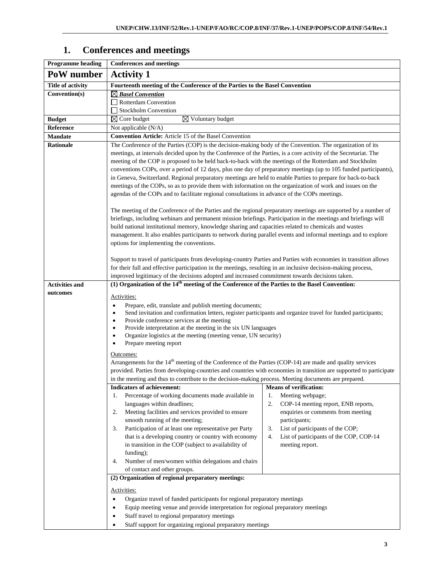# **1. Conferences and meetings**

| <b>Programme</b> heading | <b>Conferences and meetings</b>                                                                                                                                                                                                                                                                                                                                                                                                                                                                                                                                                                                                                                                                                                                                                               |                                                                                                                                                                                                                                          |  |  |  |  |  |
|--------------------------|-----------------------------------------------------------------------------------------------------------------------------------------------------------------------------------------------------------------------------------------------------------------------------------------------------------------------------------------------------------------------------------------------------------------------------------------------------------------------------------------------------------------------------------------------------------------------------------------------------------------------------------------------------------------------------------------------------------------------------------------------------------------------------------------------|------------------------------------------------------------------------------------------------------------------------------------------------------------------------------------------------------------------------------------------|--|--|--|--|--|
| PoW number               | <b>Activity 1</b>                                                                                                                                                                                                                                                                                                                                                                                                                                                                                                                                                                                                                                                                                                                                                                             |                                                                                                                                                                                                                                          |  |  |  |  |  |
| <b>Title of activity</b> | Fourteenth meeting of the Conference of the Parties to the Basel Convention                                                                                                                                                                                                                                                                                                                                                                                                                                                                                                                                                                                                                                                                                                                   |                                                                                                                                                                                                                                          |  |  |  |  |  |
| Convention(s)            | $\boxtimes$ Basel Convention                                                                                                                                                                                                                                                                                                                                                                                                                                                                                                                                                                                                                                                                                                                                                                  |                                                                                                                                                                                                                                          |  |  |  |  |  |
|                          | $\Box$ Rotterdam Convention                                                                                                                                                                                                                                                                                                                                                                                                                                                                                                                                                                                                                                                                                                                                                                   |                                                                                                                                                                                                                                          |  |  |  |  |  |
|                          | Stockholm Convention                                                                                                                                                                                                                                                                                                                                                                                                                                                                                                                                                                                                                                                                                                                                                                          |                                                                                                                                                                                                                                          |  |  |  |  |  |
| <b>Budget</b>            | $\boxtimes$ Voluntary budget<br>$\boxtimes$ Core budget                                                                                                                                                                                                                                                                                                                                                                                                                                                                                                                                                                                                                                                                                                                                       |                                                                                                                                                                                                                                          |  |  |  |  |  |
| Reference                | Not applicable (N/A)                                                                                                                                                                                                                                                                                                                                                                                                                                                                                                                                                                                                                                                                                                                                                                          |                                                                                                                                                                                                                                          |  |  |  |  |  |
| <b>Mandate</b>           | Convention Article: Article 15 of the Basel Convention                                                                                                                                                                                                                                                                                                                                                                                                                                                                                                                                                                                                                                                                                                                                        |                                                                                                                                                                                                                                          |  |  |  |  |  |
| Rationale                | The Conference of the Parties (COP) is the decision-making body of the Convention. The organization of its<br>meetings, at intervals decided upon by the Conference of the Parties, is a core activity of the Secretariat. The<br>meeting of the COP is proposed to be held back-to-back with the meetings of the Rotterdam and Stockholm<br>conventions COPs, over a period of 12 days, plus one day of preparatory meetings (up to 105 funded participants),<br>in Geneva, Switzerland. Regional preparatory meetings are held to enable Parties to prepare for back-to-back<br>meetings of the COPs, so as to provide them with information on the organization of work and issues on the<br>agendas of the COPs and to facilitate regional consultations in advance of the COPs meetings. |                                                                                                                                                                                                                                          |  |  |  |  |  |
|                          | The meeting of the Conference of the Parties and the regional preparatory meetings are supported by a number of<br>briefings, including webinars and permanent mission briefings. Participation in the meetings and briefings will<br>build national institutional memory, knowledge sharing and capacities related to chemicals and wastes<br>management. It also enables participants to network during parallel events and informal meetings and to explore<br>options for implementing the conventions.                                                                                                                                                                                                                                                                                   |                                                                                                                                                                                                                                          |  |  |  |  |  |
|                          | Support to travel of participants from developing-country Parties and Parties with economies in transition allows<br>for their full and effective participation in the meetings, resulting in an inclusive decision-making process,<br>improved legitimacy of the decisions adopted and increased commitment towards decisions taken.                                                                                                                                                                                                                                                                                                                                                                                                                                                         |                                                                                                                                                                                                                                          |  |  |  |  |  |
| <b>Activities and</b>    | (1) Organization of the 14 <sup>th</sup> meeting of the Conference of the Parties to the Basel Convention:                                                                                                                                                                                                                                                                                                                                                                                                                                                                                                                                                                                                                                                                                    |                                                                                                                                                                                                                                          |  |  |  |  |  |
| outcomes                 | Activities:<br>Prepare, edit, translate and publish meeting documents;<br>$\bullet$<br>Send invitation and confirmation letters, register participants and organize travel for funded participants;<br>Provide conference services at the meeting<br>٠<br>Provide interpretation at the meeting in the six UN languages<br>$\bullet$<br>Organize logistics at the meeting (meeting venue, UN security)<br>٠<br>Prepare meeting report<br>٠                                                                                                                                                                                                                                                                                                                                                    |                                                                                                                                                                                                                                          |  |  |  |  |  |
|                          | Outcomes:<br>Arrangements for the $14th$ meeting of the Conference of the Parties (COP-14) are made and quality services                                                                                                                                                                                                                                                                                                                                                                                                                                                                                                                                                                                                                                                                      |                                                                                                                                                                                                                                          |  |  |  |  |  |
|                          | provided. Parties from developing-countries and countries with economies in transition are supported to participate                                                                                                                                                                                                                                                                                                                                                                                                                                                                                                                                                                                                                                                                           |                                                                                                                                                                                                                                          |  |  |  |  |  |
|                          | in the meeting and thus to contribute to the decision-making process. Meeting documents are prepared.                                                                                                                                                                                                                                                                                                                                                                                                                                                                                                                                                                                                                                                                                         |                                                                                                                                                                                                                                          |  |  |  |  |  |
|                          | Indicators of achievement: Means of verification:                                                                                                                                                                                                                                                                                                                                                                                                                                                                                                                                                                                                                                                                                                                                             |                                                                                                                                                                                                                                          |  |  |  |  |  |
|                          | Percentage of working documents made available in<br>1.<br>languages within deadlines;<br>Meeting facilities and services provided to ensure<br>2.<br>smooth running of the meeting;<br>Participation of at least one representative per Party<br>3.<br>that is a developing country or country with economy<br>in transition in the COP (subject to availability of<br>funding);<br>Number of men/women within delegations and chairs<br>4.                                                                                                                                                                                                                                                                                                                                                  | 1.<br>Meeting webpage;<br>2.<br>COP-14 meeting report, ENB reports,<br>enquiries or comments from meeting<br>participants;<br>List of participants of the COP;<br>3.<br>4.<br>List of participants of the COP, COP-14<br>meeting report. |  |  |  |  |  |
|                          | of contact and other groups.                                                                                                                                                                                                                                                                                                                                                                                                                                                                                                                                                                                                                                                                                                                                                                  |                                                                                                                                                                                                                                          |  |  |  |  |  |
|                          | (2) Organization of regional preparatory meetings:                                                                                                                                                                                                                                                                                                                                                                                                                                                                                                                                                                                                                                                                                                                                            |                                                                                                                                                                                                                                          |  |  |  |  |  |
|                          | Activities:<br>Organize travel of funded participants for regional preparatory meetings<br>$\bullet$<br>Equip meeting venue and provide interpretation for regional preparatory meetings<br>$\bullet$<br>Staff travel to regional preparatory meetings<br>٠                                                                                                                                                                                                                                                                                                                                                                                                                                                                                                                                   |                                                                                                                                                                                                                                          |  |  |  |  |  |
|                          | Staff support for organizing regional preparatory meetings<br>٠                                                                                                                                                                                                                                                                                                                                                                                                                                                                                                                                                                                                                                                                                                                               |                                                                                                                                                                                                                                          |  |  |  |  |  |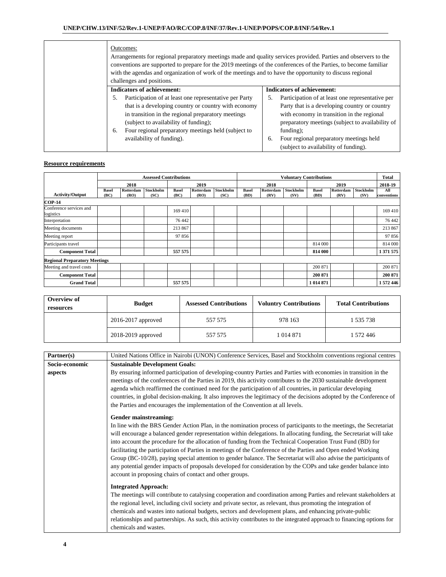| Outcomes:<br>Arrangements for regional preparatory meetings made and quality services provided. Parties and observers to the<br>conventions are supported to prepare for the 2019 meetings of the conferences of the Parties, to become familiar<br>with the agendas and organization of work of the meetings and to have the opportunity to discuss regional<br>challenges and positions. |                                                                                                                                                                                                                                                                                                                     |
|--------------------------------------------------------------------------------------------------------------------------------------------------------------------------------------------------------------------------------------------------------------------------------------------------------------------------------------------------------------------------------------------|---------------------------------------------------------------------------------------------------------------------------------------------------------------------------------------------------------------------------------------------------------------------------------------------------------------------|
| <b>Indicators of achievement:</b>                                                                                                                                                                                                                                                                                                                                                          | <b>Indicators of achievement:</b>                                                                                                                                                                                                                                                                                   |
| Participation of at least one representative per Party<br>that is a developing country or country with economy<br>in transition in the regional preparatory meetings<br>(subject to availability of funding);<br>Four regional preparatory meetings held (subject to<br>6.<br>availability of funding).                                                                                    | Participation of at least one representative per<br>5.<br>Party that is a developing country or country<br>with economy in transition in the regional<br>preparatory meetings (subject to availability of<br>$funding)$ :<br>Four regional preparatory meetings held<br>6.<br>(subject to availability of funding). |

|                                      | <b>Assessed Contributions</b> |                   |                   | <b>Voluntary Contributions</b> |                   |                   |                      | <b>Total</b>      |                   |                      |                   |                          |                    |
|--------------------------------------|-------------------------------|-------------------|-------------------|--------------------------------|-------------------|-------------------|----------------------|-------------------|-------------------|----------------------|-------------------|--------------------------|--------------------|
|                                      |                               | 2018              |                   |                                | 2019              |                   |                      | 2018              |                   |                      | 2019              |                          | 2018-19            |
| <b>Activity/Output</b>               | <b>Basel</b><br>(BC)          | Rotterdam<br>(RO) | Stockholm<br>(SC) | <b>Basel</b><br>(BC)           | Rotterdam<br>(RO) | Stockholm<br>(SC) | <b>Basel</b><br>(BD) | Rotterdam<br>(RV) | Stockholm<br>(SV) | <b>Basel</b><br>(BD) | Rotterdam<br>(RV) | <b>Stockholm</b><br>(SV) | All<br>conventions |
| <b>COP-14</b>                        |                               |                   |                   |                                |                   |                   |                      |                   |                   |                      |                   |                          |                    |
| Conference services and<br>logistics |                               |                   |                   | 169 410                        |                   |                   |                      |                   |                   |                      |                   |                          | 169 410            |
| Interpretation                       |                               |                   |                   | 76 442                         |                   |                   |                      |                   |                   |                      |                   |                          | 76 442             |
| Meeting documents                    |                               |                   |                   | 213 867                        |                   |                   |                      |                   |                   |                      |                   |                          | 213 867            |
| Meeting report                       |                               |                   |                   | 97 856                         |                   |                   |                      |                   |                   |                      |                   |                          | 97856              |
| Participants travel                  |                               |                   |                   |                                |                   |                   |                      |                   |                   | 814 000              |                   |                          | 814 000            |
| <b>Component Total</b>               |                               |                   |                   | 557 575                        |                   |                   |                      |                   |                   | 814 000              |                   |                          | 1 371 575          |
| <b>Regional Preparatory Meetings</b> |                               |                   |                   |                                |                   |                   |                      |                   |                   |                      |                   |                          |                    |
| Meeting and travel costs             |                               |                   |                   |                                |                   |                   |                      |                   |                   | 200 871              |                   |                          | 200 871            |
| <b>Component Total</b>               |                               |                   |                   |                                |                   |                   |                      |                   |                   | 200 871              |                   |                          | 200 871            |
| <b>Grand Total</b>                   |                               |                   |                   | 557 575                        |                   |                   |                      |                   |                   | 1 014 871            |                   |                          | 1 572 446          |

| Overview of<br>resources | <b>Budget</b>          | <b>Assessed Contributions</b> | <b>Voluntry Contributions</b> | <b>Total Contributions</b> |
|--------------------------|------------------------|-------------------------------|-------------------------------|----------------------------|
|                          | $2016 - 2017$ approved | 557 575                       | 978 163                       | 1 535 738                  |
|                          | 2018-2019 approved     | 557 575                       | 1 0 14 8 7 1                  | 1 572 446                  |

| Partner(s)     | United Nations Office in Nairobi (UNON) Conference Services, Basel and Stockholm conventions regional centres                                                                                                                                                                                                                                                                                                                                                                                                                                                                                                                                                                                                                                                                                            |
|----------------|----------------------------------------------------------------------------------------------------------------------------------------------------------------------------------------------------------------------------------------------------------------------------------------------------------------------------------------------------------------------------------------------------------------------------------------------------------------------------------------------------------------------------------------------------------------------------------------------------------------------------------------------------------------------------------------------------------------------------------------------------------------------------------------------------------|
| Socio-economic | <b>Sustainable Development Goals:</b>                                                                                                                                                                                                                                                                                                                                                                                                                                                                                                                                                                                                                                                                                                                                                                    |
| aspects        | By ensuring informed participation of developing-country Parties and Parties with economies in transition in the<br>meetings of the conferences of the Parties in 2019, this activity contributes to the 2030 sustainable development<br>agenda which reaffirmed the continued need for the participation of all countries, in particular developing<br>countries, in global decision-making. It also improves the legitimacy of the decisions adopted by the Conference of<br>the Parties and encourages the implementation of the Convention at all levels.                                                                                                                                                                                                                                            |
|                | Gender mainstreaming:<br>In line with the BRS Gender Action Plan, in the nomination process of participants to the meetings, the Secretariat<br>will encourage a balanced gender representation within delegations. In allocating funding, the Secretariat will take<br>into account the procedure for the allocation of funding from the Technical Cooperation Trust Fund (BD) for<br>facilitating the participation of Parties in meetings of the Conference of the Parties and Open ended Working<br>Group (BC-10/28), paying special attention to gender balance. The Secretariat will also advise the participants of<br>any potential gender impacts of proposals developed for consideration by the COPs and take gender balance into<br>account in proposing chairs of contact and other groups. |
|                | <b>Integrated Approach:</b><br>The meetings will contribute to catalysing cooperation and coordination among Parties and relevant stakeholders at<br>the regional level, including civil society and private sector, as relevant, thus promoting the integration of<br>chemicals and wastes into national budgets, sectors and development plans, and enhancing private-public<br>relationships and partnerships. As such, this activity contributes to the integrated approach to financing options for<br>chemicals and wastes.                                                                                                                                                                                                                                                                        |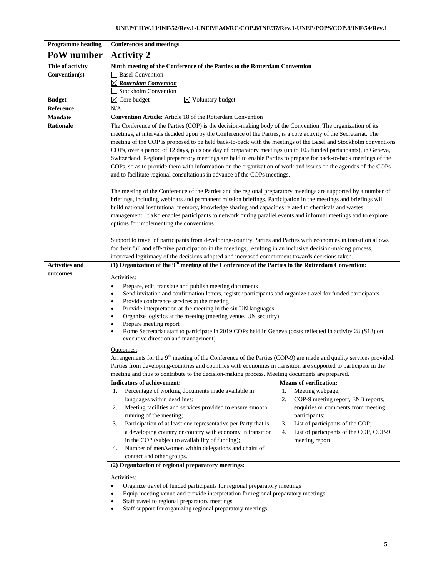| <b>Programme heading</b> | <b>Conferences and meetings</b>                                                                                                                                                                                                                                                                                                                                                                                                                                                                                                                                                                                                                                                                                                                                                                                                                                                                                                                                                                                                                                                                                                                                                                                                                                                                          |                                                                                                                                                                                                                                        |
|--------------------------|----------------------------------------------------------------------------------------------------------------------------------------------------------------------------------------------------------------------------------------------------------------------------------------------------------------------------------------------------------------------------------------------------------------------------------------------------------------------------------------------------------------------------------------------------------------------------------------------------------------------------------------------------------------------------------------------------------------------------------------------------------------------------------------------------------------------------------------------------------------------------------------------------------------------------------------------------------------------------------------------------------------------------------------------------------------------------------------------------------------------------------------------------------------------------------------------------------------------------------------------------------------------------------------------------------|----------------------------------------------------------------------------------------------------------------------------------------------------------------------------------------------------------------------------------------|
| PoW number               | <b>Activity 2</b>                                                                                                                                                                                                                                                                                                                                                                                                                                                                                                                                                                                                                                                                                                                                                                                                                                                                                                                                                                                                                                                                                                                                                                                                                                                                                        |                                                                                                                                                                                                                                        |
| <b>Title of activity</b> | Ninth meeting of the Conference of the Parties to the Rotterdam Convention                                                                                                                                                                                                                                                                                                                                                                                                                                                                                                                                                                                                                                                                                                                                                                                                                                                                                                                                                                                                                                                                                                                                                                                                                               |                                                                                                                                                                                                                                        |
| Convention(s)            | <b>Basel Convention</b>                                                                                                                                                                                                                                                                                                                                                                                                                                                                                                                                                                                                                                                                                                                                                                                                                                                                                                                                                                                                                                                                                                                                                                                                                                                                                  |                                                                                                                                                                                                                                        |
|                          | $\boxtimes$ Rotterdam Convention                                                                                                                                                                                                                                                                                                                                                                                                                                                                                                                                                                                                                                                                                                                                                                                                                                                                                                                                                                                                                                                                                                                                                                                                                                                                         |                                                                                                                                                                                                                                        |
|                          | Stockholm Convention                                                                                                                                                                                                                                                                                                                                                                                                                                                                                                                                                                                                                                                                                                                                                                                                                                                                                                                                                                                                                                                                                                                                                                                                                                                                                     |                                                                                                                                                                                                                                        |
| <b>Budget</b>            | $\boxtimes$ Voluntary budget<br>$\boxtimes$ Core budget                                                                                                                                                                                                                                                                                                                                                                                                                                                                                                                                                                                                                                                                                                                                                                                                                                                                                                                                                                                                                                                                                                                                                                                                                                                  |                                                                                                                                                                                                                                        |
| Reference                | N/A                                                                                                                                                                                                                                                                                                                                                                                                                                                                                                                                                                                                                                                                                                                                                                                                                                                                                                                                                                                                                                                                                                                                                                                                                                                                                                      |                                                                                                                                                                                                                                        |
| <b>Mandate</b>           | <b>Convention Article:</b> Article 18 of the Rotterdam Convention                                                                                                                                                                                                                                                                                                                                                                                                                                                                                                                                                                                                                                                                                                                                                                                                                                                                                                                                                                                                                                                                                                                                                                                                                                        |                                                                                                                                                                                                                                        |
| <b>Rationale</b>         | The Conference of the Parties (COP) is the decision-making body of the Convention. The organization of its<br>meetings, at intervals decided upon by the Conference of the Parties, is a core activity of the Secretariat. The<br>meeting of the COP is proposed to be held back-to-back with the meetings of the Basel and Stockholm conventions<br>COPs, over a period of 12 days, plus one day of preparatory meetings (up to 105 funded participants), in Geneva,<br>Switzerland. Regional preparatory meetings are held to enable Parties to prepare for back-to-back meetings of the<br>COPs, so as to provide them with information on the organization of work and issues on the agendas of the COPs<br>and to facilitate regional consultations in advance of the COPs meetings.<br>The meeting of the Conference of the Parties and the regional preparatory meetings are supported by a number of<br>briefings, including webinars and permanent mission briefings. Participation in the meetings and briefings will<br>build national institutional memory, knowledge sharing and capacities related to chemicals and wastes<br>management. It also enables participants to network during parallel events and informal meetings and to explore<br>options for implementing the conventions. |                                                                                                                                                                                                                                        |
|                          | Support to travel of participants from developing-country Parties and Parties with economies in transition allows<br>for their full and effective participation in the meetings, resulting in an inclusive decision-making process,<br>improved legitimacy of the decisions adopted and increased commitment towards decisions taken.                                                                                                                                                                                                                                                                                                                                                                                                                                                                                                                                                                                                                                                                                                                                                                                                                                                                                                                                                                    |                                                                                                                                                                                                                                        |
| <b>Activities and</b>    | (1) Organization of the 9 <sup>th</sup> meeting of the Conference of the Parties to the Rotterdam Convention:                                                                                                                                                                                                                                                                                                                                                                                                                                                                                                                                                                                                                                                                                                                                                                                                                                                                                                                                                                                                                                                                                                                                                                                            |                                                                                                                                                                                                                                        |
| outcomes                 |                                                                                                                                                                                                                                                                                                                                                                                                                                                                                                                                                                                                                                                                                                                                                                                                                                                                                                                                                                                                                                                                                                                                                                                                                                                                                                          |                                                                                                                                                                                                                                        |
|                          | Activities:<br>Prepare, edit, translate and publish meeting documents<br>٠<br>Send invitation and confirmation letters, register participants and organize travel for funded participants<br>Provide conference services at the meeting<br>$\bullet$<br>Provide interpretation at the meeting in the six UN languages<br>$\bullet$<br>Organize logistics at the meeting (meeting venue, UN security)<br>Prepare meeting report<br>Rome Secretariat staff to participate in 2019 COPs held in Geneva (costs reflected in activity 28 (S18) on<br>$\bullet$<br>executive direction and management)<br>Outcomes:<br>Arrangements for the 9 <sup>th</sup> meeting of the Conference of the Parties (COP-9) are made and quality services provided.<br>Parties from developing-countries and countries with economies in transition are supported to participate in the                                                                                                                                                                                                                                                                                                                                                                                                                                       |                                                                                                                                                                                                                                        |
|                          | meeting and thus to contribute to the decision-making process. Meeting documents are prepared.                                                                                                                                                                                                                                                                                                                                                                                                                                                                                                                                                                                                                                                                                                                                                                                                                                                                                                                                                                                                                                                                                                                                                                                                           |                                                                                                                                                                                                                                        |
|                          | <b>Indicators of achievement:</b>                                                                                                                                                                                                                                                                                                                                                                                                                                                                                                                                                                                                                                                                                                                                                                                                                                                                                                                                                                                                                                                                                                                                                                                                                                                                        | <b>Means of verification:</b>                                                                                                                                                                                                          |
|                          | Percentage of working documents made available in<br>1.<br>languages within deadlines;<br>Meeting facilities and services provided to ensure smooth<br>2.<br>running of the meeting;<br>Participation of at least one representative per Party that is<br>3.<br>a developing country or country with economy in transition<br>in the COP (subject to availability of funding);<br>Number of men/women within delegations and chairs of<br>4.<br>contact and other groups.<br>(2) Organization of regional preparatory meetings:<br>Activities:                                                                                                                                                                                                                                                                                                                                                                                                                                                                                                                                                                                                                                                                                                                                                           | Meeting webpage;<br>1.<br>COP-9 meeting report, ENB reports,<br>2.<br>enquiries or comments from meeting<br>participants;<br>List of participants of the COP;<br>3.<br>List of participants of the COP, COP-9<br>4.<br>meeting report. |
|                          | Organize travel of funded participants for regional preparatory meetings<br>Equip meeting venue and provide interpretation for regional preparatory meetings<br>Staff travel to regional preparatory meetings<br>$\bullet$<br>Staff support for organizing regional preparatory meetings<br>$\bullet$                                                                                                                                                                                                                                                                                                                                                                                                                                                                                                                                                                                                                                                                                                                                                                                                                                                                                                                                                                                                    |                                                                                                                                                                                                                                        |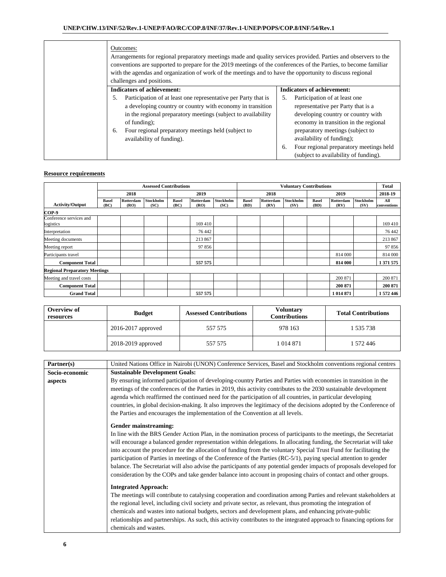| Outcomes:<br>Arrangements for regional preparatory meetings made and quality services provided. Parties and observers to the<br>conventions are supported to prepare for the 2019 meetings of the conferences of the Parties, to become familiar<br>with the agendas and organization of work of the meetings and to have the opportunity to discuss regional<br>challenges and positions. |                                                                                                                                                                                                                                    |
|--------------------------------------------------------------------------------------------------------------------------------------------------------------------------------------------------------------------------------------------------------------------------------------------------------------------------------------------------------------------------------------------|------------------------------------------------------------------------------------------------------------------------------------------------------------------------------------------------------------------------------------|
| <b>Indicators of achievement:</b><br>Participation of at least one representative per Party that is<br>5.<br>a developing country or country with economy in transition<br>in the regional preparatory meetings (subject to availability<br>of funding);<br>Four regional preparatory meetings held (subject to<br>6.                                                                      | <b>Indicators of achievement:</b><br>Participation of at least one<br>.5.<br>representative per Party that is a<br>developing country or country with<br>economy in transition in the regional<br>preparatory meetings (subject to |
| availability of funding).                                                                                                                                                                                                                                                                                                                                                                  | availability of funding);<br>Four regional preparatory meetings held<br>6.<br>(subject to availability of funding).                                                                                                                |

|                                      | <b>Assessed Contributions</b> |                   |                          |                      |                   | <b>Voluntary Contributions</b> |                      |                   |                   |                      | <b>Total</b>      |                          |                    |
|--------------------------------------|-------------------------------|-------------------|--------------------------|----------------------|-------------------|--------------------------------|----------------------|-------------------|-------------------|----------------------|-------------------|--------------------------|--------------------|
|                                      |                               | 2018              |                          |                      | 2019              |                                |                      | 2018              |                   |                      | 2019              |                          | 2018-19            |
| <b>Activity/Output</b>               | <b>Basel</b><br>(BC)          | Rotterdam<br>(RO) | <b>Stockholm</b><br>(SC) | <b>Basel</b><br>(BC) | Rotterdam<br>(RO) | Stockholm<br>(SC)              | <b>Basel</b><br>(BD) | Rotterdam<br>(RV) | Stockholm<br>(SV) | <b>Basel</b><br>(BD) | Rotterdam<br>(RV) | <b>Stockholm</b><br>(SV) | All<br>conventions |
| COP-9                                |                               |                   |                          |                      |                   |                                |                      |                   |                   |                      |                   |                          |                    |
| Conference services and<br>logistics |                               |                   |                          |                      | 169 410           |                                |                      |                   |                   |                      |                   |                          | 169 410            |
| Interpretation                       |                               |                   |                          |                      | 76 442            |                                |                      |                   |                   |                      |                   |                          | 76 442             |
| Meeting documents                    |                               |                   |                          |                      | 213 867           |                                |                      |                   |                   |                      |                   |                          | 213 867            |
| Meeting report                       |                               |                   |                          |                      | 97 856            |                                |                      |                   |                   |                      |                   |                          | 97 856             |
| Participants travel                  |                               |                   |                          |                      |                   |                                |                      |                   |                   |                      | 814 000           |                          | 814 000            |
| <b>Component Total</b>               |                               |                   |                          |                      | 557 575           |                                |                      |                   |                   |                      | 814 000           |                          | 1 371 575          |
| <b>Regional Preparatory Meetings</b> |                               |                   |                          |                      |                   |                                |                      |                   |                   |                      |                   |                          |                    |
| Meeting and travel costs             |                               |                   |                          |                      |                   |                                |                      |                   |                   |                      | 200 871           |                          | 200 871            |
| <b>Component Total</b>               |                               |                   |                          |                      |                   |                                |                      |                   |                   |                      | 200 871           |                          | 200 871            |
| <b>Grand Total</b>                   |                               |                   |                          |                      | 557 575           |                                |                      |                   |                   |                      | 1 014 871         |                          | 1 572 446          |

| Overview of<br>resources | <b>Budget</b>          | <b>Assessed Contributions</b> | <b>Voluntary</b><br><b>Contributions</b> | <b>Total Contributions</b> |  |
|--------------------------|------------------------|-------------------------------|------------------------------------------|----------------------------|--|
|                          | $2016 - 2017$ approved | 557 575                       | 978 163                                  | 1 535 738                  |  |
|                          | 2018-2019 approved     | 557 575                       | 1 014 871                                | 1 572 446                  |  |

| Partner(s)     | United Nations Office in Nairobi (UNON) Conference Services, Basel and Stockholm conventions regional centres                                                                                                                                                                                                                                                                                                                                                                                                                                                                                                                                                                                                                        |
|----------------|--------------------------------------------------------------------------------------------------------------------------------------------------------------------------------------------------------------------------------------------------------------------------------------------------------------------------------------------------------------------------------------------------------------------------------------------------------------------------------------------------------------------------------------------------------------------------------------------------------------------------------------------------------------------------------------------------------------------------------------|
| Socio-economic | <b>Sustainable Development Goals:</b>                                                                                                                                                                                                                                                                                                                                                                                                                                                                                                                                                                                                                                                                                                |
| aspects        | By ensuring informed participation of developing-country Parties and Parties with economies in transition in the<br>meetings of the conferences of the Parties in 2019, this activity contributes to the 2030 sustainable development<br>agenda which reaffirmed the continued need for the participation of all countries, in particular developing<br>countries, in global decision-making. It also improves the legitimacy of the decisions adopted by the Conference of<br>the Parties and encourages the implementation of the Convention at all levels.                                                                                                                                                                        |
|                | <b>Gender mainstreaming:</b>                                                                                                                                                                                                                                                                                                                                                                                                                                                                                                                                                                                                                                                                                                         |
|                | In line with the BRS Gender Action Plan, in the nomination process of participants to the meetings, the Secretariat<br>will encourage a balanced gender representation within delegations. In allocating funding, the Secretariat will take<br>into account the procedure for the allocation of funding from the voluntary Special Trust Fund for facilitating the<br>participation of Parties in meetings of the Conference of the Parties (RC-5/1), paying special attention to gender<br>balance. The Secretariat will also advise the participants of any potential gender impacts of proposals developed for<br>consideration by the COPs and take gender balance into account in proposing chairs of contact and other groups. |
|                | <b>Integrated Approach:</b>                                                                                                                                                                                                                                                                                                                                                                                                                                                                                                                                                                                                                                                                                                          |
|                | The meetings will contribute to catalysing cooperation and coordination among Parties and relevant stakeholders at                                                                                                                                                                                                                                                                                                                                                                                                                                                                                                                                                                                                                   |
|                | the regional level, including civil society and private sector, as relevant, thus promoting the integration of                                                                                                                                                                                                                                                                                                                                                                                                                                                                                                                                                                                                                       |
|                | chemicals and wastes into national budgets, sectors and development plans, and enhancing private-public                                                                                                                                                                                                                                                                                                                                                                                                                                                                                                                                                                                                                              |
|                | relationships and partnerships. As such, this activity contributes to the integrated approach to financing options for                                                                                                                                                                                                                                                                                                                                                                                                                                                                                                                                                                                                               |
|                | chemicals and wastes.                                                                                                                                                                                                                                                                                                                                                                                                                                                                                                                                                                                                                                                                                                                |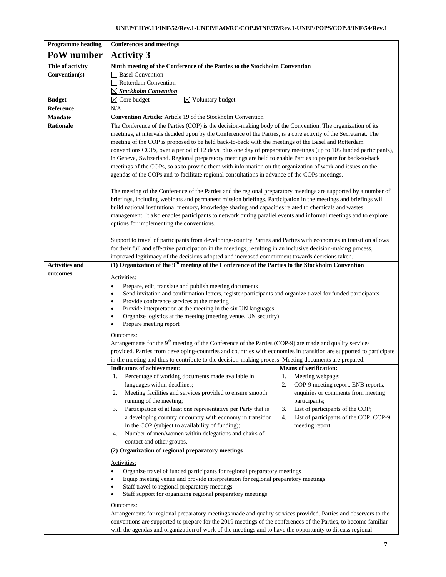| <b>Programme heading</b>                                                                                                                                                                                                                                                                                                                                                                                                                                                                                                                                                                                                                   | <b>Conferences and meetings</b>                                                                                                                                                                                                                                                                                                                                                                                                                                                                                                                                                                                                                                                                                                                                                           |                                                                                                                                                                                                                                                                  |  |  |  |  |  |  |  |  |
|--------------------------------------------------------------------------------------------------------------------------------------------------------------------------------------------------------------------------------------------------------------------------------------------------------------------------------------------------------------------------------------------------------------------------------------------------------------------------------------------------------------------------------------------------------------------------------------------------------------------------------------------|-------------------------------------------------------------------------------------------------------------------------------------------------------------------------------------------------------------------------------------------------------------------------------------------------------------------------------------------------------------------------------------------------------------------------------------------------------------------------------------------------------------------------------------------------------------------------------------------------------------------------------------------------------------------------------------------------------------------------------------------------------------------------------------------|------------------------------------------------------------------------------------------------------------------------------------------------------------------------------------------------------------------------------------------------------------------|--|--|--|--|--|--|--|--|
| PoW number                                                                                                                                                                                                                                                                                                                                                                                                                                                                                                                                                                                                                                 | <b>Activity 3</b>                                                                                                                                                                                                                                                                                                                                                                                                                                                                                                                                                                                                                                                                                                                                                                         |                                                                                                                                                                                                                                                                  |  |  |  |  |  |  |  |  |
| <b>Title of activity</b>                                                                                                                                                                                                                                                                                                                                                                                                                                                                                                                                                                                                                   | Ninth meeting of the Conference of the Parties to the Stockholm Convention                                                                                                                                                                                                                                                                                                                                                                                                                                                                                                                                                                                                                                                                                                                |                                                                                                                                                                                                                                                                  |  |  |  |  |  |  |  |  |
| Convention(s)                                                                                                                                                                                                                                                                                                                                                                                                                                                                                                                                                                                                                              | <b>Basel Convention</b>                                                                                                                                                                                                                                                                                                                                                                                                                                                                                                                                                                                                                                                                                                                                                                   |                                                                                                                                                                                                                                                                  |  |  |  |  |  |  |  |  |
|                                                                                                                                                                                                                                                                                                                                                                                                                                                                                                                                                                                                                                            | Rotterdam Convention                                                                                                                                                                                                                                                                                                                                                                                                                                                                                                                                                                                                                                                                                                                                                                      |                                                                                                                                                                                                                                                                  |  |  |  |  |  |  |  |  |
|                                                                                                                                                                                                                                                                                                                                                                                                                                                                                                                                                                                                                                            | $\boxtimes$ Stockholm Convention                                                                                                                                                                                                                                                                                                                                                                                                                                                                                                                                                                                                                                                                                                                                                          |                                                                                                                                                                                                                                                                  |  |  |  |  |  |  |  |  |
| <b>Budget</b>                                                                                                                                                                                                                                                                                                                                                                                                                                                                                                                                                                                                                              | $\boxtimes$ Voluntary budget<br>$\boxtimes$ Core budget                                                                                                                                                                                                                                                                                                                                                                                                                                                                                                                                                                                                                                                                                                                                   |                                                                                                                                                                                                                                                                  |  |  |  |  |  |  |  |  |
| Reference                                                                                                                                                                                                                                                                                                                                                                                                                                                                                                                                                                                                                                  | N/A                                                                                                                                                                                                                                                                                                                                                                                                                                                                                                                                                                                                                                                                                                                                                                                       |                                                                                                                                                                                                                                                                  |  |  |  |  |  |  |  |  |
| <b>Mandate</b>                                                                                                                                                                                                                                                                                                                                                                                                                                                                                                                                                                                                                             | Convention Article: Article 19 of the Stockholm Convention                                                                                                                                                                                                                                                                                                                                                                                                                                                                                                                                                                                                                                                                                                                                |                                                                                                                                                                                                                                                                  |  |  |  |  |  |  |  |  |
| <b>Rationale</b>                                                                                                                                                                                                                                                                                                                                                                                                                                                                                                                                                                                                                           | The Conference of the Parties (COP) is the decision-making body of the Convention. The organization of its<br>meetings, at intervals decided upon by the Conference of the Parties, is a core activity of the Secretariat. The<br>meeting of the COP is proposed to be held back-to-back with the meetings of the Basel and Rotterdam<br>conventions COPs, over a period of 12 days, plus one day of preparatory meetings (up to 105 funded participants),<br>in Geneva, Switzerland. Regional preparatory meetings are held to enable Parties to prepare for back-to-back<br>meetings of the COPs, so as to provide them with information on the organization of work and issues on the<br>agendas of the COPs and to facilitate regional consultations in advance of the COPs meetings. |                                                                                                                                                                                                                                                                  |  |  |  |  |  |  |  |  |
|                                                                                                                                                                                                                                                                                                                                                                                                                                                                                                                                                                                                                                            | The meeting of the Conference of the Parties and the regional preparatory meetings are supported by a number of<br>briefings, including webinars and permanent mission briefings. Participation in the meetings and briefings will<br>build national institutional memory, knowledge sharing and capacities related to chemicals and wastes<br>management. It also enables participants to network during parallel events and informal meetings and to explore<br>options for implementing the conventions.<br>Support to travel of participants from developing-country Parties and Parties with economies in transition allows<br>for their full and effective participation in the meetings, resulting in an inclusive decision-making process,                                        |                                                                                                                                                                                                                                                                  |  |  |  |  |  |  |  |  |
|                                                                                                                                                                                                                                                                                                                                                                                                                                                                                                                                                                                                                                            | improved legitimacy of the decisions adopted and increased commitment towards decisions taken.                                                                                                                                                                                                                                                                                                                                                                                                                                                                                                                                                                                                                                                                                            |                                                                                                                                                                                                                                                                  |  |  |  |  |  |  |  |  |
| <b>Activities and</b>                                                                                                                                                                                                                                                                                                                                                                                                                                                                                                                                                                                                                      | (1) Organization of the $9th$ meeting of the Conference of the Parties to the Stockholm Convention                                                                                                                                                                                                                                                                                                                                                                                                                                                                                                                                                                                                                                                                                        |                                                                                                                                                                                                                                                                  |  |  |  |  |  |  |  |  |
| outcomes                                                                                                                                                                                                                                                                                                                                                                                                                                                                                                                                                                                                                                   | Activities:<br>Prepare, edit, translate and publish meeting documents<br>٠<br>Send invitation and confirmation letters, register participants and organize travel for funded participants<br>Provide conference services at the meeting<br>$\bullet$<br>Provide interpretation at the meeting in the six UN languages<br>$\bullet$<br>Organize logistics at the meeting (meeting venue, UN security)<br>$\bullet$<br>Prepare meeting report<br>٠<br>Outcomes:                                                                                                                                                                                                                                                                                                                             |                                                                                                                                                                                                                                                                  |  |  |  |  |  |  |  |  |
|                                                                                                                                                                                                                                                                                                                                                                                                                                                                                                                                                                                                                                            | Arrangements for the 9 <sup>th</sup> meeting of the Conference of the Parties (COP-9) are made and quality services<br>provided. Parties from developing-countries and countries with economies in transition are supported to participate<br>in the meeting and thus to contribute to the decision-making process. Meeting documents are prepared.                                                                                                                                                                                                                                                                                                                                                                                                                                       |                                                                                                                                                                                                                                                                  |  |  |  |  |  |  |  |  |
|                                                                                                                                                                                                                                                                                                                                                                                                                                                                                                                                                                                                                                            | Indicators of achievement:<br>Percentage of working documents made available in<br>1.<br>languages within deadlines;<br>Meeting facilities and services provided to ensure smooth<br>2.<br>running of the meeting;<br>Participation of at least one representative per Party that is<br>3.<br>a developing country or country with economy in transition<br>in the COP (subject to availability of funding);<br>Number of men/women within delegations and chairs of<br>4.<br>contact and other groups.                                                                                                                                                                                                                                                                                   | Means of verification:<br>1.<br>Meeting webpage;<br>2.<br>COP-9 meeting report, ENB reports,<br>enquiries or comments from meeting<br>participants;<br>3.<br>List of participants of the COP;<br>List of participants of the COP, COP-9<br>4.<br>meeting report. |  |  |  |  |  |  |  |  |
| (2) Organization of regional preparatory meetings<br>Activities:<br>Organize travel of funded participants for regional preparatory meetings<br>$\bullet$<br>Equip meeting venue and provide interpretation for regional preparatory meetings<br>$\bullet$<br>Staff travel to regional preparatory meetings<br>Staff support for organizing regional preparatory meetings<br>$\bullet$<br>Outcomes:<br>Arrangements for regional preparatory meetings made and quality services provided. Parties and observers to the<br>conventions are supported to prepare for the 2019 meetings of the conferences of the Parties, to become familiar |                                                                                                                                                                                                                                                                                                                                                                                                                                                                                                                                                                                                                                                                                                                                                                                           |                                                                                                                                                                                                                                                                  |  |  |  |  |  |  |  |  |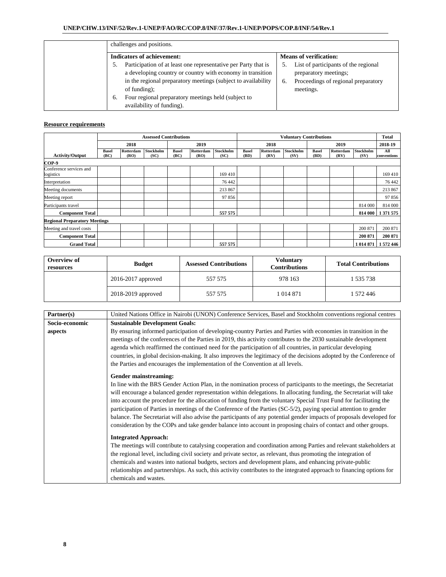| challenges and positions.                                                                                                                                                                                                                                                                                |                                                                                                                         |  |  |  |  |  |  |  |  |  |  |
|----------------------------------------------------------------------------------------------------------------------------------------------------------------------------------------------------------------------------------------------------------------------------------------------------------|-------------------------------------------------------------------------------------------------------------------------|--|--|--|--|--|--|--|--|--|--|
| <b>Indicators of achievement:</b>                                                                                                                                                                                                                                                                        | <b>Means of verification:</b>                                                                                           |  |  |  |  |  |  |  |  |  |  |
| Participation of at least one representative per Party that is<br>a developing country or country with economy in transition<br>in the regional preparatory meetings (subject to availability)<br>of funding);<br>Four regional preparatory meetings held (subject to<br>6.<br>availability of funding). | List of participants of the regional<br>preparatory meetings;<br>Proceedings of regional preparatory<br>6.<br>meetings. |  |  |  |  |  |  |  |  |  |  |

|                                      | <b>Assessed Contributions</b> |                   |                   |                      |                   | <b>Voluntary Contributions</b> |                      |                   |                   |                      |                   | <b>Total</b>      |                    |
|--------------------------------------|-------------------------------|-------------------|-------------------|----------------------|-------------------|--------------------------------|----------------------|-------------------|-------------------|----------------------|-------------------|-------------------|--------------------|
|                                      |                               | 2018              |                   |                      | 2019              |                                |                      | 2018              |                   | 2019                 |                   |                   | 2018-19            |
| <b>Activity/Output</b>               | <b>Basel</b><br>(BC)          | Rotterdam<br>(RO) | Stockholm<br>(SC) | <b>Basel</b><br>(BC) | Rotterdam<br>(RO) | <b>Stockholm</b><br>(SC)       | <b>Basel</b><br>(BD) | Rotterdam<br>(RV) | Stockholm<br>(SV) | <b>Basel</b><br>(BD) | Rotterdam<br>(RV) | Stockholm<br>(SV) | All<br>conventions |
| COP-9                                |                               |                   |                   |                      |                   |                                |                      |                   |                   |                      |                   |                   |                    |
| Conference services and<br>logistics |                               |                   |                   |                      |                   | 169 410                        |                      |                   |                   |                      |                   |                   | 169 410            |
| Interpretation                       |                               |                   |                   |                      |                   | 76 442                         |                      |                   |                   |                      |                   |                   | 76 442             |
| Meeting documents                    |                               |                   |                   |                      |                   | 213 867                        |                      |                   |                   |                      |                   |                   | 213 867            |
| Meeting report                       |                               |                   |                   |                      |                   | 97856                          |                      |                   |                   |                      |                   |                   | 97 856             |
| Participants travel                  |                               |                   |                   |                      |                   |                                |                      |                   |                   |                      |                   | 814 000           | 814 000            |
| <b>Component Total</b>               |                               |                   |                   |                      |                   | 557 575                        |                      |                   |                   |                      |                   | 814 000           | 1 371 575          |
| <b>Regional Preparatory Meetings</b> |                               |                   |                   |                      |                   |                                |                      |                   |                   |                      |                   |                   |                    |
| Meeting and travel costs             |                               |                   |                   |                      |                   |                                |                      |                   |                   |                      |                   | 200 871           | 200 871            |
| <b>Component Total</b>               |                               |                   |                   |                      |                   |                                |                      |                   |                   |                      |                   | 200 871           | 200 871            |
| <b>Grand Total</b>                   |                               |                   |                   |                      |                   | 557 575                        |                      |                   |                   |                      |                   | 1 014 871         | 572446             |

| Overview of<br>resources | <b>Budget</b>          | <b>Assessed Contributions</b> | Voluntarv<br><b>Contributions</b> | <b>Total Contributions</b> |  |  |
|--------------------------|------------------------|-------------------------------|-----------------------------------|----------------------------|--|--|
|                          | $2016 - 2017$ approved | 557 575                       | 978 163                           | 1 535 738                  |  |  |
|                          | 2018-2019 approved     | 557 575                       | 1 014 871                         | 1 572 446                  |  |  |

| Partner(s)     | United Nations Office in Nairobi (UNON) Conference Services, Basel and Stockholm conventions regional centres          |  |  |  |  |  |  |  |  |  |  |
|----------------|------------------------------------------------------------------------------------------------------------------------|--|--|--|--|--|--|--|--|--|--|
| Socio-economic | <b>Sustainable Development Goals:</b>                                                                                  |  |  |  |  |  |  |  |  |  |  |
| aspects        | By ensuring informed participation of developing-country Parties and Parties with economies in transition in the       |  |  |  |  |  |  |  |  |  |  |
|                | meetings of the conferences of the Parties in 2019, this activity contributes to the 2030 sustainable development      |  |  |  |  |  |  |  |  |  |  |
|                | agenda which reaffirmed the continued need for the participation of all countries, in particular developing            |  |  |  |  |  |  |  |  |  |  |
|                | countries, in global decision-making. It also improves the legitimacy of the decisions adopted by the Conference of    |  |  |  |  |  |  |  |  |  |  |
|                | the Parties and encourages the implementation of the Convention at all levels.                                         |  |  |  |  |  |  |  |  |  |  |
|                | Gender mainstreaming:                                                                                                  |  |  |  |  |  |  |  |  |  |  |
|                | In line with the BRS Gender Action Plan, in the nomination process of participants to the meetings, the Secretariat    |  |  |  |  |  |  |  |  |  |  |
|                | will encourage a balanced gender representation within delegations. In allocating funding, the Secretariat will take   |  |  |  |  |  |  |  |  |  |  |
|                | into account the procedure for the allocation of funding from the voluntary Special Trust Fund for facilitating the    |  |  |  |  |  |  |  |  |  |  |
|                | participation of Parties in meetings of the Conference of the Parties (SC-5/2), paying special attention to gender     |  |  |  |  |  |  |  |  |  |  |
|                | balance. The Secretariat will also advise the participants of any potential gender impacts of proposals developed for  |  |  |  |  |  |  |  |  |  |  |
|                | consideration by the COPs and take gender balance into account in proposing chairs of contact and other groups.        |  |  |  |  |  |  |  |  |  |  |
|                | <b>Integrated Approach:</b>                                                                                            |  |  |  |  |  |  |  |  |  |  |
|                |                                                                                                                        |  |  |  |  |  |  |  |  |  |  |
|                | The meetings will contribute to catalysing cooperation and coordination among Parties and relevant stakeholders at     |  |  |  |  |  |  |  |  |  |  |
|                | the regional level, including civil society and private sector, as relevant, thus promoting the integration of         |  |  |  |  |  |  |  |  |  |  |
|                | chemicals and wastes into national budgets, sectors and development plans, and enhancing private-public                |  |  |  |  |  |  |  |  |  |  |
|                | relationships and partnerships. As such, this activity contributes to the integrated approach to financing options for |  |  |  |  |  |  |  |  |  |  |
|                | chemicals and wastes.                                                                                                  |  |  |  |  |  |  |  |  |  |  |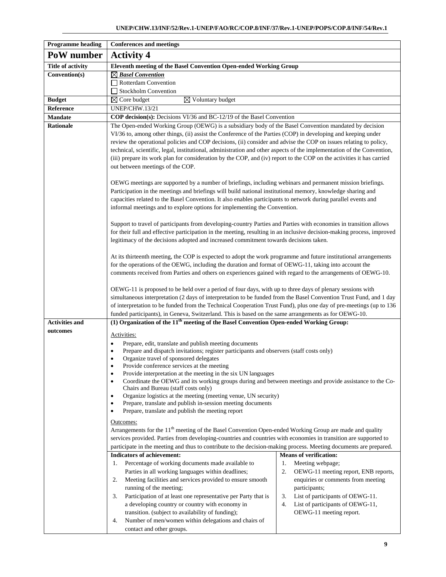| <b>Programme heading</b> | <b>Conferences and meetings</b>                                                                                                                                                                                                                                                                                                                                                                                         |                                                                                                                                                                                                                                                                                                                                                                                                                                                                                       |  |  |  |  |  |  |  |  |  |
|--------------------------|-------------------------------------------------------------------------------------------------------------------------------------------------------------------------------------------------------------------------------------------------------------------------------------------------------------------------------------------------------------------------------------------------------------------------|---------------------------------------------------------------------------------------------------------------------------------------------------------------------------------------------------------------------------------------------------------------------------------------------------------------------------------------------------------------------------------------------------------------------------------------------------------------------------------------|--|--|--|--|--|--|--|--|--|
| PoW number               | <b>Activity 4</b>                                                                                                                                                                                                                                                                                                                                                                                                       |                                                                                                                                                                                                                                                                                                                                                                                                                                                                                       |  |  |  |  |  |  |  |  |  |
| <b>Title of activity</b> | Eleventh meeting of the Basel Convention Open-ended Working Group                                                                                                                                                                                                                                                                                                                                                       |                                                                                                                                                                                                                                                                                                                                                                                                                                                                                       |  |  |  |  |  |  |  |  |  |
| Convention(s)            | $\boxtimes$ Basel Convention                                                                                                                                                                                                                                                                                                                                                                                            |                                                                                                                                                                                                                                                                                                                                                                                                                                                                                       |  |  |  |  |  |  |  |  |  |
|                          | Rotterdam Convention                                                                                                                                                                                                                                                                                                                                                                                                    |                                                                                                                                                                                                                                                                                                                                                                                                                                                                                       |  |  |  |  |  |  |  |  |  |
|                          | Stockholm Convention                                                                                                                                                                                                                                                                                                                                                                                                    |                                                                                                                                                                                                                                                                                                                                                                                                                                                                                       |  |  |  |  |  |  |  |  |  |
| <b>Budget</b>            | $\boxtimes$ Core budget<br>$\boxtimes$ Voluntary budget                                                                                                                                                                                                                                                                                                                                                                 |                                                                                                                                                                                                                                                                                                                                                                                                                                                                                       |  |  |  |  |  |  |  |  |  |
| Reference                | <b>UNEP/CHW.13/21</b>                                                                                                                                                                                                                                                                                                                                                                                                   |                                                                                                                                                                                                                                                                                                                                                                                                                                                                                       |  |  |  |  |  |  |  |  |  |
| <b>Mandate</b>           | <b>COP decision(s):</b> Decisions VI/36 and BC-12/19 of the Basel Convention                                                                                                                                                                                                                                                                                                                                            |                                                                                                                                                                                                                                                                                                                                                                                                                                                                                       |  |  |  |  |  |  |  |  |  |
| Rationale                | The Open-ended Working Group (OEWG) is a subsidiary body of the Basel Convention mandated by decision<br>out between meetings of the COP.                                                                                                                                                                                                                                                                               | VI/36 to, among other things, (ii) assist the Conference of the Parties (COP) in developing and keeping under<br>review the operational policies and COP decisions, (ii) consider and advise the COP on issues relating to policy,<br>technical, scientific, legal, institutional, administration and other aspects of the implementation of the Convention,<br>(iii) prepare its work plan for consideration by the COP, and (iv) report to the COP on the activities it has carried |  |  |  |  |  |  |  |  |  |
|                          | OEWG meetings are supported by a number of briefings, including webinars and permanent mission briefings.<br>Participation in the meetings and briefings will build national institutional memory, knowledge sharing and<br>capacities related to the Basel Convention. It also enables participants to network during parallel events and<br>informal meetings and to explore options for implementing the Convention. |                                                                                                                                                                                                                                                                                                                                                                                                                                                                                       |  |  |  |  |  |  |  |  |  |
|                          | Support to travel of participants from developing-country Parties and Parties with economies in transition allows<br>for their full and effective participation in the meeting, resulting in an inclusive decision-making process, improved<br>legitimacy of the decisions adopted and increased commitment towards decisions taken.                                                                                    |                                                                                                                                                                                                                                                                                                                                                                                                                                                                                       |  |  |  |  |  |  |  |  |  |
|                          | At its thirteenth meeting, the COP is expected to adopt the work programme and future institutional arrangements<br>for the operations of the OEWG, including the duration and format of OEWG-11, taking into account the<br>comments received from Parties and others on experiences gained with regard to the arrangements of OEWG-10.                                                                                |                                                                                                                                                                                                                                                                                                                                                                                                                                                                                       |  |  |  |  |  |  |  |  |  |
|                          | OEWG-11 is proposed to be held over a period of four days, with up to three days of plenary sessions with                                                                                                                                                                                                                                                                                                               |                                                                                                                                                                                                                                                                                                                                                                                                                                                                                       |  |  |  |  |  |  |  |  |  |
|                          | simultaneous interpretation (2 days of interpretation to be funded from the Basel Convention Trust Fund, and 1 day                                                                                                                                                                                                                                                                                                      |                                                                                                                                                                                                                                                                                                                                                                                                                                                                                       |  |  |  |  |  |  |  |  |  |
|                          | of interpretation to be funded from the Technical Cooperation Trust Fund), plus one day of pre-meetings (up to 136                                                                                                                                                                                                                                                                                                      |                                                                                                                                                                                                                                                                                                                                                                                                                                                                                       |  |  |  |  |  |  |  |  |  |
|                          | funded participants), in Geneva, Switzerland. This is based on the same arrangements as for OEWG-10.                                                                                                                                                                                                                                                                                                                    |                                                                                                                                                                                                                                                                                                                                                                                                                                                                                       |  |  |  |  |  |  |  |  |  |
| <b>Activities and</b>    | (1) Organization of the 11 <sup>th</sup> meeting of the Basel Convention Open-ended Working Group:                                                                                                                                                                                                                                                                                                                      |                                                                                                                                                                                                                                                                                                                                                                                                                                                                                       |  |  |  |  |  |  |  |  |  |
| outcomes                 | Activities:                                                                                                                                                                                                                                                                                                                                                                                                             |                                                                                                                                                                                                                                                                                                                                                                                                                                                                                       |  |  |  |  |  |  |  |  |  |
|                          | Prepare, edit, translate and publish meeting documents<br>٠                                                                                                                                                                                                                                                                                                                                                             |                                                                                                                                                                                                                                                                                                                                                                                                                                                                                       |  |  |  |  |  |  |  |  |  |
|                          | Prepare and dispatch invitations; register participants and observers (staff costs only)                                                                                                                                                                                                                                                                                                                                |                                                                                                                                                                                                                                                                                                                                                                                                                                                                                       |  |  |  |  |  |  |  |  |  |
|                          | Organize travel of sponsored delegates<br>٠                                                                                                                                                                                                                                                                                                                                                                             |                                                                                                                                                                                                                                                                                                                                                                                                                                                                                       |  |  |  |  |  |  |  |  |  |
|                          | Provide conference services at the meeting<br>Provide interpretation at the meeting in the six UN languages<br>$\bullet$                                                                                                                                                                                                                                                                                                |                                                                                                                                                                                                                                                                                                                                                                                                                                                                                       |  |  |  |  |  |  |  |  |  |
|                          | Coordinate the OEWG and its working groups during and between meetings and provide assistance to the Co-<br>Chairs and Bureau (staff costs only)                                                                                                                                                                                                                                                                        |                                                                                                                                                                                                                                                                                                                                                                                                                                                                                       |  |  |  |  |  |  |  |  |  |
|                          | Organize logistics at the meeting (meeting venue, UN security)<br>٠                                                                                                                                                                                                                                                                                                                                                     |                                                                                                                                                                                                                                                                                                                                                                                                                                                                                       |  |  |  |  |  |  |  |  |  |
|                          | Prepare, translate and publish in-session meeting documents<br>Prepare, translate and publish the meeting report<br>٠                                                                                                                                                                                                                                                                                                   |                                                                                                                                                                                                                                                                                                                                                                                                                                                                                       |  |  |  |  |  |  |  |  |  |
|                          | <u>Outcomes:</u>                                                                                                                                                                                                                                                                                                                                                                                                        |                                                                                                                                                                                                                                                                                                                                                                                                                                                                                       |  |  |  |  |  |  |  |  |  |
|                          | Arrangements for the $11th$ meeting of the Basel Convention Open-ended Working Group are made and quality                                                                                                                                                                                                                                                                                                               |                                                                                                                                                                                                                                                                                                                                                                                                                                                                                       |  |  |  |  |  |  |  |  |  |
|                          | services provided. Parties from developing-countries and countries with economies in transition are supported to                                                                                                                                                                                                                                                                                                        |                                                                                                                                                                                                                                                                                                                                                                                                                                                                                       |  |  |  |  |  |  |  |  |  |
|                          | participate in the meeting and thus to contribute to the decision-making process. Meeting documents are prepared.                                                                                                                                                                                                                                                                                                       |                                                                                                                                                                                                                                                                                                                                                                                                                                                                                       |  |  |  |  |  |  |  |  |  |
|                          | <b>Indicators of achievement:</b>                                                                                                                                                                                                                                                                                                                                                                                       | <b>Means of verification:</b>                                                                                                                                                                                                                                                                                                                                                                                                                                                         |  |  |  |  |  |  |  |  |  |
|                          | Percentage of working documents made available to<br>1.<br>Parties in all working languages within deadlines;                                                                                                                                                                                                                                                                                                           | 1.<br>Meeting webpage;<br>2.                                                                                                                                                                                                                                                                                                                                                                                                                                                          |  |  |  |  |  |  |  |  |  |
|                          | Meeting facilities and services provided to ensure smooth<br>2.                                                                                                                                                                                                                                                                                                                                                         | OEWG-11 meeting report, ENB reports,<br>enquiries or comments from meeting                                                                                                                                                                                                                                                                                                                                                                                                            |  |  |  |  |  |  |  |  |  |
|                          | running of the meeting;                                                                                                                                                                                                                                                                                                                                                                                                 | participants;                                                                                                                                                                                                                                                                                                                                                                                                                                                                         |  |  |  |  |  |  |  |  |  |
|                          | Participation of at least one representative per Party that is<br>3.                                                                                                                                                                                                                                                                                                                                                    | 3.<br>List of participants of OEWG-11.                                                                                                                                                                                                                                                                                                                                                                                                                                                |  |  |  |  |  |  |  |  |  |
|                          | a developing country or country with economy in                                                                                                                                                                                                                                                                                                                                                                         | List of participants of OEWG-11,<br>4.                                                                                                                                                                                                                                                                                                                                                                                                                                                |  |  |  |  |  |  |  |  |  |
|                          | transition. (subject to availability of funding);                                                                                                                                                                                                                                                                                                                                                                       | OEWG-11 meeting report.                                                                                                                                                                                                                                                                                                                                                                                                                                                               |  |  |  |  |  |  |  |  |  |
|                          | Number of men/women within delegations and chairs of<br>4.                                                                                                                                                                                                                                                                                                                                                              |                                                                                                                                                                                                                                                                                                                                                                                                                                                                                       |  |  |  |  |  |  |  |  |  |
|                          | contact and other groups.                                                                                                                                                                                                                                                                                                                                                                                               |                                                                                                                                                                                                                                                                                                                                                                                                                                                                                       |  |  |  |  |  |  |  |  |  |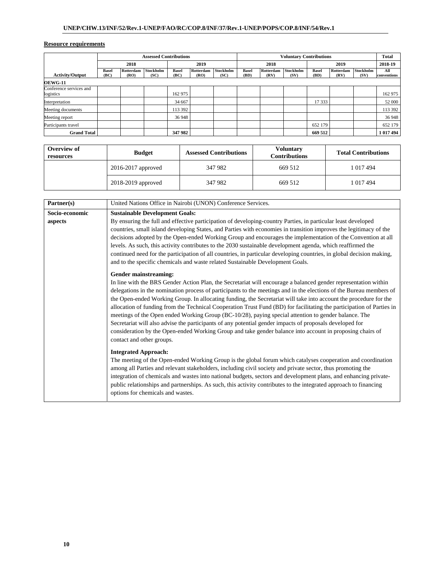| <b>Assessed Contributions</b>        |               |                   |                   |                      |                          |                          | <b>Voluntary Contributions</b> |                   |                   |                      | <b>Total</b>      |                          |                    |
|--------------------------------------|---------------|-------------------|-------------------|----------------------|--------------------------|--------------------------|--------------------------------|-------------------|-------------------|----------------------|-------------------|--------------------------|--------------------|
|                                      |               | 2018              |                   |                      | 2019                     |                          | 2018                           |                   |                   | 2019                 |                   |                          | 2018-19            |
| <b>Activity/Output</b>               | Basel<br>(BC) | Rotterdam<br>(RO) | Stockholm<br>(SC) | <b>Basel</b><br>(BC) | <b>Rotterdam</b><br>(RO) | <b>Stockholm</b><br>(SC) | <b>Basel</b><br>(BD)           | Rotterdam<br>(RV) | Stockholm<br>(SV) | <b>Basel</b><br>(BD) | Rotterdam<br>(RV) | <b>Stockholm</b><br>(SV) | All<br>conventions |
| <b>OEWG-11</b>                       |               |                   |                   |                      |                          |                          |                                |                   |                   |                      |                   |                          |                    |
| Conference services and<br>logistics |               |                   |                   | 162 975              |                          |                          |                                |                   |                   |                      |                   |                          | 162 975            |
| Interpretation                       |               |                   |                   | 34 667               |                          |                          |                                |                   |                   | 17 3 33              |                   |                          | 52 000             |
| Meeting documents                    |               |                   |                   | 113 392              |                          |                          |                                |                   |                   |                      |                   |                          | 113 392            |
| Meeting report                       |               |                   |                   | 36 948               |                          |                          |                                |                   |                   |                      |                   |                          | 36 948             |
| Participants travel                  |               |                   |                   |                      |                          |                          |                                |                   |                   | 652 179              |                   |                          | 652 179            |
| <b>Grand Total</b>                   |               |                   |                   | 347 982              |                          |                          |                                |                   |                   | 669 512              |                   |                          | 1 017 494          |

| Overview of<br>resources | <b>Budget</b>          | <b>Assessed Contributions</b> | Voluntary<br><b>Contributions</b> | <b>Total Contributions</b> |  |  |
|--------------------------|------------------------|-------------------------------|-----------------------------------|----------------------------|--|--|
|                          | $2016 - 2017$ approved | 347 982                       | 669 512                           | 1 017 494                  |  |  |
|                          | 2018-2019 approved     | 347 982                       | 669 512                           | 1 017 494                  |  |  |

| Partner(s)     | United Nations Office in Nairobi (UNON) Conference Services.                                                                                                                                                                                                                                                                                                                                                                                                                                                                                                                                                                                                                                                                                                                                                                                   |
|----------------|------------------------------------------------------------------------------------------------------------------------------------------------------------------------------------------------------------------------------------------------------------------------------------------------------------------------------------------------------------------------------------------------------------------------------------------------------------------------------------------------------------------------------------------------------------------------------------------------------------------------------------------------------------------------------------------------------------------------------------------------------------------------------------------------------------------------------------------------|
| Socio-economic | <b>Sustainable Development Goals:</b>                                                                                                                                                                                                                                                                                                                                                                                                                                                                                                                                                                                                                                                                                                                                                                                                          |
| aspects        | By ensuring the full and effective participation of developing-country Parties, in particular least developed<br>countries, small island developing States, and Parties with economies in transition improves the legitimacy of the<br>decisions adopted by the Open-ended Working Group and encourages the implementation of the Convention at all<br>levels. As such, this activity contributes to the 2030 sustainable development agenda, which reaffirmed the<br>continued need for the participation of all countries, in particular developing countries, in global decision making,<br>and to the specific chemicals and waste related Sustainable Development Goals.                                                                                                                                                                  |
|                | Gender mainstreaming:<br>In line with the BRS Gender Action Plan, the Secretariat will encourage a balanced gender representation within<br>delegations in the nomination process of participants to the meetings and in the elections of the Bureau members of<br>the Open-ended Working Group. In allocating funding, the Secretariat will take into account the procedure for the<br>allocation of funding from the Technical Cooperation Trust Fund (BD) for facilitating the participation of Parties in<br>meetings of the Open ended Working Group (BC-10/28), paying special attention to gender balance. The<br>Secretariat will also advise the participants of any potential gender impacts of proposals developed for<br>consideration by the Open-ended Working Group and take gender balance into account in proposing chairs of |
|                | contact and other groups.<br><b>Integrated Approach:</b><br>The meeting of the Open-ended Working Group is the global forum which catalyses cooperation and coordination<br>among all Parties and relevant stakeholders, including civil society and private sector, thus promoting the<br>integration of chemicals and wastes into national budgets, sectors and development plans, and enhancing private-<br>public relationships and partnerships. As such, this activity contributes to the integrated approach to financing<br>options for chemicals and wastes.                                                                                                                                                                                                                                                                          |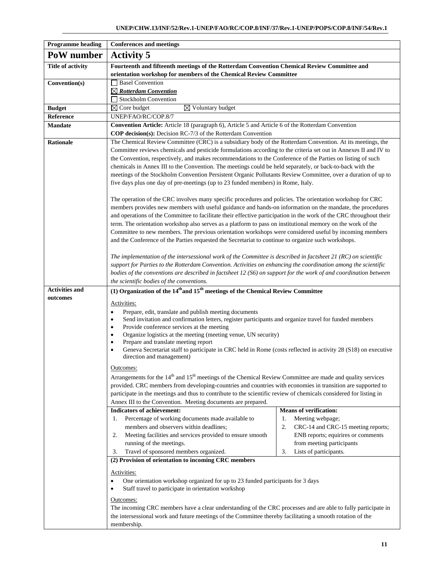| <b>Programme heading</b> | <b>Conferences and meetings</b>                                                                                                                                                                                                                                                                                                                                                                                                                                                                                                                                                                                                                                                                                                                                                                                                                                                                                                                                                                                                                                                                                                                                                                                                                                                                                                                                                                                                                                       |                                                                                                                                                                                                        |  |  |  |  |  |  |  |
|--------------------------|-----------------------------------------------------------------------------------------------------------------------------------------------------------------------------------------------------------------------------------------------------------------------------------------------------------------------------------------------------------------------------------------------------------------------------------------------------------------------------------------------------------------------------------------------------------------------------------------------------------------------------------------------------------------------------------------------------------------------------------------------------------------------------------------------------------------------------------------------------------------------------------------------------------------------------------------------------------------------------------------------------------------------------------------------------------------------------------------------------------------------------------------------------------------------------------------------------------------------------------------------------------------------------------------------------------------------------------------------------------------------------------------------------------------------------------------------------------------------|--------------------------------------------------------------------------------------------------------------------------------------------------------------------------------------------------------|--|--|--|--|--|--|--|
| PoW number               | <b>Activity 5</b>                                                                                                                                                                                                                                                                                                                                                                                                                                                                                                                                                                                                                                                                                                                                                                                                                                                                                                                                                                                                                                                                                                                                                                                                                                                                                                                                                                                                                                                     |                                                                                                                                                                                                        |  |  |  |  |  |  |  |
| Title of activity        | Fourteenth and fifteenth meetings of the Rotterdam Convention Chemical Review Committee and<br>orientation workshop for members of the Chemical Review Committee                                                                                                                                                                                                                                                                                                                                                                                                                                                                                                                                                                                                                                                                                                                                                                                                                                                                                                                                                                                                                                                                                                                                                                                                                                                                                                      |                                                                                                                                                                                                        |  |  |  |  |  |  |  |
| Convention(s)            | <b>Basel Convention</b><br>$\boxtimes$ Rotterdam Convention                                                                                                                                                                                                                                                                                                                                                                                                                                                                                                                                                                                                                                                                                                                                                                                                                                                                                                                                                                                                                                                                                                                                                                                                                                                                                                                                                                                                           |                                                                                                                                                                                                        |  |  |  |  |  |  |  |
|                          | Stockholm Convention                                                                                                                                                                                                                                                                                                                                                                                                                                                                                                                                                                                                                                                                                                                                                                                                                                                                                                                                                                                                                                                                                                                                                                                                                                                                                                                                                                                                                                                  |                                                                                                                                                                                                        |  |  |  |  |  |  |  |
| <b>Budget</b>            | $\boxtimes$ Core budget<br>$\boxtimes$ Voluntary budget                                                                                                                                                                                                                                                                                                                                                                                                                                                                                                                                                                                                                                                                                                                                                                                                                                                                                                                                                                                                                                                                                                                                                                                                                                                                                                                                                                                                               |                                                                                                                                                                                                        |  |  |  |  |  |  |  |
| Reference                | UNEP/FAO/RC/COP.8/7                                                                                                                                                                                                                                                                                                                                                                                                                                                                                                                                                                                                                                                                                                                                                                                                                                                                                                                                                                                                                                                                                                                                                                                                                                                                                                                                                                                                                                                   |                                                                                                                                                                                                        |  |  |  |  |  |  |  |
| <b>Mandate</b>           | <b>Convention Article:</b> Article 18 (paragraph 6), Article 5 and Article 6 of the Rotterdam Convention<br>COP decision(s): Decision RC-7/3 of the Rotterdam Convention                                                                                                                                                                                                                                                                                                                                                                                                                                                                                                                                                                                                                                                                                                                                                                                                                                                                                                                                                                                                                                                                                                                                                                                                                                                                                              |                                                                                                                                                                                                        |  |  |  |  |  |  |  |
| <b>Rationale</b>         | The Chemical Review Committee (CRC) is a subsidiary body of the Rotterdam Convention. At its meetings, the<br>Committee reviews chemicals and pesticide formulations according to the criteria set out in Annexes II and IV to<br>the Convention, respectively, and makes recommendations to the Conference of the Parties on listing of such<br>chemicals in Annex III to the Convention. The meetings could be held separately, or back-to-back with the<br>meetings of the Stockholm Convention Persistent Organic Pollutants Review Committee, over a duration of up to<br>five days plus one day of pre-meetings (up to 23 funded members) in Rome, Italy.<br>The operation of the CRC involves many specific procedures and policies. The orientation workshop for CRC<br>members provides new members with useful guidance and hands-on information on the mandate, the procedures<br>and operations of the Committee to facilitate their effective participation in the work of the CRC throughout their<br>term. The orientation workshop also serves as a platform to pass on institutional memory on the work of the<br>Committee to new members. The previous orientation workshops were considered useful by incoming members<br>and the Conference of the Parties requested the Secretariat to continue to organize such workshops.<br>The implementation of the intersessional work of the Committee is described in factsheet $21$ (RC) on scientific |                                                                                                                                                                                                        |  |  |  |  |  |  |  |
|                          | support for Parties to the Rotterdam Convention. Activities on enhancing the coordination among the scientific<br>bodies of the conventions are described in factsheet 12 (S6) on support for the work of and coordination between<br>the scientific bodies of the conventions.                                                                                                                                                                                                                                                                                                                                                                                                                                                                                                                                                                                                                                                                                                                                                                                                                                                                                                                                                                                                                                                                                                                                                                                       |                                                                                                                                                                                                        |  |  |  |  |  |  |  |
| <b>Activities and</b>    | (1) Organization of the $14th$ and $15th$ meetings of the Chemical Review Committee                                                                                                                                                                                                                                                                                                                                                                                                                                                                                                                                                                                                                                                                                                                                                                                                                                                                                                                                                                                                                                                                                                                                                                                                                                                                                                                                                                                   |                                                                                                                                                                                                        |  |  |  |  |  |  |  |
| outcomes                 | Activities:<br>Prepare, edit, translate and publish meeting documents<br>$\bullet$<br>Send invitation and confirmation letters, register participants and organize travel for funded members<br>٠<br>Provide conference services at the meeting<br>$\bullet$<br>Organize logistics at the meeting (meeting venue, UN security)<br>٠<br>Prepare and translate meeting report<br>Geneva Secretariat staff to participate in CRC held in Rome (costs reflected in activity 28 (S18) on executive<br>direction and management)<br>Outcomes:<br>Arrangements for the 14 <sup>th</sup> and 15 <sup>th</sup> meetings of the Chemical Review Committee are made and quality services<br>provided. CRC members from developing-countries and countries with economies in transition are supported to                                                                                                                                                                                                                                                                                                                                                                                                                                                                                                                                                                                                                                                                          |                                                                                                                                                                                                        |  |  |  |  |  |  |  |
|                          | participate in the meetings and thus to contribute to the scientific review of chemicals considered for listing in<br>Annex III to the Convention. Meeting documents are prepared.                                                                                                                                                                                                                                                                                                                                                                                                                                                                                                                                                                                                                                                                                                                                                                                                                                                                                                                                                                                                                                                                                                                                                                                                                                                                                    |                                                                                                                                                                                                        |  |  |  |  |  |  |  |
|                          | <b>Indicators of achievement:</b><br>Percentage of working documents made available to<br>1.<br>members and observers within deadlines;<br>Meeting facilities and services provided to ensure smooth<br>2.<br>running of the meetings.<br>Travel of sponsored members organized.<br>3.                                                                                                                                                                                                                                                                                                                                                                                                                                                                                                                                                                                                                                                                                                                                                                                                                                                                                                                                                                                                                                                                                                                                                                                | <b>Means of verification:</b><br>Meeting webpage;<br>1.<br>2.<br>CRC-14 and CRC-15 meeting reports;<br>ENB reports; equirires or comments<br>from meeting participants<br>Lists of participants.<br>3. |  |  |  |  |  |  |  |
|                          | (2) Provision of orientation to incoming CRC members<br>Activities:<br>One orientation workshop organized for up to 23 funded participants for 3 days<br>٠<br>Staff travel to participate in orientation workshop<br>٠<br><u>Outcomes:</u><br>The incoming CRC members have a clear understanding of the CRC processes and are able to fully participate in<br>the intersessional work and future meetings of the Committee thereby facilitating a smooth rotation of the<br>membership.                                                                                                                                                                                                                                                                                                                                                                                                                                                                                                                                                                                                                                                                                                                                                                                                                                                                                                                                                                              |                                                                                                                                                                                                        |  |  |  |  |  |  |  |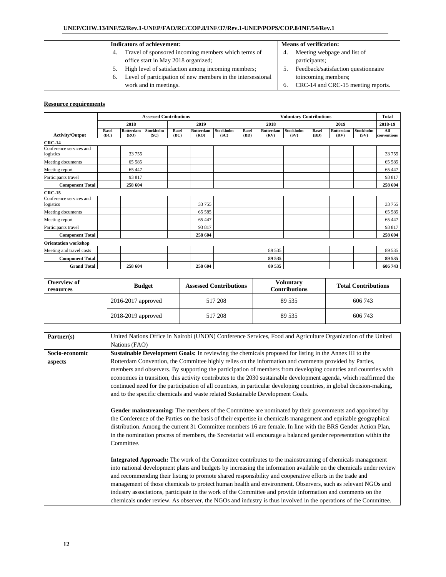| <b>Indicators of achievement:</b>                                  | <b>Means of verification:</b>            |
|--------------------------------------------------------------------|------------------------------------------|
| Travel of sponsored incoming members which terms of<br>4.          | Meeting webpage and list of<br>4.        |
| office start in May 2018 organized;                                | participants;                            |
| High level of satisfaction among incoming members;                 | Feedback/satisfaction questionnaire      |
| Level of participation of new members in the intersessional<br>.რ. | toincoming members;                      |
| work and in meetings.                                              | CRC-14 and CRC-15 meeting reports.<br>6. |

|                                      | <b>Assessed Contributions</b> |                   |                          |                      |                   |                   | <b>Voluntary Contributions</b> |                   |                   |                      |                   |                   | <b>Total</b>       |
|--------------------------------------|-------------------------------|-------------------|--------------------------|----------------------|-------------------|-------------------|--------------------------------|-------------------|-------------------|----------------------|-------------------|-------------------|--------------------|
|                                      | 2018                          |                   |                          |                      | 2019              |                   | 2018                           |                   |                   |                      | 2019              |                   | 2018-19            |
| <b>Activity/Output</b>               | <b>Basel</b><br>(BC)          | Rotterdam<br>(RO) | <b>Stockholm</b><br>(SC) | <b>Basel</b><br>(BC) | Rotterdam<br>(RO) | Stockholm<br>(SC) | <b>Basel</b><br>(BD)           | Rotterdam<br>(RV) | Stockholm<br>(SV) | <b>Basel</b><br>(BD) | Rotterdam<br>(RV) | Stockholm<br>(SV) | All<br>conventions |
| <b>CRC-14</b>                        |                               |                   |                          |                      |                   |                   |                                |                   |                   |                      |                   |                   |                    |
| Conference services and<br>logistics |                               | 33 755            |                          |                      |                   |                   |                                |                   |                   |                      |                   |                   | 33 755             |
| Meeting documents                    |                               | 65 5 85           |                          |                      |                   |                   |                                |                   |                   |                      |                   |                   | 65 5 85            |
| Meeting report                       |                               | 65 447            |                          |                      |                   |                   |                                |                   |                   |                      |                   |                   | 65 447             |
| Participants travel                  |                               | 93 817            |                          |                      |                   |                   |                                |                   |                   |                      |                   |                   | 93 817             |
| <b>Component Total</b>               |                               | 258 604           |                          |                      |                   |                   |                                |                   |                   |                      |                   |                   | 258 604            |
| <b>CRC-15</b>                        |                               |                   |                          |                      |                   |                   |                                |                   |                   |                      |                   |                   |                    |
| Conference services and<br>logistics |                               |                   |                          |                      | 33 755            |                   |                                |                   |                   |                      |                   |                   | 33 755             |
| Meeting documents                    |                               |                   |                          |                      | 65 5 85           |                   |                                |                   |                   |                      |                   |                   | 65 5 85            |
| Meeting report                       |                               |                   |                          |                      | 65 447            |                   |                                |                   |                   |                      |                   |                   | 65 447             |
| Participants travel                  |                               |                   |                          |                      | 93 817            |                   |                                |                   |                   |                      |                   |                   | 93 817             |
| <b>Component Total</b>               |                               |                   |                          |                      | 258 604           |                   |                                |                   |                   |                      |                   |                   | 258 604            |
| <b>Orientation workshop</b>          |                               |                   |                          |                      |                   |                   |                                |                   |                   |                      |                   |                   |                    |
| Meeting and travel costs             |                               |                   |                          |                      |                   |                   |                                | 89 535            |                   |                      |                   |                   | 89 535             |
| <b>Component Total</b>               |                               |                   |                          |                      |                   |                   |                                | 89 535            |                   |                      |                   |                   | 89 535             |
| <b>Grand Total</b>                   |                               | 258 604           |                          |                      | 258 604           |                   |                                | 89 535            |                   |                      |                   |                   | 606 743            |

| Overview of<br>resources | <b>Budget</b>          | <b>Assessed Contributions</b> | <b>Voluntary</b><br><b>Contributions</b> | <b>Total Contributions</b> |  |
|--------------------------|------------------------|-------------------------------|------------------------------------------|----------------------------|--|
|                          | $2016 - 2017$ approved | 517 208                       | 89 535                                   | 606 743                    |  |
|                          | 2018-2019 approved     | 517 208                       | 89 535                                   | 606 743                    |  |

| Partner(s)     | United Nations Office in Nairobi (UNON) Conference Services, Food and Agriculture Organization of the United          |
|----------------|-----------------------------------------------------------------------------------------------------------------------|
|                | Nations (FAO)                                                                                                         |
|                |                                                                                                                       |
| Socio-economic | Sustainable Development Goals: In reviewing the chemicals proposed for listing in the Annex III to the                |
| aspects        | Rotterdam Convention, the Committee highly relies on the information and comments provided by Parties,                |
|                | members and observers. By supporting the participation of members from developing countries and countries with        |
|                | economies in transition, this activity contributes to the 2030 sustainable development agenda, which reaffirmed the   |
|                | continued need for the participation of all countries, in particular developing countries, in global decision-making, |
|                | and to the specific chemicals and waste related Sustainable Development Goals.                                        |
|                |                                                                                                                       |
|                | Gender mainstreaming: The members of the Committee are nominated by their governments and appointed by                |
|                | the Conference of the Parties on the basis of their expertise in chemicals management and equitable geographical      |
|                | distribution. Among the current 31 Committee members 16 are female. In line with the BRS Gender Action Plan,          |
|                | in the nomination process of members, the Secretariat will encourage a balanced gender representation within the      |
|                | Committee.                                                                                                            |
|                |                                                                                                                       |
|                | <b>Integrated Approach:</b> The work of the Committee contributes to the mainstreaming of chemicals management        |
|                | into national development plans and budgets by increasing the information available on the chemicals under review     |
|                | and recommending their listing to promote shared responsibility and cooperative efforts in the trade and              |
|                | management of those chemicals to protect human health and environment. Observers, such as relevant NGOs and           |
|                | industry associations, participate in the work of the Committee and provide information and comments on the           |
|                | chemicals under review. As observer, the NGOs and industry is thus involved in the operations of the Committee.       |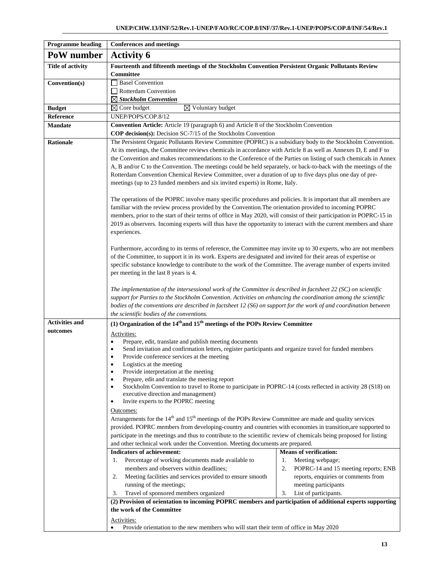| <b>Programme heading</b> | <b>Conferences and meetings</b>                                                                                                                                           |                                            |  |  |  |
|--------------------------|---------------------------------------------------------------------------------------------------------------------------------------------------------------------------|--------------------------------------------|--|--|--|
| PoW number               | <b>Activity 6</b>                                                                                                                                                         |                                            |  |  |  |
| <b>Title of activity</b> | Fourteenth and fifteenth meetings of the Stockholm Convention Persistent Organic Pollutants Review                                                                        |                                            |  |  |  |
|                          | <b>Committee</b>                                                                                                                                                          |                                            |  |  |  |
| Convention(s)            | <b>Basel Convention</b>                                                                                                                                                   |                                            |  |  |  |
|                          | Rotterdam Convention                                                                                                                                                      |                                            |  |  |  |
|                          | $\boxtimes$ Stockholm Convention                                                                                                                                          |                                            |  |  |  |
| <b>Budget</b>            | $\boxtimes$ Core budget<br>$\boxtimes$ Voluntary budget                                                                                                                   |                                            |  |  |  |
| Reference                | UNEP/POPS/COP.8/12                                                                                                                                                        |                                            |  |  |  |
| <b>Mandate</b>           | <b>Convention Article:</b> Article 19 (paragraph 6) and Article 8 of the Stockholm Convention<br><b>COP decision(s):</b> Decision $SC-7/15$ of the Stockholm Convention   |                                            |  |  |  |
| <b>Rationale</b>         | The Persistent Organic Pollutants Review Committee (POPRC) is a subsidiary body to the Stockholm Convention.                                                              |                                            |  |  |  |
|                          | At its meetings, the Committee reviews chemicals in accordance with Article 8 as well as Annexes D, E and F to                                                            |                                            |  |  |  |
|                          | the Convention and makes recommendations to the Conference of the Parties on listing of such chemicals in Annex                                                           |                                            |  |  |  |
|                          | A, B and/or C to the Convention. The meetings could be held separately, or back-to-back with the meetings of the                                                          |                                            |  |  |  |
|                          | Rotterdam Convention Chemical Review Committee, over a duration of up to five days plus one day of pre-                                                                   |                                            |  |  |  |
|                          | meetings (up to 23 funded members and six invited experts) in Rome, Italy.                                                                                                |                                            |  |  |  |
|                          |                                                                                                                                                                           |                                            |  |  |  |
|                          | The operations of the POPRC involve many specific procedures and policies. It is important that all members are                                                           |                                            |  |  |  |
|                          | familiar with the review process provided by the Convention. The orientation provided to incoming POPRC                                                                   |                                            |  |  |  |
|                          | members, prior to the start of their terms of office in May 2020, will consist of their participation in POPRC-15 in                                                      |                                            |  |  |  |
|                          | 2019 as observers. Incoming experts will thus have the opportunity to interact with the current members and share                                                         |                                            |  |  |  |
|                          | experiences.                                                                                                                                                              |                                            |  |  |  |
|                          |                                                                                                                                                                           |                                            |  |  |  |
|                          | Furthermore, according to its terms of reference, the Committee may invite up to 30 experts, who are not members                                                          |                                            |  |  |  |
|                          | of the Committee, to support it in its work. Experts are designated and invited for their areas of expertise or                                                           |                                            |  |  |  |
|                          | specific substance knowledge to contribute to the work of the Committee. The average number of experts invited                                                            |                                            |  |  |  |
|                          | per meeting in the last 8 years is 4.                                                                                                                                     |                                            |  |  |  |
|                          |                                                                                                                                                                           |                                            |  |  |  |
|                          | The implementation of the intersessional work of the Committee is described in factsheet $22$ (SC) on scientific                                                          |                                            |  |  |  |
|                          | support for Parties to the Stockholm Convention. Activities on enhancing the coordination among the scientific                                                            |                                            |  |  |  |
|                          | bodies of the conventions are described in factsheet 12 (S6) on support for the work of and coordination between                                                          |                                            |  |  |  |
|                          | the scientific bodies of the conventions.                                                                                                                                 |                                            |  |  |  |
| <b>Activities and</b>    | (1) Organization of the $14th$ and $15th$ meetings of the POPs Review Committee                                                                                           |                                            |  |  |  |
| outcomes                 | Activities:                                                                                                                                                               |                                            |  |  |  |
|                          | Prepare, edit, translate and publish meeting documents<br>$\bullet$                                                                                                       |                                            |  |  |  |
|                          | Send invitation and confirmation letters, register participants and organize travel for funded members<br>$\bullet$                                                       |                                            |  |  |  |
|                          | Provide conference services at the meeting<br>٠                                                                                                                           |                                            |  |  |  |
|                          | Logistics at the meeting<br>$\bullet$                                                                                                                                     |                                            |  |  |  |
|                          | Provide interpretation at the meeting<br>$\bullet$<br>$\bullet$                                                                                                           |                                            |  |  |  |
|                          | Prepare, edit and translate the meeting report<br>Stockholm Convention to travel to Rome to participate in POPRC-14 (costs reflected in activity 28 (S18) on<br>$\bullet$ |                                            |  |  |  |
|                          | executive direction and management)                                                                                                                                       |                                            |  |  |  |
|                          | Invite experts to the POPRC meeting<br>$\bullet$                                                                                                                          |                                            |  |  |  |
|                          | Outcomes:                                                                                                                                                                 |                                            |  |  |  |
|                          | Arrangements for the 14 <sup>th</sup> and 15 <sup>th</sup> meetings of the POPs Review Committee are made and quality services                                            |                                            |  |  |  |
|                          | provided. POPRC members from developing-country and countries with economies in transition, are supported to                                                              |                                            |  |  |  |
|                          | participate in the meetings and thus to contribute to the scientific review of chemicals being proposed for listing                                                       |                                            |  |  |  |
|                          | and other technical work under the Convention. Meeting documents are prepared.                                                                                            |                                            |  |  |  |
|                          | <b>Indicators of achievement:</b>                                                                                                                                         | <b>Means of verification:</b>              |  |  |  |
|                          | Percentage of working documents made available to<br>1.                                                                                                                   | Meeting webpage;<br>1.                     |  |  |  |
|                          | members and observers within deadlines;                                                                                                                                   | 2.<br>POPRC-14 and 15 meeting reports; ENB |  |  |  |
|                          | Meeting facilities and services provided to ensure smooth<br>2.                                                                                                           | reports, enquiries or comments from        |  |  |  |
|                          | running of the meetings;                                                                                                                                                  | meeting participants                       |  |  |  |
|                          | Travel of sponsored members organized<br>3.                                                                                                                               | List of participants.<br>3.                |  |  |  |
|                          | (2) Provision of orientation to incoming POPRC members and participation of additional experts supporting                                                                 |                                            |  |  |  |
|                          | the work of the Committee                                                                                                                                                 |                                            |  |  |  |
|                          | Activities:                                                                                                                                                               |                                            |  |  |  |
|                          | Provide orientation to the new members who will start their term of office in May 2020                                                                                    |                                            |  |  |  |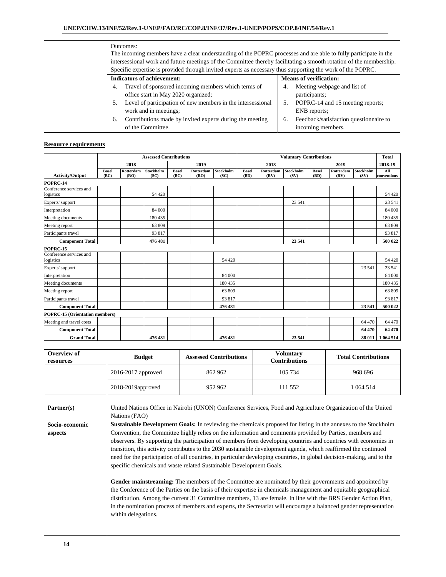| Outcomes:<br>The incoming members have a clear understanding of the POPRC processes and are able to fully participate in the<br>intersessional work and future meetings of the Committee thereby facilitating a smooth rotation of the membership.<br>Specific expertise is provided through invited experts as necessary thus supporting the work of the POPRC. |                                              |
|------------------------------------------------------------------------------------------------------------------------------------------------------------------------------------------------------------------------------------------------------------------------------------------------------------------------------------------------------------------|----------------------------------------------|
| <b>Indicators of achievement:</b>                                                                                                                                                                                                                                                                                                                                | <b>Means of verification:</b>                |
| Travel of sponsored incoming members which terms of                                                                                                                                                                                                                                                                                                              | Meeting webpage and list of<br>4.            |
| office start in May 2020 organized;                                                                                                                                                                                                                                                                                                                              | participants;                                |
| Level of participation of new members in the intersessional                                                                                                                                                                                                                                                                                                      | POPRC-14 and 15 meeting reports;<br>5.       |
| work and in meetings;                                                                                                                                                                                                                                                                                                                                            | ENB reports;                                 |
| Contributions made by invited experts during the meeting<br>6.                                                                                                                                                                                                                                                                                                   | Feedback/satisfaction questionnaire to<br>6. |
| of the Committee.                                                                                                                                                                                                                                                                                                                                                | incoming members.                            |

|                                       |                      |                   | <b>Assessed Contributions</b> |                      |                   |                   |                      |                   | <b>Voluntary Contributions</b> |                      |                   |                   | <b>Total</b>       |
|---------------------------------------|----------------------|-------------------|-------------------------------|----------------------|-------------------|-------------------|----------------------|-------------------|--------------------------------|----------------------|-------------------|-------------------|--------------------|
|                                       |                      | 2018              |                               |                      | 2019              |                   |                      | 2018              |                                |                      | 2019              |                   | 2018-19            |
| <b>Activity/Output</b>                | <b>Basel</b><br>(BC) | Rotterdam<br>(RO) | <b>Stockholm</b><br>(SC)      | <b>Basel</b><br>(BC) | Rotterdam<br>(RO) | Stockholm<br>(SC) | <b>Basel</b><br>(BD) | Rotterdam<br>(RV) | Stockholm<br>(SV)              | <b>Basel</b><br>(BD) | Rotterdam<br>(RV) | Stockholm<br>(SV) | All<br>conventions |
| POPRC 14                              |                      |                   |                               |                      |                   |                   |                      |                   |                                |                      |                   |                   |                    |
| Conference services and<br>logistics  |                      |                   | 54 4 20                       |                      |                   |                   |                      |                   |                                |                      |                   |                   | 54 4 20            |
| Experts' support                      |                      |                   |                               |                      |                   |                   |                      |                   | 23 541                         |                      |                   |                   | 23 541             |
| Interpretation                        |                      |                   | 84 000                        |                      |                   |                   |                      |                   |                                |                      |                   |                   | 84 000             |
| Meeting documents                     |                      |                   | 180 435                       |                      |                   |                   |                      |                   |                                |                      |                   |                   | 180 435            |
| Meeting report                        |                      |                   | 63 809                        |                      |                   |                   |                      |                   |                                |                      |                   |                   | 63 809             |
| Participants travel                   |                      |                   | 93 817                        |                      |                   |                   |                      |                   |                                |                      |                   |                   | 93 817             |
| <b>Component Total</b>                |                      |                   | 476 481                       |                      |                   |                   |                      |                   | 23 541                         |                      |                   |                   | 500 022            |
| <b>POPRC 15</b>                       |                      |                   |                               |                      |                   |                   |                      |                   |                                |                      |                   |                   |                    |
| Conference services and<br>logistics  |                      |                   |                               |                      |                   | 54 4 20           |                      |                   |                                |                      |                   |                   | 54 4 20            |
| Experts' support                      |                      |                   |                               |                      |                   |                   |                      |                   |                                |                      |                   | 23 541            | 23 541             |
| Interpretation                        |                      |                   |                               |                      |                   | 84 000            |                      |                   |                                |                      |                   |                   | 84 000             |
| Meeting documents                     |                      |                   |                               |                      |                   | 180 435           |                      |                   |                                |                      |                   |                   | 180 435            |
| Meeting report                        |                      |                   |                               |                      |                   | 63 809            |                      |                   |                                |                      |                   |                   | 63 809             |
| Participants travel                   |                      |                   |                               |                      |                   | 93 817            |                      |                   |                                |                      |                   |                   | 93 817             |
| <b>Component Total</b>                |                      |                   |                               |                      |                   | 476 481           |                      |                   |                                |                      |                   | 23 541            | 500 022            |
| <b>POPRC-15 (Orientation members)</b> |                      |                   |                               |                      |                   |                   |                      |                   |                                |                      |                   |                   |                    |
| Meeting and travel costs              |                      |                   |                               |                      |                   |                   |                      |                   |                                |                      |                   | 64 470            | 64 470             |
| <b>Component Total</b>                |                      |                   |                               |                      |                   |                   |                      |                   |                                |                      |                   | 64 470            | 64 470             |
| <b>Grand Total</b>                    |                      |                   | 476 481                       |                      |                   | 476 481           |                      |                   | 23 541                         |                      |                   |                   | 88 011 1 064 514   |

| Overview of<br>resources | <b>Budget</b>          | <b>Assessed Contributions</b> | Voluntarv<br><b>Contributions</b> | <b>Total Contributions</b> |  |
|--------------------------|------------------------|-------------------------------|-----------------------------------|----------------------------|--|
|                          | $2016 - 2017$ approved | 862 962                       | 105 734                           | 968 696                    |  |
|                          | 2018-2019 approved     | 952 962                       | 111 552                           | 1064514                    |  |

| Partner(s)     | United Nations Office in Nairobi (UNON) Conference Services, Food and Agriculture Organization of the United                                                                                                                                                                                                                                                                                                                                                                            |
|----------------|-----------------------------------------------------------------------------------------------------------------------------------------------------------------------------------------------------------------------------------------------------------------------------------------------------------------------------------------------------------------------------------------------------------------------------------------------------------------------------------------|
|                | Nations (FAO)                                                                                                                                                                                                                                                                                                                                                                                                                                                                           |
| Socio-economic | Sustainable Development Goals: In reviewing the chemicals proposed for listing in the annexes to the Stockholm                                                                                                                                                                                                                                                                                                                                                                          |
| aspects        | Convention, the Committee highly relies on the information and comments provided by Parties, members and                                                                                                                                                                                                                                                                                                                                                                                |
|                | observers. By supporting the participation of members from developing countries and countries with economies in                                                                                                                                                                                                                                                                                                                                                                         |
|                | transition, this activity contributes to the 2030 sustainable development agenda, which reaffirmed the continued                                                                                                                                                                                                                                                                                                                                                                        |
|                | need for the participation of all countries, in particular developing countries, in global decision-making, and to the                                                                                                                                                                                                                                                                                                                                                                  |
|                | specific chemicals and waste related Sustainable Development Goals.                                                                                                                                                                                                                                                                                                                                                                                                                     |
|                | Gender mainstreaming: The members of the Committee are nominated by their governments and appointed by<br>the Conference of the Parties on the basis of their expertise in chemicals management and equitable geographical<br>distribution. Among the current 31 Committee members, 13 are female. In line with the BRS Gender Action Plan,<br>in the nomination process of members and experts, the Secretariat will encourage a balanced gender representation<br>within delegations. |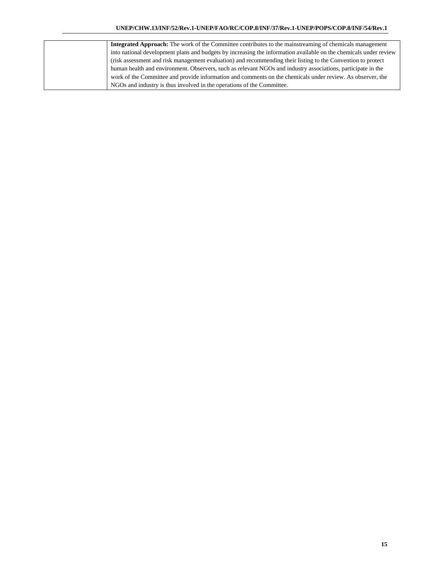| <b>Integrated Approach:</b> The work of the Committee contributes to the mainstreaming of chemicals management    |
|-------------------------------------------------------------------------------------------------------------------|
| into national development plans and budgets by increasing the information available on the chemicals under review |
| (risk assessment and risk management evaluation) and recommending their listing to the Convention to protect      |
| human health and environment. Observers, such as relevant NGOs and industry associations, participate in the      |
| work of the Committee and provide information and comments on the chemicals under review. As observer, the        |
| NGOs and industry is thus involved in the operations of the Committee.                                            |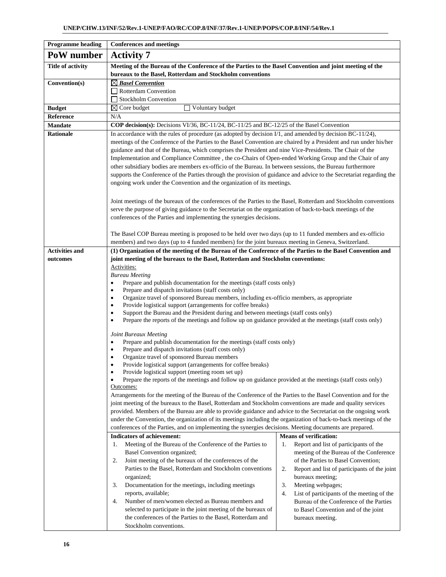| <b>Programme</b> heading | <b>Conferences and meetings</b>                                                                                                                                                                                                    |                                                                             |  |  |  |  |
|--------------------------|------------------------------------------------------------------------------------------------------------------------------------------------------------------------------------------------------------------------------------|-----------------------------------------------------------------------------|--|--|--|--|
| PoW number               | <b>Activity 7</b>                                                                                                                                                                                                                  |                                                                             |  |  |  |  |
| <b>Title of activity</b> | Meeting of the Bureau of the Conference of the Parties to the Basel Convention and joint meeting of the                                                                                                                            |                                                                             |  |  |  |  |
|                          | bureaux to the Basel, Rotterdam and Stockholm conventions                                                                                                                                                                          |                                                                             |  |  |  |  |
| Convention(s)            | $\boxtimes$ Basel Convention                                                                                                                                                                                                       |                                                                             |  |  |  |  |
|                          | Rotterdam Convention                                                                                                                                                                                                               |                                                                             |  |  |  |  |
|                          | Stockholm Convention                                                                                                                                                                                                               |                                                                             |  |  |  |  |
| <b>Budget</b>            | Voluntary budget<br>$\boxtimes$ Core budget                                                                                                                                                                                        |                                                                             |  |  |  |  |
| Reference                | N/A                                                                                                                                                                                                                                |                                                                             |  |  |  |  |
| <b>Mandate</b>           | <b>COP decision(s):</b> Decisions VI/36, BC-11/24, BC-11/25 and BC-12/25 of the Basel Convention                                                                                                                                   |                                                                             |  |  |  |  |
| <b>Rationale</b>         | In accordance with the rules of procedure (as adopted by decision $I/1$ , and amended by decision BC-11/24),<br>meetings of the Conference of the Parties to the Basel Convention are chaired by a President and run under his/her |                                                                             |  |  |  |  |
|                          | guidance and that of the Bureau, which comprises the President and nine Vice-Presidents. The Chair of the                                                                                                                          |                                                                             |  |  |  |  |
|                          | Implementation and Compliance Committee, the co-Chairs of Open-ended Working Group and the Chair of any                                                                                                                            |                                                                             |  |  |  |  |
|                          | other subsidiary bodies are members ex-officio of the Bureau. In between sessions, the Bureau furthermore                                                                                                                          |                                                                             |  |  |  |  |
|                          | supports the Conference of the Parties through the provision of guidance and advice to the Secretariat regarding the                                                                                                               |                                                                             |  |  |  |  |
|                          | ongoing work under the Convention and the organization of its meetings.                                                                                                                                                            |                                                                             |  |  |  |  |
|                          |                                                                                                                                                                                                                                    |                                                                             |  |  |  |  |
|                          | Joint meetings of the bureaux of the conferences of the Parties to the Basel, Rotterdam and Stockholm conventions                                                                                                                  |                                                                             |  |  |  |  |
|                          | serve the purpose of giving guidance to the Secretariat on the organization of back-to-back meetings of the                                                                                                                        |                                                                             |  |  |  |  |
|                          | conferences of the Parties and implementing the synergies decisions.                                                                                                                                                               |                                                                             |  |  |  |  |
|                          |                                                                                                                                                                                                                                    |                                                                             |  |  |  |  |
|                          | The Basel COP Bureau meeting is proposed to be held over two days (up to 11 funded members and ex-officio<br>members) and two days (up to 4 funded members) for the joint bureaux meeting in Geneva, Switzerland.                  |                                                                             |  |  |  |  |
| <b>Activities and</b>    | (1) Organization of the meeting of the Bureau of the Conference of the Parties to the Basel Convention and                                                                                                                         |                                                                             |  |  |  |  |
| outcomes                 | joint meeting of the bureaux to the Basel, Rotterdam and Stockholm conventions:                                                                                                                                                    |                                                                             |  |  |  |  |
|                          | Activities:                                                                                                                                                                                                                        |                                                                             |  |  |  |  |
|                          | <b>Bureau Meeting</b>                                                                                                                                                                                                              |                                                                             |  |  |  |  |
|                          | Prepare and publish documentation for the meetings (staff costs only)                                                                                                                                                              |                                                                             |  |  |  |  |
|                          | Prepare and dispatch invitations (staff costs only)<br>٠<br>Organize travel of sponsored Bureau members, including ex-officio members, as appropriate<br>٠                                                                         |                                                                             |  |  |  |  |
|                          | Provide logistical support (arrangements for coffee breaks)<br>٠                                                                                                                                                                   |                                                                             |  |  |  |  |
|                          | Support the Bureau and the President during and between meetings (staff costs only)                                                                                                                                                |                                                                             |  |  |  |  |
|                          | Prepare the reports of the meetings and follow up on guidance provided at the meetings (staff costs only)<br>٠                                                                                                                     |                                                                             |  |  |  |  |
|                          | Joint Bureaux Meeting                                                                                                                                                                                                              |                                                                             |  |  |  |  |
|                          | Prepare and publish documentation for the meetings (staff costs only)<br>٠                                                                                                                                                         |                                                                             |  |  |  |  |
|                          | Prepare and dispatch invitations (staff costs only)                                                                                                                                                                                |                                                                             |  |  |  |  |
|                          | Organize travel of sponsored Bureau members                                                                                                                                                                                        |                                                                             |  |  |  |  |
|                          | Provide logistical support (arrangements for coffee breaks)<br>Provide logistical support (meeting room set up)<br>٠                                                                                                               |                                                                             |  |  |  |  |
|                          | Prepare the reports of the meetings and follow up on guidance provided at the meetings (staff costs only)                                                                                                                          |                                                                             |  |  |  |  |
|                          | Outcomes:                                                                                                                                                                                                                          |                                                                             |  |  |  |  |
|                          | Arrangements for the meeting of the Bureau of the Conference of the Parties to the Basel Convention and for the                                                                                                                    |                                                                             |  |  |  |  |
|                          | joint meeting of the bureaux to the Basel, Rotterdam and Stockholm conventions are made and quality services                                                                                                                       |                                                                             |  |  |  |  |
|                          | provided. Members of the Bureau are able to provide guidance and advice to the Secretariat on the ongoing work                                                                                                                     |                                                                             |  |  |  |  |
|                          | under the Convention, the organization of its meetings including the organization of back-to-back meetings of the<br>conferences of the Parties, and on implementing the synergies decisions. Meeting documents are prepared.      |                                                                             |  |  |  |  |
|                          | <b>Indicators of achievement:</b>                                                                                                                                                                                                  | <b>Means of verification:</b>                                               |  |  |  |  |
|                          | Meeting of the Bureau of the Conference of the Parties to<br>1.                                                                                                                                                                    | Report and list of participants of the<br>1.                                |  |  |  |  |
|                          | Basel Convention organized;                                                                                                                                                                                                        | meeting of the Bureau of the Conference                                     |  |  |  |  |
|                          | 2.<br>Joint meeting of the bureaux of the conferences of the                                                                                                                                                                       | of the Parties to Basel Convention;                                         |  |  |  |  |
|                          | Parties to the Basel, Rotterdam and Stockholm conventions                                                                                                                                                                          | 2.<br>Report and list of participants of the joint                          |  |  |  |  |
|                          | organized;                                                                                                                                                                                                                         | bureaux meeting;                                                            |  |  |  |  |
|                          | 3.<br>Documentation for the meetings, including meetings<br>reports, available;                                                                                                                                                    | 3.<br>Meeting webpages;<br>List of participants of the meeting of the<br>4. |  |  |  |  |
|                          | Number of men/women elected as Bureau members and<br>4.                                                                                                                                                                            | Bureau of the Conference of the Parties                                     |  |  |  |  |
|                          | selected to participate in the joint meeting of the bureaux of                                                                                                                                                                     | to Basel Convention and of the joint                                        |  |  |  |  |
|                          | the conferences of the Parties to the Basel, Rotterdam and                                                                                                                                                                         | bureaux meeting.                                                            |  |  |  |  |
|                          | Stockholm conventions.                                                                                                                                                                                                             |                                                                             |  |  |  |  |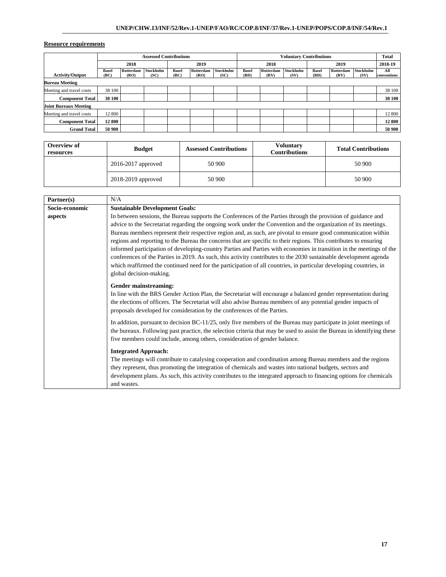|                              |                      | <b>Assessed Contributions</b> |                   |                      |                   |                   | <b>Voluntary Contributions</b> |                   |                   |                      | <b>Total</b>      |                          |                    |
|------------------------------|----------------------|-------------------------------|-------------------|----------------------|-------------------|-------------------|--------------------------------|-------------------|-------------------|----------------------|-------------------|--------------------------|--------------------|
|                              |                      | 2018                          |                   |                      | 2019              |                   |                                | 2018              |                   |                      | 2019              |                          | 2018-19            |
| <b>Activity/Output</b>       | <b>Basel</b><br>(BC) | Rotterdam<br>(RO)             | Stockholm<br>(SC) | <b>Basel</b><br>(BC) | Rotterdam<br>(RO) | Stockholm<br>(SC) | <b>Basel</b><br>(BD)           | Rotterdam<br>(RV) | Stockholm<br>(SV) | <b>Basel</b><br>(BD) | Rotterdam<br>(RV) | <b>Stockholm</b><br>(SV) | All<br>conventions |
| <b>Bureau Meeting</b>        |                      |                               |                   |                      |                   |                   |                                |                   |                   |                      |                   |                          |                    |
| Meeting and travel costs     | 38 100               |                               |                   |                      |                   |                   |                                |                   |                   |                      |                   |                          | 38 100             |
| <b>Component Total</b>       | 38 100               |                               |                   |                      |                   |                   |                                |                   |                   |                      |                   |                          | 38 100             |
| <b>Joint Bureaux Meeting</b> |                      |                               |                   |                      |                   |                   |                                |                   |                   |                      |                   |                          |                    |
| Meeting and travel costs     | 12 800               |                               |                   |                      |                   |                   |                                |                   |                   |                      |                   |                          | 12 800             |
| <b>Component Total</b>       | 12 800               |                               |                   |                      |                   |                   |                                |                   |                   |                      |                   |                          | 12 800             |
| <b>Grand Total</b>           | 50 900               |                               |                   |                      |                   |                   |                                |                   |                   |                      |                   |                          | 50 900             |

| Overview of<br>resources | <b>Budget</b>          | <b>Assessed Contributions</b> | <b>Voluntary</b><br><b>Contributions</b> | <b>Total Contributions</b> |
|--------------------------|------------------------|-------------------------------|------------------------------------------|----------------------------|
|                          | $2016 - 2017$ approved | 50 900                        |                                          | 50 900                     |
|                          | 2018-2019 approved     | 50 900                        |                                          | 50 900                     |

| Partner(s)     | N/A                                                                                                                                                                                                                                                                                                                                                                                                                                                                                                                                                                                                                                                                                                                                                                                                                                                                   |
|----------------|-----------------------------------------------------------------------------------------------------------------------------------------------------------------------------------------------------------------------------------------------------------------------------------------------------------------------------------------------------------------------------------------------------------------------------------------------------------------------------------------------------------------------------------------------------------------------------------------------------------------------------------------------------------------------------------------------------------------------------------------------------------------------------------------------------------------------------------------------------------------------|
| Socio-economic | <b>Sustainable Development Goals:</b>                                                                                                                                                                                                                                                                                                                                                                                                                                                                                                                                                                                                                                                                                                                                                                                                                                 |
| aspects        | In between sessions, the Bureau supports the Conferences of the Parties through the provision of guidance and<br>advice to the Secretariat regarding the ongoing work under the Convention and the organization of its meetings.<br>Bureau members represent their respective region and, as such, are pivotal to ensure good communication within<br>regions and reporting to the Bureau the concerns that are specific to their regions. This contributes to ensuring<br>informed participation of developing-country Parties and Parties with economies in transition in the meetings of the<br>conferences of the Parties in 2019. As such, this activity contributes to the 2030 sustainable development agenda<br>which reaffirmed the continued need for the participation of all countries, in particular developing countries, in<br>global decision-making. |
|                | Gender mainstreaming:<br>In line with the BRS Gender Action Plan, the Secretariat will encourage a balanced gender representation during<br>the elections of officers. The Secretariat will also advise Bureau members of any potential gender impacts of<br>proposals developed for consideration by the conferences of the Parties.                                                                                                                                                                                                                                                                                                                                                                                                                                                                                                                                 |
|                | In addition, pursuant to decision BC-11/25, only five members of the Bureau may participate in joint meetings of<br>the bureaux. Following past practice, the selection criteria that may be used to assist the Bureau in identifying these<br>five members could include, among others, consideration of gender balance.                                                                                                                                                                                                                                                                                                                                                                                                                                                                                                                                             |
|                | <b>Integrated Approach:</b>                                                                                                                                                                                                                                                                                                                                                                                                                                                                                                                                                                                                                                                                                                                                                                                                                                           |
|                | The meetings will contribute to catalysing cooperation and coordination among Bureau members and the regions                                                                                                                                                                                                                                                                                                                                                                                                                                                                                                                                                                                                                                                                                                                                                          |
|                | they represent, thus promoting the integration of chemicals and wastes into national budgets, sectors and                                                                                                                                                                                                                                                                                                                                                                                                                                                                                                                                                                                                                                                                                                                                                             |
|                | development plans. As such, this activity contributes to the integrated approach to financing options for chemicals<br>and wastes.                                                                                                                                                                                                                                                                                                                                                                                                                                                                                                                                                                                                                                                                                                                                    |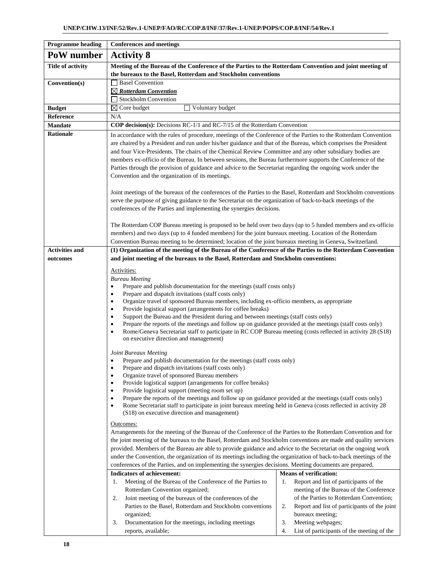| <b>Programme heading</b>          | <b>Conferences and meetings</b>                                                                                                                                                                                                                                                                                                                                                                                                                                                                                                                                                                                                                                                                                                                                                                                                                  |                                                                                                                                                                                                                                                                                                                              |  |  |  |  |  |  |  |  |
|-----------------------------------|--------------------------------------------------------------------------------------------------------------------------------------------------------------------------------------------------------------------------------------------------------------------------------------------------------------------------------------------------------------------------------------------------------------------------------------------------------------------------------------------------------------------------------------------------------------------------------------------------------------------------------------------------------------------------------------------------------------------------------------------------------------------------------------------------------------------------------------------------|------------------------------------------------------------------------------------------------------------------------------------------------------------------------------------------------------------------------------------------------------------------------------------------------------------------------------|--|--|--|--|--|--|--|--|
| PoW number                        | <b>Activity 8</b>                                                                                                                                                                                                                                                                                                                                                                                                                                                                                                                                                                                                                                                                                                                                                                                                                                |                                                                                                                                                                                                                                                                                                                              |  |  |  |  |  |  |  |  |
| <b>Title of activity</b>          | Meeting of the Bureau of the Conference of the Parties to the Rotterdam Convention and joint meeting of<br>the bureaux to the Basel, Rotterdam and Stockholm conventions                                                                                                                                                                                                                                                                                                                                                                                                                                                                                                                                                                                                                                                                         |                                                                                                                                                                                                                                                                                                                              |  |  |  |  |  |  |  |  |
| Convention(s)                     | Basel Convention                                                                                                                                                                                                                                                                                                                                                                                                                                                                                                                                                                                                                                                                                                                                                                                                                                 |                                                                                                                                                                                                                                                                                                                              |  |  |  |  |  |  |  |  |
|                                   | $\boxtimes$ Rotterdam Convention                                                                                                                                                                                                                                                                                                                                                                                                                                                                                                                                                                                                                                                                                                                                                                                                                 |                                                                                                                                                                                                                                                                                                                              |  |  |  |  |  |  |  |  |
|                                   | Stockholm Convention                                                                                                                                                                                                                                                                                                                                                                                                                                                                                                                                                                                                                                                                                                                                                                                                                             |                                                                                                                                                                                                                                                                                                                              |  |  |  |  |  |  |  |  |
| <b>Budget</b>                     | $\boxtimes$ Core budget<br>Voluntary budget                                                                                                                                                                                                                                                                                                                                                                                                                                                                                                                                                                                                                                                                                                                                                                                                      |                                                                                                                                                                                                                                                                                                                              |  |  |  |  |  |  |  |  |
| Reference<br><b>Mandate</b>       | N/A<br>COP decision(s): Decisions RC-1/1 and RC-7/15 of the Rotterdam Convention                                                                                                                                                                                                                                                                                                                                                                                                                                                                                                                                                                                                                                                                                                                                                                 |                                                                                                                                                                                                                                                                                                                              |  |  |  |  |  |  |  |  |
| <b>Rationale</b>                  |                                                                                                                                                                                                                                                                                                                                                                                                                                                                                                                                                                                                                                                                                                                                                                                                                                                  |                                                                                                                                                                                                                                                                                                                              |  |  |  |  |  |  |  |  |
|                                   | In accordance with the rules of procedure, meetings of the Conference of the Parties to the Rotterdam Convention<br>are chaired by a President and run under his/her guidance and that of the Bureau, which comprises the President<br>and four Vice-Presidents. The chairs of the Chemical Review Committee and any other subsidiary bodies are<br>members ex-officio of the Bureau. In between sessions, the Bureau furthermore supports the Conference of the<br>Parties through the provision of guidance and advice to the Secretariat regarding the ongoing work under the<br>Convention and the organization of its meetings.                                                                                                                                                                                                             |                                                                                                                                                                                                                                                                                                                              |  |  |  |  |  |  |  |  |
|                                   | Joint meetings of the bureaux of the conferences of the Parties to the Basel, Rotterdam and Stockholm conventions<br>serve the purpose of giving guidance to the Secretariat on the organization of back-to-back meetings of the<br>conferences of the Parties and implementing the synergies decisions.                                                                                                                                                                                                                                                                                                                                                                                                                                                                                                                                         |                                                                                                                                                                                                                                                                                                                              |  |  |  |  |  |  |  |  |
|                                   | The Rotterdam COP Bureau meeting is proposed to be held over two days (up to 5 funded members and ex-officio<br>members) and two days (up to 4 funded members) for the joint bureaux meeting. Location of the Rotterdam<br>Convention Bureau meeting to be determined; location of the joint bureaux meeting in Geneva, Switzerland.                                                                                                                                                                                                                                                                                                                                                                                                                                                                                                             |                                                                                                                                                                                                                                                                                                                              |  |  |  |  |  |  |  |  |
| <b>Activities and</b><br>outcomes | (1) Organization of the meeting of the Bureau of the Conference of the Parties to the Rotterdam Convention<br>and joint meeting of the bureaux to the Basel, Rotterdam and Stockholm conventions:                                                                                                                                                                                                                                                                                                                                                                                                                                                                                                                                                                                                                                                |                                                                                                                                                                                                                                                                                                                              |  |  |  |  |  |  |  |  |
|                                   | Activities:<br><b>Bureau Meeting</b><br>Prepare and publish documentation for the meetings (staff costs only)<br>$\bullet$<br>Prepare and dispatch invitations (staff costs only)<br>$\bullet$<br>Organize travel of sponsored Bureau members, including ex-officio members, as appropriate<br>٠<br>Provide logistical support (arrangements for coffee breaks)<br>Support the Bureau and the President during and between meetings (staff costs only)<br>$\bullet$<br>Prepare the reports of the meetings and follow up on guidance provided at the meetings (staff costs only)<br>٠<br>Rome/Geneva Secretariat staff to participate in RC COP Bureau meeting (costs reflected in activity 28 (S18)<br>on executive direction and management)<br>Joint Bureaux Meeting<br>Prepare and publish documentation for the meetings (staff costs only) |                                                                                                                                                                                                                                                                                                                              |  |  |  |  |  |  |  |  |
|                                   | Prepare and dispatch invitations (staff costs only)<br>٠<br>Organize travel of sponsored Bureau members<br>$\bullet$<br>Provide logistical support (arrangements for coffee breaks)<br>Provide logistical support (meeting room set up)<br>٠<br>Prepare the reports of the meetings and follow up on guidance provided at the meetings (staff costs only)<br>٠<br>Rome Secretariat staff to participate in joint bureaux meeting held in Geneva (costs reflected in activity 28<br>(S18) on executive direction and management)                                                                                                                                                                                                                                                                                                                  |                                                                                                                                                                                                                                                                                                                              |  |  |  |  |  |  |  |  |
|                                   | <u>Outcomes:</u><br>Arrangements for the meeting of the Bureau of the Conference of the Parties to the Rotterdam Convention and for<br>the joint meeting of the bureaux to the Basel, Rotterdam and Stockholm conventions are made and quality services<br>provided. Members of the Bureau are able to provide guidance and advice to the Secretariat on the ongoing work<br>under the Convention, the organization of its meetings including the organization of back-to-back meetings of the<br>conferences of the Parties, and on implementing the synergies decisions. Meeting documents are prepared.                                                                                                                                                                                                                                       |                                                                                                                                                                                                                                                                                                                              |  |  |  |  |  |  |  |  |
|                                   | <b>Indicators of achievement:</b><br>Meeting of the Bureau of the Conference of the Parties to<br>1.<br>Rotterdam Convention organized;<br>Joint meeting of the bureaux of the conferences of the<br>2.<br>Parties to the Basel, Rotterdam and Stockholm conventions<br>organized;<br>3.<br>Documentation for the meetings, including meetings<br>reports, available;                                                                                                                                                                                                                                                                                                                                                                                                                                                                            | <b>Means of verification:</b><br>Report and list of participants of the<br>1.<br>meeting of the Bureau of the Conference<br>of the Parties to Rotterdam Convention;<br>Report and list of participants of the joint<br>2.<br>bureaux meeting;<br>Meeting webpages;<br>3.<br>4.<br>List of participants of the meeting of the |  |  |  |  |  |  |  |  |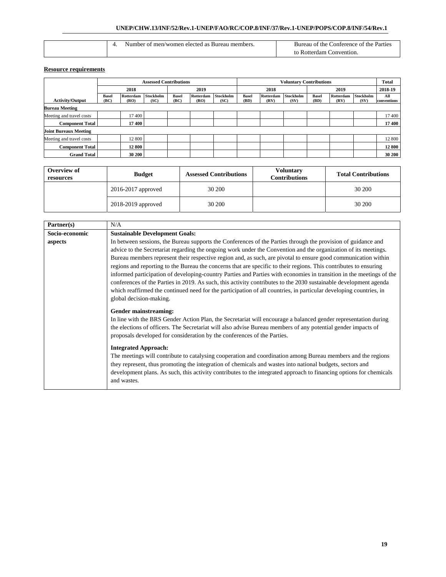| a of men/women elected as "<br>Bureau<br>members :<br>.nher | Parties<br>`onterence_<br>, the<br>Bureau<br>≙ of the ∘<br>ΩŤ<br>. |
|-------------------------------------------------------------|--------------------------------------------------------------------|
|                                                             | otterdam<br>`onvention                                             |

|                              | <b>Assessed Contributions</b> |                   |                   |                      |                   | <b>Voluntary Contributions</b> |                      |                   |                   |                      | <b>Total</b>      |                          |                    |
|------------------------------|-------------------------------|-------------------|-------------------|----------------------|-------------------|--------------------------------|----------------------|-------------------|-------------------|----------------------|-------------------|--------------------------|--------------------|
|                              |                               | 2018              |                   | 2019                 |                   | 2018                           |                      | 2019              |                   |                      | 2018-19           |                          |                    |
| <b>Activity/Output</b>       | <b>Basel</b><br>(BC)          | Rotterdam<br>(RO) | Stockholm<br>(SC) | <b>Basel</b><br>(BC) | Rotterdam<br>(RO) | Stockholm<br>(SC)              | <b>Basel</b><br>(BD) | Rotterdam<br>(RV) | Stockholm<br>(SV) | <b>Basel</b><br>(BD) | Rotterdam<br>(RV) | <b>Stockholm</b><br>(SV) | All<br>conventions |
| <b>Bureau Meeting</b>        |                               |                   |                   |                      |                   |                                |                      |                   |                   |                      |                   |                          |                    |
| Meeting and travel costs     |                               | 17 400            |                   |                      |                   |                                |                      |                   |                   |                      |                   |                          | 17400              |
| <b>Component Total</b>       |                               | 17 400            |                   |                      |                   |                                |                      |                   |                   |                      |                   |                          | 17 400             |
| <b>Joint Bureaux Meeting</b> |                               |                   |                   |                      |                   |                                |                      |                   |                   |                      |                   |                          |                    |
| Meeting and travel costs     |                               | 12 800            |                   |                      |                   |                                |                      |                   |                   |                      |                   |                          | 12 800             |
| <b>Component Total</b>       |                               | 12 800            |                   |                      |                   |                                |                      |                   |                   |                      |                   |                          | 12 800             |
| <b>Grand Total</b>           |                               | 30 200            |                   |                      |                   |                                |                      |                   |                   |                      |                   |                          | 30 200             |

| Overview of<br>resources | <b>Budget</b>          | <b>Assessed Contributions</b> | Voluntarv<br><b>Contributions</b> | <b>Total Contributions</b> |
|--------------------------|------------------------|-------------------------------|-----------------------------------|----------------------------|
|                          | $2016 - 2017$ approved | 30 200                        |                                   | 30 200                     |
|                          | 2018-2019 approved     | 30 200                        |                                   | 30 200                     |

| Partner(s)     | N/A                                                                                                                                                                                                                                                                                                                                                                                                                                                                                                                                                                                                                                                                                                                                                                                                                                                                   |
|----------------|-----------------------------------------------------------------------------------------------------------------------------------------------------------------------------------------------------------------------------------------------------------------------------------------------------------------------------------------------------------------------------------------------------------------------------------------------------------------------------------------------------------------------------------------------------------------------------------------------------------------------------------------------------------------------------------------------------------------------------------------------------------------------------------------------------------------------------------------------------------------------|
| Socio-economic | <b>Sustainable Development Goals:</b>                                                                                                                                                                                                                                                                                                                                                                                                                                                                                                                                                                                                                                                                                                                                                                                                                                 |
| aspects        | In between sessions, the Bureau supports the Conferences of the Parties through the provision of guidance and<br>advice to the Secretariat regarding the ongoing work under the Convention and the organization of its meetings.<br>Bureau members represent their respective region and, as such, are pivotal to ensure good communication within<br>regions and reporting to the Bureau the concerns that are specific to their regions. This contributes to ensuring<br>informed participation of developing-country Parties and Parties with economies in transition in the meetings of the<br>conferences of the Parties in 2019. As such, this activity contributes to the 2030 sustainable development agenda<br>which reaffirmed the continued need for the participation of all countries, in particular developing countries, in<br>global decision-making. |
|                | Gender mainstreaming:<br>In line with the BRS Gender Action Plan, the Secretariat will encourage a balanced gender representation during<br>the elections of officers. The Secretariat will also advise Bureau members of any potential gender impacts of<br>proposals developed for consideration by the conferences of the Parties.<br><b>Integrated Approach:</b><br>The meetings will contribute to catalysing cooperation and coordination among Bureau members and the regions                                                                                                                                                                                                                                                                                                                                                                                  |
|                | they represent, thus promoting the integration of chemicals and wastes into national budgets, sectors and<br>development plans. As such, this activity contributes to the integrated approach to financing options for chemicals<br>and wastes.                                                                                                                                                                                                                                                                                                                                                                                                                                                                                                                                                                                                                       |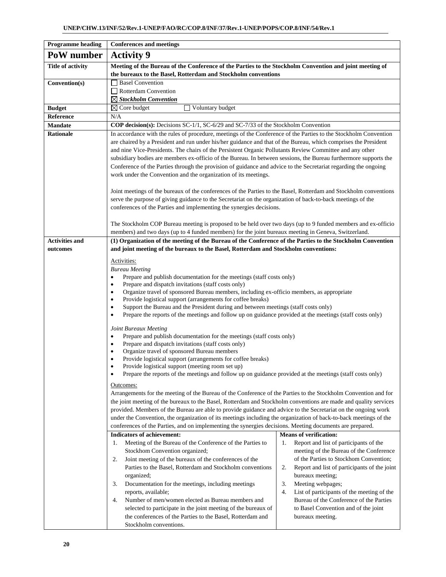| <b>Programme heading</b>    | <b>Conferences and meetings</b>                                                                                                                                                                                                    |                                                                                              |  |  |  |  |  |  |  |  |
|-----------------------------|------------------------------------------------------------------------------------------------------------------------------------------------------------------------------------------------------------------------------------|----------------------------------------------------------------------------------------------|--|--|--|--|--|--|--|--|
| PoW number                  | <b>Activity 9</b>                                                                                                                                                                                                                  |                                                                                              |  |  |  |  |  |  |  |  |
| <b>Title of activity</b>    | Meeting of the Bureau of the Conference of the Parties to the Stockholm Convention and joint meeting of                                                                                                                            |                                                                                              |  |  |  |  |  |  |  |  |
|                             | the bureaux to the Basel, Rotterdam and Stockholm conventions                                                                                                                                                                      |                                                                                              |  |  |  |  |  |  |  |  |
| Convention(s)               | <b>Basel Convention</b>                                                                                                                                                                                                            |                                                                                              |  |  |  |  |  |  |  |  |
|                             | $\Box$ Rotterdam Convention                                                                                                                                                                                                        |                                                                                              |  |  |  |  |  |  |  |  |
|                             | $\boxtimes$ Stockholm Convention                                                                                                                                                                                                   |                                                                                              |  |  |  |  |  |  |  |  |
| <b>Budget</b>               | $\boxtimes$ Core budget<br>Voluntary budget                                                                                                                                                                                        |                                                                                              |  |  |  |  |  |  |  |  |
| Reference<br><b>Mandate</b> | N/A<br><b>COP decision(s):</b> Decisions SC-1/1, SC-6/29 and SC-7/33 of the Stockholm Convention                                                                                                                                   |                                                                                              |  |  |  |  |  |  |  |  |
| <b>Rationale</b>            | In accordance with the rules of procedure, meetings of the Conference of the Parties to the Stockholm Convention                                                                                                                   |                                                                                              |  |  |  |  |  |  |  |  |
|                             | are chaired by a President and run under his/her guidance and that of the Bureau, which comprises the President                                                                                                                    |                                                                                              |  |  |  |  |  |  |  |  |
|                             | and nine Vice-Presidents. The chairs of the Persistent Organic Pollutants Review Committee and any other                                                                                                                           |                                                                                              |  |  |  |  |  |  |  |  |
|                             | subsidiary bodies are members ex-officio of the Bureau. In between sessions, the Bureau furthermore supports the                                                                                                                   |                                                                                              |  |  |  |  |  |  |  |  |
|                             | Conference of the Parties through the provision of guidance and advice to the Secretariat regarding the ongoing                                                                                                                    |                                                                                              |  |  |  |  |  |  |  |  |
|                             | work under the Convention and the organization of its meetings.                                                                                                                                                                    |                                                                                              |  |  |  |  |  |  |  |  |
|                             | Joint meetings of the bureaux of the conferences of the Parties to the Basel, Rotterdam and Stockholm conventions                                                                                                                  |                                                                                              |  |  |  |  |  |  |  |  |
|                             | serve the purpose of giving guidance to the Secretariat on the organization of back-to-back meetings of the                                                                                                                        |                                                                                              |  |  |  |  |  |  |  |  |
|                             | conferences of the Parties and implementing the synergies decisions.                                                                                                                                                               |                                                                                              |  |  |  |  |  |  |  |  |
|                             |                                                                                                                                                                                                                                    |                                                                                              |  |  |  |  |  |  |  |  |
|                             | The Stockholm COP Bureau meeting is proposed to be held over two days (up to 9 funded members and ex-officio                                                                                                                       |                                                                                              |  |  |  |  |  |  |  |  |
|                             | members) and two days (up to 4 funded members) for the joint bureaux meeting in Geneva, Switzerland.                                                                                                                               |                                                                                              |  |  |  |  |  |  |  |  |
| <b>Activities and</b>       | (1) Organization of the meeting of the Bureau of the Conference of the Parties to the Stockholm Convention                                                                                                                         |                                                                                              |  |  |  |  |  |  |  |  |
| outcomes                    | and joint meeting of the bureaux to the Basel, Rotterdam and Stockholm conventions:                                                                                                                                                |                                                                                              |  |  |  |  |  |  |  |  |
|                             | Activities:                                                                                                                                                                                                                        |                                                                                              |  |  |  |  |  |  |  |  |
|                             | <b>Bureau Meeting</b><br>٠                                                                                                                                                                                                         |                                                                                              |  |  |  |  |  |  |  |  |
|                             | Prepare and publish documentation for the meetings (staff costs only)<br>Prepare and dispatch invitations (staff costs only)<br>$\bullet$                                                                                          |                                                                                              |  |  |  |  |  |  |  |  |
|                             | Organize travel of sponsored Bureau members, including ex-officio members, as appropriate<br>٠                                                                                                                                     |                                                                                              |  |  |  |  |  |  |  |  |
|                             | Provide logistical support (arrangements for coffee breaks)                                                                                                                                                                        |                                                                                              |  |  |  |  |  |  |  |  |
|                             | Support the Bureau and the President during and between meetings (staff costs only)<br>$\bullet$<br>Prepare the reports of the meetings and follow up on guidance provided at the meetings (staff costs only)<br>$\bullet$         |                                                                                              |  |  |  |  |  |  |  |  |
|                             |                                                                                                                                                                                                                                    |                                                                                              |  |  |  |  |  |  |  |  |
|                             | Joint Bureaux Meeting                                                                                                                                                                                                              |                                                                                              |  |  |  |  |  |  |  |  |
|                             | Prepare and publish documentation for the meetings (staff costs only)<br>٠                                                                                                                                                         |                                                                                              |  |  |  |  |  |  |  |  |
|                             | Prepare and dispatch invitations (staff costs only)<br>Organize travel of sponsored Bureau members                                                                                                                                 |                                                                                              |  |  |  |  |  |  |  |  |
|                             | Provide logistical support (arrangements for coffee breaks)<br>$\bullet$                                                                                                                                                           |                                                                                              |  |  |  |  |  |  |  |  |
|                             | Provide logistical support (meeting room set up)                                                                                                                                                                                   |                                                                                              |  |  |  |  |  |  |  |  |
|                             | Prepare the reports of the meetings and follow up on guidance provided at the meetings (staff costs only)                                                                                                                          |                                                                                              |  |  |  |  |  |  |  |  |
|                             | Outcomes:                                                                                                                                                                                                                          |                                                                                              |  |  |  |  |  |  |  |  |
|                             | Arrangements for the meeting of the Bureau of the Conference of the Parties to the Stockholm Convention and for                                                                                                                    |                                                                                              |  |  |  |  |  |  |  |  |
|                             | the joint meeting of the bureaux to the Basel, Rotterdam and Stockholm conventions are made and quality services<br>provided. Members of the Bureau are able to provide guidance and advice to the Secretariat on the ongoing work |                                                                                              |  |  |  |  |  |  |  |  |
|                             | under the Convention, the organization of its meetings including the organization of back-to-back meetings of the                                                                                                                  |                                                                                              |  |  |  |  |  |  |  |  |
|                             | conferences of the Parties, and on implementing the synergies decisions. Meeting documents are prepared.                                                                                                                           |                                                                                              |  |  |  |  |  |  |  |  |
|                             | <b>Indicators of achievement:</b>                                                                                                                                                                                                  | <b>Means of verification:</b>                                                                |  |  |  |  |  |  |  |  |
|                             | Meeting of the Bureau of the Conference of the Parties to<br>1.                                                                                                                                                                    | Report and list of participants of the<br>1.                                                 |  |  |  |  |  |  |  |  |
|                             | Stockhom Convention organized;                                                                                                                                                                                                     | meeting of the Bureau of the Conference                                                      |  |  |  |  |  |  |  |  |
|                             | Joint meeting of the bureaux of the conferences of the<br>2.<br>Parties to the Basel, Rotterdam and Stockholm conventions                                                                                                          | of the Parties to Stockhom Convention;<br>Report and list of participants of the joint<br>2. |  |  |  |  |  |  |  |  |
|                             | organized;                                                                                                                                                                                                                         | bureaux meeting;                                                                             |  |  |  |  |  |  |  |  |
|                             | 3.<br>Documentation for the meetings, including meetings                                                                                                                                                                           | 3.<br>Meeting webpages;                                                                      |  |  |  |  |  |  |  |  |
|                             | reports, available;                                                                                                                                                                                                                | 4.<br>List of participants of the meeting of the                                             |  |  |  |  |  |  |  |  |
|                             | Number of men/women elected as Bureau members and<br>4.                                                                                                                                                                            | Bureau of the Conference of the Parties                                                      |  |  |  |  |  |  |  |  |
|                             | selected to participate in the joint meeting of the bureaux of                                                                                                                                                                     | to Basel Convention and of the joint                                                         |  |  |  |  |  |  |  |  |
|                             | the conferences of the Parties to the Basel, Rotterdam and                                                                                                                                                                         | bureaux meeting.                                                                             |  |  |  |  |  |  |  |  |
|                             | Stockholm conventions.                                                                                                                                                                                                             |                                                                                              |  |  |  |  |  |  |  |  |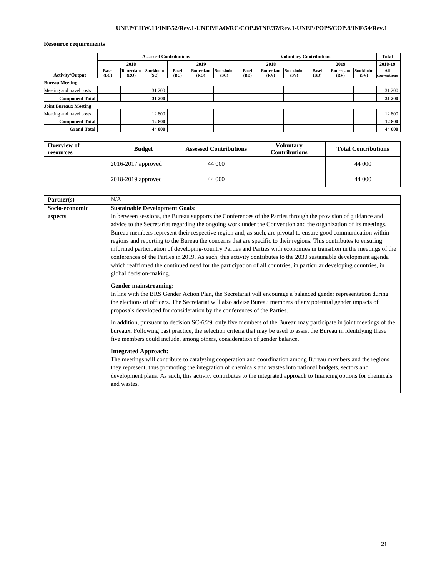|                              | <b>Assessed Contributions</b> |                   |                   |                      | <b>Voluntary Contributions</b> |                          |                      |                   |                   | <b>Total</b>  |                   |                          |                    |
|------------------------------|-------------------------------|-------------------|-------------------|----------------------|--------------------------------|--------------------------|----------------------|-------------------|-------------------|---------------|-------------------|--------------------------|--------------------|
|                              |                               | 2018              |                   |                      | 2019                           |                          | 2018                 |                   |                   | 2019          |                   | 2018-19                  |                    |
| <b>Activity/Output</b>       | <b>Basel</b><br>(BC)          | Rotterdam<br>(RO) | Stockholm<br>(SC) | <b>Basel</b><br>(BC) | Rotterdam<br>(RO)              | <b>Stockholm</b><br>(SC) | <b>Basel</b><br>(BD) | Rotterdam<br>(RV) | Stockholm<br>(SV) | Basel<br>(BD) | Rotterdam<br>(RV) | <b>Stockholm</b><br>(SV) | All<br>conventions |
| <b>Bureau Meeting</b>        |                               |                   |                   |                      |                                |                          |                      |                   |                   |               |                   |                          |                    |
| Meeting and travel costs     |                               |                   | 31 200            |                      |                                |                          |                      |                   |                   |               |                   |                          | 31 200             |
| <b>Component Total</b>       |                               |                   | 31 200            |                      |                                |                          |                      |                   |                   |               |                   |                          | 31 200             |
| <b>Joint Bureaux Meeting</b> |                               |                   |                   |                      |                                |                          |                      |                   |                   |               |                   |                          |                    |
| Meeting and travel costs     |                               |                   | 12 800            |                      |                                |                          |                      |                   |                   |               |                   |                          | 12 800             |
| <b>Component Total</b>       |                               |                   | 12 800            |                      |                                |                          |                      |                   |                   |               |                   |                          | 12 800             |
| <b>Grand Total</b>           |                               |                   | 44 000            |                      |                                |                          |                      |                   |                   |               |                   |                          | 44 000             |

| Overview of<br>resources | <b>Budget</b>          | <b>Assessed Contributions</b> | <b>Voluntary</b><br><b>Contributions</b> | <b>Total Contributions</b> |
|--------------------------|------------------------|-------------------------------|------------------------------------------|----------------------------|
|                          | $2016 - 2017$ approved | 44 000                        |                                          | 44 000                     |
|                          | 2018-2019 approved     | 44 000                        |                                          | 44 000                     |

| Partner(s)     | N/A                                                                                                                                                                                                                                                                                                                                                                                                                                                                                                                                                                                                                                                                                                                                                                                                                                                                   |
|----------------|-----------------------------------------------------------------------------------------------------------------------------------------------------------------------------------------------------------------------------------------------------------------------------------------------------------------------------------------------------------------------------------------------------------------------------------------------------------------------------------------------------------------------------------------------------------------------------------------------------------------------------------------------------------------------------------------------------------------------------------------------------------------------------------------------------------------------------------------------------------------------|
| Socio-economic | <b>Sustainable Development Goals:</b>                                                                                                                                                                                                                                                                                                                                                                                                                                                                                                                                                                                                                                                                                                                                                                                                                                 |
| aspects        | In between sessions, the Bureau supports the Conferences of the Parties through the provision of guidance and<br>advice to the Secretariat regarding the ongoing work under the Convention and the organization of its meetings.<br>Bureau members represent their respective region and, as such, are pivotal to ensure good communication within<br>regions and reporting to the Bureau the concerns that are specific to their regions. This contributes to ensuring<br>informed participation of developing-country Parties and Parties with economies in transition in the meetings of the<br>conferences of the Parties in 2019. As such, this activity contributes to the 2030 sustainable development agenda<br>which reaffirmed the continued need for the participation of all countries, in particular developing countries, in<br>global decision-making. |
|                | <b>Gender mainstreaming:</b><br>In line with the BRS Gender Action Plan, the Secretariat will encourage a balanced gender representation during<br>the elections of officers. The Secretariat will also advise Bureau members of any potential gender impacts of<br>proposals developed for consideration by the conferences of the Parties.                                                                                                                                                                                                                                                                                                                                                                                                                                                                                                                          |
|                | In addition, pursuant to decision SC-6/29, only five members of the Bureau may participate in joint meetings of the<br>bureaux. Following past practice, the selection criteria that may be used to assist the Bureau in identifying these<br>five members could include, among others, consideration of gender balance.                                                                                                                                                                                                                                                                                                                                                                                                                                                                                                                                              |
|                | <b>Integrated Approach:</b><br>The meetings will contribute to catalysing cooperation and coordination among Bureau members and the regions<br>they represent, thus promoting the integration of chemicals and wastes into national budgets, sectors and<br>development plans. As such, this activity contributes to the integrated approach to financing options for chemicals<br>and wastes.                                                                                                                                                                                                                                                                                                                                                                                                                                                                        |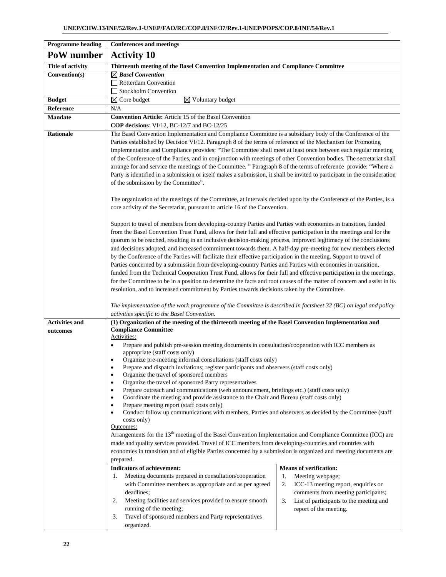| <b>Programme heading</b> | <b>Conferences and meetings</b>                                                                                                                                                                                                                                                                                                                                                                                                                                                                                                                                                                                                                                                                                                                                                                                                                                                                                                                                                                                                                                                                                                                                                                                                                                                                          |  |  |  |  |  |  |  |  |
|--------------------------|----------------------------------------------------------------------------------------------------------------------------------------------------------------------------------------------------------------------------------------------------------------------------------------------------------------------------------------------------------------------------------------------------------------------------------------------------------------------------------------------------------------------------------------------------------------------------------------------------------------------------------------------------------------------------------------------------------------------------------------------------------------------------------------------------------------------------------------------------------------------------------------------------------------------------------------------------------------------------------------------------------------------------------------------------------------------------------------------------------------------------------------------------------------------------------------------------------------------------------------------------------------------------------------------------------|--|--|--|--|--|--|--|--|
| PoW number               | <b>Activity 10</b>                                                                                                                                                                                                                                                                                                                                                                                                                                                                                                                                                                                                                                                                                                                                                                                                                                                                                                                                                                                                                                                                                                                                                                                                                                                                                       |  |  |  |  |  |  |  |  |
| <b>Title of activity</b> | Thirteenth meeting of the Basel Convention Implementation and Compliance Committee                                                                                                                                                                                                                                                                                                                                                                                                                                                                                                                                                                                                                                                                                                                                                                                                                                                                                                                                                                                                                                                                                                                                                                                                                       |  |  |  |  |  |  |  |  |
| Convention(s)            | $\boxtimes$ Basel Convention<br>Rotterdam Convention                                                                                                                                                                                                                                                                                                                                                                                                                                                                                                                                                                                                                                                                                                                                                                                                                                                                                                                                                                                                                                                                                                                                                                                                                                                     |  |  |  |  |  |  |  |  |
|                          | <b>Stockholm Convention</b>                                                                                                                                                                                                                                                                                                                                                                                                                                                                                                                                                                                                                                                                                                                                                                                                                                                                                                                                                                                                                                                                                                                                                                                                                                                                              |  |  |  |  |  |  |  |  |
| <b>Budget</b>            | $\boxtimes$ Voluntary budget<br>$\boxtimes$ Core budget                                                                                                                                                                                                                                                                                                                                                                                                                                                                                                                                                                                                                                                                                                                                                                                                                                                                                                                                                                                                                                                                                                                                                                                                                                                  |  |  |  |  |  |  |  |  |
| Reference                | N/A                                                                                                                                                                                                                                                                                                                                                                                                                                                                                                                                                                                                                                                                                                                                                                                                                                                                                                                                                                                                                                                                                                                                                                                                                                                                                                      |  |  |  |  |  |  |  |  |
| <b>Mandate</b>           | <b>Convention Article:</b> Article 15 of the Basel Convention<br>COP decisions: VI/12, BC-12/7 and BC-12/25                                                                                                                                                                                                                                                                                                                                                                                                                                                                                                                                                                                                                                                                                                                                                                                                                                                                                                                                                                                                                                                                                                                                                                                              |  |  |  |  |  |  |  |  |
| <b>Rationale</b>         | The Basel Convention Implementation and Compliance Committee is a subsidiary body of the Conference of the<br>Parties established by Decision VI/12. Paragraph 8 of the terms of reference of the Mechanism for Promoting<br>Implementation and Compliance provides: "The Committee shall meet at least once between each regular meeting<br>of the Conference of the Parties, and in conjunction with meetings of other Convention bodies. The secretariat shall<br>arrange for and service the meetings of the Committee. "Paragraph 8 of the terms of reference provide: "Where a<br>Party is identified in a submission or itself makes a submission, it shall be invited to participate in the consideration<br>of the submission by the Committee".                                                                                                                                                                                                                                                                                                                                                                                                                                                                                                                                                |  |  |  |  |  |  |  |  |
|                          | The organization of the meetings of the Committee, at intervals decided upon by the Conference of the Parties, is a<br>core activity of the Secretariat, pursuant to article 16 of the Convention.                                                                                                                                                                                                                                                                                                                                                                                                                                                                                                                                                                                                                                                                                                                                                                                                                                                                                                                                                                                                                                                                                                       |  |  |  |  |  |  |  |  |
|                          | Support to travel of members from developing-country Parties and Parties with economies in transition, funded<br>from the Basel Convention Trust Fund, allows for their full and effective participation in the meetings and for the<br>quorum to be reached, resulting in an inclusive decision-making process, improved legitimacy of the conclusions<br>and decisions adopted, and increased commitment towards them. A half-day pre-meeting for new members elected<br>by the Conference of the Parties will facilitate their effective participation in the meeting. Support to travel of<br>Parties concerned by a submission from developing-country Parties and Parties with economies in transition,<br>funded from the Technical Cooperation Trust Fund, allows for their full and effective participation in the meetings,<br>for the Committee to be in a position to determine the facts and root causes of the matter of concern and assist in its<br>resolution, and to increased commitment by Parties towards decisions taken by the Committee.                                                                                                                                                                                                                                         |  |  |  |  |  |  |  |  |
|                          | The implementation of the work programme of the Committee is described in factsheet 32 (BC) on legal and policy<br>activities specific to the Basel Convention.                                                                                                                                                                                                                                                                                                                                                                                                                                                                                                                                                                                                                                                                                                                                                                                                                                                                                                                                                                                                                                                                                                                                          |  |  |  |  |  |  |  |  |
| <b>Activities and</b>    | (1) Organization of the meeting of the thirteenth meeting of the Basel Convention Implementation and                                                                                                                                                                                                                                                                                                                                                                                                                                                                                                                                                                                                                                                                                                                                                                                                                                                                                                                                                                                                                                                                                                                                                                                                     |  |  |  |  |  |  |  |  |
| outcomes                 | <b>Compliance Committee</b><br>Activities:<br>Prepare and publish pre-session meeting documents in consultation/cooperation with ICC members as<br>٠<br>appropriate (staff costs only)<br>Organize pre-meeting informal consultations (staff costs only)<br>$\bullet$<br>Prepare and dispatch invitations; register participants and observers (staff costs only)<br>$\bullet$<br>Organize the travel of sponsored members<br>$\bullet$<br>Organize the travel of sponsored Party representatives<br>$\bullet$<br>Prepare outreach and communications (web announcement, briefings etc.) (staff costs only)<br>$\bullet$<br>Coordinate the meeting and provide assistance to the Chair and Bureau (staff costs only)<br>$\bullet$<br>Prepare meeting report (staff costs only)<br>Conduct follow up communications with members, Parties and observers as decided by the Committee (staff<br>$\bullet$<br>costs only)<br>Outcomes:<br>Arrangements for the 13 <sup>th</sup> meeting of the Basel Convention Implementation and Compliance Committee (ICC) are<br>made and quality services provided. Travel of ICC members from developing-countries and countries with<br>economies in transition and of eligible Parties concerned by a submission is organized and meeting documents are<br>prepared. |  |  |  |  |  |  |  |  |
|                          | <b>Indicators of achievement:</b><br><b>Means of verification:</b><br>Meeting documents prepared in consultation/cooperation<br>Meeting webpage;<br>1.<br>1.<br>with Committee members as appropriate and as per agreed<br>ICC-13 meeting report, enquiries or<br>2.<br>deadlines;<br>comments from meeting participants;<br>Meeting facilities and services provided to ensure smooth<br>2.<br>3.<br>List of participants to the meeting and<br>running of the meeting;<br>report of the meeting.<br>Travel of sponsored members and Party representatives<br>3.<br>organized.                                                                                                                                                                                                                                                                                                                                                                                                                                                                                                                                                                                                                                                                                                                          |  |  |  |  |  |  |  |  |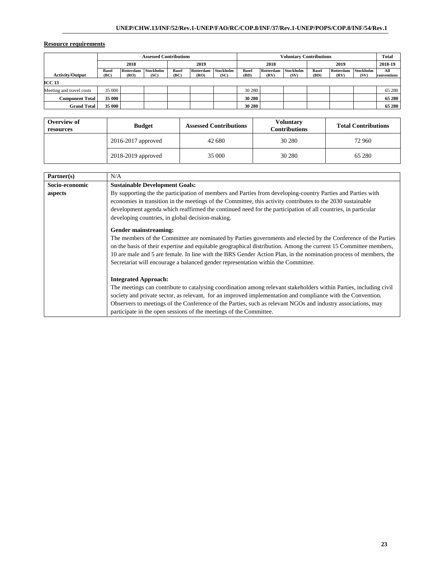| <b>Assessed Contributions</b> |              |           |           | <b>Voluntary Contributions</b> |           |           |              |           |           | <b>Total</b> |           |           |             |
|-------------------------------|--------------|-----------|-----------|--------------------------------|-----------|-----------|--------------|-----------|-----------|--------------|-----------|-----------|-------------|
|                               | 2018         |           |           | 2019                           |           | 2018      |              | 2019      |           |              | 2018-19   |           |             |
|                               | <b>Basel</b> | Rotterdam | Stockholm | <b>Basel</b>                   | Rotterdam | Stockholm | <b>Basel</b> | Rotterdam | Stockholm | <b>Basel</b> | Rotterdam | Stockholm | All         |
| <b>Activity/Output</b>        | (BC)         | (RO)      | (SC)      | (BC)                           | (RO)      | (SC)      | (BD)         | (RV)      | (SV)      | (BD)         | (RV)      | (SV)      | conventions |
| <b>ICC 13</b>                 |              |           |           |                                |           |           |              |           |           |              |           |           |             |
| Meeting and travel costs      | 35 000       |           |           |                                |           |           | 30 280       |           |           |              |           |           | 65 280      |
| <b>Component Total</b>        | 35 000       |           |           |                                |           |           | 30 280       |           |           |              |           |           | 65 280      |
| <b>Grand Total</b>            | 35 000       |           |           |                                |           |           | 30 280       |           |           |              |           |           | 65 280      |

| Overview of<br>resources | <b>Budget</b>          | <b>Assessed Contributions</b> | <b>Voluntary</b><br><b>Contributions</b> | <b>Total Contributions</b> |  |  |
|--------------------------|------------------------|-------------------------------|------------------------------------------|----------------------------|--|--|
|                          | $2016 - 2017$ approved | 42 680                        | 30 280                                   | 72 960                     |  |  |
|                          | 2018-2019 approved     | 35 000                        | 30 280                                   | 65 280                     |  |  |

| Partner(s)     | N/A                                                                                                                                                                                                                                                                                                                                                                                                                                         |
|----------------|---------------------------------------------------------------------------------------------------------------------------------------------------------------------------------------------------------------------------------------------------------------------------------------------------------------------------------------------------------------------------------------------------------------------------------------------|
| Socio-economic | <b>Sustainable Development Goals:</b>                                                                                                                                                                                                                                                                                                                                                                                                       |
| aspects        | By supporting the the participation of members and Parties from developing-country Parties and Parties with<br>economies in transition in the meetings of the Committee, this activity contributes to the 2030 sustainable<br>development agenda which reaffirmed the continued need for the participation of all countries, in particular<br>developing countries, in global decision-making.                                              |
|                | Gender mainstreaming:                                                                                                                                                                                                                                                                                                                                                                                                                       |
|                | The members of the Committee are nominated by Parties governments and elected by the Conference of the Parties<br>on the basis of their expertise and equitable geographical distribution. Among the current 15 Committee members,<br>10 are male and 5 are female. In line with the BRS Gender Action Plan, in the nomination process of members, the<br>Secretariat will encourage a balanced gender representation within the Committee. |
|                | <b>Integrated Approach:</b>                                                                                                                                                                                                                                                                                                                                                                                                                 |
|                | The meetings can contribute to catalysing coordination among relevant stakeholders within Parties, including civil                                                                                                                                                                                                                                                                                                                          |
|                | society and private sector, as relevant, for an improved implementation and compliance with the Convention.                                                                                                                                                                                                                                                                                                                                 |
|                | Observers to meetings of the Conference of the Parties, such as relevant NGOs and industry associations, may                                                                                                                                                                                                                                                                                                                                |
|                | participate in the open sessions of the meetings of the Committee.                                                                                                                                                                                                                                                                                                                                                                          |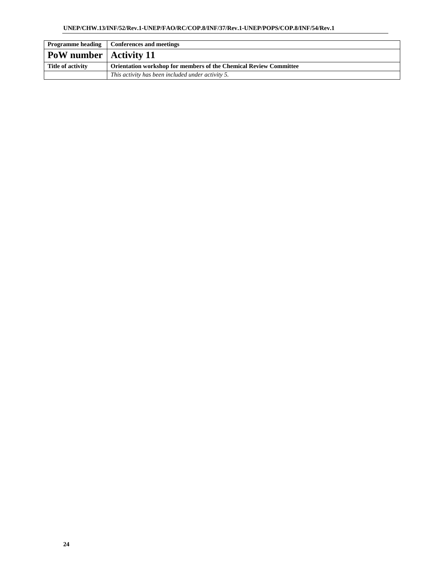|                                 | <b>Programme heading   Conferences and meetings</b>                      |
|---------------------------------|--------------------------------------------------------------------------|
| <b>PoW</b> number   Activity 11 |                                                                          |
| Title of activity               | <b>Orientation workshop for members of the Chemical Review Committee</b> |
|                                 | This activity has been included under activity 5.                        |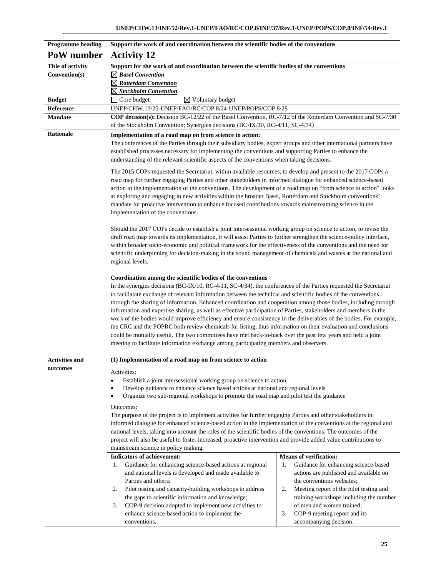| <b>Programme heading</b> | Support the work of and coordination between the scientific bodies of the conventions                                                                                                                                                                                                                                                                                                                                                                                                                                                                                                                                                                                                                                                                                                                                                                                                                                                                                                     |                                                                                    |  |  |  |  |  |  |  |
|--------------------------|-------------------------------------------------------------------------------------------------------------------------------------------------------------------------------------------------------------------------------------------------------------------------------------------------------------------------------------------------------------------------------------------------------------------------------------------------------------------------------------------------------------------------------------------------------------------------------------------------------------------------------------------------------------------------------------------------------------------------------------------------------------------------------------------------------------------------------------------------------------------------------------------------------------------------------------------------------------------------------------------|------------------------------------------------------------------------------------|--|--|--|--|--|--|--|
| PoW number               | <b>Activity 12</b>                                                                                                                                                                                                                                                                                                                                                                                                                                                                                                                                                                                                                                                                                                                                                                                                                                                                                                                                                                        |                                                                                    |  |  |  |  |  |  |  |
| <b>Title of activity</b> | Support for the work of and coordination between the scientific bodies of the conventions                                                                                                                                                                                                                                                                                                                                                                                                                                                                                                                                                                                                                                                                                                                                                                                                                                                                                                 |                                                                                    |  |  |  |  |  |  |  |
| Convention(s)            | $\boxtimes$ Basel Convention                                                                                                                                                                                                                                                                                                                                                                                                                                                                                                                                                                                                                                                                                                                                                                                                                                                                                                                                                              |                                                                                    |  |  |  |  |  |  |  |
|                          | $\boxtimes$ Rotterdam Convention                                                                                                                                                                                                                                                                                                                                                                                                                                                                                                                                                                                                                                                                                                                                                                                                                                                                                                                                                          |                                                                                    |  |  |  |  |  |  |  |
|                          | $\boxtimes$ Stockholm Convention                                                                                                                                                                                                                                                                                                                                                                                                                                                                                                                                                                                                                                                                                                                                                                                                                                                                                                                                                          |                                                                                    |  |  |  |  |  |  |  |
| <b>Budget</b>            | $\overline{\boxtimes}$ Voluntary budget<br>Core budget                                                                                                                                                                                                                                                                                                                                                                                                                                                                                                                                                                                                                                                                                                                                                                                                                                                                                                                                    |                                                                                    |  |  |  |  |  |  |  |
| Reference                |                                                                                                                                                                                                                                                                                                                                                                                                                                                                                                                                                                                                                                                                                                                                                                                                                                                                                                                                                                                           | UNEP/CHW.13/25-UNEP/FAO/RC/COP.8/24-UNEP/POPS/COP.8/28                             |  |  |  |  |  |  |  |
| <b>Mandate</b>           | COP decision(s): Decision BC-12/22 of the Basel Convention, RC-7/12 of the Rotterdam Convention and SC-7/30                                                                                                                                                                                                                                                                                                                                                                                                                                                                                                                                                                                                                                                                                                                                                                                                                                                                               |                                                                                    |  |  |  |  |  |  |  |
|                          | of the Stockholm Convention; Synergies decisions (BC-IX/10, RC-4/11, SC-4/34)                                                                                                                                                                                                                                                                                                                                                                                                                                                                                                                                                                                                                                                                                                                                                                                                                                                                                                             |                                                                                    |  |  |  |  |  |  |  |
| Rationale                | Implementation of a road map on from science to action:<br>The conferences of the Parties through their subsidiary bodies, expert groups and other international partners have<br>established processes necessary for implementing the conventions and supporting Parties to enhance the<br>understanding of the relevant scientific aspects of the conventions when taking decisions.<br>The 2015 COPs requested the Secretariat, within available resources, to develop and present to the 2017 COPs a                                                                                                                                                                                                                                                                                                                                                                                                                                                                                  |                                                                                    |  |  |  |  |  |  |  |
|                          | road map for further engaging Parties and other stakeholders in informed dialogue for enhanced science-based<br>action in the implementation of the conventions. The development of a road map on "from science to action" looks<br>at exploring and engaging in new activities within the broader Basel, Rotterdam and Stockholm conventions'<br>mandate for proactive intervention to enhance focused contributions towards mainstreaming science in the<br>implementation of the conventions.                                                                                                                                                                                                                                                                                                                                                                                                                                                                                          |                                                                                    |  |  |  |  |  |  |  |
|                          | Should the 2017 COPs decide to establish a joint intersessional working group on science to action, to revise the<br>draft road map towards its implementation, it will assist Parties to further strengthen the science-policy interface,<br>within broader socio-economic and political framework for the effectiveness of the conventions and the need for<br>scientific underpinning for decision-making in the sound management of chemicals and wastes at the national and<br>regional levels.                                                                                                                                                                                                                                                                                                                                                                                                                                                                                      |                                                                                    |  |  |  |  |  |  |  |
|                          | Coordination among the scientific bodies of the conventions<br>In the synergies decisions (BC-IX/10, RC-4/11, SC-4/34), the conferences of the Parties requested the Secretariat<br>to faciliatate exchange of relevant information between the technical and scientific bodies of the conventions<br>through the sharing of information. Enhanced coordination and cooperation among those bodies, including through<br>information and expertise sharing, as well as effective participation of Parties, stakeholders and members in the<br>work of the bodies would improve efficiency and ensure consistency in the deliverables of the bodies. For example,<br>the CRC and the POPRC both review chemicals for listing, thus information on their evaluation and conclusions<br>could be mutually useful. The two committees have met back-to-back over the past few years and held a joint<br>meeting to facilitate information exchange among participating members and observers. |                                                                                    |  |  |  |  |  |  |  |
| <b>Activities and</b>    | (1) Implementation of a road map on from science to action                                                                                                                                                                                                                                                                                                                                                                                                                                                                                                                                                                                                                                                                                                                                                                                                                                                                                                                                |                                                                                    |  |  |  |  |  |  |  |
| outcomes                 | Activities:<br>Establish a joint intersessional working group on science to action<br>Develop guidance to enhance science based actions at national and regional levels<br>$\bullet$<br>Organize two sub-regional workshops to promote the road map and pilot test the guidance<br>$\bullet$<br>Outcomes:                                                                                                                                                                                                                                                                                                                                                                                                                                                                                                                                                                                                                                                                                 |                                                                                    |  |  |  |  |  |  |  |
|                          | The purpose of the project is to implement activities for further engaging Parties and other stakeholders in<br>informed dialogue for enhanced science-based action in the implementation of the conventions at the regional and<br>national levels, taking into account the roles of the scientific bodies of the conventions. The outcomes of the<br>project will also be useful to foster increased, proactive intervention and provide added value contributions to<br>mainstream science in policy making.                                                                                                                                                                                                                                                                                                                                                                                                                                                                           |                                                                                    |  |  |  |  |  |  |  |
|                          | <b>Indicators of achievement:</b>                                                                                                                                                                                                                                                                                                                                                                                                                                                                                                                                                                                                                                                                                                                                                                                                                                                                                                                                                         | <b>Means of verification:</b>                                                      |  |  |  |  |  |  |  |
|                          | Guidance for enhancing science-based actions at regional<br>1.                                                                                                                                                                                                                                                                                                                                                                                                                                                                                                                                                                                                                                                                                                                                                                                                                                                                                                                            | Guidance for enhancing science-based<br>1.                                         |  |  |  |  |  |  |  |
|                          | and national levels is developed and made available to                                                                                                                                                                                                                                                                                                                                                                                                                                                                                                                                                                                                                                                                                                                                                                                                                                                                                                                                    | actions are published and available on                                             |  |  |  |  |  |  |  |
|                          | Parties and others;<br>2.                                                                                                                                                                                                                                                                                                                                                                                                                                                                                                                                                                                                                                                                                                                                                                                                                                                                                                                                                                 | the conventions websites;<br>2.                                                    |  |  |  |  |  |  |  |
|                          | Pilot testing and capacity-building workshops to address<br>the gaps to scientific information and knowledge;                                                                                                                                                                                                                                                                                                                                                                                                                                                                                                                                                                                                                                                                                                                                                                                                                                                                             | Meeting report of the pilot testing and<br>training workshops including the number |  |  |  |  |  |  |  |
|                          | COP-9 decision adopted to implement new activities to<br>3.                                                                                                                                                                                                                                                                                                                                                                                                                                                                                                                                                                                                                                                                                                                                                                                                                                                                                                                               | of men and women trained;                                                          |  |  |  |  |  |  |  |
|                          | enhance science-based action to implement the                                                                                                                                                                                                                                                                                                                                                                                                                                                                                                                                                                                                                                                                                                                                                                                                                                                                                                                                             | 3.<br>COP-9 meeting report and its                                                 |  |  |  |  |  |  |  |
|                          | conventions.<br>accompanying decision.                                                                                                                                                                                                                                                                                                                                                                                                                                                                                                                                                                                                                                                                                                                                                                                                                                                                                                                                                    |                                                                                    |  |  |  |  |  |  |  |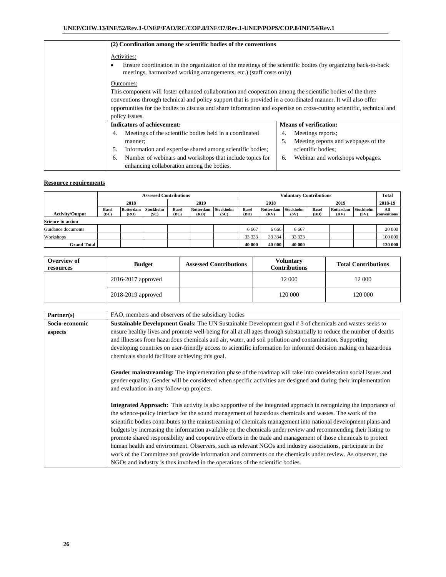| (2) Coordination among the scientific bodies of the conventions                                                                                                                                                             |                                           |  |  |  |  |  |  |
|-----------------------------------------------------------------------------------------------------------------------------------------------------------------------------------------------------------------------------|-------------------------------------------|--|--|--|--|--|--|
| Activities:                                                                                                                                                                                                                 |                                           |  |  |  |  |  |  |
| Ensure coordination in the organization of the meetings of the scientific bodies (by organizing back-to-back<br>meetings, harmonized working arrangements, etc.) (staff costs only)                                         |                                           |  |  |  |  |  |  |
| Outcomes:                                                                                                                                                                                                                   |                                           |  |  |  |  |  |  |
| This component will foster enhanced collaboration and cooperation among the scientific bodies of the three<br>conventions through technical and policy support that is provided in a coordinated manner. It will also offer |                                           |  |  |  |  |  |  |
| opportunities for the bodies to discuss and share information and expertise on cross-cutting scientific, technical and                                                                                                      |                                           |  |  |  |  |  |  |
| policy issues.                                                                                                                                                                                                              |                                           |  |  |  |  |  |  |
| <b>Indicators of achievement:</b>                                                                                                                                                                                           | <b>Means of verification:</b>             |  |  |  |  |  |  |
| Meetings of the scientific bodies held in a coordinated<br>4.                                                                                                                                                               | Meetings reports;<br>4.                   |  |  |  |  |  |  |
| manner;                                                                                                                                                                                                                     | 5.<br>Meeting reports and webpages of the |  |  |  |  |  |  |
| Information and expertise shared among scientific bodies;<br>5.                                                                                                                                                             | scientific bodies;                        |  |  |  |  |  |  |
| Number of webinars and workshops that include topics for<br>6.<br>enhancing collaboration among the bodies.                                                                                                                 | Webinar and workshops webpages.<br>6.     |  |  |  |  |  |  |

|                          | <b>Assessed Contributions</b> |                   |                   |                      | <b>Voluntary Contributions</b> |                   |                      |                   |                   | <b>Total</b>         |                   |                   |                    |
|--------------------------|-------------------------------|-------------------|-------------------|----------------------|--------------------------------|-------------------|----------------------|-------------------|-------------------|----------------------|-------------------|-------------------|--------------------|
|                          | 2018                          |                   | 2019              |                      | 2018                           |                   | 2019                 |                   | 2018-19           |                      |                   |                   |                    |
| <b>Activity/Output</b>   | <b>Basel</b><br>(BC)          | Rotterdam<br>(RO) | Stockholm<br>(SC) | <b>Basel</b><br>(BC) | Rotterdam<br>(RO)              | Stockholm<br>(SC) | <b>Basel</b><br>(BD) | Rotterdam<br>(RV) | Stockholm<br>(SV) | <b>Basel</b><br>(BD) | Rotterdam<br>(RV) | Stockholm<br>(SV) | All<br>conventions |
| <b>Science to action</b> |                               |                   |                   |                      |                                |                   |                      |                   |                   |                      |                   |                   |                    |
| Guidance documents       |                               |                   |                   |                      |                                |                   | 6 6 6 7              | 6 6 6 6           | 6 6 6 7           |                      |                   |                   | 20 000             |
| Workshops                |                               |                   |                   |                      |                                |                   | 33 333               | 33 334            | 33 333            |                      |                   |                   | 100 000            |
| <b>Grand Total</b>       |                               |                   |                   |                      |                                |                   | 40 000               | 40 000            | 40 000            |                      |                   |                   | 120 000            |

| Overview of<br>resources | <b>Budget</b>          | <b>Assessed Contributions</b> | Voluntarv<br><b>Contributions</b> | <b>Total Contributions</b> |
|--------------------------|------------------------|-------------------------------|-----------------------------------|----------------------------|
|                          | $2016 - 2017$ approved |                               | 12 000                            | 12 000                     |
|                          | 2018-2019 approved     |                               | 120 000                           | 120 000                    |

| Partner(s)     | FAO, members and observers of the subsidiary bodies                                                                      |
|----------------|--------------------------------------------------------------------------------------------------------------------------|
| Socio-economic | <b>Sustainable Development Goals:</b> The UN Sustainable Development goal #3 of chemicals and wastes seeks to            |
| aspects        | ensure healthy lives and promote well-being for all at all ages through substantially to reduce the number of deaths     |
|                | and illnesses from hazardous chemicals and air, water, and soil pollution and contamination. Supporting                  |
|                | developing countries on user-friendly access to scientific information for informed decision making on hazardous         |
|                | chemicals should facilitate achieving this goal.                                                                         |
|                |                                                                                                                          |
|                | Gender mainstreaming: The implementation phase of the roadmap will take into consideration social issues and             |
|                | gender equality. Gender will be considered when specific activities are designed and during their implementation         |
|                | and evaluation in any follow-up projects.                                                                                |
|                |                                                                                                                          |
|                | <b>Integrated Approach:</b> This activity is also supportive of the integrated approach in recognizing the importance of |
|                | the science-policy interface for the sound management of hazardous chemicals and wastes. The work of the                 |
|                | scientific bodies contributes to the mainstreaming of chemicals management into national development plans and           |
|                | budgets by increasing the information available on the chemicals under review and recommending their listing to          |
|                | promote shared responsibility and cooperative efforts in the trade and management of those chemicals to protect          |
|                | human health and environment. Observers, such as relevant NGOs and industry associations, participate in the             |
|                | work of the Committee and provide information and comments on the chemicals under review. As observer, the               |
|                | NGOs and industry is thus involved in the operations of the scientific bodies.                                           |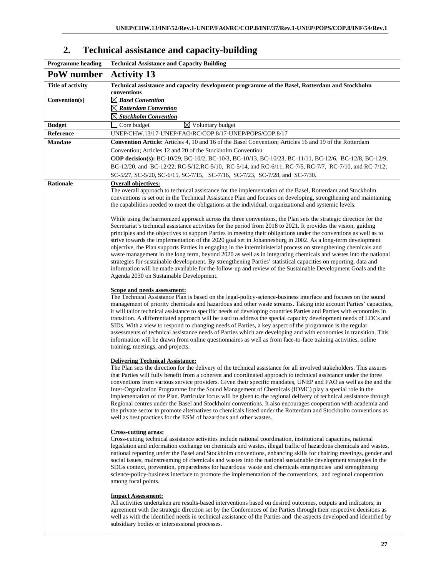# **2. Technical assistance and capacity-building**

| <b>Programme</b> heading | <b>Technical Assistance and Capacity Building</b>                                                                                                                                                                                    |
|--------------------------|--------------------------------------------------------------------------------------------------------------------------------------------------------------------------------------------------------------------------------------|
| PoW number               | <b>Activity 13</b>                                                                                                                                                                                                                   |
| Title of activity        | Technical assistance and capacity development programme of the Basel, Rotterdam and Stockholm<br>conventions                                                                                                                         |
| Convention(s)            | $\boxtimes$ Basel Convention                                                                                                                                                                                                         |
|                          | $\boxtimes$ Rotterdam Convention                                                                                                                                                                                                     |
|                          | $\boxtimes$ Stockholm Convention                                                                                                                                                                                                     |
| <b>Budget</b>            | $\boxtimes$ Voluntary budget<br>$\Box$ Core budget                                                                                                                                                                                   |
| Reference                | UNEP/CHW.13/17-UNEP/FAO/RC/COP.8/17-UNEP/POPS/COP.8/17                                                                                                                                                                               |
| <b>Mandate</b>           | Convention Article: Articles 4, 10 and 16 of the Basel Convention; Articles 16 and 19 of the Rotterdam                                                                                                                               |
|                          | Convention; Articles 12 and 20 of the Stockholm Convention                                                                                                                                                                           |
|                          | COP decision(s): BC-10/29, BC-10/2, BC-10/3, BC-10/13, BC-10/23, BC-11/11, BC-12/6, BC-12/8, BC-12/9,                                                                                                                                |
|                          | BC-12/20, and BC-12/22; RC-5/12, RC-5/10, RC-5/14, and RC-6/11, RC-7/5, RC-7/7, RC-7/10, and RC-7/12;                                                                                                                                |
|                          | SC-5/27, SC-5/20, SC-6/15, SC-7/15, SC-7/16, SC-7/23, SC-7/28, and SC-7/30.                                                                                                                                                          |
| <b>Rationale</b>         | <b>Overall objectives:</b>                                                                                                                                                                                                           |
|                          | The overall approach to technical assistance for the implementation of the Basel, Rotterdam and Stockholm                                                                                                                            |
|                          | conventions is set out in the Technical Assistance Plan and focuses on developing, strengthening and maintaining                                                                                                                     |
|                          | the capabilities needed to meet the obligations at the individual, organizational and systemic levels.                                                                                                                               |
|                          | While using the harmonized approach across the three conventions, the Plan sets the strategic direction for the                                                                                                                      |
|                          | Secretariat's technical assistance activities for the period from 2018 to 2021. It provides the vision, guiding                                                                                                                      |
|                          | principles and the objectives to support Parties in meeting their obligations under the conventions as well as to                                                                                                                    |
|                          | strive towards the implementation of the 2020 goal set in Johannesburg in 2002. As a long-term development<br>objective, the Plan supports Parties in engaging in the interministerial process on strengthening chemicals and        |
|                          | waste management in the long term, beyond 2020 as well as in integrating chemicals and wastes into the national                                                                                                                      |
|                          | strategies for sustainable development. By strengthening Parties' statistical capacities on reporting, data and                                                                                                                      |
|                          | information will be made available for the follow-up and review of the Sustainable Development Goals and the                                                                                                                         |
|                          | Agenda 2030 on Sustainable Development.                                                                                                                                                                                              |
|                          | Scope and needs assessment:                                                                                                                                                                                                          |
|                          | The Technical Assistance Plan is based on the legal-policy-science-business interface and focuses on the sound                                                                                                                       |
|                          | management of priority chemicals and hazardous and other waste streams. Taking into account Parties' capacities,                                                                                                                     |
|                          | it will tailor technical assistance to specific needs of developing countries Parties and Parties with economies in                                                                                                                  |
|                          | transition. A differentiated approach will be used to address the special capacity development needs of LDCs and<br>SIDs. With a view to respond to changing needs of Parties, a key aspect of the programme is the regular          |
|                          | assessments of technical assistance needs of Parties which are developing and with economies in transition. This                                                                                                                     |
|                          | information will be drawn from online questionnaires as well as from face-to-face training activities, online                                                                                                                        |
|                          | training, meetings, and projects.                                                                                                                                                                                                    |
|                          |                                                                                                                                                                                                                                      |
|                          | <b>Delivering Technical Assistance:</b><br>The Plan sets the direction for the delivery of the technical assistance for all involved stakeholders. This assures                                                                      |
|                          | that Parties will fully benefit from a coherent and coordinated approach to technical assistance under the three                                                                                                                     |
|                          | conventions from various service providers. Given their specific mandates, UNEP and FAO as well as the and the                                                                                                                       |
|                          | Inter-Organization Programme for the Sound Management of Chemicals (IOMC) play a special role in the                                                                                                                                 |
|                          | implementation of the Plan. Particular focus will be given to the regional delivery of technical assistance through                                                                                                                  |
|                          | Regional centres under the Basel and Stockholm conventions. It also encourages cooperation with academia and<br>the private sector to promote alternatives to chemicals listed under the Rotterdam and Stockholm conventions as      |
|                          | well as best practices for the ESM of hazardous and other wastes.                                                                                                                                                                    |
|                          |                                                                                                                                                                                                                                      |
|                          | <b>Cross-cutting areas:</b>                                                                                                                                                                                                          |
|                          | Cross-cutting technical assistance activities include national coordination, institutional capacities, national                                                                                                                      |
|                          | legislation and information exchange on chemicals and wastes, illegal traffic of hazardous chemicals and wastes,                                                                                                                     |
|                          | national reporting under the Basel and Stockholm conventions, enhancing skills for chairing meetings, gender and<br>social issues, mainstreaming of chemicals and wastes into the national sustainable development strategies in the |
|                          | SDGs context, prevention, preparedness for hazardous waste and chemicals emergencies and strengthening                                                                                                                               |
|                          | science-policy-business interface to promote the implementation of the conventions, and regional cooperation                                                                                                                         |
|                          | among focal points.                                                                                                                                                                                                                  |
|                          |                                                                                                                                                                                                                                      |
|                          | <b>Impact Assessment:</b><br>All activities undertaken are results-based interventions based on desired outcomes, outputs and indicators, in                                                                                         |
|                          | agreement with the strategic direction set by the Conferences of the Parties through their respective decisions as                                                                                                                   |
|                          | well as with the identified needs in technical assistance of the Parties and the aspects developed and identified by                                                                                                                 |
|                          | subsidiary bodies or intersessional processes.                                                                                                                                                                                       |
|                          |                                                                                                                                                                                                                                      |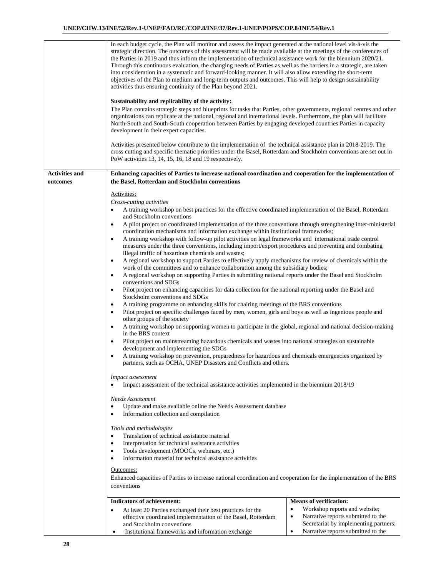|                                   | In each budget cycle, the Plan will monitor and assess the impact generated at the national level vis-à-vis the<br>strategic direction. The outcomes of this assessment will be made available at the meetings of the conferences of<br>the Parties in 2019 and thus inform the implementation of technical assistance work for the biennium 2020/21.<br>Through this continuous evaluation, the changing needs of Parties as well as the barriers in a strategic, are taken<br>into consideration in a systematic and forward-looking manner. It will also allow extending the short-term<br>objectives of the Plan to medium and long-term outputs and outcomes. This will help to design sustainability<br>activities thus ensuring continuity of the Plan beyond 2021. |  |  |  |  |  |  |
|-----------------------------------|----------------------------------------------------------------------------------------------------------------------------------------------------------------------------------------------------------------------------------------------------------------------------------------------------------------------------------------------------------------------------------------------------------------------------------------------------------------------------------------------------------------------------------------------------------------------------------------------------------------------------------------------------------------------------------------------------------------------------------------------------------------------------|--|--|--|--|--|--|
|                                   | <b>Sustainability and replicability of the activity:</b><br>The Plan contains strategic steps and blueprints for tasks that Parties, other governments, regional centres and other<br>organizations can replicate at the national, regional and international levels. Furthermore, the plan will facilitate<br>North-South and South-South cooperation between Parties by engaging developed countries Parties in capacity<br>development in their expert capacities.                                                                                                                                                                                                                                                                                                      |  |  |  |  |  |  |
|                                   | Activities presented below contribute to the implementation of the technical assistance plan in 2018-2019. The<br>cross cutting and specific thematic priorities under the Basel, Rotterdam and Stockholm conventions are set out in<br>PoW activities 13, 14, 15, 16, 18 and 19 respectively.                                                                                                                                                                                                                                                                                                                                                                                                                                                                             |  |  |  |  |  |  |
| <b>Activities and</b><br>outcomes | Enhancing capacities of Parties to increase national coordination and cooperation for the implementation of<br>the Basel, Rotterdam and Stockholm conventions                                                                                                                                                                                                                                                                                                                                                                                                                                                                                                                                                                                                              |  |  |  |  |  |  |
|                                   | Activities:                                                                                                                                                                                                                                                                                                                                                                                                                                                                                                                                                                                                                                                                                                                                                                |  |  |  |  |  |  |
|                                   | Cross-cutting activities                                                                                                                                                                                                                                                                                                                                                                                                                                                                                                                                                                                                                                                                                                                                                   |  |  |  |  |  |  |
|                                   | A training workshop on best practices for the effective coordinated implementation of the Basel, Rotterdam                                                                                                                                                                                                                                                                                                                                                                                                                                                                                                                                                                                                                                                                 |  |  |  |  |  |  |
|                                   | and Stockholm conventions<br>A pilot project on coordinated implementation of the three conventions through strengthening inter-ministerial<br>$\bullet$                                                                                                                                                                                                                                                                                                                                                                                                                                                                                                                                                                                                                   |  |  |  |  |  |  |
|                                   | coordination mechanisms and information exchange within institutional frameworks;<br>A training workshop with follow-up pilot activities on legal frameworks and international trade control<br>$\bullet$                                                                                                                                                                                                                                                                                                                                                                                                                                                                                                                                                                  |  |  |  |  |  |  |
|                                   | measures under the three conventions, including import/export procedures and preventing and combating                                                                                                                                                                                                                                                                                                                                                                                                                                                                                                                                                                                                                                                                      |  |  |  |  |  |  |
|                                   | illegal traffic of hazardous chemicals and wastes;                                                                                                                                                                                                                                                                                                                                                                                                                                                                                                                                                                                                                                                                                                                         |  |  |  |  |  |  |
|                                   | A regional workshop to support Parties to effectively apply mechanisms for review of chemicals within the<br>$\bullet$<br>work of the committees and to enhance collaboration among the subsidiary bodies;                                                                                                                                                                                                                                                                                                                                                                                                                                                                                                                                                                 |  |  |  |  |  |  |
|                                   | A regional workshop on supporting Parties in submitting national reports under the Basel and Stockholm<br>٠                                                                                                                                                                                                                                                                                                                                                                                                                                                                                                                                                                                                                                                                |  |  |  |  |  |  |
|                                   | conventions and SDGs                                                                                                                                                                                                                                                                                                                                                                                                                                                                                                                                                                                                                                                                                                                                                       |  |  |  |  |  |  |
|                                   | Pilot project on enhancing capacities for data collection for the national reporting under the Basel and<br>$\bullet$<br>Stockholm conventions and SDGs                                                                                                                                                                                                                                                                                                                                                                                                                                                                                                                                                                                                                    |  |  |  |  |  |  |
|                                   | A training programme on enhancing skills for chairing meetings of the BRS conventions<br>٠                                                                                                                                                                                                                                                                                                                                                                                                                                                                                                                                                                                                                                                                                 |  |  |  |  |  |  |
|                                   | Pilot project on specific challenges faced by men, women, girls and boys as well as ingenious people and<br>$\bullet$                                                                                                                                                                                                                                                                                                                                                                                                                                                                                                                                                                                                                                                      |  |  |  |  |  |  |
|                                   | other groups of the society<br>A training workshop on supporting women to participate in the global, regional and national decision-making<br>$\bullet$<br>in the BRS context                                                                                                                                                                                                                                                                                                                                                                                                                                                                                                                                                                                              |  |  |  |  |  |  |
|                                   | Pilot project on mainstreaming hazardous chemicals and wastes into national strategies on sustainable<br>$\bullet$<br>development and implementing the SDGs                                                                                                                                                                                                                                                                                                                                                                                                                                                                                                                                                                                                                |  |  |  |  |  |  |
|                                   | A training workshop on prevention, preparedness for hazardous and chemicals emergencies organized by<br>$\bullet$<br>partners, such as OCHA, UNEP Disasters and Conflicts and others.                                                                                                                                                                                                                                                                                                                                                                                                                                                                                                                                                                                      |  |  |  |  |  |  |
|                                   |                                                                                                                                                                                                                                                                                                                                                                                                                                                                                                                                                                                                                                                                                                                                                                            |  |  |  |  |  |  |
|                                   | <i>Impact assessment</i><br>Impact assessment of the technical assistance activities implemented in the biennium 2018/19                                                                                                                                                                                                                                                                                                                                                                                                                                                                                                                                                                                                                                                   |  |  |  |  |  |  |
|                                   | Needs Assessment                                                                                                                                                                                                                                                                                                                                                                                                                                                                                                                                                                                                                                                                                                                                                           |  |  |  |  |  |  |
|                                   | Update and make available online the Needs Assessment database<br>٠                                                                                                                                                                                                                                                                                                                                                                                                                                                                                                                                                                                                                                                                                                        |  |  |  |  |  |  |
|                                   | Information collection and compilation<br>$\bullet$                                                                                                                                                                                                                                                                                                                                                                                                                                                                                                                                                                                                                                                                                                                        |  |  |  |  |  |  |
|                                   | Tools and methodologies                                                                                                                                                                                                                                                                                                                                                                                                                                                                                                                                                                                                                                                                                                                                                    |  |  |  |  |  |  |
|                                   | Translation of technical assistance material<br>$\bullet$                                                                                                                                                                                                                                                                                                                                                                                                                                                                                                                                                                                                                                                                                                                  |  |  |  |  |  |  |
|                                   | Interpretation for technical assistance activities<br>$\bullet$<br>Tools development (MOOCs, webinars, etc.)<br>$\bullet$                                                                                                                                                                                                                                                                                                                                                                                                                                                                                                                                                                                                                                                  |  |  |  |  |  |  |
|                                   | Information material for technical assistance activities<br>$\bullet$                                                                                                                                                                                                                                                                                                                                                                                                                                                                                                                                                                                                                                                                                                      |  |  |  |  |  |  |
|                                   | Outcomes:                                                                                                                                                                                                                                                                                                                                                                                                                                                                                                                                                                                                                                                                                                                                                                  |  |  |  |  |  |  |
|                                   | Enhanced capacities of Parties to increase national coordination and cooperation for the implementation of the BRS                                                                                                                                                                                                                                                                                                                                                                                                                                                                                                                                                                                                                                                         |  |  |  |  |  |  |
|                                   | conventions                                                                                                                                                                                                                                                                                                                                                                                                                                                                                                                                                                                                                                                                                                                                                                |  |  |  |  |  |  |
|                                   | <b>Means of verification:</b><br><b>Indicators of achievement:</b>                                                                                                                                                                                                                                                                                                                                                                                                                                                                                                                                                                                                                                                                                                         |  |  |  |  |  |  |
|                                   | Workshop reports and website;<br>$\bullet$<br>At least 20 Parties exchanged their best practices for the<br>$\bullet$                                                                                                                                                                                                                                                                                                                                                                                                                                                                                                                                                                                                                                                      |  |  |  |  |  |  |
|                                   | Narrative reports submitted to the<br>effective coordinated implementation of the Basel, Rotterdam<br>٠<br>Secretariat by implementing partners;<br>and Stockholm conventions                                                                                                                                                                                                                                                                                                                                                                                                                                                                                                                                                                                              |  |  |  |  |  |  |

• Institutional frameworks and information exchange • Narrative reports submitted to the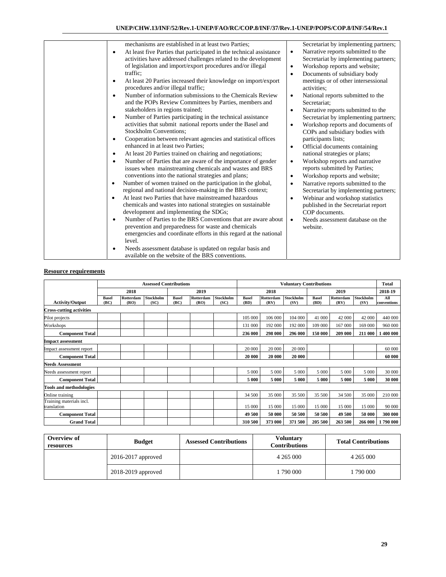| mechanisms are established in at least two Parties;<br>At least five Parties that participated in the technical assistance<br>$\bullet$<br>activities have addressed challenges related to the development<br>of legislation and import/export procedures and/or illegal<br>traffic;<br>At least 20 Parties increased their knowledge on import/export<br>procedures and/or illegal traffic;<br>Number of information submissions to the Chemicals Review<br>and the POPs Review Committees by Parties, members and<br>stakeholders in regions trained;<br>Number of Parties participating in the technical assistance<br>٠<br>activities that submit national reports under the Basel and<br><b>Stockholm Conventions:</b><br>Cooperation between relevant agencies and statistical offices<br>enhanced in at least two Parties;<br>At least 20 Parties trained on chairing and negotiations;<br>Number of Parties that are aware of the importance of gender<br>$\bullet$<br>issues when mainstreaming chemicals and wastes and BRS<br>conventions into the national strategies and plans;<br>Number of women trained on the participation in the global,<br>regional and national decision-making in the BRS context;<br>At least two Parties that have mainstreamed hazardous<br>chemicals and wastes into national strategies on sustainable<br>development and implementing the SDGs;<br>Number of Parties to the BRS Conventions that are aware about<br>prevention and preparedness for waste and chemicals<br>emergencies and coordinate efforts in this regard at the national<br>level.<br>Needs assessment database is updated on regular basis and<br>available on the website of the BRS conventions. | Secretariat by implementing partners;<br>Narrative reports submitted to the<br>$\bullet$<br>Secretariat by implementing partners;<br>Workshop reports and website;<br>$\bullet$<br>Documents of subsidiary body<br>$\bullet$<br>meetings or of other intersessional<br>activities:<br>National reports submitted to the<br>$\bullet$<br>Secretariat;<br>Narrative reports submitted to the<br>$\bullet$<br>Secretariat by implementing partners;<br>Workshop reports and documents of<br>$\bullet$<br>COPs and subsidiary bodies with<br>participants lists;<br>Official documents containing<br>$\bullet$<br>national strategies or plans;<br>Workshop reports and narrative<br>$\bullet$<br>reports submitted by Parties;<br>Workshop reports and website;<br>$\bullet$<br>Narrative reports submitted to the<br>$\bullet$<br>Secretariat by implementing partners;<br>Webinar and workshop statistics<br>٠<br>published in the Secretariat report<br>COP documents.<br>Needs assessment database on the<br>$\bullet$<br>website. |
|---------------------------------------------------------------------------------------------------------------------------------------------------------------------------------------------------------------------------------------------------------------------------------------------------------------------------------------------------------------------------------------------------------------------------------------------------------------------------------------------------------------------------------------------------------------------------------------------------------------------------------------------------------------------------------------------------------------------------------------------------------------------------------------------------------------------------------------------------------------------------------------------------------------------------------------------------------------------------------------------------------------------------------------------------------------------------------------------------------------------------------------------------------------------------------------------------------------------------------------------------------------------------------------------------------------------------------------------------------------------------------------------------------------------------------------------------------------------------------------------------------------------------------------------------------------------------------------------------------------------------------------------------------------------------------------------------------------------|-------------------------------------------------------------------------------------------------------------------------------------------------------------------------------------------------------------------------------------------------------------------------------------------------------------------------------------------------------------------------------------------------------------------------------------------------------------------------------------------------------------------------------------------------------------------------------------------------------------------------------------------------------------------------------------------------------------------------------------------------------------------------------------------------------------------------------------------------------------------------------------------------------------------------------------------------------------------------------------------------------------------------------------|

|                                         | <b>Assessed Contributions</b> |                          |                   |                      |                   |                          | <b>Voluntary Contributions</b> |                          |                          |                      | <b>Total</b>      |                          |                    |
|-----------------------------------------|-------------------------------|--------------------------|-------------------|----------------------|-------------------|--------------------------|--------------------------------|--------------------------|--------------------------|----------------------|-------------------|--------------------------|--------------------|
|                                         |                               | 2018                     |                   |                      | 2019              |                          |                                | 2018                     |                          |                      | 2019              |                          | 2018-19            |
| <b>Activity/Output</b>                  | <b>Basel</b><br>(BC)          | <b>Rotterdam</b><br>(RO) | Stockholm<br>(SC) | <b>Basel</b><br>(BC) | Rotterdam<br>(RO) | <b>Stockholm</b><br>(SC) | <b>Basel</b><br>(BD)           | <b>Rotterdam</b><br>(RV) | <b>Stockholm</b><br>(SV) | <b>Basel</b><br>(BD) | Rotterdam<br>(RV) | <b>Stockholm</b><br>(SV) | All<br>conventions |
| <b>Cross-cutting activities</b>         |                               |                          |                   |                      |                   |                          |                                |                          |                          |                      |                   |                          |                    |
| Pilot projects                          |                               |                          |                   |                      |                   |                          | 105 000                        | 106 000                  | 104 000                  | 41 000               | 42 000            | 42 000                   | 440 000            |
| Workshops                               |                               |                          |                   |                      |                   |                          | 131 000                        | 192 000                  | 192 000                  | 109 000              | 167 000           | 169 000                  | 960 000            |
| <b>Component Total</b>                  |                               |                          |                   |                      |                   |                          | 236 000                        | 298 000                  | 296 000                  | 150 000              | 209 000           | 211 000                  | 1 400 000          |
| <b>Impact assessment</b>                |                               |                          |                   |                      |                   |                          |                                |                          |                          |                      |                   |                          |                    |
| Impact assessment report                |                               |                          |                   |                      |                   |                          | 20 000                         | 20 000                   | 20 000                   |                      |                   |                          | 60 000             |
| <b>Component Total</b>                  |                               |                          |                   |                      |                   |                          | 20 000                         | 20 000                   | 20 000                   |                      |                   |                          | 60 000             |
| <b>Needs Assessment</b>                 |                               |                          |                   |                      |                   |                          |                                |                          |                          |                      |                   |                          |                    |
| Needs assessment report                 |                               |                          |                   |                      |                   |                          | 5 0 0 0                        | 5 0 0 0                  | 5 000                    | 5 000                | 5 000             | 5 0 0 0                  | 30 000             |
| <b>Component Total</b>                  |                               |                          |                   |                      |                   |                          | 5 000                          | 5 000                    | 5 000                    | 5 000                | 5 000             | 5 0 0 0                  | 30 000             |
| <b>Tools and methodologies</b>          |                               |                          |                   |                      |                   |                          |                                |                          |                          |                      |                   |                          |                    |
| Online training                         |                               |                          |                   |                      |                   |                          | 34 500                         | 35 000                   | 35 500                   | 35 500               | 34 500            | 35 000                   | 210 000            |
| Training materials incl.<br>translation |                               |                          |                   |                      |                   |                          | 15 000                         | 15 000                   | 15 000                   | 15 000               | 15 000            | 15 000                   | 90 000             |
| <b>Component Total</b>                  |                               |                          |                   |                      |                   |                          | 49 500                         | 50 000                   | 50 500                   | 50 500               | 49 500            | 50 000                   | 300 000            |
| <b>Grand Total</b>                      |                               |                          |                   |                      |                   |                          | 310 500                        | 373 000                  | 371 500                  | 205 500              | 263 500           | 266 000                  | 1790 000           |

| Overview of<br>resources | <b>Budget</b>        | <b>Assessed Contributions</b> | Voluntarv<br><b>Contributions</b> | <b>Total Contributions</b> |  |
|--------------------------|----------------------|-------------------------------|-----------------------------------|----------------------------|--|
|                          | $2016-2017$ approved |                               | 4 265 000                         | 4 2 6 5 0 0 0              |  |
|                          | 2018-2019 approved   |                               | 1 790 000                         | .790 000                   |  |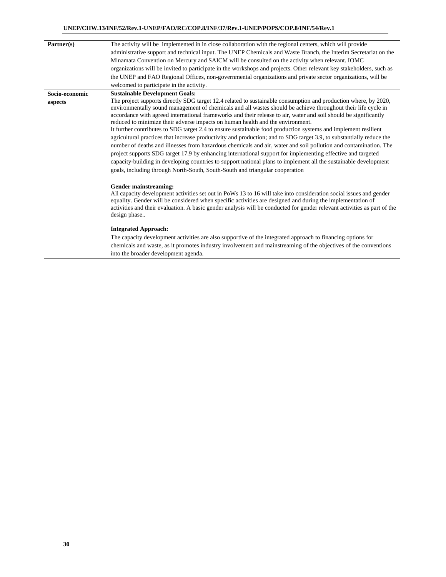| Partner(s)                | The activity will be implemented in in close collaboration with the regional centers, which will provide<br>administrative support and technical input. The UNEP Chemicals and Waste Branch, the Interim Secretariat on the<br>Minamata Convention on Mercury and SAICM will be consulted on the activity when relevant. IOMC<br>organizations will be invited to participate in the workshops and projects. Other relevant key stakeholders, such as<br>the UNEP and FAO Regional Offices, non-governmental organizations and private sector organizations, will be<br>welcomed to participate in the activity.                                                                                                                                                                                                                                                                                                                                                                                                                                                                                                                                                                                                                                                                                                                                                                                                                                                                                                                                                                                                                                                                                                                                                                                                                                                                   |
|---------------------------|------------------------------------------------------------------------------------------------------------------------------------------------------------------------------------------------------------------------------------------------------------------------------------------------------------------------------------------------------------------------------------------------------------------------------------------------------------------------------------------------------------------------------------------------------------------------------------------------------------------------------------------------------------------------------------------------------------------------------------------------------------------------------------------------------------------------------------------------------------------------------------------------------------------------------------------------------------------------------------------------------------------------------------------------------------------------------------------------------------------------------------------------------------------------------------------------------------------------------------------------------------------------------------------------------------------------------------------------------------------------------------------------------------------------------------------------------------------------------------------------------------------------------------------------------------------------------------------------------------------------------------------------------------------------------------------------------------------------------------------------------------------------------------------------------------------------------------------------------------------------------------|
| Socio-economic<br>aspects | <b>Sustainable Development Goals:</b><br>The project supports directly SDG target 12.4 related to sustainable consumption and production where, by 2020,<br>environmentally sound management of chemicals and all wastes should be achieve throughout their life cycle in<br>accordance with agreed international frameworks and their release to air, water and soil should be significantly<br>reduced to minimize their adverse impacts on human health and the environment.<br>It further contributes to SDG target 2.4 to ensure sustainable food production systems and implement resilient<br>agricultural practices that increase productivity and production; and to SDG target 3.9, to substantially reduce the<br>number of deaths and illnesses from hazardous chemicals and air, water and soil pollution and contamination. The<br>project supports SDG target 17.9 by enhancing international support for implementing effective and targeted<br>capacity-building in developing countries to support national plans to implement all the sustainable development<br>goals, including through North-South, South-South and triangular cooperation<br>Gender mainstreaming:<br>All capacity development activities set out in PoWs 13 to 16 will take into consideration social issues and gender<br>equality. Gender will be considered when specific activities are designed and during the implementation of<br>activities and their evaluation. A basic gender analysis will be conducted for gender relevant activities as part of the<br>design phase<br><b>Integrated Approach:</b><br>The capacity development activities are also supportive of the integrated approach to financing options for<br>chemicals and waste, as it promotes industry involvement and mainstreaming of the objectives of the conventions<br>into the broader development agenda. |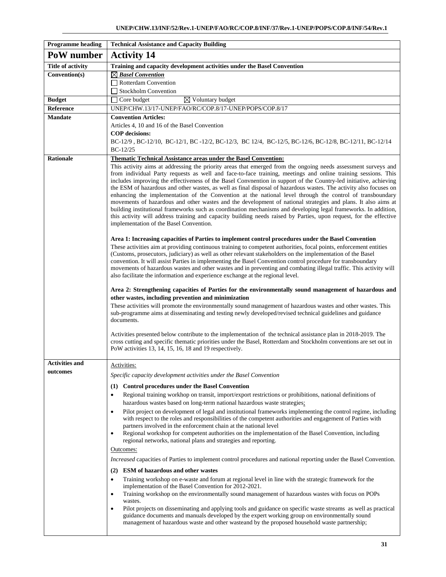| <b>Programme heading</b> | <b>Technical Assistance and Capacity Building</b>                                                                                                                                                                                                                                                                                                                                                                                                                                                                                                                                                                                                                                                                                                                                                                                                                                                                                                                                                                                                                                                                                                                                                                         |
|--------------------------|---------------------------------------------------------------------------------------------------------------------------------------------------------------------------------------------------------------------------------------------------------------------------------------------------------------------------------------------------------------------------------------------------------------------------------------------------------------------------------------------------------------------------------------------------------------------------------------------------------------------------------------------------------------------------------------------------------------------------------------------------------------------------------------------------------------------------------------------------------------------------------------------------------------------------------------------------------------------------------------------------------------------------------------------------------------------------------------------------------------------------------------------------------------------------------------------------------------------------|
| PoW number               | <b>Activity 14</b>                                                                                                                                                                                                                                                                                                                                                                                                                                                                                                                                                                                                                                                                                                                                                                                                                                                                                                                                                                                                                                                                                                                                                                                                        |
| <b>Title of activity</b> | Training and capacity development activities under the Basel Convention                                                                                                                                                                                                                                                                                                                                                                                                                                                                                                                                                                                                                                                                                                                                                                                                                                                                                                                                                                                                                                                                                                                                                   |
| Convention(s)            | $\boxtimes$ Basel Convention                                                                                                                                                                                                                                                                                                                                                                                                                                                                                                                                                                                                                                                                                                                                                                                                                                                                                                                                                                                                                                                                                                                                                                                              |
|                          | Rotterdam Convention                                                                                                                                                                                                                                                                                                                                                                                                                                                                                                                                                                                                                                                                                                                                                                                                                                                                                                                                                                                                                                                                                                                                                                                                      |
|                          | Stockholm Convention                                                                                                                                                                                                                                                                                                                                                                                                                                                                                                                                                                                                                                                                                                                                                                                                                                                                                                                                                                                                                                                                                                                                                                                                      |
| <b>Budget</b>            | $\boxtimes$ Voluntary budget<br>$\Box$ Core budget                                                                                                                                                                                                                                                                                                                                                                                                                                                                                                                                                                                                                                                                                                                                                                                                                                                                                                                                                                                                                                                                                                                                                                        |
| Reference                | UNEP/CHW.13/17-UNEP/FAO/RC/COP.8/17-UNEP/POPS/COP.8/17                                                                                                                                                                                                                                                                                                                                                                                                                                                                                                                                                                                                                                                                                                                                                                                                                                                                                                                                                                                                                                                                                                                                                                    |
| <b>Mandate</b>           | <b>Convention Articles:</b>                                                                                                                                                                                                                                                                                                                                                                                                                                                                                                                                                                                                                                                                                                                                                                                                                                                                                                                                                                                                                                                                                                                                                                                               |
|                          | Articles 4, 10 and 16 of the Basel Convention<br><b>COP</b> decisions:                                                                                                                                                                                                                                                                                                                                                                                                                                                                                                                                                                                                                                                                                                                                                                                                                                                                                                                                                                                                                                                                                                                                                    |
|                          | BC-12/9, BC-12/10, BC-12/1, BC-12/2, BC-12/3, BC 12/4, BC-12/5, BC-12/6, BC-12/8, BC-12/11, BC-12/14                                                                                                                                                                                                                                                                                                                                                                                                                                                                                                                                                                                                                                                                                                                                                                                                                                                                                                                                                                                                                                                                                                                      |
|                          | $BC-12/25$                                                                                                                                                                                                                                                                                                                                                                                                                                                                                                                                                                                                                                                                                                                                                                                                                                                                                                                                                                                                                                                                                                                                                                                                                |
| <b>Rationale</b>         | <b>Thematic Technical Assistance areas under the Basel Convention:</b>                                                                                                                                                                                                                                                                                                                                                                                                                                                                                                                                                                                                                                                                                                                                                                                                                                                                                                                                                                                                                                                                                                                                                    |
|                          | This activity aims at addressing the priority areas that emerged from the ongoing needs assessment surveys and<br>from individual Party requests as well and face-to-face training, meetings and online training sessions. This<br>includes improving the effectiveness of the Basel Convnention in support of the Country-led initiative, achieving<br>the ESM of hazardous and other wastes, as well as final disposal of hazardous wastes. The activity also focuses on<br>enhancing the implementation of the Convention at the national level through the control of transboundary<br>movements of hazardous and other wastes and the development of national strategies and plans. It also aims at<br>building institutional frameworks such as coordination mechanisms and developing legal frameworks. In addition,<br>this activity will address training and capacity building needs raised by Parties, upon request, for the effective<br>implementation of the Basel Convention.<br>Area 1: Increasing capacities of Parties to implement control procedures under the Basel Convention<br>These activities aim at providing continuous training to competent authorities, focal points, enforcement entities |
|                          | (Customs, prosecutors, judiciary) as well as other relevant stakeholders on the implementation of the Basel<br>convention. It will assist Parties in implementing the Basel Convention control procedure for transboundary<br>movements of hazardous wastes and other wastes and in preventing and combating illegal traffic. This activity will<br>also facilitate the information and experience exchange at the regional level.<br>Area 2: Strengthening capacities of Parties for the environmentally sound management of hazardous and                                                                                                                                                                                                                                                                                                                                                                                                                                                                                                                                                                                                                                                                               |
|                          | other wastes, including prevention and minimization                                                                                                                                                                                                                                                                                                                                                                                                                                                                                                                                                                                                                                                                                                                                                                                                                                                                                                                                                                                                                                                                                                                                                                       |
|                          | These activities will promote the environmentally sound management of hazardous wastes and other wastes. This<br>sub-programme aims at disseminating and testing newly developed/revised technical guidelines and guidance<br>documents.                                                                                                                                                                                                                                                                                                                                                                                                                                                                                                                                                                                                                                                                                                                                                                                                                                                                                                                                                                                  |
|                          | Activities presented below contribute to the implementation of the technical assistance plan in 2018-2019. The<br>cross cutting and specific thematic priorities under the Basel, Rotterdam and Stockholm conventions are set out in<br>PoW activities 13, 14, 15, 16, 18 and 19 respectively.                                                                                                                                                                                                                                                                                                                                                                                                                                                                                                                                                                                                                                                                                                                                                                                                                                                                                                                            |
| <b>Activities and</b>    | Activities:                                                                                                                                                                                                                                                                                                                                                                                                                                                                                                                                                                                                                                                                                                                                                                                                                                                                                                                                                                                                                                                                                                                                                                                                               |
| outcomes                 | Specific capacity development activities under the Basel Convention                                                                                                                                                                                                                                                                                                                                                                                                                                                                                                                                                                                                                                                                                                                                                                                                                                                                                                                                                                                                                                                                                                                                                       |
|                          | (1) Control procedures under the Basel Convention                                                                                                                                                                                                                                                                                                                                                                                                                                                                                                                                                                                                                                                                                                                                                                                                                                                                                                                                                                                                                                                                                                                                                                         |
|                          | Regional training workhop on transit, import/export restrictions or prohibitions, national definitions of<br>$\bullet$<br>hazardous wastes based on long-term national hazardous waste strategies:                                                                                                                                                                                                                                                                                                                                                                                                                                                                                                                                                                                                                                                                                                                                                                                                                                                                                                                                                                                                                        |
|                          | Pilot project on development of legal and institutional frameworks implementing the control regime, including<br>$\bullet$<br>with respect to the roles and responsibilities of the competent authorities and engagement of Parties with<br>partners involved in the enforcement chain at the national level<br>Regional workshop for competent authorities on the implementation of the Basel Convention, including<br>$\bullet$<br>regional networks, national plans and strategies and reporting.                                                                                                                                                                                                                                                                                                                                                                                                                                                                                                                                                                                                                                                                                                                      |
|                          | Outcomes:                                                                                                                                                                                                                                                                                                                                                                                                                                                                                                                                                                                                                                                                                                                                                                                                                                                                                                                                                                                                                                                                                                                                                                                                                 |
|                          | <i>Increased</i> capacities of Parties to implement control procedures and national reporting under the Basel Convention.                                                                                                                                                                                                                                                                                                                                                                                                                                                                                                                                                                                                                                                                                                                                                                                                                                                                                                                                                                                                                                                                                                 |
|                          | (2) ESM of hazardous and other wastes                                                                                                                                                                                                                                                                                                                                                                                                                                                                                                                                                                                                                                                                                                                                                                                                                                                                                                                                                                                                                                                                                                                                                                                     |
|                          | Training workshop on e-waste and forum at regional level in line with the strategic framework for the<br>$\bullet$<br>implementation of the Basel Convention for 2012-2021.<br>Training workshop on the environmentally sound management of hazardous wastes with focus on POPs<br>٠<br>wastes.                                                                                                                                                                                                                                                                                                                                                                                                                                                                                                                                                                                                                                                                                                                                                                                                                                                                                                                           |
|                          | Pilot projects on disseminating and applying tools and guidance on specific waste streams as well as practical<br>$\bullet$<br>guidance documents and manuals developed by the expert working group on environmentally sound<br>management of hazardous waste and other wasteand by the proposed household waste partnership;                                                                                                                                                                                                                                                                                                                                                                                                                                                                                                                                                                                                                                                                                                                                                                                                                                                                                             |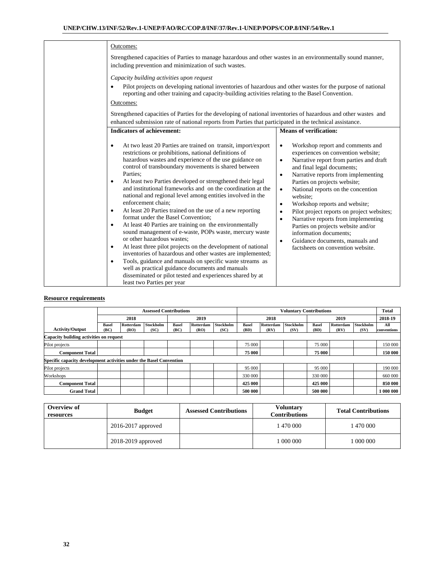| Outcomes:                                                                                                                                                                                                                                                                                                                                                                                                                                                                                                                                                                                                                                                                                                                                                                                                                                                                                                                                                                                                                                                                                                                                          |                                                                                                                                                                                                                                                                                                                                                                                                                                                                                                                                                                                                                                                |
|----------------------------------------------------------------------------------------------------------------------------------------------------------------------------------------------------------------------------------------------------------------------------------------------------------------------------------------------------------------------------------------------------------------------------------------------------------------------------------------------------------------------------------------------------------------------------------------------------------------------------------------------------------------------------------------------------------------------------------------------------------------------------------------------------------------------------------------------------------------------------------------------------------------------------------------------------------------------------------------------------------------------------------------------------------------------------------------------------------------------------------------------------|------------------------------------------------------------------------------------------------------------------------------------------------------------------------------------------------------------------------------------------------------------------------------------------------------------------------------------------------------------------------------------------------------------------------------------------------------------------------------------------------------------------------------------------------------------------------------------------------------------------------------------------------|
| Strengthened capacities of Parties to manage hazardous and other wastes in an environmentally sound manner,<br>including prevention and minimization of such wastes.                                                                                                                                                                                                                                                                                                                                                                                                                                                                                                                                                                                                                                                                                                                                                                                                                                                                                                                                                                               |                                                                                                                                                                                                                                                                                                                                                                                                                                                                                                                                                                                                                                                |
| Capacity building activities upon request<br>Pilot projects on developing national inventories of hazardous and other wastes for the purpose of national<br>$\bullet$<br>reporting and other training and capacity-building activities relating to the Basel Convention.<br>Outcomes:                                                                                                                                                                                                                                                                                                                                                                                                                                                                                                                                                                                                                                                                                                                                                                                                                                                              |                                                                                                                                                                                                                                                                                                                                                                                                                                                                                                                                                                                                                                                |
| Strengthened capacities of Parties for the developing of national inventories of hazardous and other wastes and                                                                                                                                                                                                                                                                                                                                                                                                                                                                                                                                                                                                                                                                                                                                                                                                                                                                                                                                                                                                                                    |                                                                                                                                                                                                                                                                                                                                                                                                                                                                                                                                                                                                                                                |
| enhanced submission rate of national reports from Parties that participated in the technical assistance.                                                                                                                                                                                                                                                                                                                                                                                                                                                                                                                                                                                                                                                                                                                                                                                                                                                                                                                                                                                                                                           |                                                                                                                                                                                                                                                                                                                                                                                                                                                                                                                                                                                                                                                |
| <b>Indicators of achievement:</b>                                                                                                                                                                                                                                                                                                                                                                                                                                                                                                                                                                                                                                                                                                                                                                                                                                                                                                                                                                                                                                                                                                                  | <b>Means of verification:</b>                                                                                                                                                                                                                                                                                                                                                                                                                                                                                                                                                                                                                  |
| At two least 20 Parties are trained on transit, import/export<br>$\bullet$<br>restrictions or prohibitions, national definitions of<br>hazardous wastes and experience of the use guidance on<br>control of transboundary movements is shared between<br>Parties:<br>At least two Parties developed or strengthened their legal<br>$\bullet$<br>and institutional frameworks and on the coordination at the<br>national and regional level among entities involved in the<br>enforcement chain;<br>At least 20 Parties trained on the use of a new reporting<br>$\bullet$<br>format under the Basel Convention:<br>At least 40 Parties are training on the environmentally<br>$\bullet$<br>sound management of e-waste, POPs waste, mercury waste<br>or other hazardous wastes:<br>At least three pilot projects on the development of national<br>$\bullet$<br>inventories of hazardous and other wastes are implemented;<br>Tools, guidance and manuals on specific waste streams as<br>$\bullet$<br>well as practical guidance documents and manuals<br>disseminated or pilot tested and experiences shared by at<br>least two Parties per year | Workshop report and comments and<br>$\bullet$<br>experiences on convention website;<br>Narrative report from parties and draft<br>$\bullet$<br>and final legal documents;<br>Narrative reports from implementing<br>$\bullet$<br>Parties on projects website;<br>National reports on the concention<br>$\bullet$<br>website:<br>Workshop reports and website;<br>$\bullet$<br>Pilot project reports on project websites;<br>$\bullet$<br>Narrative reports from implementing<br>$\bullet$<br>Parties on projects website and/or<br>information documents;<br>Guidance documents, manuals and<br>$\bullet$<br>factsheets on convention website. |

|                                                                     |                      | <b>Assessed Contributions</b> |                          |                      |                   |                   |                      | <b>Voluntary Contributions</b> |                   |                      |                   | <b>Total</b>      |                    |
|---------------------------------------------------------------------|----------------------|-------------------------------|--------------------------|----------------------|-------------------|-------------------|----------------------|--------------------------------|-------------------|----------------------|-------------------|-------------------|--------------------|
|                                                                     |                      | 2018                          |                          | 2019                 |                   |                   | 2018                 |                                | 2019              |                      |                   | 2018-19           |                    |
| <b>Activity/Output</b>                                              | <b>Basel</b><br>(BC) | Rotterdam<br>(RO)             | <b>Stockholm</b><br>(SC) | <b>Basel</b><br>(BC) | Rotterdam<br>(RO) | Stockholm<br>(SC) | <b>Basel</b><br>(BD) | Rotterdam<br>(RV)              | Stockholm<br>(SV) | <b>Basel</b><br>(BD) | Rotterdam<br>(RV) | Stockholm<br>(SV) | All<br>conventions |
| Capacity building activities on request                             |                      |                               |                          |                      |                   |                   |                      |                                |                   |                      |                   |                   |                    |
| Pilot projects                                                      |                      |                               |                          |                      |                   |                   | 75 000               |                                |                   | 75 000               |                   |                   | 150 000            |
| <b>Component Total</b>                                              |                      |                               |                          |                      |                   |                   | 75 000               |                                |                   | 75 000               |                   |                   | 150 000            |
| Specific capacity development activities under the Basel Convention |                      |                               |                          |                      |                   |                   |                      |                                |                   |                      |                   |                   |                    |
| Pilot projects                                                      |                      |                               |                          |                      |                   |                   | 95 000               |                                |                   | 95 000               |                   |                   | 190 000            |
| Workshops                                                           |                      |                               |                          |                      |                   |                   | 330 000              |                                |                   | 330 000              |                   |                   | 660 000            |
| <b>Component Total</b>                                              |                      |                               |                          |                      |                   |                   | 425 000              |                                |                   | 425 000              |                   |                   | 850 000            |
| <b>Grand Total</b>                                                  |                      |                               |                          |                      |                   |                   | 500 000              |                                |                   | 500 000              |                   |                   | 1 000 000          |

| Overview of<br>resources | <b>Budget</b>      | <b>Assessed Contributions</b> |          | <b>Total Contributions</b> |  |  |
|--------------------------|--------------------|-------------------------------|----------|----------------------------|--|--|
|                          | 2016-2017 approved |                               | 1470 000 | 1470 000                   |  |  |
|                          | 2018-2019 approved |                               | 000 000  | 1 000 000                  |  |  |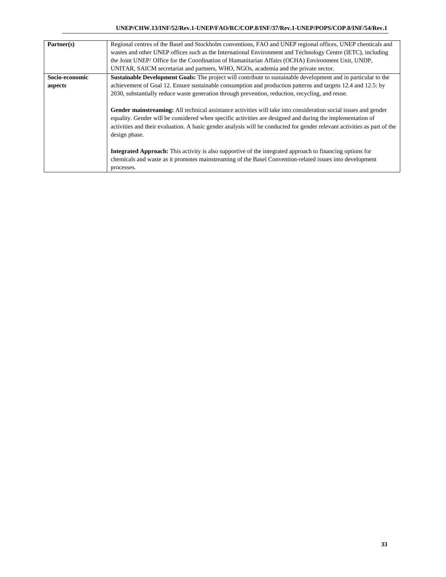| Partner(s)     | Regional centres of the Basel and Stockholm conventions, FAO and UNEP regional offices, UNEP chemicals and               |
|----------------|--------------------------------------------------------------------------------------------------------------------------|
|                | wastes and other UNEP offices such as the International Environment and Technology Centre (IETC), including              |
|                | the Joint UNEP/ Office for the Coordination of Humanitarian Affairs (OCHA) Environment Unit, UNDP,                       |
|                | UNITAR, SAICM secretariat and partners, WHO, NGOs, academia and the private sector.                                      |
| Socio-economic | <b>Sustainable Development Goals:</b> The project will contribute to sustainable development and in particular to the    |
| aspects        | achievement of Goal 12. Ensure sustainable consumption and production patterns and targets 12.4 and 12.5: by             |
|                | 2030, substantially reduce waste generation through prevention, reduction, recycling, and reuse.                         |
|                |                                                                                                                          |
|                | Gender mainstreaming: All technical assistance activities will take into consideration social issues and gender          |
|                | equality. Gender will be considered when specific activities are designed and during the implementation of               |
|                | activities and their evaluation. A basic gender analysis will be conducted for gender relevant activities as part of the |
|                | design phase.                                                                                                            |
|                |                                                                                                                          |
|                | <b>Integrated Approach:</b> This activity is also supportive of the integrated approach to financing options for         |
|                | chemicals and waste as it promotes mainstreaming of the Basel Convention-related issues into development                 |
|                | processes.                                                                                                               |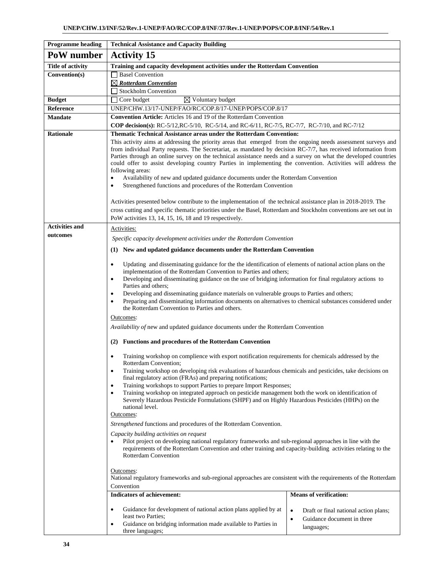| <b>Programme</b> heading | <b>Technical Assistance and Capacity Building</b>                                                                                                                                                                                                                                                                                                                                                                                                                                                                                                                                         |                                                                                                             |  |  |  |  |  |
|--------------------------|-------------------------------------------------------------------------------------------------------------------------------------------------------------------------------------------------------------------------------------------------------------------------------------------------------------------------------------------------------------------------------------------------------------------------------------------------------------------------------------------------------------------------------------------------------------------------------------------|-------------------------------------------------------------------------------------------------------------|--|--|--|--|--|
| PoW number               | <b>Activity 15</b>                                                                                                                                                                                                                                                                                                                                                                                                                                                                                                                                                                        |                                                                                                             |  |  |  |  |  |
| Title of activity        | Training and capacity development activities under the Rotterdam Convention                                                                                                                                                                                                                                                                                                                                                                                                                                                                                                               |                                                                                                             |  |  |  |  |  |
| Convention(s)            | □ Basel Convention                                                                                                                                                                                                                                                                                                                                                                                                                                                                                                                                                                        |                                                                                                             |  |  |  |  |  |
|                          | $\boxtimes$ Rotterdam Convention                                                                                                                                                                                                                                                                                                                                                                                                                                                                                                                                                          |                                                                                                             |  |  |  |  |  |
|                          | Stockholm Convention                                                                                                                                                                                                                                                                                                                                                                                                                                                                                                                                                                      |                                                                                                             |  |  |  |  |  |
| <b>Budget</b>            | $\boxtimes$ Voluntary budget<br>$\Box$ Core budget                                                                                                                                                                                                                                                                                                                                                                                                                                                                                                                                        |                                                                                                             |  |  |  |  |  |
| Reference                | UNEP/CHW.13/17-UNEP/FAO/RC/COP.8/17-UNEP/POPS/COP.8/17                                                                                                                                                                                                                                                                                                                                                                                                                                                                                                                                    |                                                                                                             |  |  |  |  |  |
| <b>Mandate</b>           | <b>Convention Article:</b> Articles 16 and 19 of the Rotterdam Convention<br>COP decision(s): RC-5/12, RC-5/10, RC-5/14, and RC-6/11, RC-7/5, RC-7/7, RC-7/10, and RC-7/12                                                                                                                                                                                                                                                                                                                                                                                                                |                                                                                                             |  |  |  |  |  |
| <b>Rationale</b>         | <b>Thematic Technical Assistance areas under the Rotterdam Convention:</b>                                                                                                                                                                                                                                                                                                                                                                                                                                                                                                                |                                                                                                             |  |  |  |  |  |
|                          | This activity aims at addressing the priority areas that emerged from the ongoing needs assessment surveys and<br>from individual Party requests. The Secretariat, as mandated by decision RC-7/7, has received information from<br>Parties through an online survey on the technical assistance needs and a survey on what the developed countries<br>could offer to assist developing country Parties in implementing the convention. Activities will address the<br>following areas:<br>Availability of new and updated guidance documents under the Rotterdam Convention<br>$\bullet$ |                                                                                                             |  |  |  |  |  |
|                          | Strengthened functions and procedures of the Rotterdam Convention<br>$\bullet$                                                                                                                                                                                                                                                                                                                                                                                                                                                                                                            |                                                                                                             |  |  |  |  |  |
|                          | Activities presented below contribute to the implementation of the technical assistance plan in 2018-2019. The                                                                                                                                                                                                                                                                                                                                                                                                                                                                            |                                                                                                             |  |  |  |  |  |
|                          | cross cutting and specific thematic priorities under the Basel, Rotterdam and Stockholm conventions are set out in                                                                                                                                                                                                                                                                                                                                                                                                                                                                        |                                                                                                             |  |  |  |  |  |
|                          | PoW activities 13, 14, 15, 16, 18 and 19 respectively.                                                                                                                                                                                                                                                                                                                                                                                                                                                                                                                                    |                                                                                                             |  |  |  |  |  |
| <b>Activities and</b>    | Activities:                                                                                                                                                                                                                                                                                                                                                                                                                                                                                                                                                                               |                                                                                                             |  |  |  |  |  |
| outcomes                 | Specific capacity development activities under the Rotterdam Convention                                                                                                                                                                                                                                                                                                                                                                                                                                                                                                                   |                                                                                                             |  |  |  |  |  |
|                          | (1) New and updated guidance documents under the Rotterdam Convention                                                                                                                                                                                                                                                                                                                                                                                                                                                                                                                     |                                                                                                             |  |  |  |  |  |
|                          | Updating and disseminating guidance for the the identification of elements of national action plans on the<br>$\bullet$<br>implementation of the Rotterdam Convention to Parties and others;                                                                                                                                                                                                                                                                                                                                                                                              |                                                                                                             |  |  |  |  |  |
|                          | Developing and disseminating guidance on the use of bridging information for final regulatory actions to<br>٠<br>Parties and others;                                                                                                                                                                                                                                                                                                                                                                                                                                                      |                                                                                                             |  |  |  |  |  |
|                          | Developing and disseminating guidance materials on vulnerable groups to Parties and others;<br>$\bullet$<br>Preparing and disseminating information documents on alternatives to chemical substances considered under<br>$\bullet$<br>the Rotterdam Convention to Parties and others.                                                                                                                                                                                                                                                                                                     |                                                                                                             |  |  |  |  |  |
|                          | Outcomes:                                                                                                                                                                                                                                                                                                                                                                                                                                                                                                                                                                                 |                                                                                                             |  |  |  |  |  |
|                          | Availability of new and updated guidance documents under the Rotterdam Convention                                                                                                                                                                                                                                                                                                                                                                                                                                                                                                         |                                                                                                             |  |  |  |  |  |
|                          |                                                                                                                                                                                                                                                                                                                                                                                                                                                                                                                                                                                           |                                                                                                             |  |  |  |  |  |
|                          | <b>Functions and procedures of the Rotterdam Convention</b><br>(2)                                                                                                                                                                                                                                                                                                                                                                                                                                                                                                                        |                                                                                                             |  |  |  |  |  |
|                          | Training workshop on complience with export notification requirements for chemicals addressed by the<br>$\bullet$<br>Rotterdam Convention;                                                                                                                                                                                                                                                                                                                                                                                                                                                |                                                                                                             |  |  |  |  |  |
|                          | Training workshop on developing risk evaluations of hazardous chemicals and pesticides, take decisions on<br>$\bullet$<br>final regulatory action (FRAs) and preparing notifications;                                                                                                                                                                                                                                                                                                                                                                                                     |                                                                                                             |  |  |  |  |  |
|                          | Training workshops to support Parties to prepare Import Responses;<br>$\bullet$                                                                                                                                                                                                                                                                                                                                                                                                                                                                                                           |                                                                                                             |  |  |  |  |  |
|                          | Training workshop on integrated approach on pesticide management both the work on identification of<br>$\bullet$<br>Severely Hazardous Pesticide Formulations (SHPF) and on Highly Hazardous Pesticides (HHPs) on the<br>national level.                                                                                                                                                                                                                                                                                                                                                  |                                                                                                             |  |  |  |  |  |
|                          | Outcomes:                                                                                                                                                                                                                                                                                                                                                                                                                                                                                                                                                                                 |                                                                                                             |  |  |  |  |  |
|                          | Strengthened functions and procedures of the Rotterdam Convention.                                                                                                                                                                                                                                                                                                                                                                                                                                                                                                                        |                                                                                                             |  |  |  |  |  |
|                          | Capacity building activities on request<br>Pilot project on developing national regulatory frameworks and sub-regional approaches in line with the<br>requirements of the Rotterdam Convention and other training and capacity-building activities relating to the<br><b>Rotterdam Convention</b>                                                                                                                                                                                                                                                                                         |                                                                                                             |  |  |  |  |  |
|                          | Outcomes:<br>National regulatory frameworks and sub-regional approaches are consistent with the requirements of the Rotterdam<br>Convention                                                                                                                                                                                                                                                                                                                                                                                                                                               |                                                                                                             |  |  |  |  |  |
|                          | <b>Indicators of achievement:</b>                                                                                                                                                                                                                                                                                                                                                                                                                                                                                                                                                         | <b>Means of verification:</b>                                                                               |  |  |  |  |  |
|                          | Guidance for development of national action plans applied by at<br>$\bullet$<br>least two Parties;<br>Guidance on bridging information made available to Parties in<br>$\bullet$<br>three languages;                                                                                                                                                                                                                                                                                                                                                                                      | $\bullet$<br>Draft or final national action plans;<br>Guidance document in three<br>$\bullet$<br>languages; |  |  |  |  |  |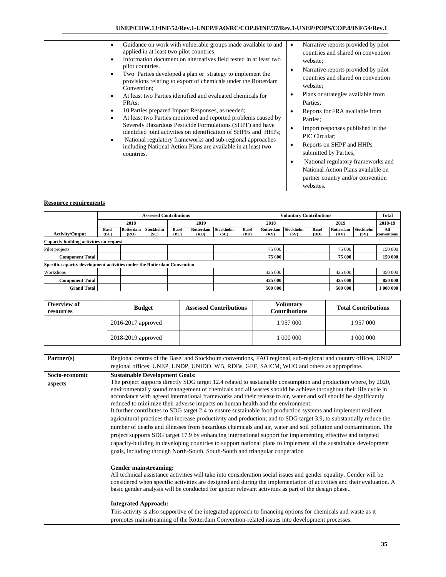|                                                                         |              | <b>Assessed Contributions</b> |                  |              |           |           | <b>Voluntary Contributions</b> |           |                  |       |                  | <b>Total</b>     |             |
|-------------------------------------------------------------------------|--------------|-------------------------------|------------------|--------------|-----------|-----------|--------------------------------|-----------|------------------|-------|------------------|------------------|-------------|
|                                                                         |              | 2018                          |                  | 2019         |           | 2018      |                                | 2019      |                  |       | 2018-19          |                  |             |
|                                                                         | <b>Basel</b> | Rotterdam                     | <b>Stockholm</b> | <b>Basel</b> | Rotterdam | Stockholm | <b>Basel</b>                   | Rotterdam | <b>Stockholm</b> | Basel | <b>Rotterdam</b> | <b>Stockholm</b> | All         |
| <b>Activity/Output</b>                                                  | (BC)         | (RO)                          | (SC)             | (BC)         | (RO)      | (SC)      | (BD)                           | (RV)      | (SV)             | (BD)  | (RV)             | (SV)             | conventions |
| Capacity building activities on request                                 |              |                               |                  |              |           |           |                                |           |                  |       |                  |                  |             |
| Pilot projects                                                          |              |                               |                  |              |           |           |                                | 75 000    |                  |       | 75 000           |                  | 150 000     |
| <b>Component Total</b>                                                  |              |                               |                  |              |           |           |                                | 75 000    |                  |       | 75 000           |                  | 150 000     |
| Specific capacity development activities under the Rotterdam Convention |              |                               |                  |              |           |           |                                |           |                  |       |                  |                  |             |
| Workshops                                                               |              |                               |                  |              |           |           |                                | 425 000   |                  |       | 425 000          |                  | 850 000     |
| <b>Component Total</b>                                                  |              |                               |                  |              |           |           |                                | 425 000   |                  |       | 425 000          |                  | 850 000     |
| <b>Grand Total</b>                                                      |              |                               |                  |              |           |           |                                | 500 000   |                  |       | 500 000          |                  | 1 000 000   |

| Overview of<br>resources | <b>Budget</b>          | <b>Assessed Contributions</b> | <b>Voluntary</b><br><b>Contributions</b> | <b>Total Contributions</b> |  |
|--------------------------|------------------------|-------------------------------|------------------------------------------|----------------------------|--|
|                          | $2016 - 2017$ approved |                               | 1 957 000                                | 957 000                    |  |
|                          | 2018-2019 approved     |                               | 1 000 000                                | 000 000                    |  |

| Partner(s)     | Regional centres of the Basel and Stockholm conventions, FAO regional, sub-regional and country offices, UNEP                                                                                                                                                                                                                                                                                                                                                                                                                                                                                                                                                                                                                                                                                                                                                                                                                                                                                                                                                                                                           |
|----------------|-------------------------------------------------------------------------------------------------------------------------------------------------------------------------------------------------------------------------------------------------------------------------------------------------------------------------------------------------------------------------------------------------------------------------------------------------------------------------------------------------------------------------------------------------------------------------------------------------------------------------------------------------------------------------------------------------------------------------------------------------------------------------------------------------------------------------------------------------------------------------------------------------------------------------------------------------------------------------------------------------------------------------------------------------------------------------------------------------------------------------|
|                | regional offices, UNEP, UNDP, UNIDO, WB, RDBs, GEF, SAICM, WHO and others as appropriate.                                                                                                                                                                                                                                                                                                                                                                                                                                                                                                                                                                                                                                                                                                                                                                                                                                                                                                                                                                                                                               |
| Socio-economic | <b>Sustainable Development Goals:</b>                                                                                                                                                                                                                                                                                                                                                                                                                                                                                                                                                                                                                                                                                                                                                                                                                                                                                                                                                                                                                                                                                   |
| aspects        | The project supports directly SDG target 12.4 related to sustainable consumption and production where, by 2020,<br>environmentally sound management of chemicals and all wastes should be achieve throughout their life cycle in<br>accordance with agreed international frameworks and their release to air, water and soil should be significantly<br>reduced to minimize their adverse impacts on human health and the environment.<br>It further contributes to SDG target 2.4 to ensure sustainable food production systems and implement resilient<br>agricultural practices that increase productivity and production; and to SDG target 3.9, to substantially reduce the<br>number of deaths and illnesses from hazardous chemicals and air, water and soil pollution and contamination. The<br>project supports SDG target 17.9 by enhancing international support for implementing effective and targeted<br>capacity-building in developing countries to support national plans to implement all the sustainable development<br>goals, including through North-South, South-South and triangular cooperation |
|                | Gender mainstreaming:<br>All technical assistance activities will take into consideration social issues and gender equality. Gender will be<br>considered when specific activities are designed and during the implementation of activities and their evaluation. A<br>basic gender analysis will be conducted for gender relevant activities as part of the design phase<br><b>Integrated Approach:</b><br>This activity is also supportive of the integrated approach to financing options for chemicals and waste as it<br>promotes mainstreaming of the Rotterdam Convention-related issues into development processes.                                                                                                                                                                                                                                                                                                                                                                                                                                                                                             |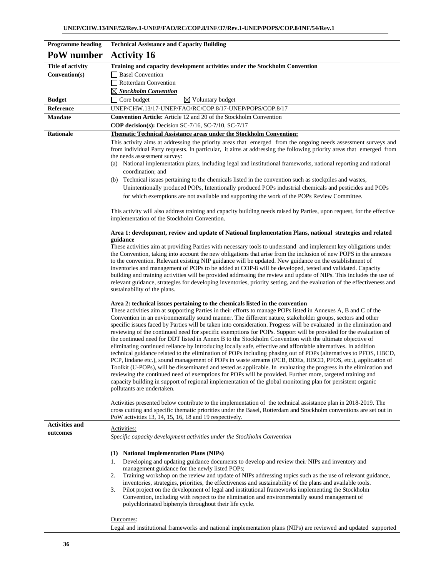| <b>Programme heading</b> | <b>Technical Assistance and Capacity Building</b>                                                                                                                                                                                                                                                                                                                                                                                                                                                                                                                                                                                                                                                                                                                                                                                                                                                                                                                                                                                                                                                                                                                                                                                                                                                                                                                                                                                                                                                         |
|--------------------------|-----------------------------------------------------------------------------------------------------------------------------------------------------------------------------------------------------------------------------------------------------------------------------------------------------------------------------------------------------------------------------------------------------------------------------------------------------------------------------------------------------------------------------------------------------------------------------------------------------------------------------------------------------------------------------------------------------------------------------------------------------------------------------------------------------------------------------------------------------------------------------------------------------------------------------------------------------------------------------------------------------------------------------------------------------------------------------------------------------------------------------------------------------------------------------------------------------------------------------------------------------------------------------------------------------------------------------------------------------------------------------------------------------------------------------------------------------------------------------------------------------------|
| PoW number               | <b>Activity 16</b>                                                                                                                                                                                                                                                                                                                                                                                                                                                                                                                                                                                                                                                                                                                                                                                                                                                                                                                                                                                                                                                                                                                                                                                                                                                                                                                                                                                                                                                                                        |
| <b>Title of activity</b> | Training and capacity development activities under the Stockholm Convention                                                                                                                                                                                                                                                                                                                                                                                                                                                                                                                                                                                                                                                                                                                                                                                                                                                                                                                                                                                                                                                                                                                                                                                                                                                                                                                                                                                                                               |
| Convention(s)            | <b>Basel Convention</b>                                                                                                                                                                                                                                                                                                                                                                                                                                                                                                                                                                                                                                                                                                                                                                                                                                                                                                                                                                                                                                                                                                                                                                                                                                                                                                                                                                                                                                                                                   |
|                          | Rotterdam Convention                                                                                                                                                                                                                                                                                                                                                                                                                                                                                                                                                                                                                                                                                                                                                                                                                                                                                                                                                                                                                                                                                                                                                                                                                                                                                                                                                                                                                                                                                      |
|                          | $\boxtimes$ Stockholm Convention                                                                                                                                                                                                                                                                                                                                                                                                                                                                                                                                                                                                                                                                                                                                                                                                                                                                                                                                                                                                                                                                                                                                                                                                                                                                                                                                                                                                                                                                          |
| <b>Budget</b>            | $\boxtimes$ Voluntary budget<br>Core budget                                                                                                                                                                                                                                                                                                                                                                                                                                                                                                                                                                                                                                                                                                                                                                                                                                                                                                                                                                                                                                                                                                                                                                                                                                                                                                                                                                                                                                                               |
| Reference                | UNEP/CHW.13/17-UNEP/FAO/RC/COP.8/17-UNEP/POPS/COP.8/17                                                                                                                                                                                                                                                                                                                                                                                                                                                                                                                                                                                                                                                                                                                                                                                                                                                                                                                                                                                                                                                                                                                                                                                                                                                                                                                                                                                                                                                    |
| <b>Mandate</b>           | Convention Article: Article 12 and 20 of the Stockholm Convention                                                                                                                                                                                                                                                                                                                                                                                                                                                                                                                                                                                                                                                                                                                                                                                                                                                                                                                                                                                                                                                                                                                                                                                                                                                                                                                                                                                                                                         |
|                          | COP decision(s): Decision SC-7/16, SC-7/10, SC-7/17                                                                                                                                                                                                                                                                                                                                                                                                                                                                                                                                                                                                                                                                                                                                                                                                                                                                                                                                                                                                                                                                                                                                                                                                                                                                                                                                                                                                                                                       |
| <b>Rationale</b>         | <b>Thematic Technical Assistance areas under the Stockholm Convention:</b><br>This activity aims at addressing the priority areas that emerged from the ongoing needs assessment surveys and<br>from individual Party requests. In particular, it aims at addressing the following priority areas that emerged from<br>the needs assessment survey:<br>(a) National implementation plans, including legal and institutional frameworks, national reporting and national<br>coordination; and<br>(b) Technical issues pertaining to the chemicals listed in the convention such as stockpiles and wastes,<br>Unintentionally produced POPs, Intentionally produced POPs industrial chemicals and pesticides and POPs                                                                                                                                                                                                                                                                                                                                                                                                                                                                                                                                                                                                                                                                                                                                                                                       |
|                          | for which exemptions are not available and supporting the work of the POPs Review Committee.<br>This activity will also address training and capacity building needs raised by Parties, upon request, for the effective<br>implementation of the Stockholm Convention.                                                                                                                                                                                                                                                                                                                                                                                                                                                                                                                                                                                                                                                                                                                                                                                                                                                                                                                                                                                                                                                                                                                                                                                                                                    |
|                          | Area 1: development, review and update of National Implementation Plans, national strategies and related<br>guidance<br>These activities aim at providing Parties with necessary tools to understand and implement key obligations under<br>the Convention, taking into account the new obligations that arise from the inclusion of new POPS in the annexes<br>to the convention. Relevant existing NIP guidance will be updated. New guidance on the establishment of<br>inventories and management of POPs to be added at COP-8 will be developed, tested and validated. Capacity<br>building and training activities will be provided addressing the review and update of NIPs. This includes the use of<br>relevant guidance, strategies for developing inventories, priority setting, and the evaluation of the effectiveness and<br>sustainability of the plans.<br>Area 2: technical issues pertaining to the chemicals listed in the convention<br>These activities aim at supporting Parties in their efforts to manage POPs listed in Annexes A, B and C of the                                                                                                                                                                                                                                                                                                                                                                                                                                |
|                          | Convention in an environmentally sound manner. The different nature, stakeholder groups, sectors and other<br>specific issues faced by Parties will be taken into consideration. Progress will be evaluated in the elimination and<br>reviewing of the continued need for specific exemptions for POPs. Support will be provided for the evaluation of<br>the continued need for DDT listed in Annex B to the Stockholm Convention with the ultimate objective of<br>eliminating continued reliance by introducing locally safe, effective and affordable alternatives. In addition<br>technical guidance related to the elimination of POPs including phasing out of POPs (alternatives to PFOS, HBCD,<br>PCP, lindane etc.), sound management of POPs in waste streams (PCB, BDEs, HBCD, PFOS, etc.), application of<br>Toolkit (U-POPs), will be disseminated and tested as applicable. In evaluating the progress in the elimination and<br>reviewing the continued need of exemptions for POPs will be provided. Further more, targeted training and<br>capacity building in support of regional implementation of the global monitoring plan for persistent organic<br>pollutants are undertaken.<br>Activities presented below contribute to the implementation of the technical assistance plan in 2018-2019. The<br>cross cutting and specific thematic priorities under the Basel, Rotterdam and Stockholm conventions are set out in<br>PoW activities 13, 14, 15, 16, 18 and 19 respectively. |
| <b>Activities and</b>    |                                                                                                                                                                                                                                                                                                                                                                                                                                                                                                                                                                                                                                                                                                                                                                                                                                                                                                                                                                                                                                                                                                                                                                                                                                                                                                                                                                                                                                                                                                           |
| outcomes                 | Activities:<br>Specific capacity development activities under the Stockholm Convention<br>(1) National Implementation Plans (NIPs)<br>Developing and updating guidance documents to develop and review their NIPs and inventory and<br>1.<br>management guidance for the newly listed POPs;<br>Training workshop on the review and update of NIPs addressing topics such as the use of relevant guidance,<br>2.<br>inventories, strategies, priorities, the effectiveness and sustainability of the plans and available tools.<br>3.<br>Pilot project on the development of legal and institutional frameworks implementing the Stockholm<br>Convention, including with respect to the elimination and environmentally sound management of<br>polychlorinated biphenyls throughout their life cycle.<br>Outcomes:                                                                                                                                                                                                                                                                                                                                                                                                                                                                                                                                                                                                                                                                                         |
|                          | Legal and institutional frameworks and national implementation plans (NIPs) are reviewed and updated supported                                                                                                                                                                                                                                                                                                                                                                                                                                                                                                                                                                                                                                                                                                                                                                                                                                                                                                                                                                                                                                                                                                                                                                                                                                                                                                                                                                                            |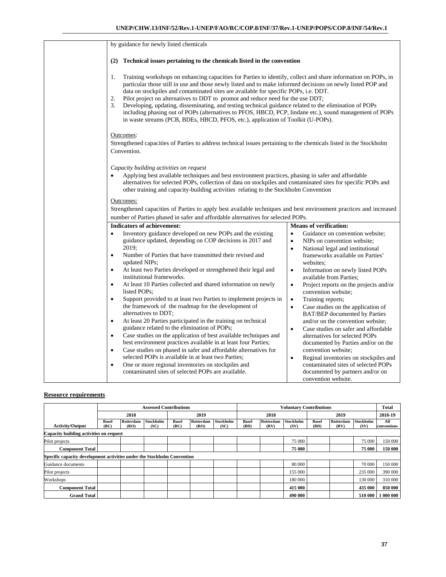| by guidance for newly listed chemicals                                                                                                                                                                                                                                                                                                                                                                                                                                                                                                                                                                                                                                                                                                                                                                                                                                                                                                                                                                                                                                                                                                                                                                                                                                                                                                                                                                                                                                                                                                                                                                                                                                                                                                                                                                                                                                                                                                                                                             |  |  |  |  |  |
|----------------------------------------------------------------------------------------------------------------------------------------------------------------------------------------------------------------------------------------------------------------------------------------------------------------------------------------------------------------------------------------------------------------------------------------------------------------------------------------------------------------------------------------------------------------------------------------------------------------------------------------------------------------------------------------------------------------------------------------------------------------------------------------------------------------------------------------------------------------------------------------------------------------------------------------------------------------------------------------------------------------------------------------------------------------------------------------------------------------------------------------------------------------------------------------------------------------------------------------------------------------------------------------------------------------------------------------------------------------------------------------------------------------------------------------------------------------------------------------------------------------------------------------------------------------------------------------------------------------------------------------------------------------------------------------------------------------------------------------------------------------------------------------------------------------------------------------------------------------------------------------------------------------------------------------------------------------------------------------------------|--|--|--|--|--|
| (2)<br>Technical issues pertaining to the chemicals listed in the convention                                                                                                                                                                                                                                                                                                                                                                                                                                                                                                                                                                                                                                                                                                                                                                                                                                                                                                                                                                                                                                                                                                                                                                                                                                                                                                                                                                                                                                                                                                                                                                                                                                                                                                                                                                                                                                                                                                                       |  |  |  |  |  |
| 1.<br>Training workshops on enhancing capacities for Parties to identify, collect and share information on POPs, in<br>particular those still in use and those newly listed and to make informed decisions on newly listed POP and<br>data on stockpiles and contaminated sites are available for specific POPs, i.e. DDT.<br>Pilot project on alternatives to DDT to promot and reduce need for the use DDT;<br>2.<br>3.<br>Developing, updating, disseminating, and testing technical guidance related to the elimination of POPs<br>including phasing out of POPs (alternatives to PFOS, HBCD, PCP, lindane etc.), sound management of POPs<br>in waste streams (PCB, BDEs, HBCD, PFOS, etc.), application of Toolkit (U-POPs).                                                                                                                                                                                                                                                                                                                                                                                                                                                                                                                                                                                                                                                                                                                                                                                                                                                                                                                                                                                                                                                                                                                                                                                                                                                                 |  |  |  |  |  |
| Outcomes:<br>Strengthened capacities of Parties to address technical issues pertaining to the chemicals listed in the Stockholm<br>Convention.                                                                                                                                                                                                                                                                                                                                                                                                                                                                                                                                                                                                                                                                                                                                                                                                                                                                                                                                                                                                                                                                                                                                                                                                                                                                                                                                                                                                                                                                                                                                                                                                                                                                                                                                                                                                                                                     |  |  |  |  |  |
| Capacity building activities on request<br>Applying best available techniques and best environment practices, phasing in safer and affordable<br>$\bullet$<br>alternatives for selected POPs, collection of data on stockpiles and contaminated sites for specific POPs and<br>other training and capacity-building activities relating to the Stockholm Convention                                                                                                                                                                                                                                                                                                                                                                                                                                                                                                                                                                                                                                                                                                                                                                                                                                                                                                                                                                                                                                                                                                                                                                                                                                                                                                                                                                                                                                                                                                                                                                                                                                |  |  |  |  |  |
| Outcomes:<br>Strengthened capacities of Parties to apply best available techniques and best environment practices and increased<br>number of Parties phased in safer and affordable alternatives for selected POPs.                                                                                                                                                                                                                                                                                                                                                                                                                                                                                                                                                                                                                                                                                                                                                                                                                                                                                                                                                                                                                                                                                                                                                                                                                                                                                                                                                                                                                                                                                                                                                                                                                                                                                                                                                                                |  |  |  |  |  |
| <b>Indicators of achievement:</b><br><b>Means of verification:</b>                                                                                                                                                                                                                                                                                                                                                                                                                                                                                                                                                                                                                                                                                                                                                                                                                                                                                                                                                                                                                                                                                                                                                                                                                                                                                                                                                                                                                                                                                                                                                                                                                                                                                                                                                                                                                                                                                                                                 |  |  |  |  |  |
| Guidance on convention website;<br>Inventory guidance developed on new POPs and the existing<br>$\bullet$<br>$\bullet$<br>guidance updated, depending on COP decisions in 2017 and<br>NIPs on convention website;<br>$\bullet$<br>2019;<br>National legal and institutional<br>$\bullet$<br>$\bullet$<br>Number of Parties that have transmitted their revised and<br>frameworks available on Parties'<br>updated NIPs;<br>websites:<br>At least two Parties developed or strengthened their legal and<br>Information on newly listed POPs<br>$\bullet$<br>$\bullet$<br>institutional frameworks.<br>available from Parties;<br>At least 10 Parties collected and shared information on newly<br>Project reports on the projects and/or<br>$\bullet$<br>$\bullet$<br>listed POPs;<br>convention website;<br>Support provided to at least two Parties to implement projects in<br>$\bullet$<br>$\bullet$<br>Training reports;<br>the framework of the roadmap for the development of<br>Case studies on the application of<br>$\bullet$<br>alternatives to DDT;<br>BAT/BEP documented by Parties<br>At least 20 Parties participated in the training on technical<br>and/or on the convention website;<br>$\bullet$<br>guidance related to the elimination of POPs;<br>Case studies on safer and affordable<br>$\bullet$<br>Case studies on the application of best available techniques and<br>alternatives for selected POPs<br>$\bullet$<br>best environment practices available in at least four Parties;<br>documented by Parties and/or on the<br>Case studies on phased in safer and affordable alternatives for<br>convention website;<br>$\bullet$<br>selected POPs is available in at least two Parties;<br>Reginal inventories on stockpiles and<br>$\bullet$<br>One or more regional inventories on stockpiles and<br>contaminated sites of selected POPs<br>$\bullet$<br>contaminated sites of selected POPs are available.<br>documented by partners and/or on<br>convention website. |  |  |  |  |  |

|                                                                         |                      | <b>Assessed Contributions</b> |                   |                      |                   |                          | <b>Voluntary Contributions</b> |                   |                   |                      |                   | <b>Total</b>      |                    |
|-------------------------------------------------------------------------|----------------------|-------------------------------|-------------------|----------------------|-------------------|--------------------------|--------------------------------|-------------------|-------------------|----------------------|-------------------|-------------------|--------------------|
|                                                                         |                      | 2018                          |                   | 2019                 |                   | 2018                     |                                | 2019              |                   |                      | 2018-19           |                   |                    |
| <b>Activity/Output</b>                                                  | <b>Basel</b><br>(BC) | Rotterdam<br>(RO)             | Stockholm<br>(SC) | <b>Basel</b><br>(BC) | Rotterdam<br>(RO) | <b>Stockholm</b><br>(SC) | <b>Basel</b><br>(BD)           | Rotterdam<br>(RV) | Stockholm<br>(SV) | <b>Basel</b><br>(BD) | Rotterdam<br>(RV) | Stockholm<br>(SV) | All<br>conventions |
| Capacity building activities on request                                 |                      |                               |                   |                      |                   |                          |                                |                   |                   |                      |                   |                   |                    |
| Pilot projects                                                          |                      |                               |                   |                      |                   |                          |                                |                   | 75 000            |                      |                   | 75 000            | 150 000            |
| <b>Component Total</b>                                                  |                      |                               |                   |                      |                   |                          |                                |                   | 75 000            |                      |                   | 75 000            | 150 000            |
| Specific capacity development activities under the Stockholm Convention |                      |                               |                   |                      |                   |                          |                                |                   |                   |                      |                   |                   |                    |
| Guidance documents                                                      |                      |                               |                   |                      |                   |                          |                                |                   | 80 000            |                      |                   | 70 000            | 150 000            |
| Pilot projects                                                          |                      |                               |                   |                      |                   |                          |                                |                   | 155 000           |                      |                   | 235 000           | 390 000            |
| Workshops                                                               |                      |                               |                   |                      |                   |                          |                                |                   | 180 000           |                      |                   | 130 000           | 310 000            |
| <b>Component Total</b>                                                  |                      |                               |                   |                      |                   |                          |                                |                   | 415 000           |                      |                   | 435 000           | 850 000            |
| <b>Grand Total</b>                                                      |                      |                               |                   |                      |                   |                          |                                |                   | 490 000           |                      |                   | 510 000           | 1 000 000          |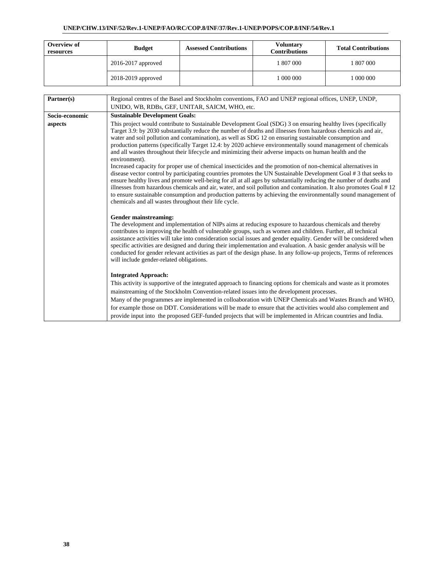| Overview of<br>resources | <b>Budget</b>          | <b>Assessed Contributions</b> | <b>Voluntary</b><br><b>Contributions</b> | <b>Total Contributions</b> |
|--------------------------|------------------------|-------------------------------|------------------------------------------|----------------------------|
|                          | $2016 - 2017$ approved |                               | 1807000                                  | 807 000                    |
|                          | 2018-2019 approved     |                               | 1 000 000                                | 000 000                    |

| Partner(s)     | Regional centres of the Basel and Stockholm conventions, FAO and UNEP regional offices, UNEP, UNDP,                                                                                                                                                                                                                                                                                                                                                                                                                                                                                                                                                                                                                                                                                                                                                                                                                                                                                                                                                                                                                                                                                                                                                                    |  |  |  |  |  |
|----------------|------------------------------------------------------------------------------------------------------------------------------------------------------------------------------------------------------------------------------------------------------------------------------------------------------------------------------------------------------------------------------------------------------------------------------------------------------------------------------------------------------------------------------------------------------------------------------------------------------------------------------------------------------------------------------------------------------------------------------------------------------------------------------------------------------------------------------------------------------------------------------------------------------------------------------------------------------------------------------------------------------------------------------------------------------------------------------------------------------------------------------------------------------------------------------------------------------------------------------------------------------------------------|--|--|--|--|--|
|                | UNIDO, WB, RDBs, GEF, UNITAR, SAICM, WHO, etc.                                                                                                                                                                                                                                                                                                                                                                                                                                                                                                                                                                                                                                                                                                                                                                                                                                                                                                                                                                                                                                                                                                                                                                                                                         |  |  |  |  |  |
| Socio-economic | <b>Sustainable Development Goals:</b>                                                                                                                                                                                                                                                                                                                                                                                                                                                                                                                                                                                                                                                                                                                                                                                                                                                                                                                                                                                                                                                                                                                                                                                                                                  |  |  |  |  |  |
| aspects        | This project would contribute to Sustainable Development Goal (SDG) 3 on ensuring healthy lives (specifically<br>Target 3.9: by 2030 substantially reduce the number of deaths and illnesses from hazardous chemicals and air,<br>water and soil pollution and contamination), as well as SDG 12 on ensuring sustainable consumption and<br>production patterns (specifically Target 12.4: by 2020 achieve environmentally sound management of chemicals<br>and all wastes throughout their lifecycle and minimizing their adverse impacts on human health and the<br>environment).<br>Increased capacity for proper use of chemical insecticides and the promotion of non-chemical alternatives in<br>disease vector control by participating countries promotes the UN Sustainable Development Goal #3 that seeks to<br>ensure healthy lives and promote well-being for all at all ages by substantially reducing the number of deaths and<br>illnesses from hazardous chemicals and air, water, and soil pollution and contamination. It also promotes Goal #12<br>to ensure sustainable consumption and production patterns by achieving the environmentally sound management of<br>chemicals and all wastes throughout their life cycle.<br>Gender mainstreaming: |  |  |  |  |  |
|                | The development and implementation of NIPs aims at reducing exposure to hazardous chemicals and thereby<br>contributes to improving the health of vulnerable groups, such as women and children. Further, all technical<br>assistance activities will take into consideration social issues and gender equality. Gender will be considered when<br>specific activities are designed and during their implementation and evaluation. A basic gender analysis will be<br>conducted for gender relevant activities as part of the design phase. In any follow-up projects, Terms of references<br>will include gender-related obligations.                                                                                                                                                                                                                                                                                                                                                                                                                                                                                                                                                                                                                                |  |  |  |  |  |
|                | <b>Integrated Approach:</b>                                                                                                                                                                                                                                                                                                                                                                                                                                                                                                                                                                                                                                                                                                                                                                                                                                                                                                                                                                                                                                                                                                                                                                                                                                            |  |  |  |  |  |
|                | This activity is supportive of the integrated approach to financing options for chemicals and waste as it promotes                                                                                                                                                                                                                                                                                                                                                                                                                                                                                                                                                                                                                                                                                                                                                                                                                                                                                                                                                                                                                                                                                                                                                     |  |  |  |  |  |
|                | mainstreaming of the Stockholm Convention-related issues into the development processes.                                                                                                                                                                                                                                                                                                                                                                                                                                                                                                                                                                                                                                                                                                                                                                                                                                                                                                                                                                                                                                                                                                                                                                               |  |  |  |  |  |
|                | Many of the programmes are implemented in colloaboration with UNEP Chemicals and Wastes Branch and WHO,<br>for example those on DDT. Considerations will be made to ensure that the activities would also complement and                                                                                                                                                                                                                                                                                                                                                                                                                                                                                                                                                                                                                                                                                                                                                                                                                                                                                                                                                                                                                                               |  |  |  |  |  |
|                | provide input into the proposed GEF-funded projects that will be implemented in African countries and India.                                                                                                                                                                                                                                                                                                                                                                                                                                                                                                                                                                                                                                                                                                                                                                                                                                                                                                                                                                                                                                                                                                                                                           |  |  |  |  |  |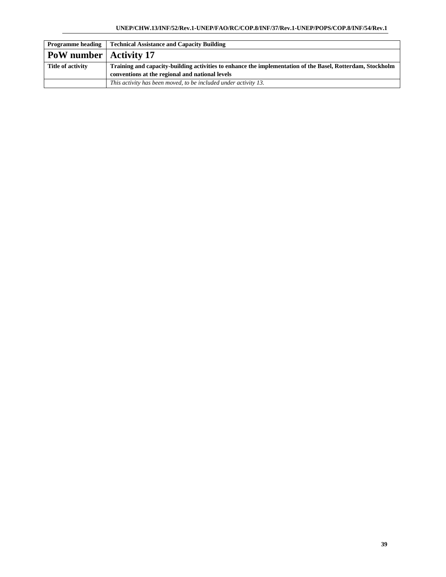| <b>Programme heading</b>        | <b>Technical Assistance and Capacity Building</b>                                                          |
|---------------------------------|------------------------------------------------------------------------------------------------------------|
| <b>PoW</b> number   Activity 17 |                                                                                                            |
| Title of activity               | Training and capacity-building activities to enhance the implementation of the Basel, Rotterdam, Stockholm |
|                                 | conventions at the regional and national levels                                                            |
|                                 | This activity has been moved, to be included under activity 13.                                            |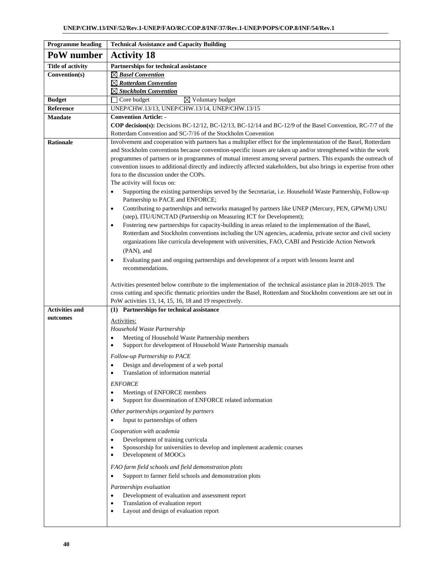| <b>Programme</b> heading | <b>Technical Assistance and Capacity Building</b>                                                                                                                                                                                 |
|--------------------------|-----------------------------------------------------------------------------------------------------------------------------------------------------------------------------------------------------------------------------------|
| PoW number               | <b>Activity 18</b>                                                                                                                                                                                                                |
| <b>Title of activity</b> | Partnerships for technical assistance                                                                                                                                                                                             |
| Convention(s)            | $\boxtimes$ Basel Convention                                                                                                                                                                                                      |
|                          | $\boxtimes$ Rotterdam Convention                                                                                                                                                                                                  |
|                          | $\boxtimes$ Stockholm Convention                                                                                                                                                                                                  |
| <b>Budget</b>            | $\boxtimes$ Voluntary budget<br>Core budget                                                                                                                                                                                       |
| Reference                | UNEP/CHW.13/13, UNEP/CHW.13/14, UNEP/CHW.13/15                                                                                                                                                                                    |
| <b>Mandate</b>           | <b>Convention Article: -</b>                                                                                                                                                                                                      |
|                          | COP decision(s): Decisions BC-12/12, BC-12/13, BC-12/14 and BC-12/9 of the Basel Convention, RC-7/7 of the                                                                                                                        |
|                          | Rotterdam Convention and SC-7/16 of the Stockholm Convention                                                                                                                                                                      |
| <b>Rationale</b>         | Involvement and cooperation with partners has a multiplier effect for the implementation of the Basel, Rotterdam<br>and Stockholm conventions because convention-specific issues are taken up and/or strengthened within the work |
|                          | programmes of partners or in programmes of mutual interest among several partners. This expands the outreach of                                                                                                                   |
|                          | convention issues to additional directly and indirectly affected stakeholders, but also brings in expertise from other                                                                                                            |
|                          | for a to the discussion under the COPs.                                                                                                                                                                                           |
|                          | The activity will focus on:                                                                                                                                                                                                       |
|                          | Supporting the existing partnerships served by the Secretariat, i.e. Household Waste Partnership, Follow-up                                                                                                                       |
|                          | Partnership to PACE and ENFORCE;                                                                                                                                                                                                  |
|                          | Contributing to partnerships and networks managed by partners like UNEP (Mercury, PEN, GPWM) UNU<br>$\bullet$                                                                                                                     |
|                          | (step), ITU/UNCTAD (Partnership on Measuring ICT for Development);                                                                                                                                                                |
|                          | Fostering new partnerships for capacity-building in areas related to the implementation of the Basel,<br>$\bullet$                                                                                                                |
|                          | Rotterdam and Stockholm conventions including the UN agencies, academia, private sector and civil society                                                                                                                         |
|                          | organizations like curricula development with universities, FAO, CABI and Pesticide Action Network                                                                                                                                |
|                          | (PAN), and                                                                                                                                                                                                                        |
|                          | Evaluating past and ongoing partnerships and development of a report with lessons learnt and<br>$\bullet$                                                                                                                         |
|                          | recommendations.                                                                                                                                                                                                                  |
|                          | Activities presented below contribute to the implementation of the technical assistance plan in 2018-2019. The                                                                                                                    |
|                          | cross cutting and specific thematic priorities under the Basel, Rotterdam and Stockholm conventions are set out in                                                                                                                |
|                          | PoW activities 13, 14, 15, 16, 18 and 19 respectively.                                                                                                                                                                            |
| <b>Activities and</b>    | (1) Partnerships for technical assistance                                                                                                                                                                                         |
| outcomes                 | Activities:                                                                                                                                                                                                                       |
|                          | Household Waste Partnership                                                                                                                                                                                                       |
|                          | Meeting of Household Waste Partnership members<br>$\bullet$                                                                                                                                                                       |
|                          | Support for development of Household Waste Partnership manuals<br>$\bullet$                                                                                                                                                       |
|                          | Follow-up Partnership to PACE                                                                                                                                                                                                     |
|                          | Design and development of a web portal                                                                                                                                                                                            |
|                          | Translation of information material<br>٠                                                                                                                                                                                          |
|                          | <b>ENFORCE</b>                                                                                                                                                                                                                    |
|                          | Meetings of ENFORCE members<br>٠                                                                                                                                                                                                  |
|                          | Support for dissemination of ENFORCE related information<br>$\bullet$                                                                                                                                                             |
|                          | Other partnerships organized by partners                                                                                                                                                                                          |
|                          | Input to partnerships of others<br>$\bullet$                                                                                                                                                                                      |
|                          | Cooperation with academia                                                                                                                                                                                                         |
|                          | Development of training curricula                                                                                                                                                                                                 |
|                          | Sponsorship for universities to develop and implement academic courses<br>$\bullet$                                                                                                                                               |
|                          | Development of MOOCs<br>$\bullet$                                                                                                                                                                                                 |
|                          | FAO farm field schools and field demonstration plots                                                                                                                                                                              |
|                          | Support to farmer field schools and demonstration plots<br>$\bullet$                                                                                                                                                              |
|                          | Partnerships evaluation                                                                                                                                                                                                           |
|                          | Development of evaluation and assessment report<br>$\bullet$                                                                                                                                                                      |
|                          | Translation of evaluation report<br>$\bullet$                                                                                                                                                                                     |
|                          | Layout and design of evaluation report<br>$\bullet$                                                                                                                                                                               |
|                          |                                                                                                                                                                                                                                   |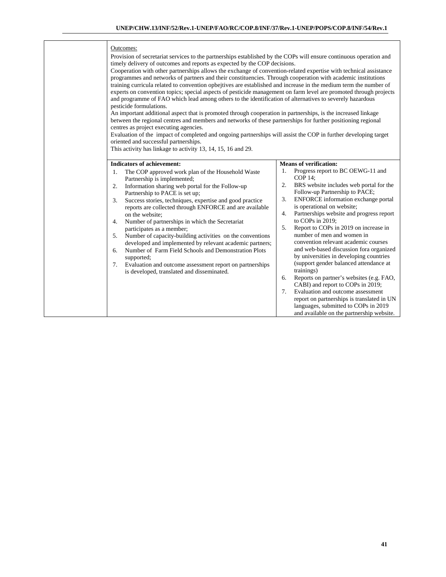#### Outcomes:

Provision of secretariat services to the partnerships established by the COPs will ensure continuous operation and timely delivery of outcomes and reports as expected by the COP decisions.

Cooperation with other partnerships allows the exchange of convention-related expertise with technical assistance programmes and networks of partners and their constituencies. Through cooperation with academic institutions training curricula related to convention opbejtives are established and increase in the medium term the number of experts on convention topics; special aspects of pesticide management on farm level are promoted through projects and programme of FAO which lead among others to the identification of alternatives to severely hazardous pesticide formulations.

An important additional aspect that is promoted through cooperation in partnerships, is the increased linkage between the regional centres and members and networks of these partnerships for further positioning regional centres as project executing agencies.

Evaluation of the impact of completed and ongoing partnerships will assist the COP in further developing target oriented and successful partnerships.

This activity has linkage to activity 13, 14, 15, 16 and 29.

|                                        | <b>Indicators of achievement:</b>                                                                                                                                                                                                                                                                                                                                                                                                                                                                                                                                                                                                                                                                         |                                        | <b>Means of verification:</b>                                                                                                                                                                                                                                                                                                                                                                                                                                                                                                                                                                                                                                                                                                                                                                    |
|----------------------------------------|-----------------------------------------------------------------------------------------------------------------------------------------------------------------------------------------------------------------------------------------------------------------------------------------------------------------------------------------------------------------------------------------------------------------------------------------------------------------------------------------------------------------------------------------------------------------------------------------------------------------------------------------------------------------------------------------------------------|----------------------------------------|--------------------------------------------------------------------------------------------------------------------------------------------------------------------------------------------------------------------------------------------------------------------------------------------------------------------------------------------------------------------------------------------------------------------------------------------------------------------------------------------------------------------------------------------------------------------------------------------------------------------------------------------------------------------------------------------------------------------------------------------------------------------------------------------------|
| 1.<br>2.<br>3.<br>4.<br>5.<br>6.<br>7. | The COP approved work plan of the Household Waste<br>Partnership is implemented;<br>Information sharing web portal for the Follow-up<br>Partnership to PACE is set up;<br>Success stories, techniques, expertise and good practice<br>reports are collected through ENFORCE and are available<br>on the website:<br>Number of partnerships in which the Secretariat<br>participates as a member;<br>Number of capacity-building activities on the conventions<br>developed and implemented by relevant academic partners;<br>Number of Farm Field Schools and Demonstration Plots<br>supported;<br>Evaluation and outcome assessment report on partnerships<br>is developed, translated and disseminated. | 1.<br>2.<br>3.<br>4.<br>5.<br>6.<br>7. | Progress report to BC OEWG-11 and<br>$COP14$ :<br>BRS website includes web portal for the<br>Follow-up Partnership to PACE;<br><b>ENFORCE</b> information exchange portal<br>is operational on website;<br>Partnerships website and progress report<br>to COPs in $2019$ ;<br>Report to COPs in 2019 on increase in<br>number of men and women in<br>convention relevant academic courses<br>and web-based discussion for aorganized<br>by universities in developing countries<br>(support gender balanced attendance at<br>trainings)<br>Reports on partner's websites (e.g. FAO,<br>CABI) and report to COPs in 2019;<br>Evaluation and outcome assessment<br>report on partnerships is translated in UN<br>languages, submitted to COPs in 2019<br>and available on the partnership website. |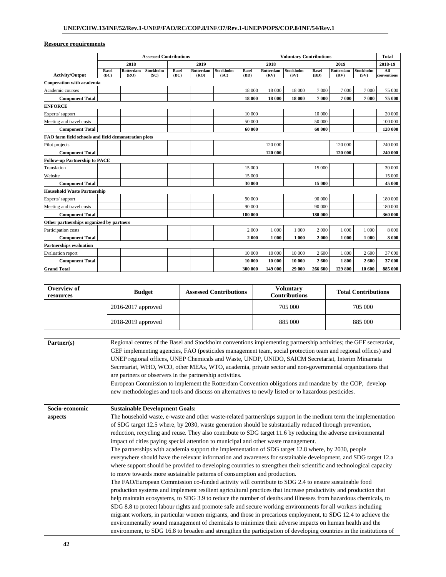|                                                      | <b>Assessed Contributions</b> |                   |                          |                      |                   | <b>Voluntary Contributions</b> |                      |                   |                   | <b>Total</b>         |                   |                   |                    |
|------------------------------------------------------|-------------------------------|-------------------|--------------------------|----------------------|-------------------|--------------------------------|----------------------|-------------------|-------------------|----------------------|-------------------|-------------------|--------------------|
|                                                      |                               | 2018              |                          |                      | 2019              |                                |                      | 2018              |                   |                      | 2019              |                   | 2018-19            |
| <b>Activity/Output</b>                               | <b>Basel</b><br>(BC)          | Rotterdam<br>(RO) | <b>Stockholm</b><br>(SC) | <b>Basel</b><br>(BC) | Rotterdam<br>(RO) | Stockholm<br>(SC)              | <b>Basel</b><br>(BD) | Rotterdam<br>(RV) | Stockholm<br>(SV) | <b>Basel</b><br>(BD) | Rotterdam<br>(RV) | Stockholm<br>(SV) | All<br>conventions |
| <b>Cooperation with academia</b>                     |                               |                   |                          |                      |                   |                                |                      |                   |                   |                      |                   |                   |                    |
| Academic courses                                     |                               |                   |                          |                      |                   |                                | 18 000               | 18 000            | 18 000            | 7000                 | 7 000             | 7000              | 75 000             |
| <b>Component Total</b>                               |                               |                   |                          |                      |                   |                                | 18 000               | 18 000            | 18 000            | 7 000                | 7000              | 7000              | 75 000             |
| <b>ENFORCE</b>                                       |                               |                   |                          |                      |                   |                                |                      |                   |                   |                      |                   |                   |                    |
| Experts' support                                     |                               |                   |                          |                      |                   |                                | 10 000               |                   |                   | 10 000               |                   |                   | 20 000             |
| Meeting and travel costs                             |                               |                   |                          |                      |                   |                                | 50 000               |                   |                   | 50 000               |                   |                   | 100 000            |
| <b>Component Total</b>                               |                               |                   |                          |                      |                   |                                | 60 000               |                   |                   | 60 000               |                   |                   | 120 000            |
| FAO farm field schools and field demonstration plots |                               |                   |                          |                      |                   |                                |                      |                   |                   |                      |                   |                   |                    |
| Pilot projects                                       |                               |                   |                          |                      |                   |                                |                      | 120 000           |                   |                      | 120 000           |                   | 240 000            |
| <b>Component Total</b>                               |                               |                   |                          |                      |                   |                                |                      | 120 000           |                   |                      | 120 000           |                   | 240 000            |
| <b>Follow-up Partnership to PACE</b>                 |                               |                   |                          |                      |                   |                                |                      |                   |                   |                      |                   |                   |                    |
| Translation                                          |                               |                   |                          |                      |                   |                                | 15 000               |                   |                   | 15 000               |                   |                   | 30 000             |
| Website                                              |                               |                   |                          |                      |                   |                                | 15 000               |                   |                   |                      |                   |                   | 15 000             |
| <b>Component Total</b>                               |                               |                   |                          |                      |                   |                                | 30 000               |                   |                   | 15 000               |                   |                   | 45 000             |
| <b>Household Waste Partnership</b>                   |                               |                   |                          |                      |                   |                                |                      |                   |                   |                      |                   |                   |                    |
| Experts' support                                     |                               |                   |                          |                      |                   |                                | 90 000               |                   |                   | 90 000               |                   |                   | 180 000            |
| Meeting and travel costs                             |                               |                   |                          |                      |                   |                                | 90 000               |                   |                   | 90 000               |                   |                   | 180 000            |
| <b>Component Total</b>                               |                               |                   |                          |                      |                   |                                | 180 000              |                   |                   | 180 000              |                   |                   | 360 000            |
| Other partnerships organized by partners             |                               |                   |                          |                      |                   |                                |                      |                   |                   |                      |                   |                   |                    |
| Participation costs                                  |                               |                   |                          |                      |                   |                                | 2 000                | 1 000             | 1 000             | 2 000                | 1 000             | 1 000             | 8 0 0 0            |
| <b>Component Total</b>                               |                               |                   |                          |                      |                   |                                | 2000                 | 1 000             | 1 000             | 2000                 | 1 000             | 1 000             | 8000               |
| <b>Partnerships evaluation</b>                       |                               |                   |                          |                      |                   |                                |                      |                   |                   |                      |                   |                   |                    |
| <b>Evaluation</b> report                             |                               |                   |                          |                      |                   |                                | 10 000               | 10 000            | 10 000            | 2 600                | 1800              | 2 600             | 37 000             |
| <b>Component Total</b>                               |                               |                   |                          |                      |                   |                                | 10 000               | 10 000            | 10 000            | 2600                 | 1800              | 2600              | 37 000             |
| <b>Grand Total</b>                                   |                               |                   |                          |                      |                   |                                | 300 000              | 149 000           | 29 000            | 266 600              | 129 800           | 10 600            | 885 000            |

| Overview of<br>resources | <b>Budget</b>          | <b>Assessed Contributions</b> | <b>Voluntary</b><br><b>Contributions</b> | <b>Total Contributions</b> |  |
|--------------------------|------------------------|-------------------------------|------------------------------------------|----------------------------|--|
|                          | $2016 - 2017$ approved |                               | 705 000                                  | 705 000                    |  |
|                          | 2018-2019 approved     |                               | 885 000                                  | 885 000                    |  |

| Partner(s)     | Regional centres of the Basel and Stockholm conventions implementing partnership activities; the GEF secretariat,<br>GEF implementing agencies, FAO (pesticides management team, social protection team and regional offices) and<br>UNEP regional offices, UNEP Chemicals and Waste, UNDP, UNIDO, SAICM Secretariat, Interim Minamata<br>Secretariat, WHO, WCO, other MEAs, WTO, academia, private sector and non-governmental organizations that<br>are partners or observers in the partnership activities.<br>European Commission to implement the Rotterdam Convention obligations and mandate by the COP, develop<br>new methodologies and tools and discuss on alternatives to newly listed or to hazardous pesticides. |
|----------------|--------------------------------------------------------------------------------------------------------------------------------------------------------------------------------------------------------------------------------------------------------------------------------------------------------------------------------------------------------------------------------------------------------------------------------------------------------------------------------------------------------------------------------------------------------------------------------------------------------------------------------------------------------------------------------------------------------------------------------|
| Socio-economic | <b>Sustainable Development Goals:</b>                                                                                                                                                                                                                                                                                                                                                                                                                                                                                                                                                                                                                                                                                          |
| aspects        | The household waste, e-waste and other waste-related partnerships support in the medium term the implementation                                                                                                                                                                                                                                                                                                                                                                                                                                                                                                                                                                                                                |
|                | of SDG target 12.5 where, by 2030, waste generation should be substantially reduced through prevention,                                                                                                                                                                                                                                                                                                                                                                                                                                                                                                                                                                                                                        |
|                | reduction, recycling and reuse. They also contribute to SDG target 11.6 by reducing the adverse environmental                                                                                                                                                                                                                                                                                                                                                                                                                                                                                                                                                                                                                  |
|                | impact of cities paying special attention to municipal and other waste management.                                                                                                                                                                                                                                                                                                                                                                                                                                                                                                                                                                                                                                             |
|                | The partnerships with academia support the implementation of SDG target 12.8 where, by 2030, people                                                                                                                                                                                                                                                                                                                                                                                                                                                                                                                                                                                                                            |
|                | everywhere should have the relevant information and awareness for sustainable development, and SDG target 12.a                                                                                                                                                                                                                                                                                                                                                                                                                                                                                                                                                                                                                 |
|                | where support should be provided to developing countries to strengthen their scientific and technological capacity                                                                                                                                                                                                                                                                                                                                                                                                                                                                                                                                                                                                             |
|                | to move towards more sustainable patterns of consumption and production.                                                                                                                                                                                                                                                                                                                                                                                                                                                                                                                                                                                                                                                       |
|                | The FAO/European Commission co-funded activity will contribute to SDG 2.4 to ensure sustainable food                                                                                                                                                                                                                                                                                                                                                                                                                                                                                                                                                                                                                           |
|                | production systems and implement resilient agricultural practices that increase productivity and production that                                                                                                                                                                                                                                                                                                                                                                                                                                                                                                                                                                                                               |
|                | help maintain ecosystems, to SDG 3.9 to reduce the number of deaths and illnesses from hazardous chemicals, to                                                                                                                                                                                                                                                                                                                                                                                                                                                                                                                                                                                                                 |
|                | SDG 8.8 to protect labour rights and promote safe and secure working environments for all workers including                                                                                                                                                                                                                                                                                                                                                                                                                                                                                                                                                                                                                    |
|                | migrant workers, in particular women migrants, and those in precarious employment, to SDG 12.4 to achieve the                                                                                                                                                                                                                                                                                                                                                                                                                                                                                                                                                                                                                  |
|                | environmentally sound management of chemicals to minimize their adverse impacts on human health and the                                                                                                                                                                                                                                                                                                                                                                                                                                                                                                                                                                                                                        |
|                | environment, to SDG 16.8 to broaden and strengthen the participation of developing countries in the institutions of                                                                                                                                                                                                                                                                                                                                                                                                                                                                                                                                                                                                            |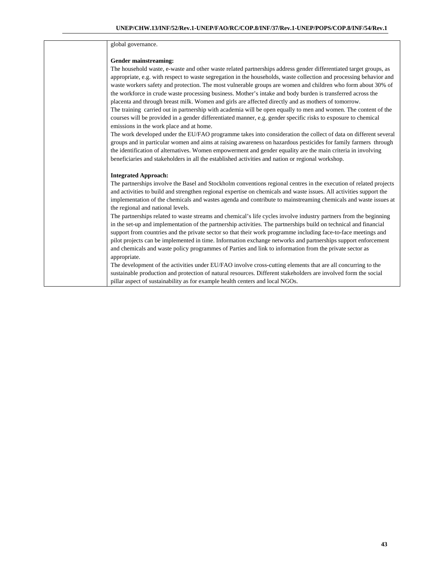#### global governance.

#### **Gender mainstreaming:**

The household waste, e-waste and other waste related partnerships address gender differentiated target groups, as appropriate, e.g. with respect to waste segregation in the households, waste collection and processing behavior and waste workers safety and protection. The most vulnerable groups are women and children who form about 30% of the workforce in crude waste processing business. Mother's intake and body burden is transferred across the placenta and through breast milk. Women and girls are affected directly and as mothers of tomorrow. The training carried out in partnership with academia will be open equally to men and women. The content of the courses will be provided in a gender differentiated manner, e.g. gender specific risks to exposure to chemical emissions in the work place and at home. The work developed under the EU/FAO programme takes into consideration the collect of data on different several

groups and in particular women and aims at raising awareness on hazardous pesticides for family farmers through the identification of alternatives. Women empowerment and gender equality are the main criteria in involving beneficiaries and stakeholders in all the established activities and nation or regional workshop.

#### **Integrated Approach:**

The partnerships involve the Basel and Stockholm conventions regional centres in the execution of related projects and activities to build and strengthen regional expertise on chemicals and waste issues. All activities support the implementation of the chemicals and wastes agenda and contribute to mainstreaming chemicals and waste issues at the regional and national levels.

The partnerships related to waste streams and chemical's life cycles involve industry partners from the beginning in the set-up and implementation of the partnership activities. The partnerships build on technical and financial support from countries and the private sector so that their work programme including face-to-face meetings and pilot projects can be implemented in time. Information exchange networks and partnerships support enforcement and chemicals and waste policy programmes of Parties and link to information from the private sector as appropriate.

The development of the activities under EU/FAO involve cross-cutting elements that are all concurring to the sustainable production and protection of natural resources. Different stakeholders are involved form the social pillar aspect of sustainability as for example health centers and local NGOs.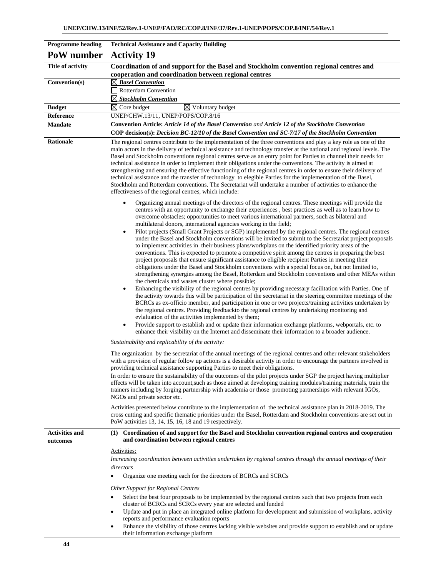| <b>Programme</b> heading          | <b>Technical Assistance and Capacity Building</b>                                                                                                                                                                                                                                                                                                                                                                                                                                                                                                                                                                                                                                                                                                                                                                                                                                                                                                                                                                                                                                                                                                                                                                                                                                                                                                                                                                                                                                                                                                                                                                                                                                                                                                                                                                                                                                                                                                 |
|-----------------------------------|---------------------------------------------------------------------------------------------------------------------------------------------------------------------------------------------------------------------------------------------------------------------------------------------------------------------------------------------------------------------------------------------------------------------------------------------------------------------------------------------------------------------------------------------------------------------------------------------------------------------------------------------------------------------------------------------------------------------------------------------------------------------------------------------------------------------------------------------------------------------------------------------------------------------------------------------------------------------------------------------------------------------------------------------------------------------------------------------------------------------------------------------------------------------------------------------------------------------------------------------------------------------------------------------------------------------------------------------------------------------------------------------------------------------------------------------------------------------------------------------------------------------------------------------------------------------------------------------------------------------------------------------------------------------------------------------------------------------------------------------------------------------------------------------------------------------------------------------------------------------------------------------------------------------------------------------------|
| PoW number                        | <b>Activity 19</b>                                                                                                                                                                                                                                                                                                                                                                                                                                                                                                                                                                                                                                                                                                                                                                                                                                                                                                                                                                                                                                                                                                                                                                                                                                                                                                                                                                                                                                                                                                                                                                                                                                                                                                                                                                                                                                                                                                                                |
| <b>Title of activity</b>          | Coordination of and support for the Basel and Stockholm convention regional centres and<br>cooperation and coordination between regional centres                                                                                                                                                                                                                                                                                                                                                                                                                                                                                                                                                                                                                                                                                                                                                                                                                                                                                                                                                                                                                                                                                                                                                                                                                                                                                                                                                                                                                                                                                                                                                                                                                                                                                                                                                                                                  |
| Convention(s)                     | $\boxtimes$ Basel Convention<br>$\Box$ Rotterdam Convention                                                                                                                                                                                                                                                                                                                                                                                                                                                                                                                                                                                                                                                                                                                                                                                                                                                                                                                                                                                                                                                                                                                                                                                                                                                                                                                                                                                                                                                                                                                                                                                                                                                                                                                                                                                                                                                                                       |
|                                   | $\boxtimes$ Stockholm Convention                                                                                                                                                                                                                                                                                                                                                                                                                                                                                                                                                                                                                                                                                                                                                                                                                                                                                                                                                                                                                                                                                                                                                                                                                                                                                                                                                                                                                                                                                                                                                                                                                                                                                                                                                                                                                                                                                                                  |
| <b>Budget</b>                     | $\overline{\boxtimes}$ Core budget<br>$\boxtimes$ Voluntary budget                                                                                                                                                                                                                                                                                                                                                                                                                                                                                                                                                                                                                                                                                                                                                                                                                                                                                                                                                                                                                                                                                                                                                                                                                                                                                                                                                                                                                                                                                                                                                                                                                                                                                                                                                                                                                                                                                |
| Reference                         | UNEP/CHW.13/11, UNEP/POPS/COP.8/16                                                                                                                                                                                                                                                                                                                                                                                                                                                                                                                                                                                                                                                                                                                                                                                                                                                                                                                                                                                                                                                                                                                                                                                                                                                                                                                                                                                                                                                                                                                                                                                                                                                                                                                                                                                                                                                                                                                |
| <b>Mandate</b>                    | Convention Article: Article 14 of the Basel Convention and Article 12 of the Stockholm Convention<br>COP decision(s): Decision BC-12/10 of the Basel Convention and SC-7/17 of the Stockholm Convention                                                                                                                                                                                                                                                                                                                                                                                                                                                                                                                                                                                                                                                                                                                                                                                                                                                                                                                                                                                                                                                                                                                                                                                                                                                                                                                                                                                                                                                                                                                                                                                                                                                                                                                                           |
| <b>Rationale</b>                  | The regional centres contribute to the implementation of the three conventions and play a key role as one of the<br>main actors in the delivery of technical assistance and technology transfer at the national and regional levels. The<br>Basel and Stockholm conventions regional centres serve as an entry point for Parties to channel their needs for<br>technical assistance in order to implement their obligations under the conventions. The activity is aimed at<br>strengthening and ensuring the effective functioning of the regional centres in order to ensure their delivery of<br>technical assistance and the transfer of technology to elegible Parties for the implementation of the Basel,<br>Stockholm and Rotterdam conventions. The Secretariat will undertake a number of activities to enhance the<br>effectiveness of the regional centres, which include:                                                                                                                                                                                                                                                                                                                                                                                                                                                                                                                                                                                                                                                                                                                                                                                                                                                                                                                                                                                                                                                            |
|                                   | Organizing annual meetings of the directors of the regional centres. These meetings will provide the<br>centres with an opportunity to exchange their experiences, best practices as well as to learn how to<br>overcome obstacles; opportunities to meet various international partners, such as bilateral and<br>multilateral donors, international agencies working in the field;<br>Pilot projects (Small Grant Projects or SGP) implemented by the regional centres. The regional centres<br>$\bullet$<br>under the Basel and Stockholm conventions will be invited to submit to the Secretariat project proposals<br>to implement activities in their business plans/workplans on the identified priority areas of the<br>conventions. This is expected to promote a competitive spirit among the centres in preparing the best<br>project proposals that ensure significant assistance to eligible recipient Parties in meeting their<br>obligations under the Basel and Stockholm conventions with a special focus on, but not limited to,<br>strengthening synergies among the Basel, Rotterdam and Stockholm conventions and other MEAs within<br>the chemicals and wastes cluster where possible;<br>Enhancing the visibility of the regional centres by providing necessary facilitation with Parties. One of<br>$\bullet$<br>the activity towards this will be participation of the secretariat in the steering committee meetings of the<br>BCRCs as ex-officio member, and participation in one or two projects/training activities undertaken by<br>the regional centres. Providing feedbackto the regional centres by undertaking monitoring and<br>evlaluation of the activities implemented by them;<br>Provide support to establish and or update their information exchange platforms, webportals, etc. to<br>$\bullet$<br>enhance their visibility on the Internet and disseminate their information to a broader audience. |
|                                   | Sustainability and replicability of the activity:<br>The organization by the secretariat of the annual meetings of the regional centres and other relevant stakeholders<br>with a provision of regular follow up actions is a desirable activity in order to encourage the partners involved in<br>providing technical assistance supporting Parties to meet their obligations.<br>In order to ensure the sustainability of the outcomes of the pilot projects under SGP the project having multiplier<br>effects will be taken into account, such as those aimed at developing training modules/training materials, train the<br>trainers including by forging partnership with academia or those promoting partnerships with relevant IGOs,<br>NGOs and private sector etc.<br>Activities presented below contribute to the implementation of the technical assistance plan in 2018-2019. The<br>cross cutting and specific thematic priorities under the Basel, Rotterdam and Stockholm conventions are set out in<br>PoW activities 13, 14, 15, 16, 18 and 19 respectively.                                                                                                                                                                                                                                                                                                                                                                                                                                                                                                                                                                                                                                                                                                                                                                                                                                                                   |
| <b>Activities and</b><br>outcomes | (1) Coordination of and support for the Basel and Stockholm convention regional centres and cooperation<br>and coordination between regional centres                                                                                                                                                                                                                                                                                                                                                                                                                                                                                                                                                                                                                                                                                                                                                                                                                                                                                                                                                                                                                                                                                                                                                                                                                                                                                                                                                                                                                                                                                                                                                                                                                                                                                                                                                                                              |
|                                   | Activities:<br>Increasing coordination between activities undertaken by regional centres through the annual meetings of their<br>directors<br>Organize one meeting each for the directors of BCRCs and SCRCs<br>$\bullet$<br>Other Support for Regional Centres<br>Select the best four proposals to be implemented by the regional centres such that two projects from each<br>$\bullet$<br>cluster of BCRCs and SCRCs every year are selected and funded<br>Update and put in place an integrated online platform for development and submission of workplans, activity<br>$\bullet$<br>reports and performance evaluation reports<br>Enhance the visibility of those centres lacking visible websites and provide support to establish and or update<br>$\bullet$<br>their information exchange platform                                                                                                                                                                                                                                                                                                                                                                                                                                                                                                                                                                                                                                                                                                                                                                                                                                                                                                                                                                                                                                                                                                                                       |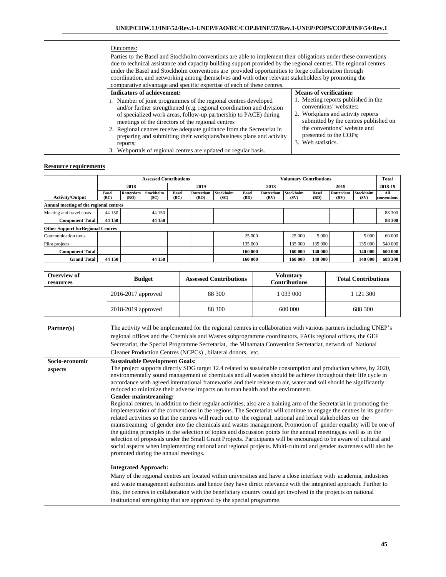| Outcomes:<br>Parties to the Basel and Stockholm conventions are able to implement their obligations under these conventions<br>due to technical assistance and capacity building support provided by the regional centres. The regional centres<br>under the Basel and Stockholm conventions are provided opportunities to forge collaboration through<br>coordination, and networking among themselves and with other relevant stakeholders by promoting the<br>comparative advantage and specific expertise of each of these centres. |                                                                                                                                                                                                                                                              |  |  |  |  |  |
|-----------------------------------------------------------------------------------------------------------------------------------------------------------------------------------------------------------------------------------------------------------------------------------------------------------------------------------------------------------------------------------------------------------------------------------------------------------------------------------------------------------------------------------------|--------------------------------------------------------------------------------------------------------------------------------------------------------------------------------------------------------------------------------------------------------------|--|--|--|--|--|
| <b>Indicators of achievement:</b><br>1. Number of joint programmes of the regional centres developed<br>and/or further strengthened (e.g. regional coordination and division<br>of specialized work areas, follow-up partnership to PACE) during<br>meetings of the directors of the regional centres<br>2. Regional centres receive adequate guidance from the Secretariat in<br>preparing and submitting their workplans/business plans and activity<br>reports;<br>3. Webportals of regional centres are updated on regular basis.   | <b>Means of verification:</b><br>1. Meeting reports published in the<br>conventions' websites;<br>2. Workplans and activity reports<br>submitted by the centres published on<br>the conventions' website and<br>presented to the COPs;<br>3. Web statistics. |  |  |  |  |  |

|                                           |                      | <b>Assessed Contributions</b> |                          |                      |                          |                          | <b>Voluntary Contributions</b> |                   |                   |                      | <b>Total</b>      |                   |                    |
|-------------------------------------------|----------------------|-------------------------------|--------------------------|----------------------|--------------------------|--------------------------|--------------------------------|-------------------|-------------------|----------------------|-------------------|-------------------|--------------------|
|                                           |                      | 2018                          |                          |                      | 2019                     |                          | 2018                           |                   |                   | 2019                 |                   | 2018-19           |                    |
| <b>Activity/Output</b>                    | <b>Basel</b><br>(BC) | Rotterdam<br>(RO)             | <b>Stockholm</b><br>(SC) | <b>Basel</b><br>(BC) | <b>Rotterdam</b><br>(RO) | <b>Stockholm</b><br>(SC) | <b>Basel</b><br>(BD)           | Rotterdam<br>(RV) | Stockholm<br>(SV) | <b>Basel</b><br>(BD) | Rotterdam<br>(RV) | Stockholm<br>(SV) | All<br>conventions |
| Annual meeting of the regional centres    |                      |                               |                          |                      |                          |                          |                                |                   |                   |                      |                   |                   |                    |
| Meeting and travel costs                  | 44 150               |                               | 44 150                   |                      |                          |                          |                                |                   |                   |                      |                   |                   | 88 300             |
| <b>Component Total</b>                    | 44 150               |                               | 44 150                   |                      |                          |                          |                                |                   |                   |                      |                   |                   | 88 300             |
| <b>Other Support for Regional Centres</b> |                      |                               |                          |                      |                          |                          |                                |                   |                   |                      |                   |                   |                    |
| Communication tools                       |                      |                               |                          |                      |                          |                          | 25 000                         |                   | 25 000            | 5 0 0 0              |                   | 5 0 0 0           | 60 000             |
| Pilot projects                            |                      |                               |                          |                      |                          |                          | 135 000                        |                   | 135 000           | 135 000              |                   | 135 000           | 540 000            |
| <b>Component Total</b>                    |                      |                               |                          |                      |                          |                          | 160 000                        |                   | 160 000           | 140 000              |                   | 140 000           | 600 000            |
| <b>Grand Total</b>                        | 44 150               |                               | 44 150                   |                      |                          |                          | 160 000                        |                   | 160 000           | 140 000              |                   | 140 000           | 688 300            |

| Overview of<br>resources | <b>Budget</b>          | <b>Assessed Contributions</b> | <b>Voluntary</b><br><b>Contributions</b> | <b>Total Contributions</b> |  |
|--------------------------|------------------------|-------------------------------|------------------------------------------|----------------------------|--|
|                          | $2016 - 2017$ approved | 88 300                        | 1 033 000                                | 1 121 300                  |  |
|                          | 2018-2019 approved     | 88 300                        | 600 000                                  | 688 300                    |  |

| Partner(s)     | The activity will be implemented for the regional centres in collaboration with various partners including UNEP's                                                                                                                                                                                                                                                                                                                                                                                                                                                                                                                                                                                                                                                                                                                                                                                                                                                                                                                                                                                                                                                                                                                                                                                                                                            |
|----------------|--------------------------------------------------------------------------------------------------------------------------------------------------------------------------------------------------------------------------------------------------------------------------------------------------------------------------------------------------------------------------------------------------------------------------------------------------------------------------------------------------------------------------------------------------------------------------------------------------------------------------------------------------------------------------------------------------------------------------------------------------------------------------------------------------------------------------------------------------------------------------------------------------------------------------------------------------------------------------------------------------------------------------------------------------------------------------------------------------------------------------------------------------------------------------------------------------------------------------------------------------------------------------------------------------------------------------------------------------------------|
|                | regional offices and the Chemicals and Wastes subprogramme coordinators, FAOs regional offices, the GEF                                                                                                                                                                                                                                                                                                                                                                                                                                                                                                                                                                                                                                                                                                                                                                                                                                                                                                                                                                                                                                                                                                                                                                                                                                                      |
|                | Secretariat, the Special Programme Secretariat, the Minamata Convention Secretariat, network of National                                                                                                                                                                                                                                                                                                                                                                                                                                                                                                                                                                                                                                                                                                                                                                                                                                                                                                                                                                                                                                                                                                                                                                                                                                                     |
|                | Cleaner Production Centres (NCPCs), bilateral donors, etc.                                                                                                                                                                                                                                                                                                                                                                                                                                                                                                                                                                                                                                                                                                                                                                                                                                                                                                                                                                                                                                                                                                                                                                                                                                                                                                   |
| Socio-economic | <b>Sustainable Development Goals:</b>                                                                                                                                                                                                                                                                                                                                                                                                                                                                                                                                                                                                                                                                                                                                                                                                                                                                                                                                                                                                                                                                                                                                                                                                                                                                                                                        |
| aspects        | The project supports directly SDG target 12.4 related to sustainable consumption and production where, by 2020,<br>environmentally sound management of chemicals and all wastes should be achieve throughout their life cycle in<br>accordance with agreed international frameworks and their release to air, water and soil should be significantly<br>reduced to minimize their adverse impacts on human health and the environment.<br>Gender mainstreaming:<br>Regional centres, in addition to their regular activities, also are a training arm of the Secretariat in promoting the<br>implementation of the conventions in the regions. The Secretariat will continue to engage the centres in its gender-<br>related activities so that the centres will reach out to the regional, national and local stakeholders on the<br>mainstreaming of gender into the chemicals and wastes management. Promotion of gender equality will be one of<br>the guiding principles in the selection of topics and discussion points for the annual meetings, as well as in the<br>selection of proposals under the Small Grant Projects. Participants will be encouraged to be aware of cultural and<br>social aspects when implementing national and regional projects. Multi-cultural and gender awareness will also be<br>promoted during the annual meetings. |
|                | <b>Integrated Approach:</b><br>Many of the regional centres are located within universities and have a close interface with academia, industries<br>and waste management authorities and hence they have direct relevance with the integrated approach. Further to<br>this, the centres in collaboration with the beneficiary country could get involved in the projects on national<br>institutional strengthing that are approved by the special programme.                                                                                                                                                                                                                                                                                                                                                                                                                                                                                                                                                                                                                                                                                                                                                                                                                                                                                                |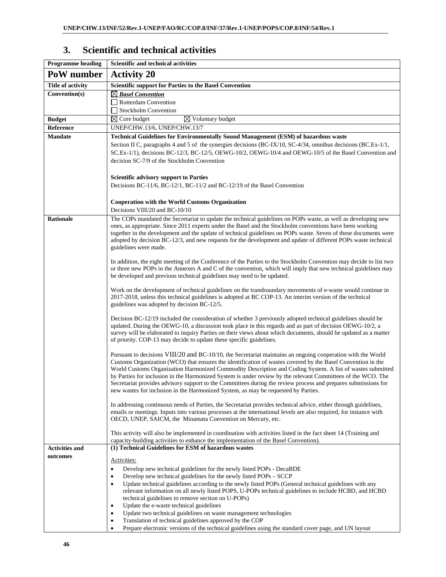| 3. | <b>Scientific and technical activities</b> |  |
|----|--------------------------------------------|--|
|    |                                            |  |

| <b>Programme</b> heading | Scientific and technical activities                                                                                                                                                                                     |
|--------------------------|-------------------------------------------------------------------------------------------------------------------------------------------------------------------------------------------------------------------------|
| PoW number               | <b>Activity 20</b>                                                                                                                                                                                                      |
| <b>Title of activity</b> | <b>Scientific support for Parties to the Basel Convention</b>                                                                                                                                                           |
| Convention(s)            | $\boxtimes$ Basel Convention                                                                                                                                                                                            |
|                          | $\Box$ Rotterdam Convention                                                                                                                                                                                             |
|                          | Stockholm Convention                                                                                                                                                                                                    |
| <b>Budget</b>            | $\boxtimes$ Core budget<br>$\boxtimes$ Voluntary budget                                                                                                                                                                 |
| Reference                | UNEP/CHW.13/6, UNEP/CHW.13/7                                                                                                                                                                                            |
| <b>Mandate</b>           | Technical Guidelines for Environmentally Sound Management (ESM) of hazardous waste                                                                                                                                      |
|                          | Section II C, paragraphs 4 and 5 of the synergies decisions (BC-IX/10, SC-4/34, omnibus decisions (BC.Ex-1/1,<br>SC.Ex-1/1), decisions BC-12/3, BC-12/5, OEWG-10/2, OEWG-10/4 and OEWG-10/5 of the Basel Convention and |
|                          | decision SC-7/9 of the Stockholm Convention                                                                                                                                                                             |
|                          | <b>Scientific advisory support to Parties</b>                                                                                                                                                                           |
|                          | Decisions BC-11/6, BC-12/1, BC-11/2 and BC-12/19 of the Basel Convention                                                                                                                                                |
|                          | <b>Cooperation with the World Customs Organization</b>                                                                                                                                                                  |
|                          | Decisions VIII/20 and BC-10/10                                                                                                                                                                                          |
| <b>Rationale</b>         | The COPs mandated the Secretariat to update the technical guidelines on POPs waste, as well as developing new                                                                                                           |
|                          | ones, as appropriate. Since 2011 experts under the Basel and the Stockholm conventions have been working                                                                                                                |
|                          | together in the development and the update of technical guidelines on POPs waste. Seven of these documents were                                                                                                         |
|                          | adopted by decision BC-12/3, and new requests for the development and update of different POPs waste technical<br>guidelines were made.                                                                                 |
|                          |                                                                                                                                                                                                                         |
|                          | In addition, the eight meeting of the Conference of the Parties to the Stockholm Convention may decide to list two                                                                                                      |
|                          | or three new POPs in the Annexes A and C of the convention, which will imply that new technical guidelines may                                                                                                          |
|                          | be developed and previous technical guidelines may need to be updated.                                                                                                                                                  |
|                          | Work on the development of technical guidelines on the transboundary movements of e-waste would continue in                                                                                                             |
|                          | 2017-2018, unless this technical guidelines is adopted at BC COP-13. An interim version of the technical                                                                                                                |
|                          | guidelines was adopted by decision BC-12/5.                                                                                                                                                                             |
|                          | Decision BC-12/19 included the consideration of whether 3 previously adopted technical guidelines should be                                                                                                             |
|                          | updated. During the OEWG-10, a discussion took place in this regards and as part of decision OEWG-10/2, a                                                                                                               |
|                          | survey will be elaborated to inquiry Parties on their views about which documents, should be updated as a matter                                                                                                        |
|                          | of priority. COP-13 may decide to update these specific guidelines.                                                                                                                                                     |
|                          | Pursuant to decisions VIII/20 and BC-10/10, the Secretariat maintains an ongoing cooperation with the World                                                                                                             |
|                          | Customs Organization (WCO) that ensures the identification of wastes covered by the Basel Convention in the                                                                                                             |
|                          | World Customs Organization Harmonized Commodity Description and Coding System. A list of wastes submitted                                                                                                               |
|                          | by Parties for inclusion in the Harmonized System is under review by the relevant Committees of the WCO. The                                                                                                            |
|                          | Secretariat provides advisory support to the Committees during the review process and prepares submissions for                                                                                                          |
|                          | new wastes for inclusion in the Harmonized System, as may be requested by Parties.                                                                                                                                      |
|                          | In addressing continuous needs of Parties, the Secretariat provides technical advice, either through guidelines,                                                                                                        |
|                          | emails or meetings. Inputs into various processes at the international levels are also required, for instance with                                                                                                      |
|                          | OECD, UNEP, SAICM, the Minamata Convention on Mercury, etc.                                                                                                                                                             |
|                          | This activity will also be implemented in coordination with activities listed in the fact sheet 14 (Training and                                                                                                        |
|                          | capacity-building activities to enhance the implementation of the Basel Convention).                                                                                                                                    |
| <b>Activities and</b>    | (1) Technical Guidelines for ESM of hazardous wastes                                                                                                                                                                    |
| outcomes                 | Activities:                                                                                                                                                                                                             |
|                          | Develop new technical guidelines for the newly listed POPs - DecaBDE<br>$\bullet$                                                                                                                                       |
|                          | Develop new technical guidelines for the newly listed POPs – SCCP<br>٠                                                                                                                                                  |
|                          | Update technical guidelines according to the newly listed POPs (General technical guidelines with any<br>$\bullet$                                                                                                      |
|                          | relevant information on all newly listed POPS, U-POPs technical guidelines to include HCBD, and HCBD                                                                                                                    |
|                          | technical guidelines to remove section on U-POPs)<br>Update the e-waste technical guidelines<br>٠                                                                                                                       |
|                          | Update two technical guidelines on waste management technologies<br>٠                                                                                                                                                   |
|                          | Translation of technical guidelines approved by the COP<br>٠                                                                                                                                                            |
|                          | Prepare electronic versions of the technical guidelines using the standard cover page, and UN layout                                                                                                                    |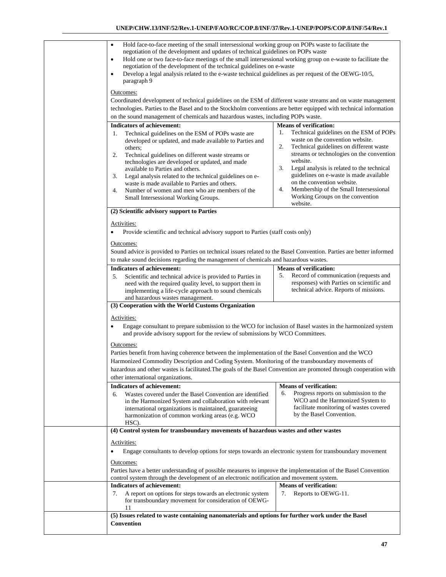| Hold face-to-face meeting of the small intersessional working group on POPs waste to facilitate the<br>$\bullet$<br>negotiation of the development and updates of technical guidelines on POPs waste<br>Hold one or two face-to-face meetings of the small intersessional working group on e-waste to facilitate the<br>$\bullet$<br>negotiation of the development of the technical guidelines on e-waste<br>Develop a legal analysis related to the e-waste technical guidelines as per request of the OEWG-10/5,<br>paragraph 9<br>Outcomes:<br>Coordinated development of technical guidelines on the ESM of different waste streams and on waste management<br>technologies. Parties to the Basel and to the Stockholm conventions are better equipped with technical information<br>on the sound management of chemicals and hazardous wastes, including POPs waste. |                                                                                                                                                                                                                                                                                                                                                                                                                          |
|----------------------------------------------------------------------------------------------------------------------------------------------------------------------------------------------------------------------------------------------------------------------------------------------------------------------------------------------------------------------------------------------------------------------------------------------------------------------------------------------------------------------------------------------------------------------------------------------------------------------------------------------------------------------------------------------------------------------------------------------------------------------------------------------------------------------------------------------------------------------------|--------------------------------------------------------------------------------------------------------------------------------------------------------------------------------------------------------------------------------------------------------------------------------------------------------------------------------------------------------------------------------------------------------------------------|
| <b>Indicators of achievement:</b>                                                                                                                                                                                                                                                                                                                                                                                                                                                                                                                                                                                                                                                                                                                                                                                                                                          | <b>Means of verification:</b>                                                                                                                                                                                                                                                                                                                                                                                            |
| Technical guidelines on the ESM of POPs waste are<br>1.<br>developed or updated, and made available to Parties and<br>others;<br>2.<br>Technical guidelines on different waste streams or<br>technologies are developed or updated, and made<br>available to Parties and others.<br>3.<br>Legal analysis related to the technical guidelines on e-<br>waste is made available to Parties and others.<br>4.<br>Number of women and men who are members of the<br>Small Intersessional Working Groups.                                                                                                                                                                                                                                                                                                                                                                       | Technical guidelines on the ESM of POPs<br>1.<br>waste on the convention website.<br>2.<br>Technical guidelines on different waste<br>streams or technologies on the convention<br>website.<br>3.<br>Legal analysis is related to the technical<br>guidelines on e-waste is made available<br>on the convention website.<br>4.<br>Membership of the Small Intersessional<br>Working Groups on the convention<br>website. |
|                                                                                                                                                                                                                                                                                                                                                                                                                                                                                                                                                                                                                                                                                                                                                                                                                                                                            |                                                                                                                                                                                                                                                                                                                                                                                                                          |
| (2) Scientific advisory support to Parties<br>Activities:<br>Provide scientific and technical advisory support to Parties (staff costs only)<br>Outcomes:<br>Sound advice is provided to Parties on technical issues related to the Basel Convention. Parties are better informed                                                                                                                                                                                                                                                                                                                                                                                                                                                                                                                                                                                          |                                                                                                                                                                                                                                                                                                                                                                                                                          |
| to make sound decisions regarding the management of chemicals and hazardous wastes.                                                                                                                                                                                                                                                                                                                                                                                                                                                                                                                                                                                                                                                                                                                                                                                        |                                                                                                                                                                                                                                                                                                                                                                                                                          |
| <b>Indicators of achievement:</b>                                                                                                                                                                                                                                                                                                                                                                                                                                                                                                                                                                                                                                                                                                                                                                                                                                          | <b>Means of verification:</b>                                                                                                                                                                                                                                                                                                                                                                                            |
| Scientific and technical advice is provided to Parties in<br>5.<br>need with the required quality level, to support them in<br>implementing a life-cycle approach to sound chemicals<br>and hazardous wastes management.<br>(3) Cooperation with the World Customs Organization                                                                                                                                                                                                                                                                                                                                                                                                                                                                                                                                                                                            | Record of communication (requests and<br>5.<br>responses) with Parties on scientific and<br>technical advice. Reports of missions.                                                                                                                                                                                                                                                                                       |
| Activities:<br>Engage consultant to prepare submission to the WCO for inclusion of Basel wastes in the harmonized system<br>and provide advisory support for the review of submissions by WCO Committees.<br>Outcomes:<br>Parties benefit from having coherence between the implementation of the Basel Convention and the WCO<br>Harmonized Commodity Description and Coding System. Monitoring of the transboundary movements of<br>hazardous and other wastes is facilitated. The goals of the Basel Convention are promoted through cooperation with<br>other international organizations.                                                                                                                                                                                                                                                                             |                                                                                                                                                                                                                                                                                                                                                                                                                          |
| <b>Indicators of achievement:</b><br>Wastes covered under the Basel Convention are identified<br>6.<br>in the Harmonized System and collaboration with relevant<br>international organizations is maintained, guarateeing<br>harmonization of common working areas (e.g. WCO<br>HSC).                                                                                                                                                                                                                                                                                                                                                                                                                                                                                                                                                                                      | <b>Means of verification:</b><br>Progress reports on submission to the<br>6.<br>WCO and the Harmonized System to<br>facilitate monitoring of wastes covered<br>by the Basel Convention.                                                                                                                                                                                                                                  |
| (4) Control system for transboundary movements of hazardous wastes and other wastes                                                                                                                                                                                                                                                                                                                                                                                                                                                                                                                                                                                                                                                                                                                                                                                        |                                                                                                                                                                                                                                                                                                                                                                                                                          |
| Activities:<br>Engage consultants to develop options for steps towards an electronic system for transboundary movement<br>Outcomes:<br>Parties have a better understanding of possible measures to improve the implementation of the Basel Convention<br>control system through the development of an electronic notification and movement system.<br><b>Indicators of achievement:</b>                                                                                                                                                                                                                                                                                                                                                                                                                                                                                    | <b>Means of verification:</b>                                                                                                                                                                                                                                                                                                                                                                                            |
| 7.<br>A report on options for steps towards an electronic system<br>for transboundary movement for consideration of OEWG-<br>11<br>(5) Issues related to waste containing nanomaterials and options for further work under the Basel                                                                                                                                                                                                                                                                                                                                                                                                                                                                                                                                                                                                                                       | Reports to OEWG-11.<br>7.                                                                                                                                                                                                                                                                                                                                                                                                |
| Convention                                                                                                                                                                                                                                                                                                                                                                                                                                                                                                                                                                                                                                                                                                                                                                                                                                                                 |                                                                                                                                                                                                                                                                                                                                                                                                                          |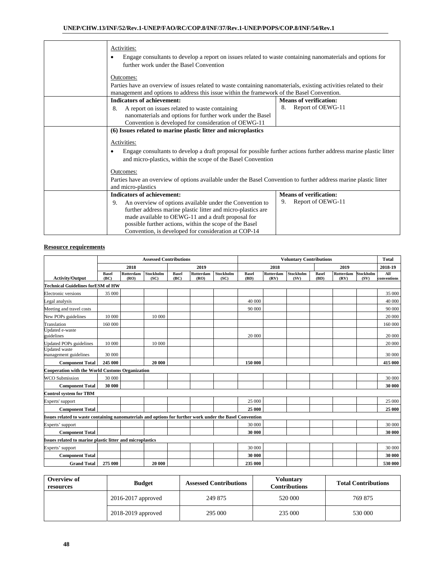| Activities:<br>Engage consultants to develop a report on issues related to waste containing nanomaterials and options for<br>٠<br>further work under the Basel Convention                                                                                                                               |                               |  |  |  |  |
|---------------------------------------------------------------------------------------------------------------------------------------------------------------------------------------------------------------------------------------------------------------------------------------------------------|-------------------------------|--|--|--|--|
| Outcomes:<br>Parties have an overview of issues related to waste containing nanomaterials, existing activities related to their<br>management and options to address this issue within the framework of the Basel Convention.                                                                           |                               |  |  |  |  |
| <b>Indicators of achievement:</b>                                                                                                                                                                                                                                                                       | <b>Means of verification:</b> |  |  |  |  |
| A report on issues related to waste containing<br>8.<br>nanomaterials and options for further work under the Basel<br>Convention is developed for consideration of OEWG-11                                                                                                                              | Report of OEWG-11<br>8.       |  |  |  |  |
| (6) Issues related to marine plastic litter and microplastics                                                                                                                                                                                                                                           |                               |  |  |  |  |
| Activities:<br>Engage consultants to develop a draft proposal for possible further actions further address marine plastic litter<br>٠<br>and micro-plastics, within the scope of the Basel Convention                                                                                                   |                               |  |  |  |  |
| Outcomes:                                                                                                                                                                                                                                                                                               |                               |  |  |  |  |
| Parties have an overview of options available under the Basel Convention to further address marine plastic litter<br>and micro-plastics                                                                                                                                                                 |                               |  |  |  |  |
| <b>Indicators of achievement:</b>                                                                                                                                                                                                                                                                       | <b>Means of verification:</b> |  |  |  |  |
| An overview of options available under the Convention to<br>9.<br>further address marine plastic litter and micro-plastics are<br>made available to OEWG-11 and a draft proposal for<br>possible further actions, within the scope of the Basel<br>Convention, is developed for consideration at COP-14 | Report of OEWG-11<br>9.       |  |  |  |  |

|                                                                                                          | <b>Assessed Contributions</b> |                   |                          | <b>Voluntary Contributions</b> |                   |                   |                      | <b>Total</b>      |                   |                      |                   |                   |                    |
|----------------------------------------------------------------------------------------------------------|-------------------------------|-------------------|--------------------------|--------------------------------|-------------------|-------------------|----------------------|-------------------|-------------------|----------------------|-------------------|-------------------|--------------------|
|                                                                                                          |                               | 2018              |                          |                                | 2019              |                   |                      | 2018              |                   |                      | 2019              |                   | 2018-19            |
| <b>Activity/Output</b>                                                                                   | <b>Basel</b><br>(BC)          | Rotterdam<br>(RO) | <b>Stockholm</b><br>(SC) | <b>Basel</b><br>(BC)           | Rotterdam<br>(RO) | Stockholm<br>(SC) | <b>Basel</b><br>(BD) | Rotterdam<br>(RV) | Stockholm<br>(SV) | <b>Basel</b><br>(BD) | Rotterdam<br>(RV) | Stockholm<br>(SV) | All<br>conventions |
| <b>Technical Guidelines for ESM of HW</b>                                                                |                               |                   |                          |                                |                   |                   |                      |                   |                   |                      |                   |                   |                    |
| Electronic versions                                                                                      | 35 000                        |                   |                          |                                |                   |                   |                      |                   |                   |                      |                   |                   | 35 000             |
| Legal analysis                                                                                           |                               |                   |                          |                                |                   |                   | 40 000               |                   |                   |                      |                   |                   | 40 000             |
| Meeting and travel costs                                                                                 |                               |                   |                          |                                |                   |                   | 90 000               |                   |                   |                      |                   |                   | 90 000             |
| New POPs guidelines                                                                                      | 10 000                        |                   | 10 000                   |                                |                   |                   |                      |                   |                   |                      |                   |                   | 20 000             |
| Translation                                                                                              | 160 000                       |                   |                          |                                |                   |                   |                      |                   |                   |                      |                   |                   | 160 000            |
| Updated e-waste<br>guidelines                                                                            |                               |                   |                          |                                |                   |                   | 20 000               |                   |                   |                      |                   |                   | 20 000             |
| <b>Updated POPs</b> guidelines                                                                           | 10 000                        |                   | 10 000                   |                                |                   |                   |                      |                   |                   |                      |                   |                   | 20 000             |
| <b>Updated</b> waste<br>management guidelines                                                            | 30 000                        |                   |                          |                                |                   |                   |                      |                   |                   |                      |                   |                   | 30 000             |
| <b>Component Total</b>                                                                                   | 245 000                       |                   | 20 000                   |                                |                   |                   | 150 000              |                   |                   |                      |                   |                   | 415 000            |
| <b>Cooperation with the World Customs Organization</b>                                                   |                               |                   |                          |                                |                   |                   |                      |                   |                   |                      |                   |                   |                    |
| <b>WCO Submission</b>                                                                                    | 30 000                        |                   |                          |                                |                   |                   |                      |                   |                   |                      |                   |                   | 30 000             |
| <b>Component Total</b>                                                                                   | 30 000                        |                   |                          |                                |                   |                   |                      |                   |                   |                      |                   |                   | 30 000             |
| <b>Control system for TBM</b>                                                                            |                               |                   |                          |                                |                   |                   |                      |                   |                   |                      |                   |                   |                    |
| Experts' support                                                                                         |                               |                   |                          |                                |                   |                   | 25 000               |                   |                   |                      |                   |                   | 25 000             |
| <b>Component Total</b>                                                                                   |                               |                   |                          |                                |                   |                   | 25 000               |                   |                   |                      |                   |                   | 25 000             |
| Issues related to waste containing nanomaterials and options for further work under the Basel Convention |                               |                   |                          |                                |                   |                   |                      |                   |                   |                      |                   |                   |                    |
| Experts' support                                                                                         |                               |                   |                          |                                |                   |                   | 30 000               |                   |                   |                      |                   |                   | 30 000             |
| <b>Component Total</b>                                                                                   |                               |                   |                          |                                |                   |                   | 30 000               |                   |                   |                      |                   |                   | 30 000             |
| <b>Issues related to marine plastic litter and microplastics</b>                                         |                               |                   |                          |                                |                   |                   |                      |                   |                   |                      |                   |                   |                    |
| Experts' support                                                                                         |                               |                   |                          |                                |                   |                   | 30 000               |                   |                   |                      |                   |                   | 30 000             |
| <b>Component Total</b>                                                                                   |                               |                   |                          |                                |                   |                   | 30 000               |                   |                   |                      |                   |                   | 30 000             |
| <b>Grand Total</b>                                                                                       | 275 000                       |                   | 20 000                   |                                |                   |                   | 235 000              |                   |                   |                      |                   |                   | 530 000            |

| Overview of<br>resources | <b>Budget</b>          | <b>Assessed Contributions</b> | <b>Voluntary</b><br><b>Contributions</b> | <b>Total Contributions</b> |  |
|--------------------------|------------------------|-------------------------------|------------------------------------------|----------------------------|--|
|                          | $2016 - 2017$ approved | 249 875                       | 520 000                                  | 769 875                    |  |
|                          | 2018-2019 approved     | 295 000                       | 235 000                                  | 530 000                    |  |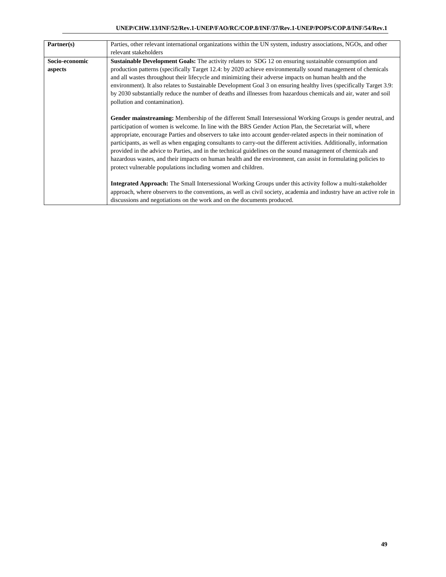|                | Parties, other relevant international organizations within the UN system, industry associations, NGOs, and other                                                                                                                                                                                                                                                                                                                                                                                                                                                                                                                                                                                                                                                   |
|----------------|--------------------------------------------------------------------------------------------------------------------------------------------------------------------------------------------------------------------------------------------------------------------------------------------------------------------------------------------------------------------------------------------------------------------------------------------------------------------------------------------------------------------------------------------------------------------------------------------------------------------------------------------------------------------------------------------------------------------------------------------------------------------|
| Partner(s)     |                                                                                                                                                                                                                                                                                                                                                                                                                                                                                                                                                                                                                                                                                                                                                                    |
|                | relevant stakeholders                                                                                                                                                                                                                                                                                                                                                                                                                                                                                                                                                                                                                                                                                                                                              |
| Socio-economic | <b>Sustainable Development Goals:</b> The activity relates to SDG 12 on ensuring sustainable consumption and                                                                                                                                                                                                                                                                                                                                                                                                                                                                                                                                                                                                                                                       |
| aspects        | production patterns (specifically Target 12.4: by 2020 achieve environmentally sound management of chemicals                                                                                                                                                                                                                                                                                                                                                                                                                                                                                                                                                                                                                                                       |
|                | and all wastes throughout their lifecycle and minimizing their adverse impacts on human health and the                                                                                                                                                                                                                                                                                                                                                                                                                                                                                                                                                                                                                                                             |
|                | environment). It also relates to Sustainable Development Goal 3 on ensuring healthy lives (specifically Target 3.9:                                                                                                                                                                                                                                                                                                                                                                                                                                                                                                                                                                                                                                                |
|                | by 2030 substantially reduce the number of deaths and illnesses from hazardous chemicals and air, water and soil                                                                                                                                                                                                                                                                                                                                                                                                                                                                                                                                                                                                                                                   |
|                | pollution and contamination).                                                                                                                                                                                                                                                                                                                                                                                                                                                                                                                                                                                                                                                                                                                                      |
|                |                                                                                                                                                                                                                                                                                                                                                                                                                                                                                                                                                                                                                                                                                                                                                                    |
|                | Gender mainstreaming: Membership of the different Small Intersessional Working Groups is gender neutral, and<br>participation of women is welcome. In line with the BRS Gender Action Plan, the Secretariat will, where<br>appropriate, encourage Parties and observers to take into account gender-related aspects in their nomination of<br>participants, as well as when engaging consultants to carry-out the different activities. Additionally, information<br>provided in the advice to Parties, and in the technical guidelines on the sound management of chemicals and<br>hazardous wastes, and their impacts on human health and the environment, can assist in formulating policies to<br>protect vulnerable populations including women and children. |
|                | <b>Integrated Approach:</b> The Small Intersessional Working Groups under this activity follow a multi-stakeholder<br>approach, where observers to the conventions, as well as civil society, academia and industry have an active role in<br>discussions and negotiations on the work and on the documents produced.                                                                                                                                                                                                                                                                                                                                                                                                                                              |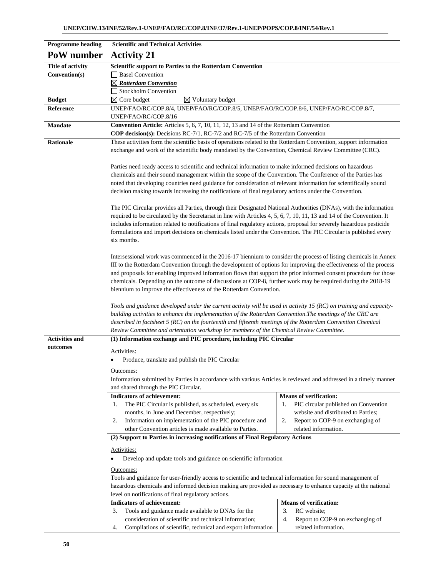| <b>Programme heading</b> | <b>Scientific and Technical Activities</b>                                                                                                                                                                                           |                                                                                                                                                                                                                                   |  |  |  |  |
|--------------------------|--------------------------------------------------------------------------------------------------------------------------------------------------------------------------------------------------------------------------------------|-----------------------------------------------------------------------------------------------------------------------------------------------------------------------------------------------------------------------------------|--|--|--|--|
| PoW number               | <b>Activity 21</b>                                                                                                                                                                                                                   |                                                                                                                                                                                                                                   |  |  |  |  |
| <b>Title of activity</b> | Scientific support to Parties to the Rotterdam Convention                                                                                                                                                                            |                                                                                                                                                                                                                                   |  |  |  |  |
| Convention(s)            | <b>Basel Convention</b>                                                                                                                                                                                                              |                                                                                                                                                                                                                                   |  |  |  |  |
|                          | $\boxtimes$ Rotterdam Convention                                                                                                                                                                                                     |                                                                                                                                                                                                                                   |  |  |  |  |
|                          | Stockholm Convention                                                                                                                                                                                                                 |                                                                                                                                                                                                                                   |  |  |  |  |
| <b>Budget</b>            | $\boxtimes$ Voluntary budget<br>$\boxtimes$ Core budget                                                                                                                                                                              |                                                                                                                                                                                                                                   |  |  |  |  |
| Reference                | UNEP/FAO/RC/COP.8/4, UNEP/FAO/RC/COP.8/5, UNEP/FAO/RC/COP.8/6, UNEP/FAO/RC/COP.8/7,                                                                                                                                                  |                                                                                                                                                                                                                                   |  |  |  |  |
|                          | UNEP/FAO/RC/COP.8/16                                                                                                                                                                                                                 |                                                                                                                                                                                                                                   |  |  |  |  |
| <b>Mandate</b>           | Convention Article: Articles 5, 6, 7, 10, 11, 12, 13 and 14 of the Rotterdam Convention<br>COP decision(s): Decisions RC-7/1, RC-7/2 and RC-7/5 of the Rotterdam Convention                                                          |                                                                                                                                                                                                                                   |  |  |  |  |
| <b>Rationale</b>         | These activities form the scientific basis of operations related to the Rotterdam Convention, support information                                                                                                                    |                                                                                                                                                                                                                                   |  |  |  |  |
|                          | exchange and work of the scientific body mandated by the Convention, Chemical Review Committee (CRC).                                                                                                                                |                                                                                                                                                                                                                                   |  |  |  |  |
|                          |                                                                                                                                                                                                                                      |                                                                                                                                                                                                                                   |  |  |  |  |
|                          | Parties need ready access to scientific and technical information to make informed decisions on hazardous                                                                                                                            |                                                                                                                                                                                                                                   |  |  |  |  |
|                          | chemicals and their sound management within the scope of the Convention. The Conference of the Parties has                                                                                                                           |                                                                                                                                                                                                                                   |  |  |  |  |
|                          | noted that developing countries need guidance for consideration of relevant information for scientifically sound                                                                                                                     |                                                                                                                                                                                                                                   |  |  |  |  |
|                          | decision making towards increasing the notifications of final regulatory actions under the Convention.                                                                                                                               |                                                                                                                                                                                                                                   |  |  |  |  |
|                          | The PIC Circular provides all Parties, through their Designated National Authorities (DNAs), with the information                                                                                                                    |                                                                                                                                                                                                                                   |  |  |  |  |
|                          | required to be circulated by the Secretariat in line with Articles 4, 5, 6, 7, 10, 11, 13 and 14 of the Convention. It                                                                                                               |                                                                                                                                                                                                                                   |  |  |  |  |
|                          | includes information related to notifications of final regulatory actions, proposal for severely hazardous pesticide                                                                                                                 |                                                                                                                                                                                                                                   |  |  |  |  |
|                          | formulations and import decisions on chemicals listed under the Convention. The PIC Circular is published every                                                                                                                      |                                                                                                                                                                                                                                   |  |  |  |  |
|                          | six months.                                                                                                                                                                                                                          |                                                                                                                                                                                                                                   |  |  |  |  |
|                          |                                                                                                                                                                                                                                      |                                                                                                                                                                                                                                   |  |  |  |  |
|                          | Intersessional work was commenced in the 2016-17 biennium to consider the process of listing chemicals in Annex<br>III to the Rotterdam Convention through the development of options for improving the effectiveness of the process |                                                                                                                                                                                                                                   |  |  |  |  |
|                          |                                                                                                                                                                                                                                      |                                                                                                                                                                                                                                   |  |  |  |  |
|                          |                                                                                                                                                                                                                                      | and proposals for enabling improved information flows that support the prior informed consent procedure for those<br>chemicals. Depending on the outcome of discussions at COP-8, further work may be required during the 2018-19 |  |  |  |  |
|                          | biennium to improve the effectiveness of the Rotterdam Convention.                                                                                                                                                                   |                                                                                                                                                                                                                                   |  |  |  |  |
|                          |                                                                                                                                                                                                                                      |                                                                                                                                                                                                                                   |  |  |  |  |
|                          | Tools and guidance developed under the current activity will be used in activity 15 (RC) on training and capacity-                                                                                                                   |                                                                                                                                                                                                                                   |  |  |  |  |
|                          | building activities to enhance the implementation of the Rotterdam Convention. The meetings of the CRC are                                                                                                                           |                                                                                                                                                                                                                                   |  |  |  |  |
|                          | described in factsheet 5 (RC) on the fourteenth and fifteenth meetings of the Rotterdam Convention Chemical<br>Review Committee and orientation workshop for members of the Chemical Review Committee.                               |                                                                                                                                                                                                                                   |  |  |  |  |
| <b>Activities and</b>    | (1) Information exchange and PIC procedure, including PIC Circular                                                                                                                                                                   |                                                                                                                                                                                                                                   |  |  |  |  |
| outcomes                 |                                                                                                                                                                                                                                      |                                                                                                                                                                                                                                   |  |  |  |  |
|                          | Activities:                                                                                                                                                                                                                          |                                                                                                                                                                                                                                   |  |  |  |  |
|                          | Produce, translate and publish the PIC Circular                                                                                                                                                                                      |                                                                                                                                                                                                                                   |  |  |  |  |
|                          | Outcomes:                                                                                                                                                                                                                            |                                                                                                                                                                                                                                   |  |  |  |  |
|                          | Information submitted by Parties in accordance with various Articles is reviewed and addressed in a timely manner                                                                                                                    |                                                                                                                                                                                                                                   |  |  |  |  |
|                          | and shared through the PIC Circular.                                                                                                                                                                                                 |                                                                                                                                                                                                                                   |  |  |  |  |
|                          | <b>Indicators of achievement:</b><br>The PIC Circular is published, as scheduled, every six<br>1.                                                                                                                                    | <b>Means of verification:</b><br>PIC circular published on Convention<br>1.                                                                                                                                                       |  |  |  |  |
|                          | months, in June and December, respectively;                                                                                                                                                                                          | website and distributed to Parties;                                                                                                                                                                                               |  |  |  |  |
|                          | Information on implementation of the PIC procedure and<br>2.                                                                                                                                                                         | 2.<br>Report to COP-9 on exchanging of                                                                                                                                                                                            |  |  |  |  |
|                          | other Convention articles is made available to Parties.                                                                                                                                                                              | related information.                                                                                                                                                                                                              |  |  |  |  |
|                          | (2) Support to Parties in increasing notifications of Final Regulatory Actions                                                                                                                                                       |                                                                                                                                                                                                                                   |  |  |  |  |
|                          | Activities:                                                                                                                                                                                                                          |                                                                                                                                                                                                                                   |  |  |  |  |
|                          | Develop and update tools and guidance on scientific information                                                                                                                                                                      |                                                                                                                                                                                                                                   |  |  |  |  |
|                          |                                                                                                                                                                                                                                      |                                                                                                                                                                                                                                   |  |  |  |  |
|                          | Outcomes:<br>Tools and guidance for user-friendly access to scientific and technical information for sound management of                                                                                                             |                                                                                                                                                                                                                                   |  |  |  |  |
|                          | hazardous chemicals and informed decision making are provided as necessary to enhance capacity at the national                                                                                                                       |                                                                                                                                                                                                                                   |  |  |  |  |
|                          | level on notifications of final regulatory actions.                                                                                                                                                                                  |                                                                                                                                                                                                                                   |  |  |  |  |
|                          | Indicators of achievement:                                                                                                                                                                                                           | <b>Means of verification:</b>                                                                                                                                                                                                     |  |  |  |  |
|                          | Tools and guidance made available to DNAs for the<br>3.                                                                                                                                                                              | RC website;<br>3.                                                                                                                                                                                                                 |  |  |  |  |
|                          | consideration of scientific and technical information;                                                                                                                                                                               | 4.<br>Report to COP-9 on exchanging of                                                                                                                                                                                            |  |  |  |  |
|                          | Compilations of scientific, technical and export information<br>4.                                                                                                                                                                   | related information.                                                                                                                                                                                                              |  |  |  |  |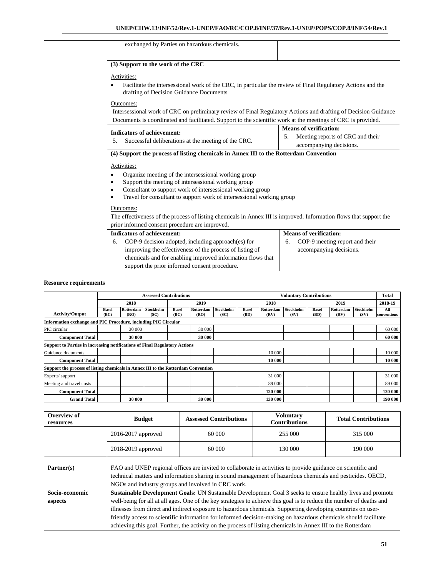| exchanged by Parties on hazardous chemicals.                                                                                                           |                                        |  |  |  |  |
|--------------------------------------------------------------------------------------------------------------------------------------------------------|----------------------------------------|--|--|--|--|
|                                                                                                                                                        |                                        |  |  |  |  |
| (3) Support to the work of the CRC                                                                                                                     |                                        |  |  |  |  |
| Activities:                                                                                                                                            |                                        |  |  |  |  |
| Facilitate the intersessional work of the CRC, in particular the review of Final Regulatory Actions and the<br>drafting of Decision Guidance Documents |                                        |  |  |  |  |
| Outcomes:                                                                                                                                              |                                        |  |  |  |  |
| Intersessional work of CRC on preliminary review of Final Regulatory Actions and drafting of Decision Guidance                                         |                                        |  |  |  |  |
| Documents is coordinated and facilitated. Support to the scientific work at the meetings of CRC is provided.                                           |                                        |  |  |  |  |
| <b>Indicators of achievement:</b>                                                                                                                      | <b>Means of verification:</b>          |  |  |  |  |
| Successful deliberations at the meeting of the CRC.<br>.5.                                                                                             | Meeting reports of CRC and their<br>5. |  |  |  |  |
|                                                                                                                                                        | accompanying decisions.                |  |  |  |  |
| (4) Support the process of listing chemicals in Annex III to the Rotterdam Convention                                                                  |                                        |  |  |  |  |
| Activities:                                                                                                                                            |                                        |  |  |  |  |
| Organize meeting of the intersessional working group<br>$\bullet$                                                                                      |                                        |  |  |  |  |
| Support the meeting of intersessional working group<br>٠                                                                                               |                                        |  |  |  |  |
| Consultant to support work of intersessional working group<br>$\bullet$                                                                                |                                        |  |  |  |  |
| Travel for consultant to support work of intersessional working group<br>$\bullet$                                                                     |                                        |  |  |  |  |
| Outcomes:                                                                                                                                              |                                        |  |  |  |  |
| The effectiveness of the process of listing chemicals in Annex III is improved. Information flows that support the                                     |                                        |  |  |  |  |
| prior informed consent procedure are improved.                                                                                                         |                                        |  |  |  |  |
| <b>Indicators of achievement:</b>                                                                                                                      | <b>Means of verification:</b>          |  |  |  |  |
| COP-9 decision adopted, including approach(es) for<br>6.                                                                                               | COP-9 meeting report and their<br>6.   |  |  |  |  |
| improving the effectiveness of the process of listing of                                                                                               | accompanying decisions.                |  |  |  |  |
| chemicals and for enabling improved information flows that                                                                                             |                                        |  |  |  |  |
| support the prior informed consent procedure.                                                                                                          |                                        |  |  |  |  |

|                                                                                   | <b>Assessed Contributions</b> |                   |                   |                      | <b>Voluntary Contributions</b> |                   |                      |                   |                          | Total                |                   |                          |                    |
|-----------------------------------------------------------------------------------|-------------------------------|-------------------|-------------------|----------------------|--------------------------------|-------------------|----------------------|-------------------|--------------------------|----------------------|-------------------|--------------------------|--------------------|
|                                                                                   |                               | 2018              |                   |                      | 2019                           |                   |                      | 2018              |                          |                      | 2019              |                          | 2018-19            |
| <b>Activity/Output</b>                                                            | <b>Basel</b><br>(BC)          | Rotterdam<br>(RO) | Stockholm<br>(SC) | <b>Basel</b><br>(BC) | Rotterdam<br>(RO)              | Stockholm<br>(SC) | <b>Basel</b><br>(BD) | Rotterdam<br>(RV) | <b>Stockholm</b><br>(SV) | <b>Basel</b><br>(BD) | Rotterdam<br>(RV) | <b>Stockholm</b><br>(SV) | All<br>conventions |
| Information exchange and PIC Procedure, including PIC Circular                    |                               |                   |                   |                      |                                |                   |                      |                   |                          |                      |                   |                          |                    |
| PIC circular                                                                      |                               | 30 000            |                   |                      | 30 000                         |                   |                      |                   |                          |                      |                   |                          | 60 000             |
| <b>Component Total</b>                                                            |                               | 30 000            |                   |                      | 30 000                         |                   |                      |                   |                          |                      |                   |                          | 60 000             |
| Support to Parties in increasing notifications of Final Regulatory Actions        |                               |                   |                   |                      |                                |                   |                      |                   |                          |                      |                   |                          |                    |
| Guidance documents                                                                |                               |                   |                   |                      |                                |                   |                      | 10 000            |                          |                      |                   |                          | 10 000             |
| <b>Component Total</b>                                                            |                               |                   |                   |                      |                                |                   |                      | 10 000            |                          |                      |                   |                          | 10 000             |
| Support the process of listing chemicals in Annex III to the Rotterdam Convention |                               |                   |                   |                      |                                |                   |                      |                   |                          |                      |                   |                          |                    |
| Experts' support                                                                  |                               |                   |                   |                      |                                |                   |                      | 31 000            |                          |                      |                   |                          | 31 000             |
| Meeting and travel costs                                                          |                               |                   |                   |                      |                                |                   |                      | 89 000            |                          |                      |                   |                          | 89 000             |
| <b>Component Total</b>                                                            |                               |                   |                   |                      |                                |                   |                      | 120 000           |                          |                      |                   |                          | 120 000            |
| <b>Grand Total</b>                                                                |                               | 30 000            |                   |                      | 30 000                         |                   |                      | 130 000           |                          |                      |                   |                          | 190 000            |

| Overview of<br>resources | <b>Budget</b>          | <b>Assessed Contributions</b> | Voluntary<br>Contributions | <b>Total Contributions</b> |  |
|--------------------------|------------------------|-------------------------------|----------------------------|----------------------------|--|
|                          | $2016 - 2017$ approved |                               | 255 000                    | 315 000                    |  |
|                          | 2018-2019 approved     | 60 000                        | 130 000                    | 190 000                    |  |

| Partner(s)     | FAO and UNEP regional offices are invited to collaborate in activities to provide guidance on scientific and         |  |  |  |  |  |
|----------------|----------------------------------------------------------------------------------------------------------------------|--|--|--|--|--|
|                | technical matters and information sharing in sound management of hazardous chemicals and pesticides. OECD,           |  |  |  |  |  |
|                | NGOs and industry groups and involved in CRC work.                                                                   |  |  |  |  |  |
| Socio-economic | <b>Sustainable Development Goals:</b> UN Sustainable Development Goal 3 seeks to ensure healthy lives and promote    |  |  |  |  |  |
| aspects        | well-being for all at all ages. One of the key strategies to achieve this goal is to reduce the number of deaths and |  |  |  |  |  |
|                | illnesses from direct and indirect exposure to hazardous chemicals. Supporting developing countries on user-         |  |  |  |  |  |
|                | friendly access to scientific information for informed decision-making on hazardous chemicals should facilitate      |  |  |  |  |  |
|                | achieving this goal. Further, the activity on the process of listing chemicals in Annex III to the Rotterdam         |  |  |  |  |  |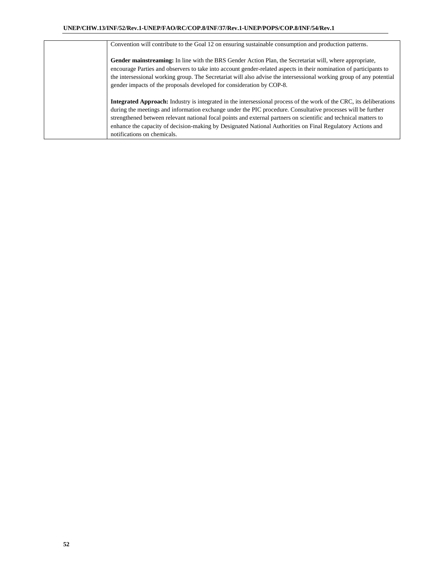| Convention will contribute to the Goal 12 on ensuring sustainable consumption and production patterns.                                                                                                                                                                                                                                                                                                                                                                                                      |
|-------------------------------------------------------------------------------------------------------------------------------------------------------------------------------------------------------------------------------------------------------------------------------------------------------------------------------------------------------------------------------------------------------------------------------------------------------------------------------------------------------------|
| Gender mainstreaming: In line with the BRS Gender Action Plan, the Secretariat will, where appropriate,<br>encourage Parties and observers to take into account gender-related aspects in their nomination of participants to<br>the intersessional working group. The Secretariat will also advise the intersessional working group of any potential<br>gender impacts of the proposals developed for consideration by COP-8.                                                                              |
| <b>Integrated Approach:</b> Industry is integrated in the intersessional process of the work of the CRC, its deliberations<br>during the meetings and information exchange under the PIC procedure. Consultative processes will be further<br>strengthened between relevant national focal points and external partners on scientific and technical matters to<br>enhance the capacity of decision-making by Designated National Authorities on Final Regulatory Actions and<br>notifications on chemicals. |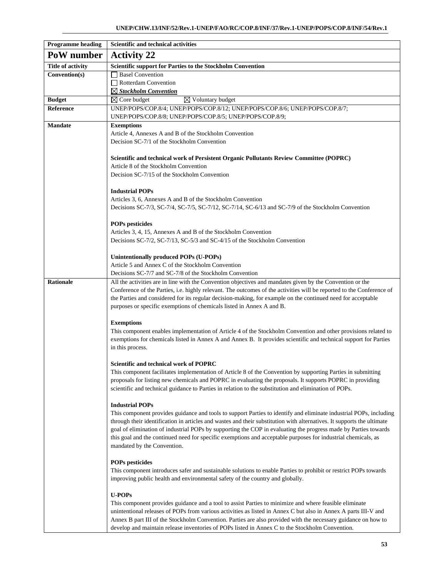| <b>Programme heading</b> | Scientific and technical activities                                                                                    |  |  |  |  |  |
|--------------------------|------------------------------------------------------------------------------------------------------------------------|--|--|--|--|--|
| PoW number               | <b>Activity 22</b>                                                                                                     |  |  |  |  |  |
| <b>Title of activity</b> | Scientific support for Parties to the Stockholm Convention                                                             |  |  |  |  |  |
| Convention(s)            | Basel Convention                                                                                                       |  |  |  |  |  |
|                          | Rotterdam Convention                                                                                                   |  |  |  |  |  |
|                          | $\boxtimes$ Stockholm Convention                                                                                       |  |  |  |  |  |
| <b>Budget</b>            | $\boxtimes$ Core budget<br>$\boxtimes$ Voluntary budget                                                                |  |  |  |  |  |
| Reference                | UNEP/POPS/COP.8/4; UNEP/POPS/COP.8/12; UNEP/POPS/COP.8/6; UNEP/POPS/COP.8/7;                                           |  |  |  |  |  |
|                          | UNEP/POPS/COP.8/8; UNEP/POPS/COP.8/5; UNEP/POPS/COP.8/9;                                                               |  |  |  |  |  |
| <b>Mandate</b>           | <b>Exemptions</b>                                                                                                      |  |  |  |  |  |
|                          | Article 4, Annexes A and B of the Stockholm Convention                                                                 |  |  |  |  |  |
|                          | Decision SC-7/1 of the Stockholm Convention                                                                            |  |  |  |  |  |
|                          |                                                                                                                        |  |  |  |  |  |
|                          | Scientific and technical work of Persistent Organic Pollutants Review Committee (POPRC)                                |  |  |  |  |  |
|                          | Article 8 of the Stockholm Convention                                                                                  |  |  |  |  |  |
|                          | Decision SC-7/15 of the Stockholm Convention                                                                           |  |  |  |  |  |
|                          |                                                                                                                        |  |  |  |  |  |
|                          | <b>Industrial POPs</b>                                                                                                 |  |  |  |  |  |
|                          | Articles 3, 6, Annexes A and B of the Stockholm Convention                                                             |  |  |  |  |  |
|                          | Decisions SC-7/3, SC-7/4, SC-7/5, SC-7/12, SC-7/14, SC-6/13 and SC-7/9 of the Stockholm Convention                     |  |  |  |  |  |
|                          |                                                                                                                        |  |  |  |  |  |
|                          | <b>POPs pesticides</b>                                                                                                 |  |  |  |  |  |
|                          | Articles 3, 4, 15, Annexes A and B of the Stockholm Convention                                                         |  |  |  |  |  |
|                          | Decisions SC-7/2, SC-7/13, SC-5/3 and SC-4/15 of the Stockholm Convention                                              |  |  |  |  |  |
|                          |                                                                                                                        |  |  |  |  |  |
|                          | Unintentionally produced POPs (U-POPs)                                                                                 |  |  |  |  |  |
|                          | Article 5 and Annex C of the Stockholm Convention                                                                      |  |  |  |  |  |
|                          | Decisions SC-7/7 and SC-7/8 of the Stockholm Convention                                                                |  |  |  |  |  |
| <b>Rationale</b>         | All the activities are in line with the Convention objectives and mandates given by the Convention or the              |  |  |  |  |  |
|                          | Conference of the Parties, i.e. highly relevant. The outcomes of the activities will be reported to the Conference of  |  |  |  |  |  |
|                          | the Parties and considered for its regular decision-making, for example on the continued need for acceptable           |  |  |  |  |  |
|                          | purposes or specific exemptions of chemicals listed in Annex A and B.                                                  |  |  |  |  |  |
|                          |                                                                                                                        |  |  |  |  |  |
|                          | <b>Exemptions</b>                                                                                                      |  |  |  |  |  |
|                          | This component enables implementation of Article 4 of the Stockholm Convention and other provisions related to         |  |  |  |  |  |
|                          | exemptions for chemicals listed in Annex A and Annex B. It provides scientific and technical support for Parties       |  |  |  |  |  |
|                          | in this process.                                                                                                       |  |  |  |  |  |
|                          |                                                                                                                        |  |  |  |  |  |
|                          | <b>Scientific and technical work of POPRC</b>                                                                          |  |  |  |  |  |
|                          | This component facilitates implementation of Article 8 of the Convention by supporting Parties in submitting           |  |  |  |  |  |
|                          | proposals for listing new chemicals and POPRC in evaluating the proposals. It supports POPRC in providing              |  |  |  |  |  |
|                          | scientific and technical guidance to Parties in relation to the substitution and elimination of POPs.                  |  |  |  |  |  |
|                          |                                                                                                                        |  |  |  |  |  |
|                          | <b>Industrial POPs</b>                                                                                                 |  |  |  |  |  |
|                          | This component provides guidance and tools to support Parties to identify and eliminate industrial POPs, including     |  |  |  |  |  |
|                          | through their identification in articles and wastes and their substitution with alternatives. It supports the ultimate |  |  |  |  |  |
|                          | goal of elimination of industrial POPs by supporting the COP in evaluating the progress made by Parties towards        |  |  |  |  |  |
|                          | this goal and the continued need for specific exemptions and acceptable purposes for industrial chemicals, as          |  |  |  |  |  |
|                          | mandated by the Convention.                                                                                            |  |  |  |  |  |
|                          |                                                                                                                        |  |  |  |  |  |
|                          | <b>POPs pesticides</b>                                                                                                 |  |  |  |  |  |
|                          | This component introduces safer and sustainable solutions to enable Parties to prohibit or restrict POPs towards       |  |  |  |  |  |
|                          | improving public health and environmental safety of the country and globally.                                          |  |  |  |  |  |
|                          |                                                                                                                        |  |  |  |  |  |
|                          | <b>U-POPs</b>                                                                                                          |  |  |  |  |  |
|                          | This component provides guidance and a tool to assist Parties to minimize and where feasible eliminate                 |  |  |  |  |  |
|                          | unintentional releases of POPs from various activities as listed in Annex C but also in Annex A parts III-V and        |  |  |  |  |  |
|                          | Annex B part III of the Stockholm Convention. Parties are also provided with the necessary guidance on how to          |  |  |  |  |  |
|                          | develop and maintain release inventories of POPs listed in Annex C to the Stockholm Convention.                        |  |  |  |  |  |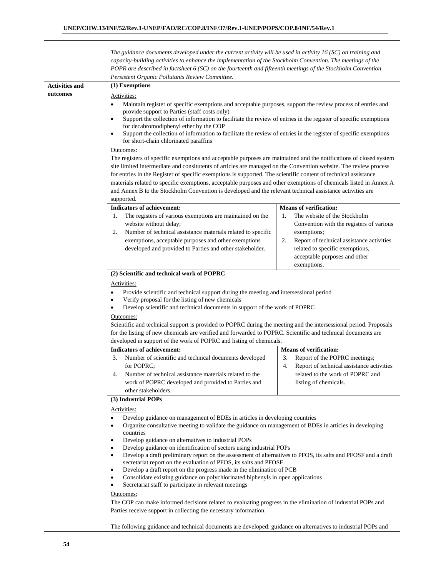|                                   | The guidance documents developed under the current activity will be used in activity 16 (SC) on training and<br>capacity-building activities to enhance the implementation of the Stockholm Convention. The meetings of the<br>POPR are described in factsheet 6 (SC) on the fourteenth and fifteenth meetings of the Stockholm Convention<br>Persistent Organic Pollutants Review Committee.                                                                                                                                                                                                                                                                                                                                                                                                                                                                                                                                             |                                                                                                                                                                                                                                                                      |  |  |  |  |  |
|-----------------------------------|-------------------------------------------------------------------------------------------------------------------------------------------------------------------------------------------------------------------------------------------------------------------------------------------------------------------------------------------------------------------------------------------------------------------------------------------------------------------------------------------------------------------------------------------------------------------------------------------------------------------------------------------------------------------------------------------------------------------------------------------------------------------------------------------------------------------------------------------------------------------------------------------------------------------------------------------|----------------------------------------------------------------------------------------------------------------------------------------------------------------------------------------------------------------------------------------------------------------------|--|--|--|--|--|
| <b>Activities and</b><br>outcomes | (1) Exemptions<br>Activities:<br>Maintain register of specific exemptions and acceptable purposes, support the review process of entries and<br>$\bullet$<br>provide support to Parties (staff costs only)<br>Support the collection of information to facilitate the review of entries in the register of specific exemptions<br>$\bullet$<br>for decabromodiphenyl ether by the COP<br>Support the collection of information to facilitate the review of entries in the register of specific exemptions<br>$\bullet$<br>for short-chain chlorinated paraffins<br>Outcomes:<br>The registers of specific exemptions and acceptable purposes are maintained and the notifications of closed system<br>site limited intermediate and consitutents of articles are managed on the Convention website. The review process<br>for entries in the Register of specific exemptions is supported. The scientific content of technical assistance |                                                                                                                                                                                                                                                                      |  |  |  |  |  |
|                                   | materials related to specific exemptions, acceptable purposes and other exemptions of chemicals listed in Annex A<br>and Annex B to the Stockholm Convention is developed and the relevant technical assistance activities are<br>supported.<br><b>Indicators of achievement:</b><br>The registers of various exemptions are maintained on the<br>1.<br>website without delay;<br>Number of technical assistance materials related to specific<br>2.<br>exemptions, acceptable purposes and other exemptions<br>developed and provided to Parties and other stakeholder.                                                                                                                                                                                                                                                                                                                                                                  | <b>Means of verification:</b><br>The website of the Stockholm<br>1.<br>Convention with the registers of various<br>exemptions;<br>Report of technical assistance activities<br>2.<br>related to specific exemptions,<br>acceptable purposes and other<br>exemptions. |  |  |  |  |  |
|                                   | (2) Scientific and technical work of POPRC<br>Activities:<br>Provide scientific and technical support during the meeting and intersessional period<br>Verify proposal for the listing of new chemicals<br>Develop scientific and technical documents in support of the work of POPRC<br>Outcomes:<br>Scientific and technical support is provided to POPRC during the meeting and the intersessional period. Proposals<br>for the listing of new chemicals are verified and forwarded to POPRC. Scientific and technical documents are<br>developed in support of the work of POPRC and listing of chemicals.                                                                                                                                                                                                                                                                                                                             |                                                                                                                                                                                                                                                                      |  |  |  |  |  |
|                                   | <b>Indicators of achievement:</b><br>3.<br>Number of scientific and technical documents developed<br>for POPRC:<br>Number of technical assistance materials related to the<br>4.<br>work of POPRC developed and provided to Parties and<br>other stakeholders.                                                                                                                                                                                                                                                                                                                                                                                                                                                                                                                                                                                                                                                                            | <b>Means of verification:</b><br>3.<br>Report of the POPRC meetings;<br>4.<br>Report of technical assistance activities<br>related to the work of POPRC and<br>listing of chemicals.                                                                                 |  |  |  |  |  |
|                                   | (3) Industrial POPs<br>Activities:<br>Develop guidance on management of BDEs in articles in developing countries<br>$\bullet$<br>Organize consultative meeting to validate the guidance on management of BDEs in articles in developing<br>$\bullet$<br>countries<br>Develop guidance on alternatives to industrial POPs<br>Develop guidance on identification of sectors using industrial POPs<br>$\bullet$<br>Develop a draft preliminary report on the assessment of alternatives to PFOS, its salts and PFOSF and a draft<br>٠<br>secretariat report on the evaluation of PFOS, its salts and PFOSF<br>Develop a draft report on the progress made in the elimination of PCB<br>$\bullet$<br>Consolidate existing guidance on polychlorinated biphenyls in open applications<br>٠<br>Secretariat staff to participate in relevant meetings<br>٠<br>Outcomes:                                                                          |                                                                                                                                                                                                                                                                      |  |  |  |  |  |
|                                   | The COP can make informed decisions related to evaluating progress in the elimination of industrial POPs and<br>Parties receive support in collecting the necessary information.<br>The following guidance and technical documents are developed: guidance on alternatives to industrial POPs and                                                                                                                                                                                                                                                                                                                                                                                                                                                                                                                                                                                                                                         |                                                                                                                                                                                                                                                                      |  |  |  |  |  |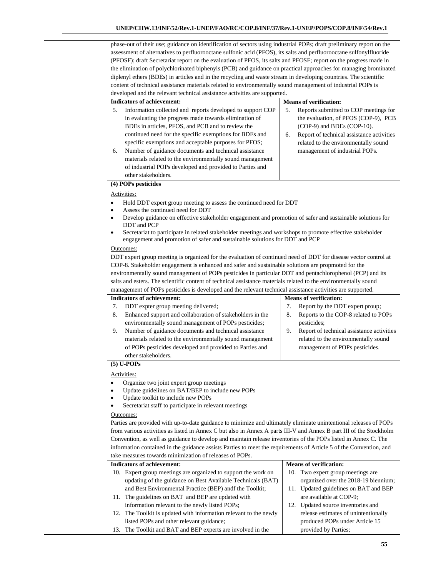phase-out of their use; guidance on identification of sectors using industrial POPs; draft preliminary report on the assessment of alternatives to perfluorooctane sulfonic acid (PFOS), its salts and perfluorooctane sulfonylfluoride (PFOSF); draft Secretariat report on the evaluation of PFOS, its salts and PFOSF; report on the progress made in the elimination of polychlorinated biphenyls (PCB) and guidance on practical approaches for managing brominated diplenyl ethers (BDEs) in articles and in the recycling and waste stream in developing countries. The scientific content of technical assistance materials related to environmentally sound management of industrial POPs is developed and the relevant technical assistance activities are supported. **Indicators of achievement:**  5. Information collected and reports developed to support COP in evaluating the progress made towards elimination of BDEs in articles, PFOS, and PCB and to review the continued need for the specific exemptions for BDEs and specific exemptions and acceptable purposes for PFOS; 6. Number of guidance documents and technical assistance materials related to the environmentally sound management of industrial POPs developed and provided to Parties and other stakeholders. **Means of verification:** 5. Reports submitted to COP meetings for the evaluation, of PFOS (COP-9), PCB (COP-9) and BDEs (COP-10). 6. Report of technical assistance activities related to the environmentally sound management of industrial POPs. **(4) POPs pesticides**  Activities: Hold DDT expert group meeting to assess the continued need for DDT Assess the continued need for DDT Develop guidance on effective stakeholder engagement and promotion of safer and sustainable solutions for DDT and PCP Secretariat to participate in related stakeholder meetings and workshops to promote effective stakeholder engagement and promotion of safer and sustainable solutions for DDT and PCP Outcomes: DDT expert group meeting is organized for the evaluation of continued need of DDT for disease vector control at COP-8. Stakeholder engagement is enhanced and safer and sustainable solutions are propmoted for the environmentally sound management of POPs pesticides in particular DDT and pentachlorophenol (PCP) and its salts and esters. The scientific content of technical assistance materials related to the environmentally sound management of POPs pesticides is developed and the relevant technical assistance activities are supported. **Indicators of achievement:**  7. DDT expter group meeting delivered; 8. Enhanced support and collaboration of stakeholders in the environmentally sound management of POPs pesticides; 9. Number of guidance documents and technical assistance materials related to the environmentally sound management of POPs pesticides developed and provided to Parties and other stakeholders. **Means of verification:**  7. Report by the DDT expert proup; 8. Reports to the COP-8 related to POPs pesticides; 9. Report of technical assistance activities related to the environmentally sound management of POPs pesticides. **(5) U-POPs**  Activities: Organize two joint expert group meetings Update guidelines on BAT/BEP to include new POPs Update toolkit to include new POPs Secretariat staff to participate in relevant meetings Outcomes: Parties are provided with up-to-date guidance to minimize and ultimately eliminate unintentional releases of POPs from various activities as listed in Annex C but also in Annex A parts III-V and Annex B part III of the Stockholm Convention, as well as guidance to develop and maintain release inventories of the POPs listed in Annex C. The information contained in the guidance assists Parties to meet the requirements of Article 5 of the Convention, and take measures towards minimization of releases of POPs. **Indicators of achievement:**  10. Expert group meetings are organized to support the work on updating of the guidance on Best Available Technicals (BAT) and Best Environmental Practice (BEP) andf the Toolkit; 11. The guidelines on BAT and BEP are updated with information relevant to the newly listed POPs; 12. The Toolkit is updated with information relevant to the newly listed POPs and other relevant guidance; **Means of verification:**  10. Two expert group meetings are organized over the 2018-19 biennium; 11. Updated guidelines on BAT and BEP are available at COP-9; 12. Updated source inventories and release estimates of unintentionally produced POPs under Article 15

13. The Toolkit and BAT and BEP experts are involved in the

provided by Parties;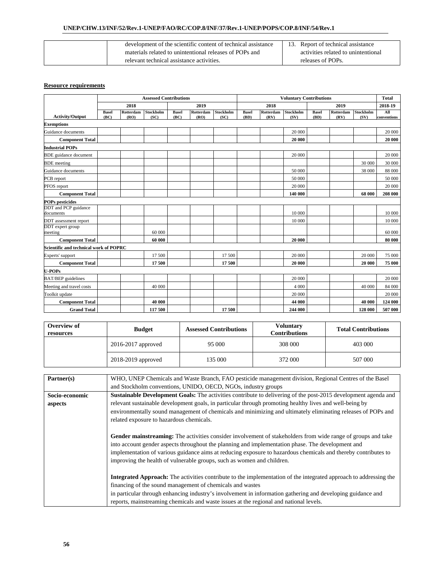| development of the scientific content of technical assistance | 13. Report of technical assistance  |
|---------------------------------------------------------------|-------------------------------------|
| materials related to unintentional releases of POPs and       | activities related to unintentional |
| relevant technical assistance activities.                     | releases of POPs.                   |

|                                        | <b>Assessed Contributions</b> |                   |                          |                      |                          |                   | <b>Voluntary Contributions</b> |                   |                   |                      | <b>Total</b>      |                   |                    |
|----------------------------------------|-------------------------------|-------------------|--------------------------|----------------------|--------------------------|-------------------|--------------------------------|-------------------|-------------------|----------------------|-------------------|-------------------|--------------------|
|                                        |                               | 2018              |                          |                      | 2019                     |                   | 2018<br>2019                   |                   |                   | 2018-19              |                   |                   |                    |
| <b>Activity/Output</b>                 | <b>Basel</b><br>(BC)          | Rotterdam<br>(RO) | <b>Stockholm</b><br>(SC) | <b>Basel</b><br>(BC) | <b>Rotterdam</b><br>(RO) | Stockholm<br>(SC) | <b>Basel</b><br>(BD)           | Rotterdam<br>(RV) | Stockholm<br>(SV) | <b>Basel</b><br>(BD) | Rotterdam<br>(RV) | Stockholm<br>(SV) | All<br>conventions |
| <b>Exemptions</b>                      |                               |                   |                          |                      |                          |                   |                                |                   |                   |                      |                   |                   |                    |
| Guidance documents                     |                               |                   |                          |                      |                          |                   |                                |                   | 20 000            |                      |                   |                   | 20 000             |
| <b>Component Total</b>                 |                               |                   |                          |                      |                          |                   |                                |                   | 20 000            |                      |                   |                   | 20 000             |
| <b>Industrial POPs</b>                 |                               |                   |                          |                      |                          |                   |                                |                   |                   |                      |                   |                   |                    |
| <b>BDE</b> guidance document           |                               |                   |                          |                      |                          |                   |                                |                   | 20 000            |                      |                   |                   | 20 000             |
| <b>BDE</b> meeting                     |                               |                   |                          |                      |                          |                   |                                |                   |                   |                      |                   | 30 000            | 30 000             |
| Guidance documents                     |                               |                   |                          |                      |                          |                   |                                |                   | 50 000            |                      |                   | 38 000            | 88 000             |
| PCB report                             |                               |                   |                          |                      |                          |                   |                                |                   | 50 000            |                      |                   |                   | 50 000             |
| PFOS report                            |                               |                   |                          |                      |                          |                   |                                |                   | 20 000            |                      |                   |                   | 20 000             |
| <b>Component Total</b>                 |                               |                   |                          |                      |                          |                   |                                |                   | 140 000           |                      |                   | 68 000            | 208 000            |
| <b>POPs pesticides</b>                 |                               |                   |                          |                      |                          |                   |                                |                   |                   |                      |                   |                   |                    |
| DDT and PCP guidance<br>documents      |                               |                   |                          |                      |                          |                   |                                |                   | 10 000            |                      |                   |                   | 10 000             |
| DDT assessment report                  |                               |                   |                          |                      |                          |                   |                                |                   | 10 000            |                      |                   |                   | 10 000             |
| DDT expert group<br>meeting            |                               |                   | 60 000                   |                      |                          |                   |                                |                   |                   |                      |                   |                   | 60 000             |
| <b>Component Total</b>                 |                               |                   | 60 000                   |                      |                          |                   |                                |                   | 20 000            |                      |                   |                   | 80 000             |
| Scientific and technical work of POPRC |                               |                   |                          |                      |                          |                   |                                |                   |                   |                      |                   |                   |                    |
| Experts' support                       |                               |                   | 17500                    |                      |                          | 17 500            |                                |                   | 20 000            |                      |                   | 20 000            | 75 000             |
| <b>Component Total</b>                 |                               |                   | 17500                    |                      |                          | 17500             |                                |                   | 20 000            |                      |                   | 20 000            | 75 000             |
| <b>U-POPs</b>                          |                               |                   |                          |                      |                          |                   |                                |                   |                   |                      |                   |                   |                    |
| <b>BAT/BEP</b> guidelines              |                               |                   |                          |                      |                          |                   |                                |                   | 20 000            |                      |                   |                   | 20 000             |
| Meeting and travel costs               |                               |                   | 40 000                   |                      |                          |                   |                                |                   | 4 0 0 0           |                      |                   | 40 000            | 84 000             |
| Toolkit update                         |                               |                   |                          |                      |                          |                   |                                |                   | 20 000            |                      |                   |                   | 20 000             |
| <b>Component Total</b>                 |                               |                   | 40 000                   |                      |                          |                   |                                |                   | 44 000            |                      |                   | 40 000            | 124 000            |
| <b>Grand Total</b>                     |                               |                   | 117 500                  |                      |                          | 17500             |                                |                   | 244 000           |                      |                   | 128 000           | 507 000            |

| Overview of<br>resources | <b>Budget</b>        | <b>Assessed Contributions</b> | <b>Voluntary</b><br>Contributions | <b>Total Contributions</b> |  |
|--------------------------|----------------------|-------------------------------|-----------------------------------|----------------------------|--|
|                          | 2016-2017 approved   |                               | 308 000                           | 403 000                    |  |
|                          | $2018-2019$ approved | 135 000                       | 372 000                           | 507 000                    |  |

| Partner(s)     | WHO, UNEP Chemicals and Waste Branch, FAO pesticide management division, Regional Centres of the Basel                   |
|----------------|--------------------------------------------------------------------------------------------------------------------------|
|                | and Stockholm conventions, UNIDO, OECD, NGOs, industry groups                                                            |
| Socio-economic | Sustainable Development Goals: The activities contribute to delivering of the post-2015 development agenda and           |
| aspects        | relevant sustainable development goals, in particular through promoting healthy lives and well-being by                  |
|                | environmentally sound management of chemicals and minimizing and ultimately eliminating releases of POPs and             |
|                | related exposure to hazardous chemicals.                                                                                 |
|                |                                                                                                                          |
|                | Gender mainstreaming: The activities consider involvement of stakeholders from wide range of groups and take             |
|                | into account gender aspects throughout the planning and implementation phase. The development and                        |
|                | implementation of various guidance aims at reducing exposure to hazardous chemicals and thereby contributes to           |
|                | improving the health of vulnerable groups, such as women and children.                                                   |
|                |                                                                                                                          |
|                | <b>Integrated Approach:</b> The activities contribute to the implementation of the integrated approach to addressing the |
|                | financing of the sound management of chemicals and wastes                                                                |
|                | in particular through enhancing industry's involvement in information gathering and developing guidance and              |
|                | reports, mainstreaming chemicals and waste issues at the regional and national levels.                                   |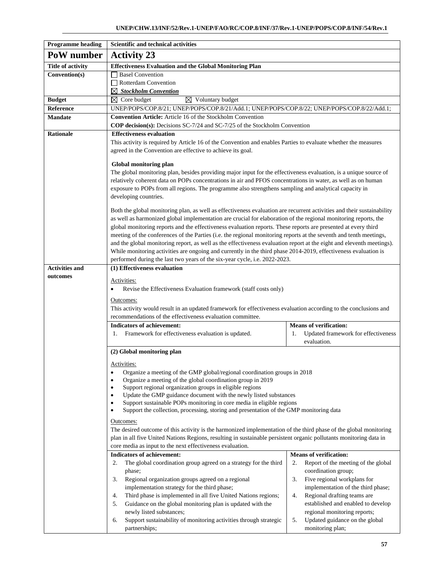| <b>Programme heading</b> | Scientific and technical activities                                                                                                                                                                                                     |                                                                            |  |  |  |  |  |  |
|--------------------------|-----------------------------------------------------------------------------------------------------------------------------------------------------------------------------------------------------------------------------------------|----------------------------------------------------------------------------|--|--|--|--|--|--|
| PoW number               | <b>Activity 23</b>                                                                                                                                                                                                                      |                                                                            |  |  |  |  |  |  |
| <b>Title of activity</b> | <b>Effectiveness Evaluation and the Global Monitoring Plan</b>                                                                                                                                                                          |                                                                            |  |  |  |  |  |  |
| Convention(s)            | <b>Basel Convention</b>                                                                                                                                                                                                                 |                                                                            |  |  |  |  |  |  |
|                          | Rotterdam Convention                                                                                                                                                                                                                    |                                                                            |  |  |  |  |  |  |
|                          | $\boxtimes$ Stockholm Convention                                                                                                                                                                                                        |                                                                            |  |  |  |  |  |  |
| <b>Budget</b>            | $\boxtimes$ Core budget<br>$\boxtimes$ Voluntary budget                                                                                                                                                                                 |                                                                            |  |  |  |  |  |  |
| Reference                | UNEP/POPS/COP.8/21; UNEP/POPS/COP.8/21/Add.1; UNEP/POPS/COP.8/22; UNEP/POPS/COP.8/22/Add.1;                                                                                                                                             |                                                                            |  |  |  |  |  |  |
| <b>Mandate</b>           | Convention Article: Article 16 of the Stockholm Convention                                                                                                                                                                              |                                                                            |  |  |  |  |  |  |
|                          | COP decision(s): Decisions SC-7/24 and SC-7/25 of the Stockholm Convention                                                                                                                                                              |                                                                            |  |  |  |  |  |  |
| <b>Rationale</b>         | <b>Effectiveness evaluation</b>                                                                                                                                                                                                         |                                                                            |  |  |  |  |  |  |
|                          | This activity is required by Article 16 of the Convention and enables Parties to evaluate whether the measures                                                                                                                          |                                                                            |  |  |  |  |  |  |
|                          | agreed in the Convention are effective to achieve its goal.                                                                                                                                                                             |                                                                            |  |  |  |  |  |  |
|                          | Global monitoring plan                                                                                                                                                                                                                  |                                                                            |  |  |  |  |  |  |
|                          | The global monitoring plan, besides providing major input for the effectiveness evaluation, is a unique source of                                                                                                                       |                                                                            |  |  |  |  |  |  |
|                          | relatively coherent data on POPs concentrations in air and PFOS concentrations in water, as well as on human                                                                                                                            |                                                                            |  |  |  |  |  |  |
|                          | exposure to POPs from all regions. The programme also strengthens sampling and analytical capacity in                                                                                                                                   |                                                                            |  |  |  |  |  |  |
|                          | developing countries.                                                                                                                                                                                                                   |                                                                            |  |  |  |  |  |  |
|                          | Both the global monitoring plan, as well as effectiveness evaluation are recurrent activities and their sustainability                                                                                                                  |                                                                            |  |  |  |  |  |  |
|                          | as well as harmonized global implementation are crucial for elaboration of the regional monitoring reports, the                                                                                                                         |                                                                            |  |  |  |  |  |  |
|                          | global monitoring reports and the effectiveness evaluation reports. These reports are presented at every third                                                                                                                          |                                                                            |  |  |  |  |  |  |
|                          | meeting of the conferences of the Parties (i.e. the regional monitoring reports at the seventh and tenth meetings,                                                                                                                      |                                                                            |  |  |  |  |  |  |
|                          | and the global monitoring report, as well as the effectiveness evaluation report at the eight and eleventh meetings).                                                                                                                   |                                                                            |  |  |  |  |  |  |
|                          | While monitoring activities are ongoing and currently in the third phase 2014-2019, effectiveness evaluation is                                                                                                                         |                                                                            |  |  |  |  |  |  |
|                          |                                                                                                                                                                                                                                         | performed during the last two years of the six-year cycle, i.e. 2022-2023. |  |  |  |  |  |  |
| <b>Activities and</b>    | (1) Effectiveness evaluation                                                                                                                                                                                                            |                                                                            |  |  |  |  |  |  |
| outcomes                 | Activities:                                                                                                                                                                                                                             |                                                                            |  |  |  |  |  |  |
|                          | Revise the Effectiveness Evaluation framework (staff costs only)                                                                                                                                                                        |                                                                            |  |  |  |  |  |  |
|                          | Outcomes:                                                                                                                                                                                                                               |                                                                            |  |  |  |  |  |  |
|                          | This activity would result in an updated framework for effectiveness evaluation according to the conclusions and                                                                                                                        |                                                                            |  |  |  |  |  |  |
|                          | recommendations of the effectiveness evaluation committee.                                                                                                                                                                              |                                                                            |  |  |  |  |  |  |
|                          | <b>Indicators of achievement:</b>                                                                                                                                                                                                       | <b>Means of verification:</b>                                              |  |  |  |  |  |  |
|                          | Framework for effectiveness evaluation is updated.<br>Updated framework for effectiveness<br>1.<br>1.                                                                                                                                   |                                                                            |  |  |  |  |  |  |
|                          | evaluation.                                                                                                                                                                                                                             |                                                                            |  |  |  |  |  |  |
|                          | (2) Global monitoring plan                                                                                                                                                                                                              |                                                                            |  |  |  |  |  |  |
|                          | Activities:                                                                                                                                                                                                                             |                                                                            |  |  |  |  |  |  |
|                          | Organize a meeting of the GMP global/regional coordination groups in 2018<br>$\bullet$                                                                                                                                                  |                                                                            |  |  |  |  |  |  |
|                          | Organize a meeting of the global coordination group in 2019                                                                                                                                                                             |                                                                            |  |  |  |  |  |  |
|                          | Support regional organization groups in eligible regions<br>$\bullet$                                                                                                                                                                   |                                                                            |  |  |  |  |  |  |
|                          | Update the GMP guidance document with the newly listed substances<br>٠                                                                                                                                                                  |                                                                            |  |  |  |  |  |  |
|                          | Support sustainable POPs monitoring in core media in eligible regions<br>Support the collection, processing, storing and presentation of the GMP monitoring data<br>$\bullet$                                                           |                                                                            |  |  |  |  |  |  |
|                          |                                                                                                                                                                                                                                         |                                                                            |  |  |  |  |  |  |
|                          | Outcomes:                                                                                                                                                                                                                               |                                                                            |  |  |  |  |  |  |
|                          | The desired outcome of this activity is the harmonized implementation of the third phase of the global monitoring<br>plan in all five United Nations Regions, resulting in sustainable persistent organic pollutants monitoring data in |                                                                            |  |  |  |  |  |  |
|                          | core media as input to the next effectiveness evaluation.                                                                                                                                                                               |                                                                            |  |  |  |  |  |  |
|                          | <b>Indicators of achievement:</b>                                                                                                                                                                                                       | <b>Means of verification:</b>                                              |  |  |  |  |  |  |
|                          | The global coordination group agreed on a strategy for the third<br>2.                                                                                                                                                                  | Report of the meeting of the global<br>2.                                  |  |  |  |  |  |  |
|                          | phase;                                                                                                                                                                                                                                  | coordination group;                                                        |  |  |  |  |  |  |
|                          | Regional organization groups agreed on a regional<br>3.                                                                                                                                                                                 | 3.<br>Five regional workplans for                                          |  |  |  |  |  |  |
|                          | implementation strategy for the third phase;                                                                                                                                                                                            | implementation of the third phase;                                         |  |  |  |  |  |  |
|                          | Third phase is implemented in all five United Nations regions;<br>4.                                                                                                                                                                    | Regional drafting teams are<br>4.                                          |  |  |  |  |  |  |
|                          | Guidance on the global monitoring plan is updated with the<br>5.                                                                                                                                                                        | established and enabled to develop                                         |  |  |  |  |  |  |
|                          | newly listed substances;                                                                                                                                                                                                                | regional monitoring reports;                                               |  |  |  |  |  |  |
|                          | Support sustainability of monitoring activities through strategic<br>6.                                                                                                                                                                 | Updated guidance on the global<br>5.                                       |  |  |  |  |  |  |
|                          | partnerships;                                                                                                                                                                                                                           | monitoring plan;                                                           |  |  |  |  |  |  |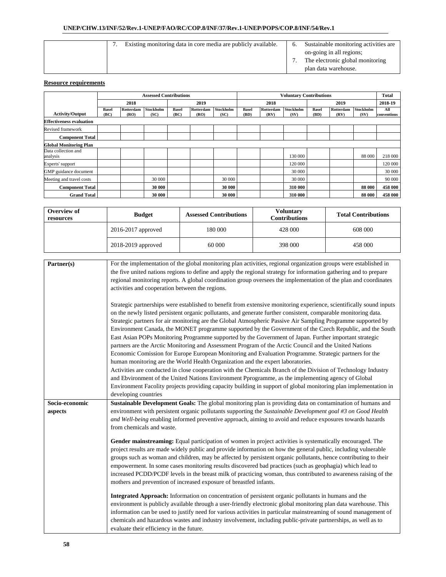| Existing monitoring data in core media are publicly available. | Sustainable monitoring activities are. |
|----------------------------------------------------------------|----------------------------------------|
|                                                                | on-going in all regions;               |
|                                                                | The electronic global monitoring       |
|                                                                | plan data warehouse.                   |

|                                 |                      | <b>Assessed Contributions</b> |                   |                      |                   |                   | <b>Voluntary Contributions</b> |                   |                   |                      |                   |                   | Total              |
|---------------------------------|----------------------|-------------------------------|-------------------|----------------------|-------------------|-------------------|--------------------------------|-------------------|-------------------|----------------------|-------------------|-------------------|--------------------|
|                                 |                      | 2019<br>2018                  |                   |                      | 2018              |                   |                                |                   | 2019              |                      |                   |                   |                    |
| <b>Activity/Output</b>          | <b>Basel</b><br>(BC) | Rotterdam<br>(RO)             | Stockholm<br>(SC) | <b>Basel</b><br>(BC) | Rotterdam<br>(RO) | Stockholm<br>(SC) | <b>Basel</b><br>(BD)           | Rotterdam<br>(RV) | Stockholm<br>(SV) | <b>Basel</b><br>(BD) | Rotterdam<br>(RV) | Stockholm<br>(SV) | All<br>conventions |
| <b>Effectiveness evaluation</b> |                      |                               |                   |                      |                   |                   |                                |                   |                   |                      |                   |                   |                    |
| Revised framework               |                      |                               |                   |                      |                   |                   |                                |                   |                   |                      |                   |                   |                    |
| <b>Component Total</b>          |                      |                               |                   |                      |                   |                   |                                |                   |                   |                      |                   |                   |                    |
| <b>Global Monitoring Plan</b>   |                      |                               |                   |                      |                   |                   |                                |                   |                   |                      |                   |                   |                    |
| Data collection and<br>analysis |                      |                               |                   |                      |                   |                   |                                |                   | 130 000           |                      |                   | 88 000            | 218 000            |
| Experts' support                |                      |                               |                   |                      |                   |                   |                                |                   | 120 000           |                      |                   |                   | 120 000            |
| GMP guidance document           |                      |                               |                   |                      |                   |                   |                                |                   | 30 000            |                      |                   |                   | 30 000             |
| Meeting and travel costs        |                      |                               | 30 000            |                      |                   | 30 000            |                                |                   | 30 000            |                      |                   |                   | 90 000             |
| <b>Component Total</b>          |                      |                               | 30 000            |                      |                   | 30 000            |                                |                   | 310 000           |                      |                   | 88 000            | 458 000            |
| <b>Grand Total</b>              |                      |                               | 30 000            |                      |                   | 30 000            |                                |                   | 310 000           |                      |                   | 88 000            | 458 000            |

| Overview of<br>resources | <b>Budget</b>          | <b>Assessed Contributions</b> | <b>Voluntary</b><br><b>Contributions</b> | <b>Total Contributions</b> |  |
|--------------------------|------------------------|-------------------------------|------------------------------------------|----------------------------|--|
|                          | $2016 - 2017$ approved | 180 000                       | 428 000                                  | 608 000                    |  |
|                          | 2018-2019 approved     | 60 000                        | 398 000                                  | 458 000                    |  |

| Partner(s)     | For the implementation of the global monitoring plan activities, regional organization groups were established in    |
|----------------|----------------------------------------------------------------------------------------------------------------------|
|                | the five united nations regions to define and apply the regional strategy for information gathering and to prepare   |
|                | regional monitoring reports. A global coordination group oversees the implementation of the plan and coordinates     |
|                | activities and cooperation between the regions.                                                                      |
|                |                                                                                                                      |
|                |                                                                                                                      |
|                | Strategic partnerships were established to benefit from extensive monitoring experience, scientifically sound inputs |
|                | on the newly listed persistent organic pollutants, and generate further consistent, comparable monitoring data.      |
|                | Strategic partners for air monitoring are the Global Atmospheric Passive Air Sampling Programme supported by         |
|                | Environment Canada, the MONET programme supported by the Government of the Czech Republic, and the South             |
|                | East Asian POPs Monitoring Programme supported by the Government of Japan. Further important strategic               |
|                | partners are the Arctic Monitoring and Assessment Program of the Arctic Council and the United Nations               |
|                | Economic Comission for Europe European Monitoring and Evaluation Programme. Strategic partners for the               |
|                | human monitoring are the World Health Organization and the expert laboratories.                                      |
|                | Activities are conducted in close cooperation with the Chemicals Branch of the Division of Technology Industry       |
|                | and Ebvironment of the United Nations Environment Pprogramme, as the implementing agency of Global                   |
|                | Environment Facolity projects providing capacity building in support of global monitoring plan implementation in     |
|                | developing countries                                                                                                 |
| Socio-economic | Sustainable Development Goals: The global monitoring plan is providing data on contamination of humans and           |
| aspects        | environment with persistent organic pollutants supporting the Sustainable Development goal #3 on Good Health         |
|                | and Well-being enabling informed preventive approach, aiming to avoid and reduce exposures towards hazards           |
|                | from chemicals and waste.                                                                                            |
|                |                                                                                                                      |
|                | Gender mainstreaming: Equal participation of women in project activities is systematically encouraged. The           |
|                | project results are made widely public and provide information on how the general public, including vulnerable       |
|                | groups such as woman and children, may be affected by persistent organic pollutants, hence contributing to their     |
|                | empowerment. In some cases monitoring results discovered bad practices (such as geophagia) which lead to             |
|                | increased PCDD/PCDF levels in the breast milk of practicing woman, thus contributed to awareness raising of the      |
|                | mothers and prevention of increased exposure of breastfed infants.                                                   |
|                |                                                                                                                      |
|                | Integrated Approach: Information on concentration of persistent organic pollutants in humans and the                 |
|                | environment is publicly available through a user-friendly electronic global monitoring plan data warehouse. This     |
|                | information can be used to justify need for various activities in particular mainstreaming of sound management of    |
|                | chemicals and hazardous wastes and industry involvement, including public-private partnerships, as well as to        |
|                | evaluate their efficiency in the future.                                                                             |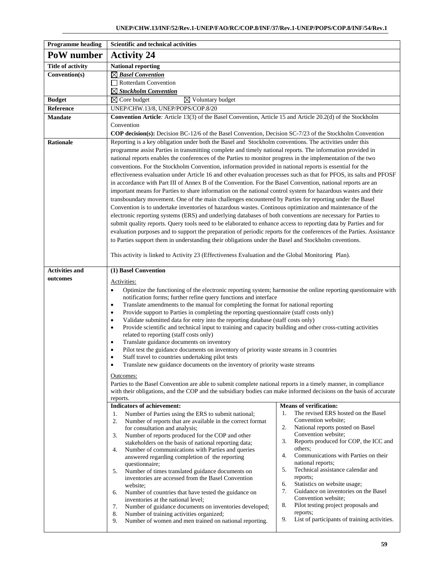| <b>Programme heading</b> | <b>Scientific and technical activities</b>                                                                                                                                                                                       |                                                                   |  |  |  |  |  |  |  |  |
|--------------------------|----------------------------------------------------------------------------------------------------------------------------------------------------------------------------------------------------------------------------------|-------------------------------------------------------------------|--|--|--|--|--|--|--|--|
| PoW number               | <b>Activity 24</b>                                                                                                                                                                                                               |                                                                   |  |  |  |  |  |  |  |  |
| <b>Title of activity</b> | <b>National reporting</b>                                                                                                                                                                                                        |                                                                   |  |  |  |  |  |  |  |  |
| Convention(s)            | $\boxtimes$ Basel Convention                                                                                                                                                                                                     |                                                                   |  |  |  |  |  |  |  |  |
|                          | Rotterdam Convention                                                                                                                                                                                                             |                                                                   |  |  |  |  |  |  |  |  |
|                          | $\boxtimes$ Stockholm Convention                                                                                                                                                                                                 |                                                                   |  |  |  |  |  |  |  |  |
| <b>Budget</b>            | $\boxtimes$ Voluntary budget<br>$\boxtimes$ Core budget                                                                                                                                                                          |                                                                   |  |  |  |  |  |  |  |  |
| Reference                | UNEP/CHW.13/8, UNEP/POPS/COP.8/20                                                                                                                                                                                                |                                                                   |  |  |  |  |  |  |  |  |
| <b>Mandate</b>           | <b>Convention Article</b> : Article 13(3) of the Basel Convention, Article 15 and Article 20.2(d) of the Stockholm                                                                                                               |                                                                   |  |  |  |  |  |  |  |  |
|                          | Convention<br>COP decision(s): Decision BC-12/6 of the Basel Convention, Decision SC-7/23 of the Stockholm Convention                                                                                                            |                                                                   |  |  |  |  |  |  |  |  |
| <b>Rationale</b>         | Reporting is a key obligation under both the Basel and Stockholm conventions. The activities under this                                                                                                                          |                                                                   |  |  |  |  |  |  |  |  |
|                          | programme assist Parties in transmitting complete and timely national reports. The information provided in                                                                                                                       |                                                                   |  |  |  |  |  |  |  |  |
|                          | national reports enables the conferences of the Parties to monitor progress in the implementation of the two                                                                                                                     |                                                                   |  |  |  |  |  |  |  |  |
|                          | conventions. For the Stockholm Convention, information provided in national reports is essential for the                                                                                                                         |                                                                   |  |  |  |  |  |  |  |  |
|                          | effectiveness evaluation under Article 16 and other evaluation processes such as that for PFOS, its salts and PFOSF                                                                                                              |                                                                   |  |  |  |  |  |  |  |  |
|                          | in accordance with Part III of Annex B of the Convention. For the Basel Convention, national reports are an                                                                                                                      |                                                                   |  |  |  |  |  |  |  |  |
|                          | important means for Parties to share information on the national control system for hazardous wastes and their                                                                                                                   |                                                                   |  |  |  |  |  |  |  |  |
|                          | transboundary movement. One of the main challenges encountered by Parties for reporting under the Basel                                                                                                                          |                                                                   |  |  |  |  |  |  |  |  |
|                          | Convention is to undertake inventories of hazardous wastes. Continous optimization and maintenance of the                                                                                                                        |                                                                   |  |  |  |  |  |  |  |  |
|                          | electronic reporting systems (ERS) and underlying databases of both conventions are necessary for Parties to<br>submit quality reports. Query tools need to be elaborated to enhance access to reporting data by Parties and for |                                                                   |  |  |  |  |  |  |  |  |
|                          | evaluation purposes and to support the preparation of periodic reports for the conferences of the Parties. Assistance                                                                                                            |                                                                   |  |  |  |  |  |  |  |  |
|                          | to Parties support them in understanding their obligations under the Basel and Stockholm cnventions.                                                                                                                             |                                                                   |  |  |  |  |  |  |  |  |
|                          |                                                                                                                                                                                                                                  |                                                                   |  |  |  |  |  |  |  |  |
|                          | This activity is linked to Activity 23 (Effectiveness Evaluation and the Global Monitoring Plan).                                                                                                                                |                                                                   |  |  |  |  |  |  |  |  |
| <b>Activities and</b>    | (1) Basel Convention                                                                                                                                                                                                             |                                                                   |  |  |  |  |  |  |  |  |
| outcomes                 |                                                                                                                                                                                                                                  |                                                                   |  |  |  |  |  |  |  |  |
|                          | Activities:<br>Optimize the functioning of the electronic reporting system; harmonise the online reporting questionnaire with<br>$\bullet$                                                                                       |                                                                   |  |  |  |  |  |  |  |  |
|                          | notification forms; further refine query functions and interface                                                                                                                                                                 |                                                                   |  |  |  |  |  |  |  |  |
|                          | Translate amendments to the manual for completing the format for national reporting<br>$\bullet$                                                                                                                                 |                                                                   |  |  |  |  |  |  |  |  |
|                          | Provide support to Parties in completing the reporting questionnaire (staff costs only)<br>$\bullet$                                                                                                                             |                                                                   |  |  |  |  |  |  |  |  |
|                          | Validate submitted data for entry into the reporting database (staff costs only)<br>٠<br>Provide scientific and technical input to training and capacity building and other cross-cutting activities<br>$\bullet$                |                                                                   |  |  |  |  |  |  |  |  |
|                          | related to reporting (staff costs only)                                                                                                                                                                                          |                                                                   |  |  |  |  |  |  |  |  |
|                          | Translate guidance documents on inventory<br>٠                                                                                                                                                                                   |                                                                   |  |  |  |  |  |  |  |  |
|                          | Pilot test the guidance documents on inventory of priority waste streams in 3 countries                                                                                                                                          |                                                                   |  |  |  |  |  |  |  |  |
|                          | Staff travel to countries undertaking pilot tests                                                                                                                                                                                |                                                                   |  |  |  |  |  |  |  |  |
|                          | Translate new guidance documents on the inventory of priority waste streams                                                                                                                                                      |                                                                   |  |  |  |  |  |  |  |  |
|                          | Outcomes:                                                                                                                                                                                                                        |                                                                   |  |  |  |  |  |  |  |  |
|                          | Parties to the Basel Convention are able to submit complete national reports in a timely manner, in compliance                                                                                                                   |                                                                   |  |  |  |  |  |  |  |  |
|                          | with their obligations, and the COP and the subsidiary bodies can make informed decisions on the basis of accurate<br>reports.                                                                                                   |                                                                   |  |  |  |  |  |  |  |  |
|                          | <b>Indicators of achievement:</b>                                                                                                                                                                                                | <b>Means of verification:</b>                                     |  |  |  |  |  |  |  |  |
|                          | Number of Parties using the ERS to submit national;<br>1.                                                                                                                                                                        | The revised ERS hosted on the Basel<br>1.                         |  |  |  |  |  |  |  |  |
|                          | Number of reports that are available in the correct format<br>2.                                                                                                                                                                 | Convention website;<br>2.<br>National reports posted on Basel     |  |  |  |  |  |  |  |  |
|                          | for consultation and analysis;<br>Number of reports produced for the COP and other<br>3.                                                                                                                                         | Convention website;                                               |  |  |  |  |  |  |  |  |
|                          | stakeholders on the basis of national reporting data;                                                                                                                                                                            | Reports produced for COP, the ICC and<br>3.                       |  |  |  |  |  |  |  |  |
|                          | Number of communications with Parties and queries<br>4.                                                                                                                                                                          | others;                                                           |  |  |  |  |  |  |  |  |
|                          | answered regarding completion of the reporting                                                                                                                                                                                   | 4.<br>Communications with Parties on their<br>national reports;   |  |  |  |  |  |  |  |  |
|                          | questionnaire;<br>5.<br>Number of times translated guidance documents on                                                                                                                                                         | 5.<br>Technical assistance calendar and                           |  |  |  |  |  |  |  |  |
|                          | inventories are accessed from the Basel Convention                                                                                                                                                                               | reports;                                                          |  |  |  |  |  |  |  |  |
|                          | website;                                                                                                                                                                                                                         | Statistics on website usage;<br>6.                                |  |  |  |  |  |  |  |  |
|                          | Number of countries that have tested the guidance on<br>6.<br>inventories at the national level;                                                                                                                                 | 7.<br>Guidance on inventories on the Basel<br>Convention website; |  |  |  |  |  |  |  |  |
|                          | Number of guidance documents on inventories developed;<br>7.                                                                                                                                                                     | 8.<br>Pilot testing project proposals and                         |  |  |  |  |  |  |  |  |
|                          | Number of training activities organized;<br>8.                                                                                                                                                                                   | reports;                                                          |  |  |  |  |  |  |  |  |
|                          | Number of women and men trained on national reporting.<br>9.                                                                                                                                                                     | List of participants of training activities.<br>9.                |  |  |  |  |  |  |  |  |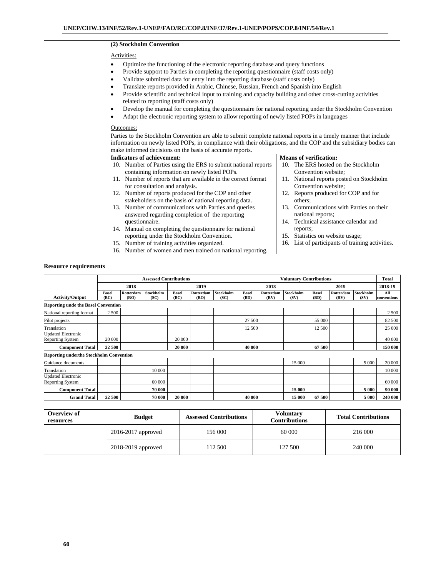| (2) Stockholm Convention                                                                                                 |     |                                                                 |  |  |  |  |  |  |  |  |  |  |
|--------------------------------------------------------------------------------------------------------------------------|-----|-----------------------------------------------------------------|--|--|--|--|--|--|--|--|--|--|
| Activities:                                                                                                              |     |                                                                 |  |  |  |  |  |  |  |  |  |  |
| Optimize the functioning of the electronic reporting database and query functions<br>$\bullet$                           |     |                                                                 |  |  |  |  |  |  |  |  |  |  |
| Provide support to Parties in completing the reporting questionnaire (staff costs only)<br>٠                             |     |                                                                 |  |  |  |  |  |  |  |  |  |  |
| Validate submitted data for entry into the reporting database (staff costs only)<br>$\bullet$                            |     |                                                                 |  |  |  |  |  |  |  |  |  |  |
| Translate reports provided in Arabic, Chinese, Russian, French and Spanish into English<br>٠                             |     |                                                                 |  |  |  |  |  |  |  |  |  |  |
| Provide scientific and technical input to training and capacity building and other cross-cutting activities<br>$\bullet$ |     |                                                                 |  |  |  |  |  |  |  |  |  |  |
| related to reporting (staff costs only)                                                                                  |     |                                                                 |  |  |  |  |  |  |  |  |  |  |
| Develop the manual for completing the questionnaire for national reporting under the Stockholm Convention<br>$\bullet$   |     |                                                                 |  |  |  |  |  |  |  |  |  |  |
| Adapt the electronic reporting system to allow reporting of newly listed POPs in languages<br>$\bullet$                  |     |                                                                 |  |  |  |  |  |  |  |  |  |  |
| Outcomes:                                                                                                                |     |                                                                 |  |  |  |  |  |  |  |  |  |  |
| Parties to the Stockholm Convention are able to submit complete national reports in a timely manner that include         |     |                                                                 |  |  |  |  |  |  |  |  |  |  |
| information on newly listed POPs, in compliance with their obligations, and the COP and the subsidiary bodies can        |     |                                                                 |  |  |  |  |  |  |  |  |  |  |
| make informed decisions on the basis of accurate reports.                                                                |     |                                                                 |  |  |  |  |  |  |  |  |  |  |
| <b>Indicators of achievement:</b>                                                                                        |     | <b>Means of verification:</b>                                   |  |  |  |  |  |  |  |  |  |  |
| 10. Number of Parties using the ERS to submit national reports                                                           |     | 10. The ERS hosted on the Stockholm                             |  |  |  |  |  |  |  |  |  |  |
| containing information on newly listed POPs.                                                                             |     | Convention website;                                             |  |  |  |  |  |  |  |  |  |  |
| 11. Number of reports that are available in the correct format<br>for consultation and analysis.                         |     | 11. National reports posted on Stockholm<br>Convention website; |  |  |  |  |  |  |  |  |  |  |
| 12. Number of reports produced for the COP and other                                                                     |     | 12. Reports produced for COP and for                            |  |  |  |  |  |  |  |  |  |  |
| stakeholders on the basis of national reporting data.                                                                    |     | others;                                                         |  |  |  |  |  |  |  |  |  |  |
| 13. Number of communications with Parties and queries                                                                    | 13. | Communications with Parties on their                            |  |  |  |  |  |  |  |  |  |  |
| answered regarding completion of the reporting                                                                           |     | national reports;                                               |  |  |  |  |  |  |  |  |  |  |
| questionnaire.                                                                                                           |     | 14. Technical assistance calendar and                           |  |  |  |  |  |  |  |  |  |  |
| 14. Manual on completing the questionnaire for national                                                                  |     | reports;                                                        |  |  |  |  |  |  |  |  |  |  |
| reporting under the Stockholm Convention.                                                                                |     | 15. Statistics on website usage;                                |  |  |  |  |  |  |  |  |  |  |
| 15. Number of training activities organized.                                                                             |     | 16. List of participants of training activities.                |  |  |  |  |  |  |  |  |  |  |
| 16. Number of women and men trained on national reporting.                                                               |     |                                                                 |  |  |  |  |  |  |  |  |  |  |

|                                                      |                      |                   | <b>Assessed Contributions</b> |                      |                   |                   |                      |                   | <b>Voluntary Contributions</b> |                      |                   |                          | <b>Total</b>       |
|------------------------------------------------------|----------------------|-------------------|-------------------------------|----------------------|-------------------|-------------------|----------------------|-------------------|--------------------------------|----------------------|-------------------|--------------------------|--------------------|
| 2018                                                 |                      |                   | 2019                          |                      | 2018              |                   |                      | 2019              |                                |                      | 2018-19           |                          |                    |
| <b>Activity/Output</b>                               | <b>Basel</b><br>(BC) | Rotterdam<br>(RO) | Stockholm<br>(SC)             | <b>Basel</b><br>(BC) | Rotterdam<br>(RO) | Stockholm<br>(SC) | <b>Basel</b><br>(BD) | Rotterdam<br>(RV) | Stockholm<br>(SV)              | <b>Basel</b><br>(BD) | Rotterdam<br>(RV) | <b>Stockholm</b><br>(SV) | All<br>conventions |
| <b>Reporting unde the Basel Convention</b>           |                      |                   |                               |                      |                   |                   |                      |                   |                                |                      |                   |                          |                    |
| National reporting format                            | 2 500                |                   |                               |                      |                   |                   |                      |                   |                                |                      |                   |                          | 2 500              |
| Pilot projects                                       |                      |                   |                               |                      |                   |                   | 27 500               |                   |                                | 55 000               |                   |                          | 82 500             |
| Translation                                          |                      |                   |                               |                      |                   |                   | 12 500               |                   |                                | 12 500               |                   |                          | 25 000             |
| <b>Updated Electronic</b><br><b>Reporting System</b> | 20 000               |                   |                               | 20 000               |                   |                   |                      |                   |                                |                      |                   |                          | 40 000             |
| <b>Component Total</b>                               | 22 500               |                   |                               | 20 000               |                   |                   | 40 000               |                   |                                | 67 500               |                   |                          | 150 000            |
| <b>Reporting underthe Stockholm Convention</b>       |                      |                   |                               |                      |                   |                   |                      |                   |                                |                      |                   |                          |                    |
| Guidance documents                                   |                      |                   |                               |                      |                   |                   |                      |                   | 15 000                         |                      |                   | 5 0 0 0                  | 20 000             |
| Translation                                          |                      |                   | 10 000                        |                      |                   |                   |                      |                   |                                |                      |                   |                          | 10 000             |
| <b>Updated Electronic</b><br><b>Reporting System</b> |                      |                   | 60 000                        |                      |                   |                   |                      |                   |                                |                      |                   |                          | 60 000             |
| <b>Component Total</b>                               |                      |                   | 70 000                        |                      |                   |                   |                      |                   | 15 000                         |                      |                   | 5 000                    | 90 000             |
| <b>Grand Total</b>                                   | 22 500               |                   | 70 000                        | 20 000               |                   |                   | 40 000               |                   | 15 000                         | 67 500               |                   | 5 0 0 0                  | 240 000            |

| Overview of<br>resources | <b>Budget</b>          | <b>Assessed Contributions</b> | <b>Voluntary</b><br><b>Contributions</b> | <b>Total Contributions</b> |  |  |
|--------------------------|------------------------|-------------------------------|------------------------------------------|----------------------------|--|--|
|                          | $2016 - 2017$ approved | 156 000                       | 60 000                                   | 216 000                    |  |  |
|                          | 2018-2019 approved     | 112 500                       | 127 500                                  | 240 000                    |  |  |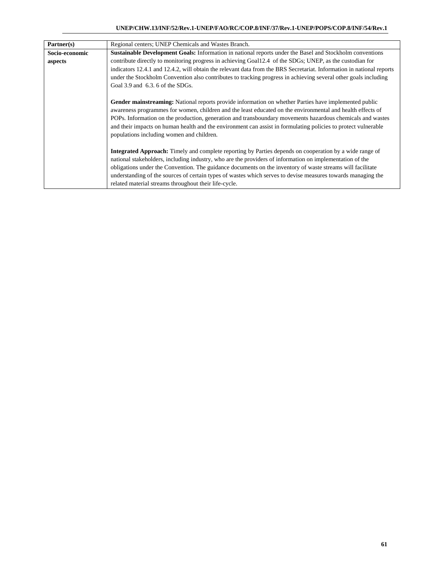| Partner(s)                                                                                                                                          | Regional centers; UNEP Chemicals and Wastes Branch.                                                                   |  |  |  |  |  |  |  |  |
|-----------------------------------------------------------------------------------------------------------------------------------------------------|-----------------------------------------------------------------------------------------------------------------------|--|--|--|--|--|--|--|--|
| Socio-economic                                                                                                                                      | Sustainable Development Goals: Information in national reports under the Basel and Stockholm conventions              |  |  |  |  |  |  |  |  |
| aspects                                                                                                                                             | contribute directly to monitoring progress in achieving Goal12.4 of the SDGs; UNEP, as the custodian for              |  |  |  |  |  |  |  |  |
|                                                                                                                                                     | indicators 12.4.1 and 12.4.2, will obtain the relevant data from the BRS Secretariat. Information in national reports |  |  |  |  |  |  |  |  |
| under the Stockholm Convention also contributes to tracking progress in achieving several other goals including<br>Goal 3.9 and 6.3, 6 of the SDGs. |                                                                                                                       |  |  |  |  |  |  |  |  |
|                                                                                                                                                     |                                                                                                                       |  |  |  |  |  |  |  |  |
|                                                                                                                                                     | Gender mainstreaming: National reports provide information on whether Parties have implemented public                 |  |  |  |  |  |  |  |  |
|                                                                                                                                                     | awareness programmes for women, children and the least educated on the environmental and health effects of            |  |  |  |  |  |  |  |  |
|                                                                                                                                                     | POPs. Information on the production, generation and transboundary movements hazardous chemicals and wastes            |  |  |  |  |  |  |  |  |
|                                                                                                                                                     | and their impacts on human health and the environment can assist in formulating policies to protect vulnerable        |  |  |  |  |  |  |  |  |
|                                                                                                                                                     | populations including women and children.                                                                             |  |  |  |  |  |  |  |  |
|                                                                                                                                                     |                                                                                                                       |  |  |  |  |  |  |  |  |
|                                                                                                                                                     | <b>Integrated Approach:</b> Timely and complete reporting by Parties depends on cooperation by a wide range of        |  |  |  |  |  |  |  |  |
|                                                                                                                                                     | national stakeholders, including industry, who are the providers of information on implementation of the              |  |  |  |  |  |  |  |  |
|                                                                                                                                                     | obligations under the Convention. The guidance documents on the inventory of waste streams will facilitate            |  |  |  |  |  |  |  |  |
|                                                                                                                                                     | understanding of the sources of certain types of wastes which serves to devise measures towards managing the          |  |  |  |  |  |  |  |  |
|                                                                                                                                                     | related material streams throughout their life-cycle.                                                                 |  |  |  |  |  |  |  |  |
|                                                                                                                                                     |                                                                                                                       |  |  |  |  |  |  |  |  |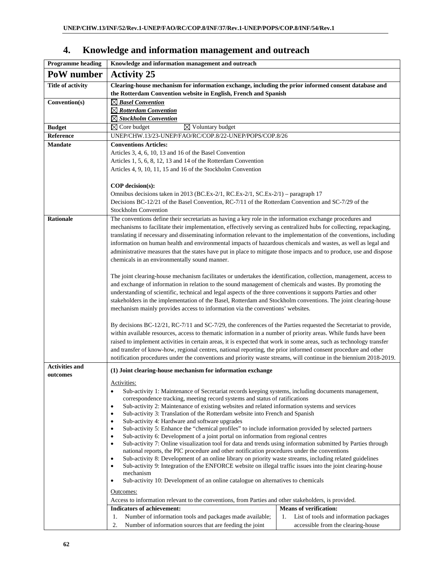| <b>Programme heading</b> | Knowledge and information management and outreach                                                                                                                                                                                |                                              |  |  |  |  |  |  |  |  |
|--------------------------|----------------------------------------------------------------------------------------------------------------------------------------------------------------------------------------------------------------------------------|----------------------------------------------|--|--|--|--|--|--|--|--|
| PoW number               | <b>Activity 25</b>                                                                                                                                                                                                               |                                              |  |  |  |  |  |  |  |  |
| <b>Title of activity</b> | Clearing-house mechanism for information exchange, including the prior informed consent database and                                                                                                                             |                                              |  |  |  |  |  |  |  |  |
|                          | the Rotterdam Convention website in English, French and Spanish                                                                                                                                                                  |                                              |  |  |  |  |  |  |  |  |
| Convention(s)            | $\boxtimes$ Basel Convention                                                                                                                                                                                                     |                                              |  |  |  |  |  |  |  |  |
|                          | $\boxtimes$ Rotterdam Convention                                                                                                                                                                                                 |                                              |  |  |  |  |  |  |  |  |
|                          | $\boxtimes$ Stockholm Convention                                                                                                                                                                                                 |                                              |  |  |  |  |  |  |  |  |
| <b>Budget</b>            | $\boxtimes$ Core budget<br>$\boxtimes$ Voluntary budget                                                                                                                                                                          |                                              |  |  |  |  |  |  |  |  |
| Reference                | UNEP/CHW.13/23-UNEP/FAO/RC/COP.8/22-UNEP/POPS/COP.8/26                                                                                                                                                                           |                                              |  |  |  |  |  |  |  |  |
| <b>Mandate</b>           | <b>Conventions Articles:</b>                                                                                                                                                                                                     |                                              |  |  |  |  |  |  |  |  |
|                          | Articles 3, 4, 6, 10, 13 and 16 of the Basel Convention                                                                                                                                                                          |                                              |  |  |  |  |  |  |  |  |
|                          | Articles 1, 5, 6, 8, 12, 13 and 14 of the Rotterdam Convention                                                                                                                                                                   |                                              |  |  |  |  |  |  |  |  |
|                          | Articles 4, 9, 10, 11, 15 and 16 of the Stockholm Convention                                                                                                                                                                     |                                              |  |  |  |  |  |  |  |  |
|                          |                                                                                                                                                                                                                                  |                                              |  |  |  |  |  |  |  |  |
|                          | COP decision(s):                                                                                                                                                                                                                 |                                              |  |  |  |  |  |  |  |  |
|                          | Omnibus decisions taken in 2013 (BC.Ex-2/1, RC.Ex-2/1, SC.Ex-2/1) – paragraph 17                                                                                                                                                 |                                              |  |  |  |  |  |  |  |  |
|                          | Decisions BC-12/21 of the Basel Convention, RC-7/11 of the Rotterdam Convention and SC-7/29 of the<br><b>Stockholm Convention</b>                                                                                                |                                              |  |  |  |  |  |  |  |  |
|                          |                                                                                                                                                                                                                                  |                                              |  |  |  |  |  |  |  |  |
| <b>Rationale</b>         | The conventions define their secretariats as having a key role in the information exchange procedures and<br>mechanisms to facilitate their implementation, effectively serving as centralized hubs for collecting, repackaging, |                                              |  |  |  |  |  |  |  |  |
|                          | translating if necessary and disseminating information relevant to the implementation of the conventions, including                                                                                                              |                                              |  |  |  |  |  |  |  |  |
|                          | information on human health and environmental impacts of hazardous chemicals and wastes, as well as legal and                                                                                                                    |                                              |  |  |  |  |  |  |  |  |
|                          | administrative measures that the states have put in place to mitigate those impacts and to produce, use and dispose                                                                                                              |                                              |  |  |  |  |  |  |  |  |
|                          | chemicals in an environmentally sound manner.                                                                                                                                                                                    |                                              |  |  |  |  |  |  |  |  |
|                          |                                                                                                                                                                                                                                  |                                              |  |  |  |  |  |  |  |  |
|                          | The joint clearing-house mechanism facilitates or undertakes the identification, collection, management, access to                                                                                                               |                                              |  |  |  |  |  |  |  |  |
|                          | and exchange of information in relation to the sound management of chemicals and wastes. By promoting the                                                                                                                        |                                              |  |  |  |  |  |  |  |  |
|                          | understanding of scientific, technical and legal aspects of the three conventions it supports Parties and other                                                                                                                  |                                              |  |  |  |  |  |  |  |  |
|                          | stakeholders in the implementation of the Basel, Rotterdam and Stockholm conventions. The joint clearing-house                                                                                                                   |                                              |  |  |  |  |  |  |  |  |
|                          | mechanism mainly provides access to information via the conventions' websites.                                                                                                                                                   |                                              |  |  |  |  |  |  |  |  |
|                          |                                                                                                                                                                                                                                  |                                              |  |  |  |  |  |  |  |  |
|                          | By decisions BC-12/21, RC-7/11 and SC-7/29, the conferences of the Parties requested the Secretariat to provide,                                                                                                                 |                                              |  |  |  |  |  |  |  |  |
|                          | within available resources, access to thematic information in a number of priority areas. While funds have been                                                                                                                  |                                              |  |  |  |  |  |  |  |  |
|                          | raised to implement activities in certain areas, it is expected that work in some areas, such as technology transfer                                                                                                             |                                              |  |  |  |  |  |  |  |  |
|                          | and transfer of know-how, regional centres, national reporting, the prior informed consent procedure and other                                                                                                                   |                                              |  |  |  |  |  |  |  |  |
|                          | notification procedures under the conventions and priority waste streams, will continue in the biennium 2018-2019.                                                                                                               |                                              |  |  |  |  |  |  |  |  |
| <b>Activities and</b>    | (1) Joint clearing-house mechanism for information exchange                                                                                                                                                                      |                                              |  |  |  |  |  |  |  |  |
| outcomes                 |                                                                                                                                                                                                                                  |                                              |  |  |  |  |  |  |  |  |
|                          | Activities:                                                                                                                                                                                                                      |                                              |  |  |  |  |  |  |  |  |
|                          | Sub-activity 1: Maintenance of Secretariat records keeping systems, including documents management,<br>٠<br>correspondence tracking, meeting record systems and status of ratifications                                          |                                              |  |  |  |  |  |  |  |  |
|                          | Sub-activity 2: Maintenance of existing websites and related information systems and services<br>٠                                                                                                                               |                                              |  |  |  |  |  |  |  |  |
|                          | Sub-activity 3: Translation of the Rotterdam website into French and Spanish                                                                                                                                                     |                                              |  |  |  |  |  |  |  |  |
|                          | Sub-activity 4: Hardware and software upgrades<br>٠                                                                                                                                                                              |                                              |  |  |  |  |  |  |  |  |
|                          | Sub-activity 5: Enhance the "chemical profiles" to include information provided by selected partners<br>$\bullet$                                                                                                                |                                              |  |  |  |  |  |  |  |  |
|                          | Sub-activity 6: Development of a joint portal on information from regional centres<br>٠                                                                                                                                          |                                              |  |  |  |  |  |  |  |  |
|                          | Sub-activity 7: Online visualization tool for data and trends using information submitted by Parties through<br>٠<br>national reports, the PIC procedure and other notification procedures under the conventions                 |                                              |  |  |  |  |  |  |  |  |
|                          | Sub-activity 8: Development of an online library on priority waste streams, including related guidelines<br>$\bullet$                                                                                                            |                                              |  |  |  |  |  |  |  |  |
|                          | Sub-activity 9: Integration of the ENFORCE website on illegal traffic issues into the joint clearing-house<br>٠                                                                                                                  |                                              |  |  |  |  |  |  |  |  |
|                          | mechanism                                                                                                                                                                                                                        |                                              |  |  |  |  |  |  |  |  |
|                          | Sub-activity 10: Development of an online catalogue on alternatives to chemicals<br>٠                                                                                                                                            |                                              |  |  |  |  |  |  |  |  |
|                          | Outcomes:                                                                                                                                                                                                                        |                                              |  |  |  |  |  |  |  |  |
|                          | Access to information relevant to the conventions, from Parties and other stakeholders, is provided.                                                                                                                             |                                              |  |  |  |  |  |  |  |  |
|                          | <b>Indicators of achievement:</b>                                                                                                                                                                                                | <b>Means of verification:</b>                |  |  |  |  |  |  |  |  |
|                          | Number of information tools and packages made available;<br>1.                                                                                                                                                                   | List of tools and information packages<br>1. |  |  |  |  |  |  |  |  |
|                          | 2.<br>Number of information sources that are feeding the joint                                                                                                                                                                   | accessible from the clearing-house           |  |  |  |  |  |  |  |  |

# **4. Knowledge and information management and outreach**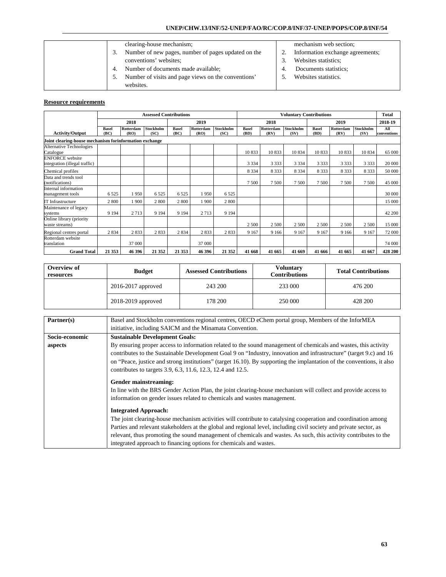## **UNEP/CHW.13/INF/52-UNEP/FAO/RC/COP.8/INF/37-UNEP/POPS/COP.8/INF/54**

| clearing-house mechanism;                           |    | mecha  |
|-----------------------------------------------------|----|--------|
| Number of new pages, number of pages updated on the |    | Inform |
| conventions' websites;                              |    | Websit |
| Number of documents made available;                 | 4. | Docur  |
| Number of visits and page views on the conventions' |    | Websit |
| websites.                                           |    |        |

# mism web section;

- nation exchange agreements;
- tes statistics;
- ments statistics;
- tes statistics.

|                                                         | <b>Assessed Contributions</b> |                   |                   |                      |                   |                   |                      |                          | <b>Voluntary Contributions</b> |                      |                   |                          | <b>Total</b>       |
|---------------------------------------------------------|-------------------------------|-------------------|-------------------|----------------------|-------------------|-------------------|----------------------|--------------------------|--------------------------------|----------------------|-------------------|--------------------------|--------------------|
|                                                         |                               | 2018              |                   |                      | 2019              |                   |                      | 2018                     |                                | 2019                 |                   |                          | 2018-19            |
| <b>Activity/Output</b>                                  | <b>Basel</b><br>(BC)          | Rotterdam<br>(RO) | Stockholm<br>(SC) | <b>Basel</b><br>(BC) | Rotterdam<br>(RO) | Stockholm<br>(SC) | <b>Basel</b><br>(BD) | <b>Rotterdam</b><br>(RV) | <b>Stockholm</b><br>(SV)       | <b>Basel</b><br>(BD) | Rotterdam<br>(RV) | <b>Stockholm</b><br>(SV) | All<br>conventions |
| Joint clearing-house mechanism forinformation exchange  |                               |                   |                   |                      |                   |                   |                      |                          |                                |                      |                   |                          |                    |
| <b>Alternative Technologies</b><br>Catalogue            |                               |                   |                   |                      |                   |                   | 10833                | 10833                    | 10834                          | 10833                | 10833             | 10834                    | 65 000             |
| <b>ENFORCE</b> website<br>integration (illegal traffic) |                               |                   |                   |                      |                   |                   | 3 3 3 4              | 3 3 3 3                  | 3 3 3 4                        | 3 3 3 3              | 3 3 3 3           | 3 3 3 3                  | 20 000             |
| Chemical profiles                                       |                               |                   |                   |                      |                   |                   | 8 3 3 4              | 8 3 3 3                  | 8 3 3 4                        | 8 3 3 3              | 8 3 3 3           | 8 3 3 3                  | 50 000             |
| Data and trends tool<br>(notifications)                 |                               |                   |                   |                      |                   |                   | 7 500                | 7500                     | 7500                           | 7500                 | 7500              | 7500                     | 45 000             |
| Internal information<br>management tools                | 6525                          | 1950              | 6525              | 6 5 2 5              | l 950             | 6525              |                      |                          |                                |                      |                   |                          | 30 000             |
| IT Infrastructure                                       | 2 800                         | 1900              | 2 800             | 2800                 | 1900              | 2800              |                      |                          |                                |                      |                   |                          | 15 000             |
| Maintenance of legacy<br>systems                        | 9 1 9 4                       | 2 7 1 3           | 9 1 9 4           | 9 1 9 4              | 2713              | 9 1 9 4           |                      |                          |                                |                      |                   |                          | 42 200             |
| Online library (priority<br>waste streams)              |                               |                   |                   |                      |                   |                   | 2 500                | 2 500                    | 2 500                          | 2 500                | 2 500             | 2 500                    | 15 000             |
| Regional centres portal                                 | 2 8 3 4                       | 2833              | 2833              | 2 8 3 4              | 2833              | 2833              | 9 1 6 7              | 9 1 6 6                  | 9 1 6 7                        | 9 1 6 7              | 9 1 6 6           | 9 1 6 7                  | 72 000             |
| Rotterdam website<br>translation                        |                               | 37 000            |                   |                      | 37 000            |                   |                      |                          |                                |                      |                   |                          | 74 000             |
| <b>Grand Total</b>                                      | 21 3 53                       | 46 396            | 21 3 52           | 21 353               | 46 396            | 21 3 52           | 41 668               | 41 665                   | 41 669                         | 41 666               | 41 665            | 41 667                   | 428 200            |

| Overview of<br>resources | <b>Budget</b>          | <b>Assessed Contributions</b> | <b>Voluntary</b><br><b>Contributions</b> | <b>Total Contributions</b> |  |
|--------------------------|------------------------|-------------------------------|------------------------------------------|----------------------------|--|
|                          | $2016 - 2017$ approved | 243 200                       | 233 000                                  | 476 200                    |  |
|                          | 2018-2019 approved     | 178 200                       | 250 000                                  | 428 200                    |  |

| Partner(s)     | Basel and Stockholm conventions regional centres, OECD eChem portal group, Members of the InforMEA                     |  |  |  |  |  |  |  |  |
|----------------|------------------------------------------------------------------------------------------------------------------------|--|--|--|--|--|--|--|--|
|                | initiative, including SAICM and the Minamata Convention.                                                               |  |  |  |  |  |  |  |  |
| Socio-economic | <b>Sustainable Development Goals:</b>                                                                                  |  |  |  |  |  |  |  |  |
| aspects        | By ensuring proper access to information related to the sound management of chemicals and wastes, this activity        |  |  |  |  |  |  |  |  |
|                | contributes to the Sustainable Development Goal 9 on "Industry, innovation and infrastructure" (target 9.c) and 16     |  |  |  |  |  |  |  |  |
|                | on "Peace, justice and strong institutions" (target 16.10). By supporting the implantation of the conventions, it also |  |  |  |  |  |  |  |  |
|                | contributes to targets 3.9, 6.3, 11.6, 12.3, 12.4 and 12.5.                                                            |  |  |  |  |  |  |  |  |
|                | Gender mainstreaming:                                                                                                  |  |  |  |  |  |  |  |  |
|                | In line with the BRS Gender Action Plan, the joint clearing-house mechanism will collect and provide access to         |  |  |  |  |  |  |  |  |
|                | information on gender issues related to chemicals and wastes management.                                               |  |  |  |  |  |  |  |  |
|                | <b>Integrated Approach:</b>                                                                                            |  |  |  |  |  |  |  |  |
|                | The joint clearing-house mechanism activities will contribute to catalysing cooperation and coordination among         |  |  |  |  |  |  |  |  |
|                | Parties and relevant stakeholders at the global and regional level, including civil society and private sector, as     |  |  |  |  |  |  |  |  |
|                | relevant, thus promoting the sound management of chemicals and wastes. As such, this activity contributes to the       |  |  |  |  |  |  |  |  |
|                | integrated approach to financing options for chemicals and wastes.                                                     |  |  |  |  |  |  |  |  |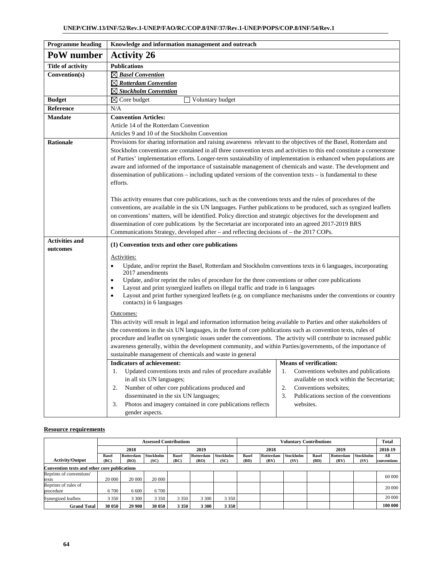| <b>Programme</b> heading | Knowledge and information management and outreach                                                                                         |                                               |
|--------------------------|-------------------------------------------------------------------------------------------------------------------------------------------|-----------------------------------------------|
| PoW number               | <b>Activity 26</b>                                                                                                                        |                                               |
| <b>Title of activity</b> | <b>Publications</b>                                                                                                                       |                                               |
| Convention(s)            | $\boxtimes$ Basel Convention                                                                                                              |                                               |
|                          | $\boxtimes$ Rotterdam Convention                                                                                                          |                                               |
|                          | <u><b>⊠ Stockholm Convention</b></u>                                                                                                      |                                               |
| <b>Budget</b>            | $\boxtimes$ Core budget<br>Voluntary budget                                                                                               |                                               |
| Reference                | N/A                                                                                                                                       |                                               |
| <b>Mandate</b>           | <b>Convention Articles:</b>                                                                                                               |                                               |
|                          | Article 14 of the Rotterdam Convention                                                                                                    |                                               |
|                          | Articles 9 and 10 of the Stockholm Convention                                                                                             |                                               |
| <b>Rationale</b>         | Provisions for sharing information and raising awareness relevant to the objectives of the Basel, Rotterdam and                           |                                               |
|                          | Stockholm conventions are contained in all three convention texts and activities to this end constitute a cornerstone                     |                                               |
|                          | of Parties' implementation efforts. Longer-term sustainability of implementation is enhanced when populations are                         |                                               |
|                          | aware and informed of the importance of sustainable management of chemicals and waste. The development and                                |                                               |
|                          | dissemination of publications – including updated versions of the convention texts – is fundamental to these                              |                                               |
|                          | efforts.                                                                                                                                  |                                               |
|                          |                                                                                                                                           |                                               |
|                          | This activity ensures that core publications, such as the conventions texts and the rules of procedures of the                            |                                               |
|                          | conventions, are available in the six UN languages. Further publications to be produced, such as syngized leaflets                        |                                               |
|                          | on conventions' matters, will be identified. Policy direction and strategic objectives for the development and                            |                                               |
|                          | dissemination of core publications by the Secretariat are incorporated into an agreed 2017-2019 BRS                                       |                                               |
|                          | Communications Strategy, developed after – and reflecting decisions of – the 2017 COPs.                                                   |                                               |
| <b>Activities and</b>    | (1) Convention texts and other core publications                                                                                          |                                               |
| outcomes                 |                                                                                                                                           |                                               |
|                          | Activities:                                                                                                                               |                                               |
|                          | Update, and/or reprint the Basel, Rotterdam and Stockholm conventions texts in 6 languages, incorporating<br>$\bullet$<br>2017 amendments |                                               |
|                          | Update, and/or reprint the rules of procedure for the three conventions or other core publications<br>$\bullet$                           |                                               |
|                          | Layout and print synergized leaflets on illegal traffic and trade in 6 languages<br>$\bullet$                                             |                                               |
|                          | Layout and print further synergized leaflets (e.g. on compliance mechanisms under the conventions or country<br>$\bullet$                 |                                               |
|                          | contacts) in 6 languages                                                                                                                  |                                               |
|                          | Outcomes:                                                                                                                                 |                                               |
|                          | This activity will result in legal and information information being available to Parties and other stakeholders of                       |                                               |
|                          | the conventions in the six UN languages, in the form of core publications such as convention texts, rules of                              |                                               |
|                          | procedure and leaflet on synergistic issues under the conventions. The activity will contribute to increased public                       |                                               |
|                          | awareness generally, within the development community, and within Parties/governments, of the importance of                               |                                               |
|                          | sustainable management of chemicals and waste in general                                                                                  |                                               |
|                          | <b>Indicators of achievement:</b>                                                                                                         | <b>Means of verification:</b>                 |
|                          | Updated conventions texts and rules of procedure available<br>1.                                                                          | Conventions websites and publications<br>1.   |
|                          | in all six UN languages;                                                                                                                  | available on stock within the Secretariat;    |
|                          | Number of other core publications produced and<br>2.                                                                                      | 2.<br>Conventions websites;                   |
|                          | disseminated in the six UN languages;                                                                                                     | 3.<br>Publications section of the conventions |
|                          | Photos and imagery contained in core publications reflects<br>3.                                                                          | websites.                                     |
|                          | gender aspects.                                                                                                                           |                                               |

|                                              | <b>Assessed Contributions</b> |                   |                          |                      |                          |                          | <b>Voluntary Contributions</b> |                   |                   |                      |                   | <b>Total</b>      |                    |
|----------------------------------------------|-------------------------------|-------------------|--------------------------|----------------------|--------------------------|--------------------------|--------------------------------|-------------------|-------------------|----------------------|-------------------|-------------------|--------------------|
|                                              |                               | 2018              |                          | 2019                 |                          | 2018                     |                                |                   | 2019              |                      |                   | 2018-19           |                    |
| <b>Activity/Output</b>                       | <b>Basel</b><br>(BC)          | Rotterdam<br>(RO) | <b>Stockholm</b><br>(SC) | <b>Basel</b><br>(BC) | <b>Rotterdam</b><br>(RO) | <b>Stockholm</b><br>(SC) | <b>Basel</b><br>(BD)           | Rotterdam<br>(RV) | Stockholm<br>(SV) | <b>Basel</b><br>(BD) | Rotterdam<br>(RV) | Stockholm<br>(SV) | All<br>conventions |
| Convention texts and other core publications |                               |                   |                          |                      |                          |                          |                                |                   |                   |                      |                   |                   |                    |
| Reprints of conventions'<br>texts            | 20 000                        | 20 000            | 20 000                   |                      |                          |                          |                                |                   |                   |                      |                   |                   | 60 000             |
| Reprints of rules of<br>procedure            | 6700                          | 6 600             | 6 700                    |                      |                          |                          |                                |                   |                   |                      |                   |                   | 20 000             |
| Synergized leaflets                          | 3 3 5 0                       | 3 3 0 0           | 3 3 5 0                  | 3 3 5 0              | 3 3 0 0                  | 3 3 5 0                  |                                |                   |                   |                      |                   |                   | 20 000             |
| <b>Grand Total</b>                           | 30 050                        | 29 900            | 30 050                   | 3 3 5 0              | 3 3 0 0                  | 3 3 5 0                  |                                |                   |                   |                      |                   |                   | 100 000            |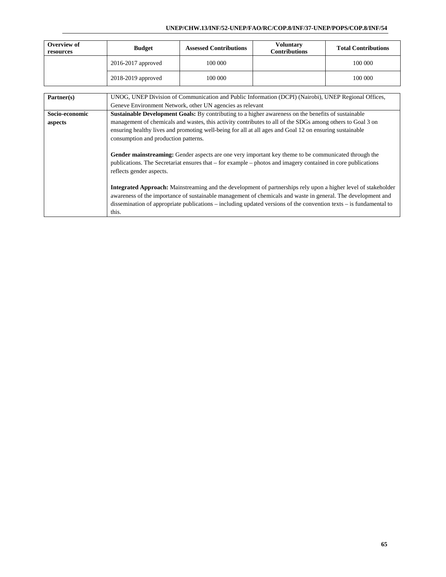| Overview of<br>resources | <b>Budget</b>          | <b>Assessed Contributions</b> | <b>Voluntary</b><br><b>Contributions</b> | <b>Total Contributions</b> |
|--------------------------|------------------------|-------------------------------|------------------------------------------|----------------------------|
|                          | $2016 - 2017$ approved | 100 000                       |                                          | 100 000                    |
|                          | 2018-2019 approved     | 100 000                       |                                          | 100 000                    |

| Partner(s)     | UNOG, UNEP Division of Communication and Public Information (DCPI) (Nairobi), UNEP Regional Offices,                                                                                                                                                                                                                                                                 |
|----------------|----------------------------------------------------------------------------------------------------------------------------------------------------------------------------------------------------------------------------------------------------------------------------------------------------------------------------------------------------------------------|
|                | Geneve Environment Network, other UN agencies as relevant                                                                                                                                                                                                                                                                                                            |
| Socio-economic | <b>Sustainable Development Goals:</b> By contributing to a higher awareness on the benefits of sustainable                                                                                                                                                                                                                                                           |
| aspects        | management of chemicals and wastes, this activity contributes to all of the SDGs among others to Goal 3 on                                                                                                                                                                                                                                                           |
|                | ensuring healthy lives and promoting well-being for all at all ages and Goal 12 on ensuring sustainable<br>consumption and production patterns.                                                                                                                                                                                                                      |
|                | Gender mainstreaming: Gender aspects are one very important key theme to be communicated through the<br>publications. The Secretariat ensures that – for example – photos and imagery contained in core publications<br>reflects gender aspects.                                                                                                                     |
|                | <b>Integrated Approach:</b> Mainstreaming and the development of partnerships rely upon a higher level of stakeholder<br>awareness of the importance of sustainable management of chemicals and waste in general. The development and<br>dissemination of appropriate publications – including updated versions of the convention texts – is fundamental to<br>this. |
|                |                                                                                                                                                                                                                                                                                                                                                                      |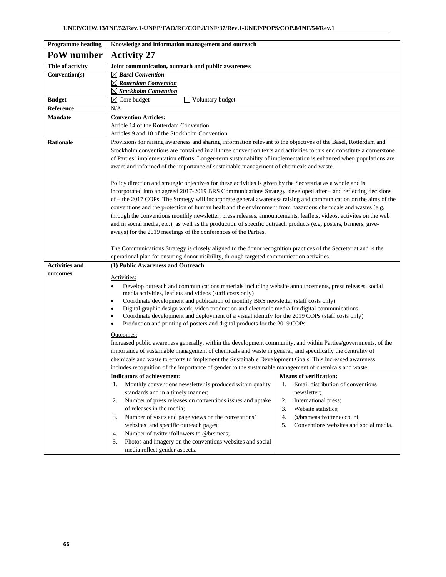| <b>Programme</b> heading | Knowledge and information management and outreach                                                                                                                                                             |                                              |  |  |  |  |  |  |  |  |
|--------------------------|---------------------------------------------------------------------------------------------------------------------------------------------------------------------------------------------------------------|----------------------------------------------|--|--|--|--|--|--|--|--|
| PoW number               | <b>Activity 27</b>                                                                                                                                                                                            |                                              |  |  |  |  |  |  |  |  |
| <b>Title of activity</b> | Joint communication, outreach and public awareness                                                                                                                                                            |                                              |  |  |  |  |  |  |  |  |
| Convention(s)            | $\boxtimes$ Basel Convention                                                                                                                                                                                  |                                              |  |  |  |  |  |  |  |  |
|                          | $\boxtimes$ Rotterdam Convention                                                                                                                                                                              |                                              |  |  |  |  |  |  |  |  |
|                          | $\boxtimes$ Stockholm Convention                                                                                                                                                                              |                                              |  |  |  |  |  |  |  |  |
| <b>Budget</b>            | Voluntary budget<br>$\boxtimes$ Core budget                                                                                                                                                                   |                                              |  |  |  |  |  |  |  |  |
| Reference                | N/A                                                                                                                                                                                                           |                                              |  |  |  |  |  |  |  |  |
| <b>Mandate</b>           | <b>Convention Articles:</b>                                                                                                                                                                                   |                                              |  |  |  |  |  |  |  |  |
|                          | Article 14 of the Rotterdam Convention                                                                                                                                                                        |                                              |  |  |  |  |  |  |  |  |
|                          | Articles 9 and 10 of the Stockholm Convention                                                                                                                                                                 |                                              |  |  |  |  |  |  |  |  |
| <b>Rationale</b>         | Provisions for raising awareness and sharing information relevant to the objectives of the Basel, Rotterdam and                                                                                               |                                              |  |  |  |  |  |  |  |  |
|                          | Stockholm conventions are contained in all three convention texts and activities to this end constitute a cornerstone                                                                                         |                                              |  |  |  |  |  |  |  |  |
|                          | of Parties' implementation efforts. Longer-term sustainability of implementation is enhanced when populations are<br>aware and informed of the importance of sustainable management of chemicals and waste.   |                                              |  |  |  |  |  |  |  |  |
|                          |                                                                                                                                                                                                               |                                              |  |  |  |  |  |  |  |  |
|                          | Policy direction and strategic objectives for these activities is given by the Secretariat as a whole and is                                                                                                  |                                              |  |  |  |  |  |  |  |  |
|                          | incorporated into an agreed 2017-2019 BRS Communications Strategy, developed after - and reflecting decisions                                                                                                 |                                              |  |  |  |  |  |  |  |  |
|                          | of – the 2017 COPs. The Strategy will incorporate general awareness raising and communication on the aims of the                                                                                              |                                              |  |  |  |  |  |  |  |  |
|                          | conventions and the protection of human healt and the environment from hazardous chemicals and wastes (e.g.                                                                                                   |                                              |  |  |  |  |  |  |  |  |
|                          | through the conventions monthly newsletter, press releases, announcements, leaflets, videos, activites on the web                                                                                             |                                              |  |  |  |  |  |  |  |  |
|                          | and in social media, etc.), as well as the production of specific outreach products (e.g. posters, banners, give-                                                                                             |                                              |  |  |  |  |  |  |  |  |
|                          | aways) for the 2019 meetings of the conferences of the Parties.                                                                                                                                               |                                              |  |  |  |  |  |  |  |  |
|                          |                                                                                                                                                                                                               |                                              |  |  |  |  |  |  |  |  |
|                          | The Communications Strategy is closely aligned to the donor recognition practices of the Secretariat and is the<br>operational plan for ensuring donor visibility, through targeted communication activities. |                                              |  |  |  |  |  |  |  |  |
| <b>Activities and</b>    | (1) Public Awareness and Outreach                                                                                                                                                                             |                                              |  |  |  |  |  |  |  |  |
| outcomes                 |                                                                                                                                                                                                               |                                              |  |  |  |  |  |  |  |  |
|                          | Activities:                                                                                                                                                                                                   |                                              |  |  |  |  |  |  |  |  |
|                          | Develop outreach and communications materials including website announcements, press releases, social<br>$\bullet$<br>media activities, leaflets and videos (staff costs only)                                |                                              |  |  |  |  |  |  |  |  |
|                          | Coordinate development and publication of monthly BRS newsletter (staff costs only)<br>$\bullet$                                                                                                              |                                              |  |  |  |  |  |  |  |  |
|                          | Digital graphic design work, video production and electronic media for digital communications<br>٠                                                                                                            |                                              |  |  |  |  |  |  |  |  |
|                          | Coordinate development and deployment of a visual identify for the 2019 COPs (staff costs only)<br>$\bullet$                                                                                                  |                                              |  |  |  |  |  |  |  |  |
|                          | Production and printing of posters and digital products for the 2019 COPs<br>$\bullet$                                                                                                                        |                                              |  |  |  |  |  |  |  |  |
|                          | Outcomes:                                                                                                                                                                                                     |                                              |  |  |  |  |  |  |  |  |
|                          | Increased public awareness generally, within the development community, and within Parties/governments, of the                                                                                                |                                              |  |  |  |  |  |  |  |  |
|                          | importance of sustainable management of chemicals and waste in general, and specifically the centrality of                                                                                                    |                                              |  |  |  |  |  |  |  |  |
|                          | chemicals and waste to efforts to implement the Sustainable Development Goals. This increased awareness                                                                                                       |                                              |  |  |  |  |  |  |  |  |
|                          | includes recognition of the importance of gender to the sustainable management of chemicals and waste.                                                                                                        |                                              |  |  |  |  |  |  |  |  |
|                          | <b>Indicators of achievement:</b>                                                                                                                                                                             | <b>Means of verification:</b>                |  |  |  |  |  |  |  |  |
|                          | Monthly conventions newsletter is produced within quality<br>1.                                                                                                                                               | Email distribution of conventions<br>1.      |  |  |  |  |  |  |  |  |
|                          | standards and in a timely manner;<br>Number of press releases on conventions issues and uptake<br>2.                                                                                                          | newsletter;<br>2.<br>International press;    |  |  |  |  |  |  |  |  |
|                          | of releases in the media;                                                                                                                                                                                     | 3.<br>Website statistics;                    |  |  |  |  |  |  |  |  |
|                          | Number of visits and page views on the conventions'<br>3.                                                                                                                                                     | 4.<br>@brsmeas twitter account;              |  |  |  |  |  |  |  |  |
|                          | websites and specific outreach pages;                                                                                                                                                                         | 5.<br>Conventions websites and social media. |  |  |  |  |  |  |  |  |
|                          | Number of twitter followers to @brsmeas;<br>4.                                                                                                                                                                |                                              |  |  |  |  |  |  |  |  |
|                          | Photos and imagery on the conventions websites and social<br>5.                                                                                                                                               |                                              |  |  |  |  |  |  |  |  |
|                          | media reflect gender aspects.                                                                                                                                                                                 |                                              |  |  |  |  |  |  |  |  |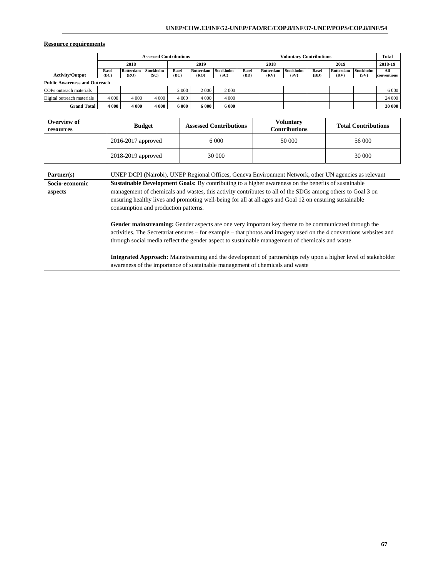|                                      | <b>Assessed Contributions</b> |           |           |              |           |           |              | <b>Voluntary Contributions</b> |           |              |           |           | <b>Total</b>       |
|--------------------------------------|-------------------------------|-----------|-----------|--------------|-----------|-----------|--------------|--------------------------------|-----------|--------------|-----------|-----------|--------------------|
|                                      | 2018                          |           | 2019      |              | 2018      |           | 2019         |                                | 2018-19   |              |           |           |                    |
| <b>Activity/Output</b>               | <b>Basel</b>                  | Rotterdam | Stockholm | <b>Basel</b> | Rotterdam | Stockholm | <b>Basel</b> | Rotterdam                      | Stockholm | <b>Basel</b> | Rotterdam | Stockholm | All<br>conventions |
|                                      | (BC)                          | (RO)      | (SC)      | (BC)         | (RO)      | (SC)      | (BD)         | (RV)                           | (SV)      | (BD)         | (RV)      | (SV)      |                    |
| <b>Public Awareness and Outreach</b> |                               |           |           |              |           |           |              |                                |           |              |           |           |                    |
| COPs outreach materials              |                               |           |           | 2 0 0 0      | 2 0 0 0   | 2 0 0 0   |              |                                |           |              |           |           | 6 0 0 0            |
| Digital outreach materials           | 4 0 0 0                       | 4 0 0 0   | 4 0 0 0   | 4 0 0 0      | 4 0 0 0   | 4 0 0 0   |              |                                |           |              |           |           | 24 000             |
| <b>Grand Total</b>                   | 4 0 0 0                       | 4 0 0 0   | 4 000     | 6 000        | 6 000     | 6 000     |              |                                |           |              |           |           | 30 000             |

| Overview of<br>resources | <b>Budget</b>      | <b>Assessed Contributions</b> | <b>Voluntary</b><br><b>Contributions</b> | <b>Total Contributions</b> |  |
|--------------------------|--------------------|-------------------------------|------------------------------------------|----------------------------|--|
|                          | 2016-2017 approved | 6.000                         | 50 000                                   | 56 000                     |  |
|                          | 2018-2019 approved | 30 000                        |                                          | 30 000                     |  |

| Partner(s)     | UNEP DCPI (Nairobi), UNEP Regional Offices, Geneva Environment Network, other UN agencies as relevant                                                                                                                                                                                                                          |
|----------------|--------------------------------------------------------------------------------------------------------------------------------------------------------------------------------------------------------------------------------------------------------------------------------------------------------------------------------|
| Socio-economic | <b>Sustainable Development Goals:</b> By contributing to a higher awareness on the benefits of sustainable                                                                                                                                                                                                                     |
| aspects        | management of chemicals and wastes, this activity contributes to all of the SDGs among others to Goal 3 on                                                                                                                                                                                                                     |
|                | ensuring healthy lives and promoting well-being for all at all ages and Goal 12 on ensuring sustainable                                                                                                                                                                                                                        |
|                | consumption and production patterns.                                                                                                                                                                                                                                                                                           |
|                | Gender mainstreaming: Gender aspects are one very important key theme to be communicated through the<br>activities. The Secretariat ensures – for example – that photos and imagery used on the 4 conventions websites and<br>through social media reflect the gender aspect to sustainable management of chemicals and waste. |
|                | <b>Integrated Approach:</b> Mainstreaming and the development of partnerships rely upon a higher level of stakeholder<br>awareness of the importance of sustainable management of chemicals and waste                                                                                                                          |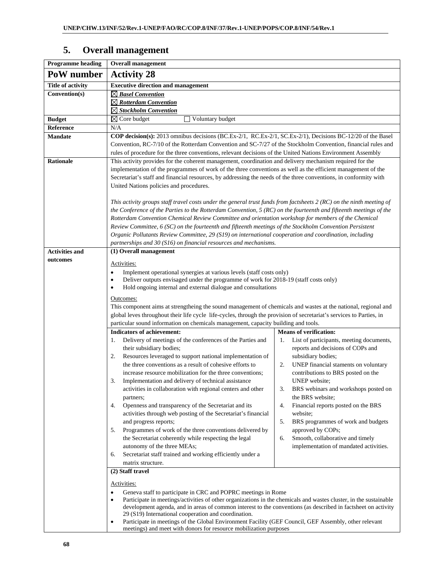# **5. Overall management**

| <b>Programme</b> heading | <b>Overall</b> management                                                                                                                                                                                                   |                                                                                  |  |  |  |  |  |  |  |  |  |
|--------------------------|-----------------------------------------------------------------------------------------------------------------------------------------------------------------------------------------------------------------------------|----------------------------------------------------------------------------------|--|--|--|--|--|--|--|--|--|
| PoW number               | <b>Activity 28</b>                                                                                                                                                                                                          |                                                                                  |  |  |  |  |  |  |  |  |  |
| <b>Title of activity</b> | <b>Executive direction and management</b>                                                                                                                                                                                   |                                                                                  |  |  |  |  |  |  |  |  |  |
| Convention(s)            | $\boxtimes$ Basel Convention                                                                                                                                                                                                |                                                                                  |  |  |  |  |  |  |  |  |  |
|                          | $\boxtimes$ Rotterdam Convention                                                                                                                                                                                            |                                                                                  |  |  |  |  |  |  |  |  |  |
|                          | $\boxtimes$ Stockholm Convention                                                                                                                                                                                            |                                                                                  |  |  |  |  |  |  |  |  |  |
| <b>Budget</b>            | $\boxtimes$ Core budget<br>Voluntary budget                                                                                                                                                                                 |                                                                                  |  |  |  |  |  |  |  |  |  |
| Reference                | N/A                                                                                                                                                                                                                         |                                                                                  |  |  |  |  |  |  |  |  |  |
| <b>Mandate</b>           | COP decision(s): 2013 omnibus decisions (BC.Ex-2/1, RC.Ex-2/1, SC.Ex-2/1), Decisions BC-12/20 of the Basel                                                                                                                  |                                                                                  |  |  |  |  |  |  |  |  |  |
|                          | Convention, RC-7/10 of the Rotterdam Convention and SC-7/27 of the Stockholm Convention, financial rules and<br>rules of procedure for the three conventions, relevant decisions of the United Nations Environment Assembly |                                                                                  |  |  |  |  |  |  |  |  |  |
| <b>Rationale</b>         | This activity provides for the coherent management, coordination and delivery mechanism required for the                                                                                                                    |                                                                                  |  |  |  |  |  |  |  |  |  |
|                          | implementation of the programmes of work of the three conventions as well as the efficient management of the                                                                                                                |                                                                                  |  |  |  |  |  |  |  |  |  |
|                          | Secretariat's staff and financial resources, by addressing the needs of the three conventions, in conformity with                                                                                                           |                                                                                  |  |  |  |  |  |  |  |  |  |
|                          | United Nations policies and procedures.                                                                                                                                                                                     |                                                                                  |  |  |  |  |  |  |  |  |  |
|                          |                                                                                                                                                                                                                             |                                                                                  |  |  |  |  |  |  |  |  |  |
|                          | This activity groups staff travel costs under the general trust funds from factsheets $2(RC)$ on the ninth meeting of                                                                                                       |                                                                                  |  |  |  |  |  |  |  |  |  |
|                          | the Conference of the Parties to the Rotterdam Convention, $5(RC)$ on the fourteenth and fifteenth meetings of the                                                                                                          |                                                                                  |  |  |  |  |  |  |  |  |  |
|                          | Rotterdam Convention Chemical Review Committee and orientation workshop for members of the Chemical                                                                                                                         |                                                                                  |  |  |  |  |  |  |  |  |  |
|                          | Review Committee, 6 (SC) on the fourteenth and fifteenth meetings of the Stockholm Convention Persistent                                                                                                                    |                                                                                  |  |  |  |  |  |  |  |  |  |
|                          | Organic Pollutants Review Committee, 29 (S19) on international cooperation and coordination, including                                                                                                                      |                                                                                  |  |  |  |  |  |  |  |  |  |
|                          | partnerships and 30 (S16) on financial resources and mechanisms.                                                                                                                                                            |                                                                                  |  |  |  |  |  |  |  |  |  |
| <b>Activities and</b>    | (1) Overall management                                                                                                                                                                                                      |                                                                                  |  |  |  |  |  |  |  |  |  |
| outcomes                 | Activities:                                                                                                                                                                                                                 |                                                                                  |  |  |  |  |  |  |  |  |  |
|                          | Implement operational synergies at various levels (staff costs only)<br>٠                                                                                                                                                   |                                                                                  |  |  |  |  |  |  |  |  |  |
|                          | Deliver outputs envisaged under the programme of work for 2018-19 (staff costs only)<br>٠                                                                                                                                   |                                                                                  |  |  |  |  |  |  |  |  |  |
|                          | Hold ongoing internal and external dialogue and consultations<br>٠                                                                                                                                                          |                                                                                  |  |  |  |  |  |  |  |  |  |
|                          | Outcomes:                                                                                                                                                                                                                   |                                                                                  |  |  |  |  |  |  |  |  |  |
|                          | This component aims at strengtheing the sound management of chemicals and wastes at the national, regional and                                                                                                              |                                                                                  |  |  |  |  |  |  |  |  |  |
|                          | global leves throughout their life cycle life-cycles, through the provision of secretariat's services to Parties, in                                                                                                        |                                                                                  |  |  |  |  |  |  |  |  |  |
|                          | particular sound information on chemicals management, capacity building and tools.                                                                                                                                          |                                                                                  |  |  |  |  |  |  |  |  |  |
|                          | <b>Indicators of achievement:</b>                                                                                                                                                                                           | <b>Means of verification:</b>                                                    |  |  |  |  |  |  |  |  |  |
|                          | Delivery of meetings of the conferences of the Parties and<br>1.                                                                                                                                                            | List of participants, meeting documents,<br>1.                                   |  |  |  |  |  |  |  |  |  |
|                          | their subsidiary bodies;                                                                                                                                                                                                    | reports and decisions of COPs and                                                |  |  |  |  |  |  |  |  |  |
|                          | Resources leveraged to support national implementation of<br>2.<br>the three conventions as a result of cohesive efforts to                                                                                                 | subsidiary bodies;                                                               |  |  |  |  |  |  |  |  |  |
|                          | increase resource mobilization for the three conventions;                                                                                                                                                                   | UNEP financial staments on voluntary<br>2.<br>contributions to BRS posted on the |  |  |  |  |  |  |  |  |  |
|                          | 3.<br>Implementation and delivery of technical assistance                                                                                                                                                                   | UNEP website;                                                                    |  |  |  |  |  |  |  |  |  |
|                          | activities in collaboration with regional centers and other                                                                                                                                                                 | BRS webinars and workshops posted on<br>3.                                       |  |  |  |  |  |  |  |  |  |
|                          | partners;                                                                                                                                                                                                                   | the BRS website;                                                                 |  |  |  |  |  |  |  |  |  |
|                          | Openness and transparency of the Secretariat and its<br>4.                                                                                                                                                                  | Financial reports posted on the BRS<br>4.                                        |  |  |  |  |  |  |  |  |  |
|                          | activities through web posting of the Secretariat's financial                                                                                                                                                               | website;                                                                         |  |  |  |  |  |  |  |  |  |
|                          | and progress reports;                                                                                                                                                                                                       | 5.<br>BRS programmes of work and budgets                                         |  |  |  |  |  |  |  |  |  |
|                          | Programmes of work of the three conventions delivered by<br>5.                                                                                                                                                              | approved by COPs;                                                                |  |  |  |  |  |  |  |  |  |
|                          | the Secretariat coherently while respecting the legal                                                                                                                                                                       | Smooth, collaborative and timely<br>6.                                           |  |  |  |  |  |  |  |  |  |
|                          | autonomy of the three MEAs;                                                                                                                                                                                                 | implementation of mandated activities.                                           |  |  |  |  |  |  |  |  |  |
|                          | Secretariat staff trained and working efficiently under a<br>6.                                                                                                                                                             |                                                                                  |  |  |  |  |  |  |  |  |  |
|                          | matrix structure.                                                                                                                                                                                                           |                                                                                  |  |  |  |  |  |  |  |  |  |
|                          | (2) Staff travel                                                                                                                                                                                                            |                                                                                  |  |  |  |  |  |  |  |  |  |
|                          | Activities:                                                                                                                                                                                                                 |                                                                                  |  |  |  |  |  |  |  |  |  |
|                          | Geneva staff to participate in CRC and POPRC meetings in Rome<br>$\bullet$                                                                                                                                                  |                                                                                  |  |  |  |  |  |  |  |  |  |
|                          | Participate in meetings/activities of other organizations in the chemicals and wastes cluster, in the sustainable<br>$\bullet$                                                                                              |                                                                                  |  |  |  |  |  |  |  |  |  |
|                          | development agenda, and in areas of common interest to the conventions (as described in factsheet on activity<br>29 (S19) International cooperation and coordination.                                                       |                                                                                  |  |  |  |  |  |  |  |  |  |
|                          | Participate in meetings of the Global Environment Facility (GEF Council, GEF Assembly, other relevant<br>٠                                                                                                                  |                                                                                  |  |  |  |  |  |  |  |  |  |
|                          | meetings) and meet with donors for resource mobilization purposes                                                                                                                                                           |                                                                                  |  |  |  |  |  |  |  |  |  |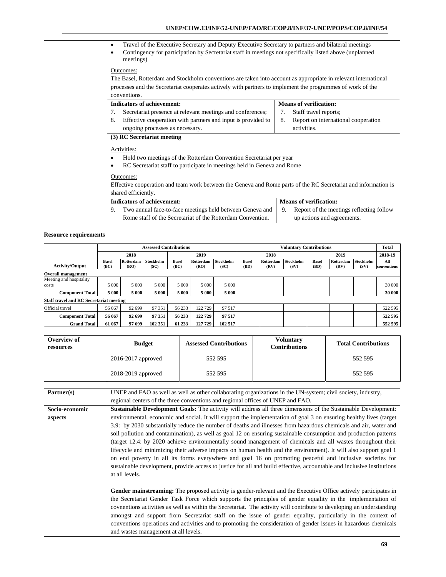| Travel of the Executive Secretary and Deputy Executive Secretary to partners and bilateral meetings<br>$\bullet$<br>Contingency for participation by Secretariat staff in meetings not specifically listed above (unplanned<br>$\bullet$<br>meetings)     |                                                |
|-----------------------------------------------------------------------------------------------------------------------------------------------------------------------------------------------------------------------------------------------------------|------------------------------------------------|
| Outcomes:<br>The Basel, Rotterdam and Stockholm conventions are taken into account as appropriate in relevant international<br>processes and the Secretariat cooperates actively with partners to implement the programmes of work of the<br>conventions. |                                                |
| <b>Indicators of achievement:</b>                                                                                                                                                                                                                         | <b>Means of verification:</b>                  |
| Secretariat presence at relevant meetings and conferences;<br>7.                                                                                                                                                                                          | Staff travel reports;<br>7.                    |
| Effective cooperation with partners and input is provided to<br>8.                                                                                                                                                                                        | 8.<br>Report on international cooperation      |
| ongoing processes as necessary.                                                                                                                                                                                                                           | activities.                                    |
| (3) RC Secretariat meeting                                                                                                                                                                                                                                |                                                |
| Activities:<br>Hold two meetings of the Rotterdam Convention Secretariat per year<br>$\bullet$<br>RC Secretariat staff to participate in meetings held in Geneva and Rome<br>$\bullet$                                                                    |                                                |
| Outcomes:                                                                                                                                                                                                                                                 |                                                |
| Effective cooperation and team work between the Geneva and Rome parts of the RC Secretariat and information is<br>shared efficiently.                                                                                                                     |                                                |
| <b>Indicators of achievement:</b>                                                                                                                                                                                                                         | <b>Means of verification:</b>                  |
| Two annual face-to-face meetings held between Geneva and<br>9.                                                                                                                                                                                            | Report of the meetings reflecting follow<br>9. |
| Rome staff of the Secretariat of the Rotterdam Convention.                                                                                                                                                                                                | up actions and agreements.                     |

|                                                | <b>Assessed Contributions</b> |                   |                          |                      |                   |                   | <b>Voluntary Contributions</b> |                   |                   |                      |                   | <b>Total</b>             |                    |
|------------------------------------------------|-------------------------------|-------------------|--------------------------|----------------------|-------------------|-------------------|--------------------------------|-------------------|-------------------|----------------------|-------------------|--------------------------|--------------------|
|                                                |                               | 2018              |                          |                      | 2019              |                   | 2018                           |                   | 2019              |                      |                   | 2018-19                  |                    |
| <b>Activity/Output</b>                         | <b>Basel</b><br>(BC)          | Rotterdam<br>(RO) | <b>Stockholm</b><br>(SC) | <b>Basel</b><br>(BC) | Rotterdam<br>(RO) | Stockholm<br>(SC) | <b>Basel</b><br>(BD)           | Rotterdam<br>(RV) | Stockholm<br>(SV) | <b>Basel</b><br>(BD) | Rotterdam<br>(RV) | <b>Stockholm</b><br>(SV) | All<br>conventions |
| <b>Overall management</b>                      |                               |                   |                          |                      |                   |                   |                                |                   |                   |                      |                   |                          |                    |
| Meeting and hospitality                        |                               |                   |                          |                      |                   |                   |                                |                   |                   |                      |                   |                          |                    |
| costs                                          | 5 0 0 0                       | 5 0 0 0           | 5 0 0 0                  | 5 0 0 0              | 5 0 0 0           | 5 0 0 0           |                                |                   |                   |                      |                   |                          | 30 000             |
| <b>Component Total</b>                         | 5 000                         | 5 000             | 5 000                    | 5 000                | 5 000             | 5 000             |                                |                   |                   |                      |                   |                          | 30 000             |
| <b>Staff travel and RC Secretariat meeting</b> |                               |                   |                          |                      |                   |                   |                                |                   |                   |                      |                   |                          |                    |
| Official travel                                | 56 067                        | 92 699            | 97 351                   | 56 233               | 122729            | 97 517            |                                |                   |                   |                      |                   |                          | 522 595            |
| <b>Component Total</b>                         | 56 067                        | 92 699            | 97 351                   | 56 233               | 122729            | 97 517            |                                |                   |                   |                      |                   |                          | 522 595            |
| <b>Grand Total</b>                             | 61 067                        | 97 699            | 102 351                  | 61 233               | 127 729           | 102 517           |                                |                   |                   |                      |                   |                          | 552 595            |

| Overview of<br>resources | <b>Budget</b>      | <b>Assessed Contributions</b> | <b>Voluntary</b><br><b>Contributions</b> | <b>Total Contributions</b> |
|--------------------------|--------------------|-------------------------------|------------------------------------------|----------------------------|
|                          | 2016-2017 approved | 552 595                       |                                          | 552 595                    |
|                          | 2018-2019 approved | 552 595                       |                                          | 552 595                    |

| Partner(s)     | UNEP and FAO as well as well as other collaborating organizations in the UN-system; civil society, industry,                                                                                                                                                                                                                                                                                                                                                                                                   |  |  |
|----------------|----------------------------------------------------------------------------------------------------------------------------------------------------------------------------------------------------------------------------------------------------------------------------------------------------------------------------------------------------------------------------------------------------------------------------------------------------------------------------------------------------------------|--|--|
|                |                                                                                                                                                                                                                                                                                                                                                                                                                                                                                                                |  |  |
|                | regional centers of the three conventions and regional offices of UNEP and FAO.                                                                                                                                                                                                                                                                                                                                                                                                                                |  |  |
| Socio-economic | <b>Sustainable Development Goals:</b> The activity will address all three dimensions of the Sustainable Development:                                                                                                                                                                                                                                                                                                                                                                                           |  |  |
| aspects        | environmental, economic and social. It will support the implementation of goal 3 on ensuring healthy lives (target                                                                                                                                                                                                                                                                                                                                                                                             |  |  |
|                | 3.9: by 2030 substantially reduce the number of deaths and illnesses from hazardous chemicals and air, water and                                                                                                                                                                                                                                                                                                                                                                                               |  |  |
|                | soil pollution and contamination), as well as goal 12 on ensuring sustainable consumption and production patterns                                                                                                                                                                                                                                                                                                                                                                                              |  |  |
|                | (target 12.4: by 2020 achieve environmentally sound management of chemicals and all wastes throughout their                                                                                                                                                                                                                                                                                                                                                                                                    |  |  |
|                | lifecycle and minimizing their adverse impacts on human health and the environment). It will also support goal 1                                                                                                                                                                                                                                                                                                                                                                                               |  |  |
|                | on end poverty in all its forms everywhere and goal 16 on promoting peaceful and inclusive societies for                                                                                                                                                                                                                                                                                                                                                                                                       |  |  |
|                | sustainable development, provide access to justice for all and build effective, accountable and inclusive institutions                                                                                                                                                                                                                                                                                                                                                                                         |  |  |
|                | at all levels.                                                                                                                                                                                                                                                                                                                                                                                                                                                                                                 |  |  |
|                |                                                                                                                                                                                                                                                                                                                                                                                                                                                                                                                |  |  |
|                | Gender mainstreaming: The proposed activity is gender-relevant and the Executive Office actively participates in                                                                                                                                                                                                                                                                                                                                                                                               |  |  |
|                | the Secretariat Gender Task Force which supports the principles of gender equality in the implementation of<br>covnentions activities as well as within the Secretariat. The activity will contribute to developing an understanding<br>amongst and support from Secretariat staff on the issue of gender equality, particularly in the context of<br>conventions operations and activities and to promoting the consideration of gender issues in hazardous chemicals<br>and wastes management at all levels. |  |  |
|                |                                                                                                                                                                                                                                                                                                                                                                                                                                                                                                                |  |  |
|                |                                                                                                                                                                                                                                                                                                                                                                                                                                                                                                                |  |  |
|                |                                                                                                                                                                                                                                                                                                                                                                                                                                                                                                                |  |  |
|                |                                                                                                                                                                                                                                                                                                                                                                                                                                                                                                                |  |  |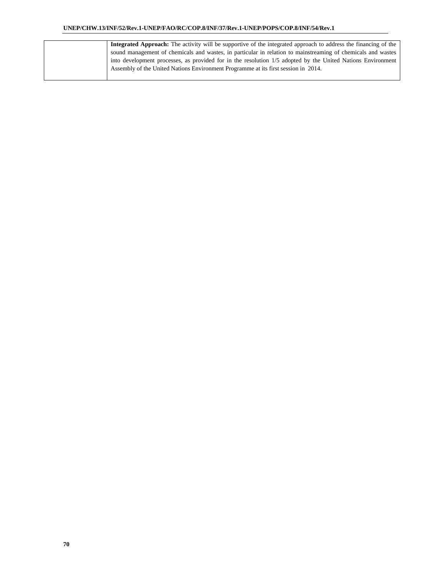| Integrated Approach: The activity will be supportive of the integrated approach to address the financing of the |
|-----------------------------------------------------------------------------------------------------------------|
| sound management of chemicals and wastes, in particular in relation to mainstreaming of chemicals and wastes    |
| into development processes, as provided for in the resolution 1/5 adopted by the United Nations Environment     |
| Assembly of the United Nations Environment Programme at its first session in 2014.                              |
|                                                                                                                 |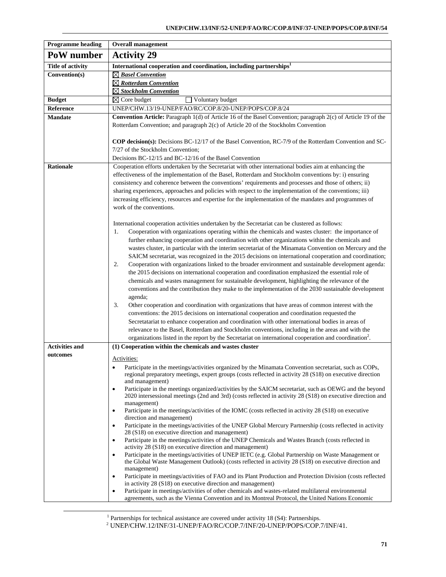| <b>Programme</b> heading | <b>Overall management</b>                                                                                                                                                                                     |  |  |
|--------------------------|---------------------------------------------------------------------------------------------------------------------------------------------------------------------------------------------------------------|--|--|
| PoW number               | <b>Activity 29</b>                                                                                                                                                                                            |  |  |
| <b>Title of activity</b> | International cooperation and coordination, including partnerships <sup>1</sup>                                                                                                                               |  |  |
| Convention(s)            | $\boxtimes$ Basel Convention                                                                                                                                                                                  |  |  |
|                          | $\boxtimes$ Rotterdam Convention                                                                                                                                                                              |  |  |
|                          | ⊠ Stockholm Convention                                                                                                                                                                                        |  |  |
| <b>Budget</b>            | $\boxtimes$ Core budget<br>Voluntary budget                                                                                                                                                                   |  |  |
| Reference                | UNEP/CHW.13/19-UNEP/FAO/RC/COP.8/20-UNEP/POPS/COP.8/24                                                                                                                                                        |  |  |
| <b>Mandate</b>           | Convention Article: Paragraph 1(d) of Article 16 of the Basel Convention; paragraph 2(c) of Article 19 of the                                                                                                 |  |  |
|                          | Rotterdam Convention; and paragraph 2(c) of Article 20 of the Stockholm Convention                                                                                                                            |  |  |
|                          | <b>COP decision(s):</b> Decisions BC-12/17 of the Basel Convention, RC-7/9 of the Rotterdam Convention and SC-                                                                                                |  |  |
|                          | 7/27 of the Stockholm Convention;                                                                                                                                                                             |  |  |
|                          | Decisions BC-12/15 and BC-12/16 of the Basel Convention                                                                                                                                                       |  |  |
| <b>Rationale</b>         | Cooperation efforts undertaken by the Secretariat with other international bodies aim at enhancing the                                                                                                        |  |  |
|                          | effectiveness of the implementation of the Basel, Rotterdam and Stockholm conventions by: i) ensuring                                                                                                         |  |  |
|                          | consistency and coherence between the conventions' requirements and processes and those of others; ii)                                                                                                        |  |  |
|                          | sharing experiences, approaches and policies with respect to the implementation of the conventions; iii)                                                                                                      |  |  |
|                          | increasing efficiency, resources and expertise for the implementation of the mandates and programmes of                                                                                                       |  |  |
|                          | work of the conventions.                                                                                                                                                                                      |  |  |
|                          |                                                                                                                                                                                                               |  |  |
|                          | International cooperation activities undertaken by the Secretariat can be clustered as follows:                                                                                                               |  |  |
|                          | Cooperation with organizations operating within the chemicals and wastes cluster: the importance of<br>1.<br>further enhancing cooperation and coordination with other organizations within the chemicals and |  |  |
|                          | wastes cluster, in particular with the interim secretariat of the Minamata Convention on Mercury and the                                                                                                      |  |  |
|                          | SAICM secretariat, was recognized in the 2015 decisions on international cooperation and coordination;                                                                                                        |  |  |
|                          | 2.<br>Cooperation with organizations linked to the broader environment and sustainable development agenda:                                                                                                    |  |  |
|                          | the 2015 decisions on international cooperation and coordination emphasized the essential role of                                                                                                             |  |  |
|                          | chemicals and wastes management for sustainable development, highlighting the relevance of the                                                                                                                |  |  |
|                          | conventions and the contribution they make to the implementation of the 2030 sustainable development                                                                                                          |  |  |
|                          | agenda;                                                                                                                                                                                                       |  |  |
|                          | Other cooperation and coordination with organizations that have areas of common interest with the<br>3.                                                                                                       |  |  |
|                          | conventions: the 2015 decisions on international cooperation and coordination requested the                                                                                                                   |  |  |
|                          | Secretatariat to enhance cooperation and coordination with other international bodies in areas of                                                                                                             |  |  |
|                          | relevance to the Basel, Rotterdam and Stockholm conventions, including in the areas and with the                                                                                                              |  |  |
| <b>Activities and</b>    | organizations listed in the report by the Secretariat on international cooperation and coordination <sup>2</sup> .                                                                                            |  |  |
| outcomes                 | (1) Cooperation within the chemicals and wastes cluster                                                                                                                                                       |  |  |
|                          | Activities:                                                                                                                                                                                                   |  |  |
|                          | Participate in the meetings/activities organized by the Minamata Convention secretariat, such as COPs,                                                                                                        |  |  |
|                          | regional preparatory meetings, expert groups (costs reflected in activity 28 (S18) on executive direction<br>and management)                                                                                  |  |  |
|                          | Participate in the meetings organized/activities by the SAICM secretariat, such as OEWG and the beyond<br>$\bullet$                                                                                           |  |  |
|                          | 2020 intersessional meetings (2nd and 3rd) (costs reflected in activity 28 (S18) on executive direction and                                                                                                   |  |  |
|                          | management)                                                                                                                                                                                                   |  |  |
|                          | Participate in the meetings/activities of the IOMC (costs reflected in activity 28 (S18) on executive<br>$\bullet$<br>direction and management)                                                               |  |  |
|                          | Participate in the meetings/activities of the UNEP Global Mercury Partnership (costs reflected in activity<br>٠                                                                                               |  |  |
|                          | 28 (S18) on executive direction and management)                                                                                                                                                               |  |  |
|                          | Participate in the meetings/activities of the UNEP Chemicals and Wastes Branch (costs reflected in<br>$\bullet$<br>activity 28 (S18) on executive direction and management)                                   |  |  |
|                          | Participate in the meetings/activities of UNEP IETC (e.g. Global Partnership on Waste Management or<br>$\bullet$                                                                                              |  |  |
|                          | the Global Waste Management Outlook) (costs reflected in activity 28 (S18) on executive direction and<br>management)                                                                                          |  |  |
|                          | Participate in meetings/activities of FAO and its Plant Production and Protection Division (costs reflected<br>$\bullet$                                                                                      |  |  |
|                          | in activity 28 (S18) on executive direction and management)                                                                                                                                                   |  |  |
|                          | Participate in meetings/activities of other chemicals and wastes-related multilateral environmental<br>٠<br>agreements, such as the Vienna Convention and its Montreal Protocol, the United Nations Economic  |  |  |

 <sup>1</sup>

<sup>&</sup>lt;sup>1</sup> Partnerships for technical assistance are covered under activity 18 (S4): Partnerships.<br><sup>2</sup> UNEP/CHW.12/INF/31-UNEP/FAO/RC/COP.7/INF/20-UNEP/POPS/COP.7/INF/41.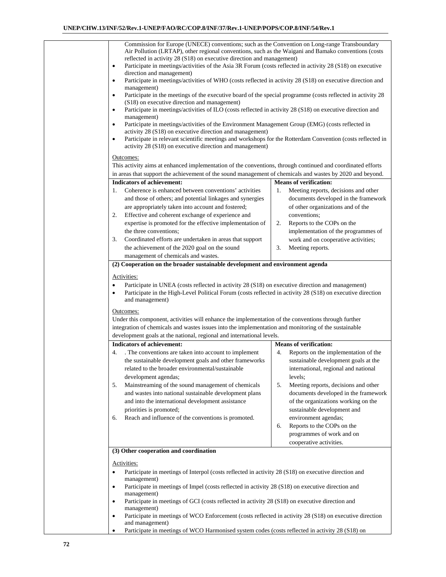| reflected in activity 28 (S18) on executive direction and management)<br>$\bullet$<br>direction and management)<br>$\bullet$<br>management)<br>$\bullet$<br>(S18) on executive direction and management)<br>$\bullet$<br>management)<br>$\bullet$<br>activity 28 (S18) on executive direction and management)<br>$\bullet$<br>activity 28 (S18) on executive direction and management)<br>Outcomes:                                                                                                            | Commission for Europe (UNECE) conventions; such as the Convention on Long-range Transboundary<br>Air Pollution (LRTAP), other regional conventions, such as the Waigani and Bamako conventions (costs<br>Participate in meetings/activities of the Asia 3R Forum (costs reflected in activity 28 (S18) on executive<br>Participate in meetings/activities of WHO (costs reflected in activity 28 (S18) on executive direction and<br>Participate in the meetings of the executive board of the special programme (costs reflected in activity 28<br>Participate in meetings/activities of ILO (costs reflected in activity 28 (S18) on executive direction and<br>Participate in meetings/activities of the Environment Management Group (EMG) (costs reflected in<br>Participate in relevant scientific meetings and workshops for the Rotterdam Convention (costs reflected in<br>This activity aims at enhanced implementation of the conventions, through continued and coordinated efforts |
|----------------------------------------------------------------------------------------------------------------------------------------------------------------------------------------------------------------------------------------------------------------------------------------------------------------------------------------------------------------------------------------------------------------------------------------------------------------------------------------------------------------|-------------------------------------------------------------------------------------------------------------------------------------------------------------------------------------------------------------------------------------------------------------------------------------------------------------------------------------------------------------------------------------------------------------------------------------------------------------------------------------------------------------------------------------------------------------------------------------------------------------------------------------------------------------------------------------------------------------------------------------------------------------------------------------------------------------------------------------------------------------------------------------------------------------------------------------------------------------------------------------------------|
|                                                                                                                                                                                                                                                                                                                                                                                                                                                                                                                | in areas that support the achievement of the sound management of chemicals and wastes by 2020 and beyond.                                                                                                                                                                                                                                                                                                                                                                                                                                                                                                                                                                                                                                                                                                                                                                                                                                                                                       |
| <b>Indicators of achievement:</b><br>Coherence is enhanced between conventions' activities<br>1.<br>and those of others; and potential linkages and synergies<br>are appropriately taken into account and fostered;<br>Effective and coherent exchange of experience and<br>2.<br>expertise is promoted for the effective implementation of<br>the three conventions;<br>Coordinated efforts are undertaken in areas that support<br>3.<br>the achievement of the 2020 goal on the sound                       | <b>Means of verification:</b><br>Meeting reports, decisions and other<br>1.<br>documents developed in the framework<br>of other organizations and of the<br>conventions;<br>2.<br>Reports to the COPs on the<br>implementation of the programmes of<br>work and on cooperative activities;<br>3.<br>Meeting reports.                                                                                                                                                                                                                                                                                                                                                                                                                                                                                                                                                                                                                                                                            |
| management of chemicals and wastes.                                                                                                                                                                                                                                                                                                                                                                                                                                                                            |                                                                                                                                                                                                                                                                                                                                                                                                                                                                                                                                                                                                                                                                                                                                                                                                                                                                                                                                                                                                 |
| ٠<br>٠<br>and management)<br>Outcomes:<br>Under this component, activities will enhance the implementation of the conventions through further<br>integration of chemicals and wastes issues into the implementation and monitoring of the sustainable<br>development goals at the national, regional and international levels.                                                                                                                                                                                 | Participate in UNEA (costs reflected in activity 28 (S18) on executive direction and management)<br>Participate in the High-Level Political Forum (costs reflected in activity 28 (S18) on executive direction                                                                                                                                                                                                                                                                                                                                                                                                                                                                                                                                                                                                                                                                                                                                                                                  |
| <b>Indicators of achievement:</b>                                                                                                                                                                                                                                                                                                                                                                                                                                                                              | <b>Means of verification:</b>                                                                                                                                                                                                                                                                                                                                                                                                                                                                                                                                                                                                                                                                                                                                                                                                                                                                                                                                                                   |
| 4.<br>. The conventions are taken into account to implement<br>the sustainable development goals and other frameworks<br>related to the broader environmental/sustainable<br>development agendas;<br>Mainstreaming of the sound management of chemicals<br>5.<br>and wastes into national sustainable development plans<br>and into the international development assistance<br>priorities is promoted;<br>Reach and influence of the conventions is promoted.<br>6.<br>(3) Other cooperation and coordination | Reports on the implementation of the<br>4.<br>sustainable development goals at the<br>international, regional and national<br>levels;<br>Meeting reports, decisions and other<br>5.<br>documents developed in the framework<br>of the organizations working on the<br>sustainable development and<br>environment agendas;<br>Reports to the COPs on the<br>6.<br>programmes of work and on<br>cooperative activities.                                                                                                                                                                                                                                                                                                                                                                                                                                                                                                                                                                           |
|                                                                                                                                                                                                                                                                                                                                                                                                                                                                                                                |                                                                                                                                                                                                                                                                                                                                                                                                                                                                                                                                                                                                                                                                                                                                                                                                                                                                                                                                                                                                 |
| Activities:<br>$\bullet$<br>management)<br>$\bullet$                                                                                                                                                                                                                                                                                                                                                                                                                                                           | Participate in meetings of Interpol (costs reflected in activity 28 (S18) on executive direction and<br>Participate in meetings of Impel (costs reflected in activity 28 (S18) on executive direction and                                                                                                                                                                                                                                                                                                                                                                                                                                                                                                                                                                                                                                                                                                                                                                                       |
| management)<br>Participate in meetings of GCI (costs reflected in activity 28 (S18) on executive direction and<br>$\bullet$<br>management)<br>$\bullet$                                                                                                                                                                                                                                                                                                                                                        | Participate in meetings of WCO Enforcement (costs reflected in activity 28 (S18) on executive direction                                                                                                                                                                                                                                                                                                                                                                                                                                                                                                                                                                                                                                                                                                                                                                                                                                                                                         |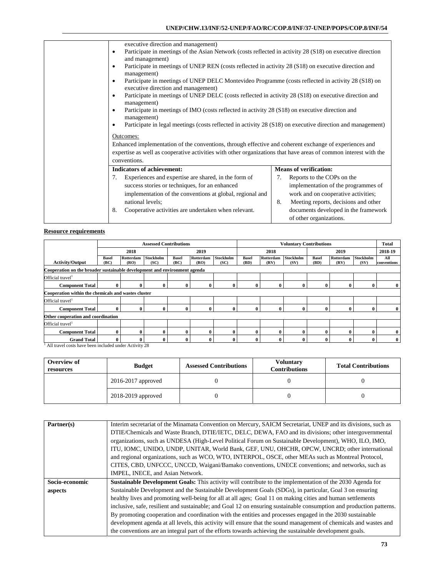| executive direction and management)                                                                                                       |                                            |  |  |  |  |  |
|-------------------------------------------------------------------------------------------------------------------------------------------|--------------------------------------------|--|--|--|--|--|
| Participate in meetings of the Asian Network (costs reflected in activity 28 (S18) on executive direction<br>$\bullet$                    |                                            |  |  |  |  |  |
| and management)                                                                                                                           |                                            |  |  |  |  |  |
| Participate in meetings of UNEP REN (costs reflected in activity 28 (S18) on executive direction and                                      |                                            |  |  |  |  |  |
| management)                                                                                                                               |                                            |  |  |  |  |  |
| Participate in meetings of UNEP DELC Montevideo Programme (costs reflected in activity 28 (S18) on<br>executive direction and management) |                                            |  |  |  |  |  |
|                                                                                                                                           |                                            |  |  |  |  |  |
| Participate in meetings of UNEP DELC (costs reflected in activity 28 (S18) on executive direction and<br>management)                      |                                            |  |  |  |  |  |
| Participate in meetings of IMO (costs reflected in activity 28 (S18) on executive direction and                                           |                                            |  |  |  |  |  |
| management)                                                                                                                               |                                            |  |  |  |  |  |
| Participate in legal meetings (costs reflected in activity 28 (S18) on executive direction and management)                                |                                            |  |  |  |  |  |
| Outcomes:                                                                                                                                 |                                            |  |  |  |  |  |
| Enhanced implementation of the conventions, through effective and coherent exchange of experiences and                                    |                                            |  |  |  |  |  |
| expertise as well as cooperative activities with other organizations that have areas of common interest with the                          |                                            |  |  |  |  |  |
| conventions.                                                                                                                              |                                            |  |  |  |  |  |
| <b>Indicators of achievement:</b>                                                                                                         | <b>Means of verification:</b>              |  |  |  |  |  |
| Experiences and expertise are shared, in the form of<br>7.                                                                                | Reports to the COPs on the<br>7.           |  |  |  |  |  |
| success stories or techniques, for an enhanced                                                                                            | implementation of the programmes of        |  |  |  |  |  |
| implementation of the conventions at global, regional and                                                                                 | work and on cooperative activities;        |  |  |  |  |  |
| national levels:                                                                                                                          | 8.<br>Meeting reports, decisions and other |  |  |  |  |  |
| Cooperative activities are undertaken when relevant.<br>8.                                                                                | documents developed in the framework       |  |  |  |  |  |
|                                                                                                                                           | of other organizations.                    |  |  |  |  |  |

|                                                     | <b>Assessed Contributions</b>                                             |                   |                          |                      | <b>Voluntary Contributions</b> |                   |                      |                   |                   | <b>Total</b>         |                   |                   |                    |
|-----------------------------------------------------|---------------------------------------------------------------------------|-------------------|--------------------------|----------------------|--------------------------------|-------------------|----------------------|-------------------|-------------------|----------------------|-------------------|-------------------|--------------------|
|                                                     |                                                                           | 2018              |                          |                      | 2019                           |                   |                      | 2018              |                   |                      | 2019              |                   | 2018-19            |
| <b>Activity/Output</b>                              | <b>Basel</b><br>(BC)                                                      | Rotterdam<br>(RO) | <b>Stockholm</b><br>(SC) | <b>Basel</b><br>(BC) | Rotterdam<br>(RO)              | Stockholm<br>(SC) | <b>Basel</b><br>(BD) | Rotterdam<br>(RV) | Stockholm<br>(SV) | <b>Basel</b><br>(BD) | Rotterdam<br>(RV) | Stockholm<br>(SV) | All<br>conventions |
|                                                     | Cooperation on the broader sustainable development and environment agenda |                   |                          |                      |                                |                   |                      |                   |                   |                      |                   |                   |                    |
| Official travel <sup>1</sup>                        |                                                                           |                   |                          |                      |                                |                   |                      |                   |                   |                      |                   |                   |                    |
| <b>Component Total</b>                              | 0                                                                         | 0                 | $\mathbf{0}$             | 0                    | $\mathbf{0}$                   | $\bf{0}$          | $\bf{0}$             | $\mathbf{0}$      | $\mathbf 0$       | 0                    | $\bf{0}$          | 0                 | 0                  |
| Cooperation within the chemicals and wastes cluster |                                                                           |                   |                          |                      |                                |                   |                      |                   |                   |                      |                   |                   |                    |
| Official travel <sup>1</sup>                        |                                                                           |                   |                          |                      |                                |                   |                      |                   |                   |                      |                   |                   |                    |
| <b>Component Total</b>                              | 0                                                                         | $\bf{0}$          | $\mathbf{0}$             | 0                    | $\bf{0}$                       | $\bf{0}$          | $\mathbf{0}$         | $\bf{0}$          | $\bf{0}$          | $\mathbf{0}$         | $\bf{0}$          | 0                 | $\bf{0}$           |
|                                                     | Other cooperation and coordination                                        |                   |                          |                      |                                |                   |                      |                   |                   |                      |                   |                   |                    |
| Official travel <sup>1</sup>                        |                                                                           |                   |                          |                      |                                |                   |                      |                   |                   |                      |                   |                   |                    |
| <b>Component Total</b>                              | 0                                                                         | 0                 | $\mathbf{0}$             | 0                    | 0                              | 0                 | $\mathbf{0}$         | 0                 | $\mathbf 0$       | o                    | $\mathbf{0}$      |                   | 0                  |
| <b>Grand Total</b><br>.                             | 0                                                                         | 0                 | $\mathbf{0}$<br>$\sim$   | 0                    |                                | 0                 | $\bf{0}$             | 0                 | $\mathbf 0$       |                      | $\bf{0}$          |                   | $\bf{0}$           |

<sup>1</sup> All travel costs have been included under Activity 28

| Overview of<br>resources | <b>Budget</b>          | <b>Assessed Contributions</b> |  | <b>Total Contributions</b> |  |
|--------------------------|------------------------|-------------------------------|--|----------------------------|--|
|                          | $2016 - 2017$ approved |                               |  |                            |  |
|                          | 2018-2019 approved     |                               |  |                            |  |

| Partner(s)     | Interim secretariat of the Minamata Convention on Mercury, SAICM Secretariat, UNEP and its divisions, such as        |
|----------------|----------------------------------------------------------------------------------------------------------------------|
|                | DTIE/Chemicals and Waste Branch, DTIE/IETC, DELC, DEWA, FAO and its divisions; other intergovernmental               |
|                | organizations, such as UNDESA (High-Level Political Forum on Sustainable Development), WHO, ILO, IMO,                |
|                | ITU, IOMC, UNIDO, UNDP, UNITAR, World Bank, GEF, UNU, OHCHR, OPCW, UNCRD; other international                        |
|                | and regional organizations, such as WCO, WTO, INTERPOL, OSCE, other MEAs such as Montreal Protocol,                  |
|                | CITES, CBD, UNFCCC, UNCCD, Waigani/Bamako conventions, UNECE conventions; and networks, such as                      |
|                | IMPEL, INECE, and Asian Network.                                                                                     |
| Socio-economic | <b>Sustainable Development Goals:</b> This activity will contribute to the implementation of the 2030 Agenda for     |
| aspects        | Sustainable Development and the Sustainable Development Goals (SDGs), in particular, Goal 3 on ensuring              |
|                | healthy lives and promoting well-being for all at all ages; Goal 11 on making cities and human settlements           |
|                | inclusive, safe, resilient and sustainable; and Goal 12 on ensuring sustainable consumption and production patterns. |
|                | By promoting cooperation and coordination with the entities and processes engaged in the 2030 sustainable            |
|                | development agenda at all levels, this activity will ensure that the sound management of chemicals and wastes and    |
|                | the conventions are an integral part of the efforts towards achieving the sustainable development goals.             |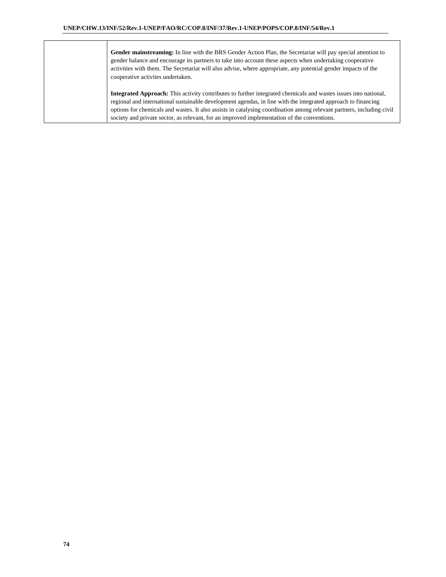| Gender mainstreaming: In line with the BRS Gender Action Plan, the Secretariat will pay special attention to<br>gender balance and encourage its partners to take into account these aspects when undertaking cooperative<br>activities with them. The Secretariat will also advise, where appropriate, any potential gender impacts of the<br>cooperative activites undertaken. |
|----------------------------------------------------------------------------------------------------------------------------------------------------------------------------------------------------------------------------------------------------------------------------------------------------------------------------------------------------------------------------------|
| <b>Integrated Approach:</b> This activity contributes to further integrated chemicals and wastes issues into national,<br>regional and international quotainable development agendes in line with the integrated engrosed to financing                                                                                                                                           |

regional and international sustainable development agendas, in line with the integrated approach to financing options for chemicals and wastes. It also assists in catalysing coordination among relevant partners, including civil society and private sector, as relevant, for an improved implementation of the conventions.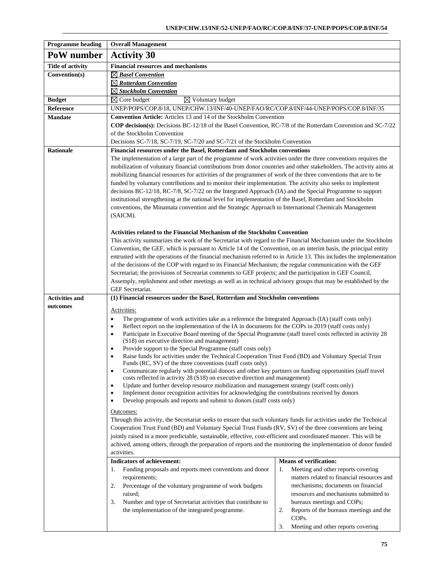| <b>Programme heading</b> | <b>Overall Management</b>                                                                                                                                                                                              |                                               |  |  |  |  |
|--------------------------|------------------------------------------------------------------------------------------------------------------------------------------------------------------------------------------------------------------------|-----------------------------------------------|--|--|--|--|
| PoW number               | <b>Activity 30</b>                                                                                                                                                                                                     |                                               |  |  |  |  |
| <b>Title of activity</b> | <b>Financial resources and mechanisms</b>                                                                                                                                                                              |                                               |  |  |  |  |
| Convention(s)            | $\boxtimes$ Basel Convention                                                                                                                                                                                           |                                               |  |  |  |  |
|                          | $\boxtimes$ Rotterdam Convention                                                                                                                                                                                       |                                               |  |  |  |  |
|                          | $\boxtimes$ Stockholm Convention                                                                                                                                                                                       |                                               |  |  |  |  |
| <b>Budget</b>            | $\boxtimes$ Core budget<br>$\overline{\boxtimes}$ Voluntary budget                                                                                                                                                     |                                               |  |  |  |  |
| Reference                | UNEP/POPS/COP.8/18, UNEP/CHW.13/INF/40-UNEP/FAO/RC/COP.8/INF/44-UNEP/POPS/COP.8/INF/35                                                                                                                                 |                                               |  |  |  |  |
| <b>Mandate</b>           | Convention Article: Articles 13 and 14 of the Stockholm Convention                                                                                                                                                     |                                               |  |  |  |  |
|                          | <b>COP decision(s):</b> Decisions BC-12/18 of the Basel Convention, RC-7/8 of the Rotterdam Convention and SC-7/22                                                                                                     |                                               |  |  |  |  |
|                          | of the Stockholm Convention                                                                                                                                                                                            |                                               |  |  |  |  |
|                          | Decisions SC-7/18, SC-7/19, SC-7/20 and SC-7/21 of the Stockholm Convention                                                                                                                                            |                                               |  |  |  |  |
| <b>Rationale</b>         | Financial resources under the Basel, Rotterdam and Stockholm conventions                                                                                                                                               |                                               |  |  |  |  |
|                          | The implementation of a large part of the programme of work activities under the three conventions requires the                                                                                                        |                                               |  |  |  |  |
|                          | mobilization of voluntary financial contributions from donor countries and other stakeholders. The activity aims at                                                                                                    |                                               |  |  |  |  |
|                          | mobilizing financial resources for activities of the programmes of work of the three conventions that are to be                                                                                                        |                                               |  |  |  |  |
|                          | funded by voluntary contributions and to monitor their implementation. The activity also seeks to implement                                                                                                            |                                               |  |  |  |  |
|                          | decisions BC-12/18, RC-7/8, SC-7/22 on the Integrated Approach (IA) and the Special Programme to support<br>institutional strengthening at the national level for implementation of the Basel, Rotterdam and Stockholm |                                               |  |  |  |  |
|                          | conventions, the Minamata convention and the Strategic Approach to International Chemicals Management                                                                                                                  |                                               |  |  |  |  |
|                          | (SAICM).                                                                                                                                                                                                               |                                               |  |  |  |  |
|                          |                                                                                                                                                                                                                        |                                               |  |  |  |  |
|                          | <b>Activities related to the Financial Mechanism of the Stockholm Convention</b>                                                                                                                                       |                                               |  |  |  |  |
|                          | This activity summarizes the work of the Secretariat with regard to the Financial Mechanism under the Stockholm                                                                                                        |                                               |  |  |  |  |
|                          | Convention, the GEF, which is pursuant to Article 14 of the Convention, on an interim basis, the principal entity                                                                                                      |                                               |  |  |  |  |
|                          | entrusted with the operations of the financial mechanism referred to in Article 13. This includes the implementation                                                                                                   |                                               |  |  |  |  |
|                          | of the decisions of the COP with regard to its Financial Mechanism; the regular communication with the GEF                                                                                                             |                                               |  |  |  |  |
|                          | Secretariat; the provisions of Secreariat comments to GEF projects; and the participation in GEF Council,                                                                                                              |                                               |  |  |  |  |
|                          | Assemply, replishment and other meetings as well as in technical advisory groups that may be established by the                                                                                                        |                                               |  |  |  |  |
|                          | GEF Secretariat.                                                                                                                                                                                                       |                                               |  |  |  |  |
| <b>Activities and</b>    | (1) Financial resources under the Basel, Rotterdam and Stockholm conventions                                                                                                                                           |                                               |  |  |  |  |
| outcomes                 | Activities:                                                                                                                                                                                                            |                                               |  |  |  |  |
|                          | The programme of work activities take as a reference the Integrated Approach (IA) (staff costs only)<br>$\bullet$                                                                                                      |                                               |  |  |  |  |
|                          | Reflect report on the implementation of the IA in documents for the COPs in 2019 (staff costs only)<br>$\bullet$                                                                                                       |                                               |  |  |  |  |
|                          | Participate in Executive Board meeting of the Special Programme (staff travel costs reflected in activity 28<br>٠                                                                                                      |                                               |  |  |  |  |
|                          | (S18) on executive direction and management)                                                                                                                                                                           |                                               |  |  |  |  |
|                          | Provide support to the Special Programme (staff costs only)<br>$\bullet$                                                                                                                                               |                                               |  |  |  |  |
|                          | Raise funds for activities under the Technical Cooperation Trust Fund (BD) and Voluntary Special Trust<br>$\bullet$<br>Funds (RC, SV) of the three conventions (staff costs only)                                      |                                               |  |  |  |  |
|                          | Communicate regularly with potential donors and other key partners on funding opportunities (staff travel<br>$\bullet$                                                                                                 |                                               |  |  |  |  |
|                          | costs reflected in activity 28 (S18) on executive direction and management)                                                                                                                                            |                                               |  |  |  |  |
|                          | Update and further develop resource mobilization and management strategy (staff costs only)<br>$\bullet$                                                                                                               |                                               |  |  |  |  |
|                          | Implement donor recognition activities for acknowledging the contributions received by donors<br>$\bullet$<br>$\bullet$                                                                                                |                                               |  |  |  |  |
|                          | Develop proposals and reports and submit to donors (staff costs only)                                                                                                                                                  |                                               |  |  |  |  |
|                          | Outcomes:                                                                                                                                                                                                              |                                               |  |  |  |  |
|                          | Through this activity, the Secretariat seeks to ensure that such voluntary funds for activities under the Technical                                                                                                    |                                               |  |  |  |  |
|                          | Cooperation Trust Fund (BD) and Voluntary Special Trust Funds (RV, SV) of the three conventions are being                                                                                                              |                                               |  |  |  |  |
|                          | jointly raised in a more predictable, sustainable, effective, cost-efficient and coordinated manner. This will be                                                                                                      |                                               |  |  |  |  |
|                          | achived, among others, through the preparation of reports and the monitoring the implementation of donor funded<br>activities.                                                                                         |                                               |  |  |  |  |
|                          | Indicators of achievement:                                                                                                                                                                                             | <b>Means of verification:</b>                 |  |  |  |  |
|                          | Funding proposals and reports meet conventions and donor<br>1.                                                                                                                                                         | Meeting and other reports covering<br>1.      |  |  |  |  |
|                          | requirements;                                                                                                                                                                                                          | matters related to financial resources and    |  |  |  |  |
|                          | Percentage of the voluntary programme of work budgets<br>2.                                                                                                                                                            | mechanisms; documents on financial            |  |  |  |  |
|                          | raised;                                                                                                                                                                                                                | resources and mechanisms submitted to         |  |  |  |  |
|                          | Number and type of Secretariat activities that contribute to<br>3.                                                                                                                                                     | bureaux meetings and COPs;                    |  |  |  |  |
|                          | the implementation of the integrated programme.                                                                                                                                                                        | Reports of the bureaux meetings and the<br>2. |  |  |  |  |
|                          |                                                                                                                                                                                                                        | COP <sub>s</sub> .                            |  |  |  |  |
|                          |                                                                                                                                                                                                                        | 3.<br>Meeting and other reports covering      |  |  |  |  |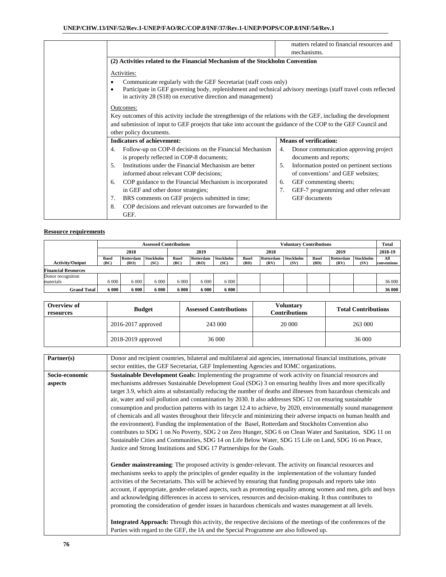|           |                                                                                                                  |    | matters related to financial resources and |
|-----------|------------------------------------------------------------------------------------------------------------------|----|--------------------------------------------|
|           |                                                                                                                  |    |                                            |
|           |                                                                                                                  |    | mechanisms.                                |
|           | (2) Activities related to the Financial Mechanism of the Stockholm Convention                                    |    |                                            |
|           |                                                                                                                  |    |                                            |
|           | Activities:                                                                                                      |    |                                            |
|           | Communicate regularly with the GEF Secretariat (staff costs only)                                                |    |                                            |
| $\bullet$ | Participate in GEF governing body, replenishment and technical advisory meetings (staff travel costs reflected   |    |                                            |
|           | in activity 28 (S18) on executive direction and management)                                                      |    |                                            |
|           | Outcomes:                                                                                                        |    |                                            |
|           | Key outcomes of this activity include the strengthenign of the relations with the GEF, including the development |    |                                            |
|           |                                                                                                                  |    |                                            |
|           | and submission of input to GEF proejcts that take into account the guidance of the COP to the GEF Council and    |    |                                            |
|           | other policy documents.                                                                                          |    |                                            |
|           | <b>Indicators of achievement:</b>                                                                                |    | <b>Means of verification:</b>              |
| 4.        | Follow-up on COP-8 decisions on the Financial Mechanism                                                          | 4. | Donor communication approving project      |
|           | is properly reflected in COP-8 documents;                                                                        |    | documents and reports;                     |
| 5.        | Institutions under the Financial Mechanism are better                                                            | 5. | Information posted on pertinent sections   |
|           | informed about relevant COP decisions;                                                                           |    | of conventions' and GEF websites;          |
| 6.        | COP guidance to the Financial Mechanism is incorporated                                                          | 6. | GEF commenting sheets;                     |
|           | in GEF and other donor strategies;                                                                               | 7. | GEF-7 programming and other relevant       |
| 7.        | BRS comments on GEF projects submitted in time;                                                                  |    | <b>GEF</b> documents                       |
|           | COP decisions and relevant outcomes are forwarded to the                                                         |    |                                            |
| 8.        |                                                                                                                  |    |                                            |
|           | GEF.                                                                                                             |    |                                            |

|                            | <b>Assessed Contributions</b> |                   |                   |                      |                   | <b>Voluntary Contributions</b> |                      |                   |                   |                      | <b>Total</b>      |                   |                    |
|----------------------------|-------------------------------|-------------------|-------------------|----------------------|-------------------|--------------------------------|----------------------|-------------------|-------------------|----------------------|-------------------|-------------------|--------------------|
|                            | 2018                          |                   | 2019              |                      | 2018              |                                | 2019                 |                   | 2018-19           |                      |                   |                   |                    |
| <b>Activity/Output</b>     | <b>Basel</b><br>(BC)          | Rotterdam<br>(RO) | Stockholm<br>(SC) | <b>Basel</b><br>(BC) | Rotterdam<br>(RO) | Stockholm<br>(SC)              | <b>Basel</b><br>(BD) | Rotterdam<br>(RV) | Stockholm<br>(SV) | <b>Basel</b><br>(BD) | Rotterdam<br>(RV) | Stockholm<br>(SV) | All<br>conventions |
| <b>Financial Resources</b> |                               |                   |                   |                      |                   |                                |                      |                   |                   |                      |                   |                   |                    |
| Donor recognition          |                               |                   |                   |                      |                   |                                |                      |                   |                   |                      |                   |                   |                    |
| materials                  | 6 0 0 0                       | 6 0 0 0           | 6 0 0 0           | 6 0 0 0              | 6 0 0 0           | 6 0 0 0                        |                      |                   |                   |                      |                   |                   | 36 000             |
| <b>Grand Total</b>         | 6 0 0 0                       | 6 0 0 0           | 6 000             | 6 000                | 6 0 0 0           | 6 000                          |                      |                   |                   |                      |                   |                   | 36 000             |

| Overview of<br>resources | <b>Budget</b>          | <b>Assessed Contributions</b> |        | <b>Total Contributions</b> |  |
|--------------------------|------------------------|-------------------------------|--------|----------------------------|--|
|                          | $2016 - 2017$ approved | 243 000                       | 20 000 | 263 000                    |  |
|                          | 2018-2019 approved     | 36 000                        |        | 36 000                     |  |

| Partner(s)     | Donor and recipient countries, bilateral and multilateral aid agencies, international financial institutions, private |
|----------------|-----------------------------------------------------------------------------------------------------------------------|
|                | sector entities, the GEF Secretariat, GEF Implementing Agencies and IOMC organizations.                               |
| Socio-economic | <b>Sustainable Development Goals:</b> Implementing the programme of work activity on financial resources and          |
| aspects        | mechanisms addresses Sustainable Development Goal (SDG) 3 on ensuring healthy lives and more specifically             |
|                | target 3.9, which aims at substantially reducing the number of deaths and illnesses from hazardous chemicals and      |
|                | air, water and soil pollution and contamination by 2030. It also addresses SDG 12 on ensuring sustainable             |
|                | consumption and production patterns with its target 12.4 to achieve, by 2020, environmentally sound management        |
|                | of chemicals and all wastes throughout their lifecycle and minimizing their adverse impacts on human health and       |
|                | the environment). Funding the implementation of the Basel, Rotterdam and Stockholm Convention also                    |
|                | contributes to SDG 1 on No Poverty, SDG 2 on Zero Hunger, SDG 6 on Clean Water and Sanitation, SDG 11 on              |
|                | Sustainable Cities and Communities, SDG 14 on Life Below Water, SDG 15 Life on Land, SDG 16 on Peace,                 |
|                | Justice and Strong Institutions and SDG 17 Partnerships for the Goals.                                                |
|                | Gender mainstreaming: The proposed activity is gender-relevant. The activity on financial resources and               |
|                | mechanisms seeks to apply the principles of gender equality in the implementation of the voluntary funded             |
|                | activities of the Secretariatts. This will be achieved by ensuring that funding proposals and reports take into       |
|                | account, if appropriate, gender-relataed aspects, such as promoting equality among women and men, girls and boys      |
|                | and acknowledging differences in access to services, resources and decision-making. It thus contributes to            |
|                | promoting the consideration of gender issues in hazardous chemicals and wastes management at all levels.              |
|                | <b>Integrated Approach:</b> Through this activity, the respective decisions of the meetings of the conferences of the |
|                | Parties with regard to the GEF, the IA and the Special Programme are also followed up.                                |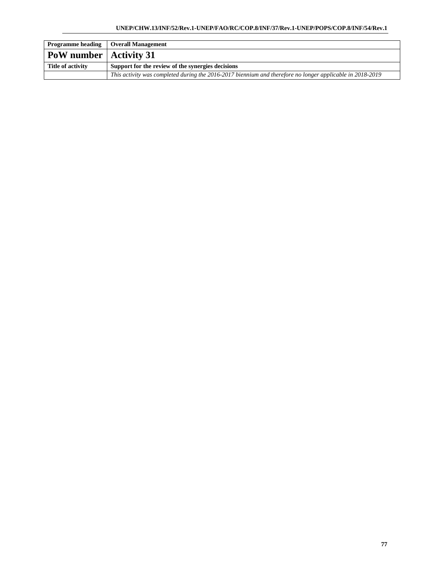| <b>Programme heading</b>        | <b>Overall Management</b>                                                                                 |
|---------------------------------|-----------------------------------------------------------------------------------------------------------|
| <b>PoW</b> number   Activity 31 |                                                                                                           |
| Title of activity               | Support for the review of the synergies decisions                                                         |
|                                 | This activity was completed during the 2016-2017 biennium and therefore no longer applicable in 2018-2019 |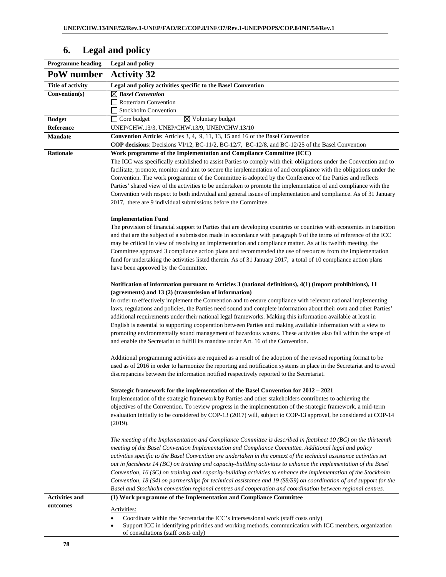## **Programme heading Legal and policy PoW number | Activity 32 Title of activity Legal and policy activities specific to the Basel Convention Convention(s)** *Basel Convention*  Rotterdam Convention Stockholm Convention **Budget** Core budget Voluntary budget **Reference** UNEP/CHW.13/3, UNEP/CHW.13/9, UNEP/CHW.13/10 **Mandate Convention Article:** Articles 3, 4, 9, 11, 13, 15 and 16 of the Basel Convention **COP decisions**: Decisions VI/12, BC-11/2, BC-12/7, BC-12/8, and BC-12/25 of the Basel Convention **Rationale Work programme of the Implementation and Compliance Committee (ICC)**  The ICC was specifically established to assist Parties to comply with their obligations under the Convention and to facilitate, promote, monitor and aim to secure the implementation of and compliance with the obligations under the Convention. The work programme of the Committee is adopted by the Conference of the Parties and reflects Parties' shared view of the activities to be undertaken to promote the implementation of and compliance with the Convention with respect to both individual and general issues of implementation and compliance. As of 31 January 2017, there are 9 individual submissions before the Committee. **Implementation Fund**  The provision of financial support to Parties that are developing countries or countries with economies in transition and that are the subject of a submission made in accordance with paragraph 9 of the terms of reference of the ICC may be critical in view of resolving an implementation and compliance matter. As at its twelfth meeting, the Committee approved 3 compliance action plans and recommended the use of resources from the implementation fund for undertaking the activities listed therein. As of 31 January 2017, a total of 10 compliance action plans have been approved by the Committee. **Notification of information pursuant to Articles 3 (national definitions), 4(1) (import prohibitions), 11 (agreements) and 13 (2) (transmission of information)** In order to effectively implement the Convention and to ensure compliance with relevant national implementing laws, regulations and policies, the Parties need sound and complete information about their own and other Parties' additional requirements under their national legal frameworks. Making this information available at least in English is essential to supporting cooperation between Parties and making available information with a view to promoting environmentally sound management of hazardous wastes. These activities also fall within the scope of and enable the Secretariat to fulfill its mandate under Art. 16 of the Convention. Additional programming activities are required as a result of the adoption of the revised reporting format to be used as of 2016 in order to harmonize the reporting and notification systems in place in the Secretariat and to avoid discrepancies between the information notified respectively reported to the Secretariat. **Strategic framework for the implementation of the Basel Convention for 2012 – 2021**  Implementation of the strategic framework by Parties and other stakeholders contributes to achieving the objectives of the Convention. To review progress in the implementation of the strategic framework, a mid-term evaluation initially to be considered by COP-13 (2017) will, subject to COP-13 approval, be considered at COP-14 (2019). *The meeting of the Implementation and Compliance Committee is described in factsheet 10 (BC) on the thirteenth meeting of the Basel Convention Implementation and Compliance Committee. Additional legal and policy activities specific to the Basel Convention are undertaken in the context of the technical assistance activities set out in factsheets 14 (BC) on training and capacity-building activities to enhance the implementation of the Basel Convention, 16 (SC) on training and capacity-building activities to enhance the implementation of the Stockholm Convention, 18 (S4) on partnerships for technical assistance and 19 (S8/S9) on coordination of and support for the Basel and Stockholm convention regional centres and cooperation and coordination between regional centres.*  **Activities and outcomes (1) Work programme of the Implementation and Compliance Committee**  Activities: • Coordinate within the Secretariat the ICC's intersessional work (staff costs only)

## **6. Legal and policy**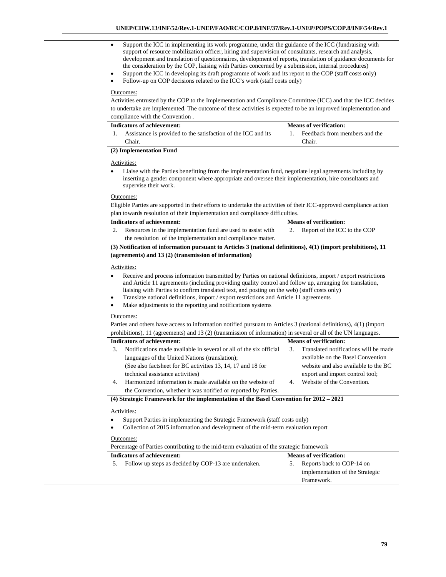| Support the ICC in implementing its work programme, under the guidance of the ICC (fundraising with<br>$\bullet$<br>support of resource mobilization officer, hiring and supervision of consultants, research and analysis,<br>development and translation of questionnaires, development of reports, translation of guidance documents for<br>the consideration by the COP, liaising with Parties concerned by a submission, internal procedures)<br>Support the ICC in developing its draft programme of work and its report to the COP (staff costs only)<br>$\bullet$<br>Follow-up on COP decisions related to the ICC's work (staff costs only)<br>٠<br>Outcomes: |                                             |
|------------------------------------------------------------------------------------------------------------------------------------------------------------------------------------------------------------------------------------------------------------------------------------------------------------------------------------------------------------------------------------------------------------------------------------------------------------------------------------------------------------------------------------------------------------------------------------------------------------------------------------------------------------------------|---------------------------------------------|
| Activities entrusted by the COP to the Implementation and Compliance Committee (ICC) and that the ICC decides                                                                                                                                                                                                                                                                                                                                                                                                                                                                                                                                                          |                                             |
| to undertake are implemented. The outcome of these activities is expected to be an improved implementation and                                                                                                                                                                                                                                                                                                                                                                                                                                                                                                                                                         |                                             |
| compliance with the Convention.                                                                                                                                                                                                                                                                                                                                                                                                                                                                                                                                                                                                                                        |                                             |
| <b>Indicators of achievement:</b>                                                                                                                                                                                                                                                                                                                                                                                                                                                                                                                                                                                                                                      | <b>Means of verification:</b>               |
|                                                                                                                                                                                                                                                                                                                                                                                                                                                                                                                                                                                                                                                                        | Feedback from members and the               |
| Assistance is provided to the satisfaction of the ICC and its<br>1.                                                                                                                                                                                                                                                                                                                                                                                                                                                                                                                                                                                                    | 1.                                          |
| Chair.                                                                                                                                                                                                                                                                                                                                                                                                                                                                                                                                                                                                                                                                 | Chair.                                      |
| (2) Implementation Fund                                                                                                                                                                                                                                                                                                                                                                                                                                                                                                                                                                                                                                                |                                             |
| Activities:                                                                                                                                                                                                                                                                                                                                                                                                                                                                                                                                                                                                                                                            |                                             |
| Liaise with the Parties benefitting from the implementation fund, negotiate legal agreements including by<br>inserting a gender component where appropriate and oversee their implementation, hire consultants and<br>supervise their work.                                                                                                                                                                                                                                                                                                                                                                                                                            |                                             |
| Outcomes:                                                                                                                                                                                                                                                                                                                                                                                                                                                                                                                                                                                                                                                              |                                             |
| Eligible Parties are supported in their efforts to undertake the activities of their ICC-approved compliance action                                                                                                                                                                                                                                                                                                                                                                                                                                                                                                                                                    |                                             |
| plan towards resolution of their implementation and compliance difficulties.                                                                                                                                                                                                                                                                                                                                                                                                                                                                                                                                                                                           |                                             |
| <b>Indicators of achievement:</b>                                                                                                                                                                                                                                                                                                                                                                                                                                                                                                                                                                                                                                      | <b>Means of verification:</b>               |
| Resources in the implementation fund are used to assist with<br>2.                                                                                                                                                                                                                                                                                                                                                                                                                                                                                                                                                                                                     | Report of the ICC to the COP<br>2.          |
| the resolution of the implementation and compliance matter.                                                                                                                                                                                                                                                                                                                                                                                                                                                                                                                                                                                                            |                                             |
| (3) Notification of information pursuant to Articles 3 (national definitions), 4(1) (import prohibitions), 11                                                                                                                                                                                                                                                                                                                                                                                                                                                                                                                                                          |                                             |
| (agreements) and 13 (2) (transmission of information)                                                                                                                                                                                                                                                                                                                                                                                                                                                                                                                                                                                                                  |                                             |
|                                                                                                                                                                                                                                                                                                                                                                                                                                                                                                                                                                                                                                                                        |                                             |
| Activities:                                                                                                                                                                                                                                                                                                                                                                                                                                                                                                                                                                                                                                                            |                                             |
| Receive and process information transmitted by Parties on national definitions, import / export restrictions<br>$\bullet$<br>and Article 11 agreements (including providing quality control and follow up, arranging for translation,                                                                                                                                                                                                                                                                                                                                                                                                                                  |                                             |
| liaising with Parties to confirm translated text, and posting on the web) (staff costs only)                                                                                                                                                                                                                                                                                                                                                                                                                                                                                                                                                                           |                                             |
| Translate national definitions, import / export restrictions and Article 11 agreements<br>$\bullet$                                                                                                                                                                                                                                                                                                                                                                                                                                                                                                                                                                    |                                             |
| Make adjustments to the reporting and notifications systems<br>$\bullet$                                                                                                                                                                                                                                                                                                                                                                                                                                                                                                                                                                                               |                                             |
| Outcomes:                                                                                                                                                                                                                                                                                                                                                                                                                                                                                                                                                                                                                                                              |                                             |
| Parties and others have access to information notified pursuant to Articles 3 (national definitions), 4(1) (import                                                                                                                                                                                                                                                                                                                                                                                                                                                                                                                                                     |                                             |
| prohibitions), 11 (agreements) and 13 (2) (transmission of information) in several or all of the UN languages.                                                                                                                                                                                                                                                                                                                                                                                                                                                                                                                                                         |                                             |
| <b>Indicators of achievement:</b>                                                                                                                                                                                                                                                                                                                                                                                                                                                                                                                                                                                                                                      | <b>Means of verification:</b>               |
| Notifications made available in several or all of the six official<br>3.                                                                                                                                                                                                                                                                                                                                                                                                                                                                                                                                                                                               | 3.<br>Translated notifications will be made |
| languages of the United Nations (translation);                                                                                                                                                                                                                                                                                                                                                                                                                                                                                                                                                                                                                         | available on the Basel Convention           |
| (See also factsheet for BC activities 13, 14, 17 and 18 for                                                                                                                                                                                                                                                                                                                                                                                                                                                                                                                                                                                                            | website and also available to the BC        |
| technical assistance activities)                                                                                                                                                                                                                                                                                                                                                                                                                                                                                                                                                                                                                                       | export and import control tool;             |
| Harmonized information is made available on the website of<br>4.                                                                                                                                                                                                                                                                                                                                                                                                                                                                                                                                                                                                       | Website of the Convention.<br>4.            |
| the Convention, whether it was notified or reported by Parties.                                                                                                                                                                                                                                                                                                                                                                                                                                                                                                                                                                                                        |                                             |
| (4) Strategic Framework for the implementation of the Basel Convention for 2012 – 2021                                                                                                                                                                                                                                                                                                                                                                                                                                                                                                                                                                                 |                                             |
| Activities:                                                                                                                                                                                                                                                                                                                                                                                                                                                                                                                                                                                                                                                            |                                             |
| Support Parties in implementing the Strategic Framework (staff costs only)<br>$\bullet$<br>Collection of 2015 information and development of the mid-term evaluation report                                                                                                                                                                                                                                                                                                                                                                                                                                                                                            |                                             |
| Outcomes:                                                                                                                                                                                                                                                                                                                                                                                                                                                                                                                                                                                                                                                              |                                             |
| Percentage of Parties contributing to the mid-term evaluation of the strategic framework                                                                                                                                                                                                                                                                                                                                                                                                                                                                                                                                                                               |                                             |
| Indicators of achievement:                                                                                                                                                                                                                                                                                                                                                                                                                                                                                                                                                                                                                                             | <b>Means of verification:</b>               |
| 5.<br>Follow up steps as decided by COP-13 are undertaken.                                                                                                                                                                                                                                                                                                                                                                                                                                                                                                                                                                                                             | Reports back to COP-14 on<br>5.             |
|                                                                                                                                                                                                                                                                                                                                                                                                                                                                                                                                                                                                                                                                        | implementation of the Strategic             |
|                                                                                                                                                                                                                                                                                                                                                                                                                                                                                                                                                                                                                                                                        | Framework.                                  |
|                                                                                                                                                                                                                                                                                                                                                                                                                                                                                                                                                                                                                                                                        |                                             |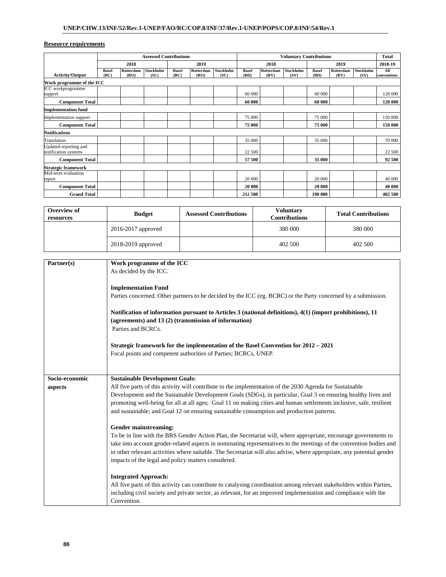|                                               | <b>Assessed Contributions</b> |                   |                   |                      | <b>Voluntary Contributions</b> |                   |                      |                   | <b>Total</b>      |                      |                   |                   |                    |
|-----------------------------------------------|-------------------------------|-------------------|-------------------|----------------------|--------------------------------|-------------------|----------------------|-------------------|-------------------|----------------------|-------------------|-------------------|--------------------|
|                                               | 2018                          |                   | 2019              |                      | 2018                           |                   | 2019                 |                   |                   | 2018-19              |                   |                   |                    |
| <b>Activity/Output</b>                        | <b>Basel</b><br>(BC)          | Rotterdam<br>(RO) | Stockholm<br>(SC) | <b>Basel</b><br>(BC) | <b>Rotterdam</b><br>(RO)       | Stockholm<br>(SC) | <b>Basel</b><br>(BD) | Rotterdam<br>(RV) | Stockholm<br>(SV) | <b>Basel</b><br>(BD) | Rotterdam<br>(RV) | Stockholm<br>(SV) | All<br>conventions |
| Work programme of the ICC                     |                               |                   |                   |                      |                                |                   |                      |                   |                   |                      |                   |                   |                    |
| ICC workprogramme<br>support                  |                               |                   |                   |                      |                                |                   | 60 000               |                   |                   | 60 000               |                   |                   | 120 000            |
| <b>Component Total</b>                        |                               |                   |                   |                      |                                |                   | 60 000               |                   |                   | 60 000               |                   |                   | 120 000            |
| <b>Implementation fund</b>                    |                               |                   |                   |                      |                                |                   |                      |                   |                   |                      |                   |                   |                    |
| Implementation support                        |                               |                   |                   |                      |                                |                   | 75 000               |                   |                   | 75 000               |                   |                   | 150 000            |
| <b>Component Total</b>                        |                               |                   |                   |                      |                                |                   | 75 000               |                   |                   | 75 000               |                   |                   | 150 000            |
| <b>Notifications</b>                          |                               |                   |                   |                      |                                |                   |                      |                   |                   |                      |                   |                   |                    |
| Translation                                   |                               |                   |                   |                      |                                |                   | 35 000               |                   |                   | 35 000               |                   |                   | 70 000             |
| Updated reporting and<br>notification systems |                               |                   |                   |                      |                                |                   | 22 500               |                   |                   |                      |                   |                   | 22 500             |
| <b>Component Total</b>                        |                               |                   |                   |                      |                                |                   | 57 500               |                   |                   | 35 000               |                   |                   | 92 500             |
| Strategic framework                           |                               |                   |                   |                      |                                |                   |                      |                   |                   |                      |                   |                   |                    |
| Mid-term evaluation                           |                               |                   |                   |                      |                                |                   |                      |                   |                   |                      |                   |                   |                    |
| report                                        |                               |                   |                   |                      |                                |                   | 20 000               |                   |                   | 20 000               |                   |                   | 40 000             |
| <b>Component Total</b>                        |                               |                   |                   |                      |                                |                   | 20 000               |                   |                   | 20 000               |                   |                   | 40 000             |
| <b>Grand Total</b>                            |                               |                   |                   |                      |                                |                   | 212 500              |                   |                   | 190 000              |                   |                   | 402 500            |

| Overview of<br>resources | <b>Budget</b>          | <b>Assessed Contributions</b> | <b>Voluntary</b><br><b>Contributions</b> | <b>Total Contributions</b> |
|--------------------------|------------------------|-------------------------------|------------------------------------------|----------------------------|
|                          | $2016 - 2017$ approved |                               | 380 000                                  | 380 000                    |
|                          | 2018-2019 approved     |                               | 402 500                                  | 402 500                    |

| Partner(s)     | Work programme of the ICC                                                                                              |
|----------------|------------------------------------------------------------------------------------------------------------------------|
|                | As decided by the ICC.                                                                                                 |
|                |                                                                                                                        |
|                | <b>Implementation Fund</b>                                                                                             |
|                | Parties concerned. Other partners to be decided by the ICC (eg. BCRC) or the Party concerned by a submission.          |
|                |                                                                                                                        |
|                | Notification of information pursuant to Articles 3 (national definitions), 4(1) (import prohibitions), 11              |
|                | (agreements) and 13 (2) (transmission of information)                                                                  |
|                | Parties and BCRCs.                                                                                                     |
|                |                                                                                                                        |
|                | Strategic framework for the implementation of the Basel Convention for 2012 – 2021                                     |
|                | Focal points and competent authorities of Parties; BCRCs, UNEP.                                                        |
|                |                                                                                                                        |
|                |                                                                                                                        |
| Socio-economic | <b>Sustainable Development Goals:</b>                                                                                  |
| aspects        | All five parts of this activity will contribute to the implementation of the 2030 Agenda for Sustainable               |
|                | Development and the Sustainable Development Goals (SDGs), in particular, Goal 3 on ensuring healthy lives and          |
|                | promoting well-being for all at all ages; Goal 11 on making cities and human settlements inclusive, safe, resilient    |
|                | and sustainable; and Goal 12 on ensuring sustainable consumption and production patterns.                              |
|                |                                                                                                                        |
|                | Gender mainstreaming:                                                                                                  |
|                | To be in line with the BRS Gender Action Plan, the Secretariat will, where appropriate, encourage governments to       |
|                | take into account gender-related aspects in nominating representatives to the meetings of the convention bodies and    |
|                | in other relevant activities where suitable. The Secretariat will also advise, where appropriate, any potential gender |
|                | impacts of the legal and policy matters considered.                                                                    |
|                |                                                                                                                        |
|                | <b>Integrated Approach:</b>                                                                                            |
|                | All five parts of this activity can contribute to catalysing coordination among relevant stakeholders within Parties,  |
|                | including civil society and private sector, as relevant, for an improved implementation and compliance with the        |
|                | Convention.                                                                                                            |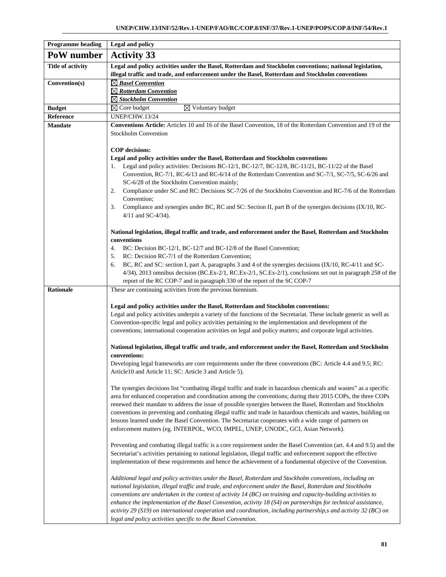| <b>Programme</b> heading | <b>Legal and policy</b>                                                                                                                                                                                                                                                                                                                                                                                                                                                                                                                                                                                                                                              |
|--------------------------|----------------------------------------------------------------------------------------------------------------------------------------------------------------------------------------------------------------------------------------------------------------------------------------------------------------------------------------------------------------------------------------------------------------------------------------------------------------------------------------------------------------------------------------------------------------------------------------------------------------------------------------------------------------------|
| PoW number               | <b>Activity 33</b>                                                                                                                                                                                                                                                                                                                                                                                                                                                                                                                                                                                                                                                   |
| Title of activity        | Legal and policy activities under the Basel, Rotterdam and Stockholm conventions; national legislation,<br>illegal traffic and trade, and enforcement under the Basel, Rotterdam and Stockholm conventions                                                                                                                                                                                                                                                                                                                                                                                                                                                           |
| Convention(s)            | $\boxtimes$ Basel Convention<br>$\boxtimes$ Rotterdam Convention<br>$\boxtimes$ Stockholm Convention                                                                                                                                                                                                                                                                                                                                                                                                                                                                                                                                                                 |
| <b>Budget</b>            | $\overline{\boxtimes}$ Voluntary budget<br>$\boxtimes$ Core budget                                                                                                                                                                                                                                                                                                                                                                                                                                                                                                                                                                                                   |
| Reference                | <b>UNEP/CHW.13/24</b>                                                                                                                                                                                                                                                                                                                                                                                                                                                                                                                                                                                                                                                |
| <b>Mandate</b>           | <b>Conventions Article:</b> Articles 10 and 16 of the Basel Convention, 18 of the Rotterdam Convention and 19 of the<br><b>Stockholm Convention</b>                                                                                                                                                                                                                                                                                                                                                                                                                                                                                                                  |
|                          | <b>COP</b> decisions:                                                                                                                                                                                                                                                                                                                                                                                                                                                                                                                                                                                                                                                |
|                          | Legal and policy activities under the Basel, Rotterdam and Stockholm conventions                                                                                                                                                                                                                                                                                                                                                                                                                                                                                                                                                                                     |
|                          | Legal and policy activities: Decisions BC-12/1, BC-12/7, BC-12/8, BC-11/21, BC-11/22 of the Basel<br>1.<br>Convention, RC-7/1, RC-6/13 and RC-6/14 of the Rotterdam Convention and SC-7/1, SC-7/5, SC-6/26 and<br>SC-6/28 of the Stockholm Convention mainly;<br>Compliance under SC and RC: Decisions SC-7/26 of the Stockholm Convention and RC-7/6 of the Rotterdam<br>2.                                                                                                                                                                                                                                                                                         |
|                          | Convention;                                                                                                                                                                                                                                                                                                                                                                                                                                                                                                                                                                                                                                                          |
|                          | Compliance and synergies under BC, RC and SC: Section II, part B of the synergies decisions (IX/10, RC-<br>3.<br>$4/11$ and SC-4/34).                                                                                                                                                                                                                                                                                                                                                                                                                                                                                                                                |
|                          | National legislation, illegal traffic and trade, and enforcement under the Basel, Rotterdam and Stockholm<br>conventions                                                                                                                                                                                                                                                                                                                                                                                                                                                                                                                                             |
|                          | BC: Decision BC-12/1, BC-12/7 and BC-12/8 of the Basel Convention;<br>4.                                                                                                                                                                                                                                                                                                                                                                                                                                                                                                                                                                                             |
|                          | RC: Decision RC-7/1 of the Rotterdam Convention;<br>5.                                                                                                                                                                                                                                                                                                                                                                                                                                                                                                                                                                                                               |
|                          | BC, RC and SC: section I, part A, paragraphs 3 and 4 of the synergies decisions (IX/10, RC-4/11 and SC-<br>6.<br>$4/34$ ), 2013 omnibus decision (BC.Ex-2/1, RC.Ex-2/1, SC.Ex-2/1), conclusions set out in paragraph 258 of the<br>report of the RC COP-7 and in paragraph 330 of the report of the SC COP-7                                                                                                                                                                                                                                                                                                                                                         |
| <b>Rationale</b>         | These are continuing activities from the previous biennium.                                                                                                                                                                                                                                                                                                                                                                                                                                                                                                                                                                                                          |
|                          | Legal and policy activities under the Basel, Rotterdam and Stockholm conventions:<br>Legal and policy activities underpin a variety of the functions of the Secretariat. These include generic as well as<br>Convention-specific legal and policy activities pertaining to the implementation and development of the<br>conventions; international cooperation activities on legal and policy matters; and corporate legal activities.<br>National legislation, illegal traffic and trade, and enforcement under the Basel, Rotterdam and Stockholm<br>conventions:                                                                                                  |
|                          | Developing legal frameworks are core requirements under the three conventions (BC: Article 4.4 and 9.5; RC:<br>Article 10 and Article 11; SC: Article 3 and Article 5).                                                                                                                                                                                                                                                                                                                                                                                                                                                                                              |
|                          | The synergies decisions list "combating illegal traffic and trade in hazardous chemicals and wastes" as a specific<br>area for enhanced cooperation and coordination among the conventions; during their 2015 COPs, the three COPs<br>renewed their mandate to address the issue of possible synergies between the Basel, Rotterdam and Stockholm<br>conventions in preventing and combating illegal traffic and trade in hazardous chemicals and wastes, building on<br>lessons learned under the Basel Convention. The Secretariat cooperates with a wide range of partners on<br>enforcement matters (eg. INTERPOL, WCO, IMPEL, UNEP, UNODC, GCI, Asian Network). |
|                          | Preventing and combating illegal traffic is a core requirement under the Basel Convention (art. 4.4 and 9.5) and the<br>Secretariat's activities pertaining to national legislation, illegal traffic and enforcement support the effective<br>implementation of these requirements and hence the achievement of a fundamental objective of the Convention.                                                                                                                                                                                                                                                                                                           |
|                          | Additional legal and policy activities under the Basel, Rotterdam and Stockholm conventions, including on<br>national legislation, illegal traffic and trade, and enforcement under the Basel, Rotterdam and Stockholm<br>conventions are undertaken in the context of activity 14 (BC) on training and capacity-building activities to<br>enhance the implementation of the Basel Convention, activity $18(S4)$ on partnerships for technical assistance,<br>activity 29 (S19) on international cooperation and coordination, including partnership,s and activity 32 (BC) on<br>legal and policy activities specific to the Basel Convention.                      |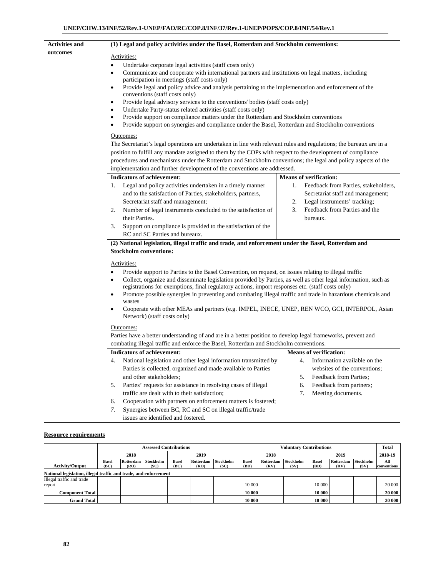| <b>Activities and</b> | (1) Legal and policy activities under the Basel, Rotterdam and Stockholm conventions:                                                                                                                     |                                            |  |  |  |  |  |  |
|-----------------------|-----------------------------------------------------------------------------------------------------------------------------------------------------------------------------------------------------------|--------------------------------------------|--|--|--|--|--|--|
| outcomes              | Activities:                                                                                                                                                                                               |                                            |  |  |  |  |  |  |
|                       | Undertake corporate legal activities (staff costs only)<br>٠                                                                                                                                              |                                            |  |  |  |  |  |  |
|                       | Communicate and cooperate with international partners and institutions on legal matters, including<br>٠<br>participation in meetings (staff costs only)                                                   |                                            |  |  |  |  |  |  |
|                       |                                                                                                                                                                                                           |                                            |  |  |  |  |  |  |
|                       | Provide legal and policy advice and analysis pertaining to the implementation and enforcement of the<br>٠                                                                                                 |                                            |  |  |  |  |  |  |
|                       | conventions (staff costs only)                                                                                                                                                                            |                                            |  |  |  |  |  |  |
|                       | Provide legal advisory services to the conventions' bodies (staff costs only)<br>٠                                                                                                                        |                                            |  |  |  |  |  |  |
|                       | Undertake Party-status related activities (staff costs only)<br>٠                                                                                                                                         |                                            |  |  |  |  |  |  |
|                       | Provide support on compliance matters under the Rotterdam and Stockholm conventions<br>$\bullet$<br>Provide support on synergies and compliance under the Basel, Rotterdam and Stockholm conventions<br>٠ |                                            |  |  |  |  |  |  |
|                       |                                                                                                                                                                                                           |                                            |  |  |  |  |  |  |
|                       | Outcomes:                                                                                                                                                                                                 |                                            |  |  |  |  |  |  |
|                       | The Secretariat's legal operations are undertaken in line with relevant rules and regulations; the bureaux are in a                                                                                       |                                            |  |  |  |  |  |  |
|                       | position to fulfill any mandate assigned to them by the COPs with respect to the development of compliance                                                                                                |                                            |  |  |  |  |  |  |
|                       | procedures and mechanisms under the Rotterdam and Stockholm conventions; the legal and policy aspects of the                                                                                              |                                            |  |  |  |  |  |  |
|                       | implementation and further development of the conventions are addressed.                                                                                                                                  |                                            |  |  |  |  |  |  |
|                       | <b>Indicators of achievement:</b>                                                                                                                                                                         | <b>Means of verification:</b>              |  |  |  |  |  |  |
|                       | Legal and policy activities undertaken in a timely manner<br>1.                                                                                                                                           | Feedback from Parties, stakeholders,<br>1. |  |  |  |  |  |  |
|                       | and to the satisfaction of Parties, stakeholders, partners,                                                                                                                                               | Secretariat staff and management;          |  |  |  |  |  |  |
|                       | Secretariat staff and management;                                                                                                                                                                         | Legal instruments' tracking;<br>2.         |  |  |  |  |  |  |
|                       | Number of legal instruments concluded to the satisfaction of<br>2.                                                                                                                                        | 3.<br>Feedback from Parties and the        |  |  |  |  |  |  |
|                       | their Parties.                                                                                                                                                                                            | bureaux.                                   |  |  |  |  |  |  |
|                       | Support on compliance is provided to the satisfaction of the<br>3.                                                                                                                                        |                                            |  |  |  |  |  |  |
|                       | RC and SC Parties and bureaux.                                                                                                                                                                            |                                            |  |  |  |  |  |  |
|                       | (2) National legislation, illegal traffic and trade, and enforcement under the Basel, Rotterdam and                                                                                                       |                                            |  |  |  |  |  |  |
|                       | <b>Stockholm conventions:</b>                                                                                                                                                                             |                                            |  |  |  |  |  |  |
|                       | Activities:                                                                                                                                                                                               |                                            |  |  |  |  |  |  |
|                       | Provide support to Parties to the Basel Convention, on request, on issues relating to illegal traffic                                                                                                     |                                            |  |  |  |  |  |  |
|                       | Collect, organize and disseminate legislation provided by Parties, as well as other legal information, such as<br>$\bullet$                                                                               |                                            |  |  |  |  |  |  |
|                       | registrations for exemptions, final regulatory actions, import responses etc. (staff costs only)                                                                                                          |                                            |  |  |  |  |  |  |
|                       | Promote possible synergies in preventing and combating illegal traffic and trade in hazardous chemicals and<br>٠<br>wastes                                                                                |                                            |  |  |  |  |  |  |
|                       | Cooperate with other MEAs and partners (e.g. IMPEL, INECE, UNEP, REN WCO, GCI, INTERPOL, Asian<br>$\bullet$                                                                                               |                                            |  |  |  |  |  |  |
|                       | Network) (staff costs only)                                                                                                                                                                               |                                            |  |  |  |  |  |  |
|                       | Outcomes:                                                                                                                                                                                                 |                                            |  |  |  |  |  |  |
|                       | Parties have a better understanding of and are in a better position to develop legal frameworks, prevent and                                                                                              |                                            |  |  |  |  |  |  |
|                       | combating illegal traffic and enforce the Basel, Rotterdam and Stockholm conventions.                                                                                                                     |                                            |  |  |  |  |  |  |
|                       | <b>Indicators of achievement:</b>                                                                                                                                                                         | <b>Means of verification:</b>              |  |  |  |  |  |  |
|                       | National legislation and other legal information transmitted by<br>4.                                                                                                                                     | Information available on the<br>4.         |  |  |  |  |  |  |
|                       | Parties is collected, organized and made available to Parties                                                                                                                                             | websites of the conventions;               |  |  |  |  |  |  |
|                       | and other stakeholders;                                                                                                                                                                                   | Feedback from Parties;<br>5.               |  |  |  |  |  |  |
|                       | Parties' requests for assistance in resolving cases of illegal<br>5.                                                                                                                                      | 6.<br>Feedback from partners;              |  |  |  |  |  |  |
|                       | traffic are dealt with to their satisfaction;                                                                                                                                                             | 7.<br>Meeting documents.                   |  |  |  |  |  |  |
|                       | Cooperation with partners on enforcement matters is fostered;<br>6.                                                                                                                                       |                                            |  |  |  |  |  |  |
|                       | Synergies between BC, RC and SC on illegal traffic/trade<br>7.                                                                                                                                            |                                            |  |  |  |  |  |  |
|                       | issues are identified and fostered.                                                                                                                                                                       |                                            |  |  |  |  |  |  |

|                                                                  | <b>Assessed Contributions</b> |           |           |              | <b>Voluntary Contributions</b> |           |              |           |           | <b>Total</b> |           |           |             |
|------------------------------------------------------------------|-------------------------------|-----------|-----------|--------------|--------------------------------|-----------|--------------|-----------|-----------|--------------|-----------|-----------|-------------|
|                                                                  | 2018                          |           |           | 2019         |                                |           | 2018         |           |           | 2019         |           |           | 2018-19     |
|                                                                  | <b>Basel</b>                  | Rotterdam | Stockholm | <b>Basel</b> | Rotterdam                      | Stockholm | <b>Basel</b> | Rotterdam | Stockholm | <b>Basel</b> | Rotterdam | Stockholm | All         |
| <b>Activity/Output</b>                                           | (BC)                          | (RO)      | (SC)      | (BC)         | (RO)                           | (SC)      | (BD)         | (RV)      | (SV)      | (BD)         | (RV)      | (SV)      | conventions |
| National legislation, illegal traffic and trade, and enforcement |                               |           |           |              |                                |           |              |           |           |              |           |           |             |
| Illegal traffic and trade                                        |                               |           |           |              |                                |           |              |           |           |              |           |           |             |
| report                                                           |                               |           |           |              |                                |           | 10 000       |           |           | 10 000       |           |           | 20 000      |
| <b>Component Total</b>                                           |                               |           |           |              |                                |           | 10 000       |           |           | 10 000       |           |           | 20 000      |
| <b>Grand Total</b>                                               |                               |           |           |              |                                |           | 10 000       |           |           | 10 000       |           |           | 20 000      |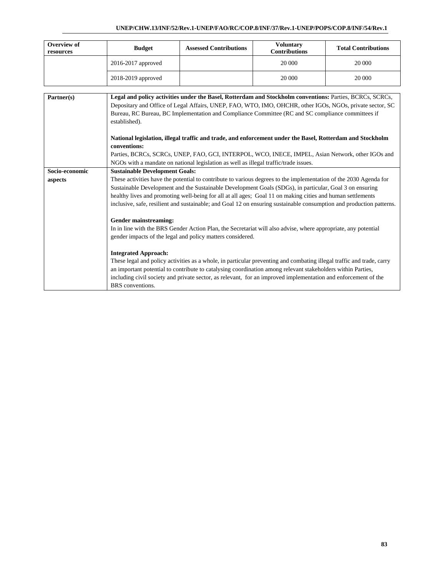## **UNEP/CHW.13/INF/52/Rev.1-UNEP/FAO/RC/COP.8/INF/37/Rev.1-UNEP/POPS/COP.8/INF/54/Rev.1**

| Overview of<br>resources  | <b>Budget</b>                                                                                                                                                                                                                                                                                                                                                                                                                                                                                                                                                                                                                                                        | <b>Assessed Contributions</b>                              | <b>Voluntary</b><br><b>Contributions</b>                                                                                                                                                                                                                                                                                                                                                                                                                                                                                                                                                                                                                                                                                                                                                                                                                                                                                                       | <b>Total Contributions</b> |  |  |  |  |
|---------------------------|----------------------------------------------------------------------------------------------------------------------------------------------------------------------------------------------------------------------------------------------------------------------------------------------------------------------------------------------------------------------------------------------------------------------------------------------------------------------------------------------------------------------------------------------------------------------------------------------------------------------------------------------------------------------|------------------------------------------------------------|------------------------------------------------------------------------------------------------------------------------------------------------------------------------------------------------------------------------------------------------------------------------------------------------------------------------------------------------------------------------------------------------------------------------------------------------------------------------------------------------------------------------------------------------------------------------------------------------------------------------------------------------------------------------------------------------------------------------------------------------------------------------------------------------------------------------------------------------------------------------------------------------------------------------------------------------|----------------------------|--|--|--|--|
|                           | 2016-2017 approved                                                                                                                                                                                                                                                                                                                                                                                                                                                                                                                                                                                                                                                   |                                                            | 20 000                                                                                                                                                                                                                                                                                                                                                                                                                                                                                                                                                                                                                                                                                                                                                                                                                                                                                                                                         | 20 000                     |  |  |  |  |
|                           | 2018-2019 approved                                                                                                                                                                                                                                                                                                                                                                                                                                                                                                                                                                                                                                                   |                                                            | 20 000                                                                                                                                                                                                                                                                                                                                                                                                                                                                                                                                                                                                                                                                                                                                                                                                                                                                                                                                         | 20 000                     |  |  |  |  |
| Partner(s)                | Legal and policy activities under the Basel, Rotterdam and Stockholm conventions: Parties, BCRCs, SCRCs,<br>Depositary and Office of Legal Affairs, UNEP, FAO, WTO, IMO, OHCHR, other IGOs, NGOs, private sector, SC<br>Bureau, RC Bureau, BC Implementation and Compliance Committee (RC and SC compliance committees if<br>established).<br>National legislation, illegal traffic and trade, and enforcement under the Basel, Rotterdam and Stockholm<br>conventions:<br>Parties, BCRCs, SCRCs, UNEP, FAO, GCI, INTERPOL, WCO, INECE, IMPEL, Asian Network, other IGOs and<br>NGOs with a mandate on national legislation as well as illegal traffic/trade issues. |                                                            |                                                                                                                                                                                                                                                                                                                                                                                                                                                                                                                                                                                                                                                                                                                                                                                                                                                                                                                                                |                            |  |  |  |  |
| Socio-economic<br>aspects | <b>Sustainable Development Goals:</b><br>Gender mainstreaming:<br><b>Integrated Approach:</b>                                                                                                                                                                                                                                                                                                                                                                                                                                                                                                                                                                        | gender impacts of the legal and policy matters considered. | These activities have the potential to contribute to various degrees to the implementation of the 2030 Agenda for<br>Sustainable Development and the Sustainable Development Goals (SDGs), in particular, Goal 3 on ensuring<br>healthy lives and promoting well-being for all at all ages; Goal 11 on making cities and human settlements<br>inclusive, safe, resilient and sustainable; and Goal 12 on ensuring sustainable consumption and production patterns.<br>In in line with the BRS Gender Action Plan, the Secretariat will also advise, where appropriate, any potential<br>These legal and policy activities as a whole, in particular preventing and combating illegal traffic and trade, carry<br>an important potential to contribute to catalysing coordination among relevant stakeholders within Parties,<br>including civil society and private sector, as relevant, for an improved implementation and enforcement of the |                            |  |  |  |  |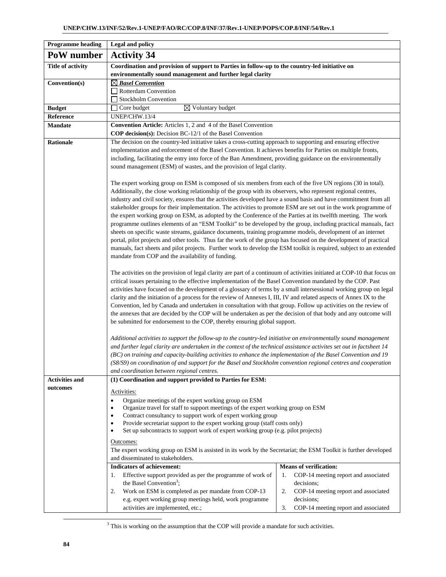| <b>Programme</b> heading | <b>Legal and policy</b>                                                                                                                                                                                                           |                                            |  |  |  |  |  |
|--------------------------|-----------------------------------------------------------------------------------------------------------------------------------------------------------------------------------------------------------------------------------|--------------------------------------------|--|--|--|--|--|
| PoW number               | <b>Activity 34</b>                                                                                                                                                                                                                |                                            |  |  |  |  |  |
| <b>Title of activity</b> | Coordination and provision of support to Parties in follow-up to the country-led initiative on                                                                                                                                    |                                            |  |  |  |  |  |
|                          | environmentally sound management and further legal clarity                                                                                                                                                                        |                                            |  |  |  |  |  |
| Convention(s)            | $\boxtimes$ Basel Convention                                                                                                                                                                                                      |                                            |  |  |  |  |  |
|                          | Rotterdam Convention                                                                                                                                                                                                              |                                            |  |  |  |  |  |
|                          | Stockholm Convention                                                                                                                                                                                                              |                                            |  |  |  |  |  |
| <b>Budget</b>            | $\overline{\boxtimes}$ Voluntary budget<br>$\Box$ Core budget                                                                                                                                                                     |                                            |  |  |  |  |  |
| Reference                | UNEP/CHW.13/4                                                                                                                                                                                                                     |                                            |  |  |  |  |  |
| <b>Mandate</b>           | Convention Article: Articles 1, 2 and 4 of the Basel Convention                                                                                                                                                                   |                                            |  |  |  |  |  |
|                          | <b>COP decision(s):</b> Decision BC-12/1 of the Basel Convention                                                                                                                                                                  |                                            |  |  |  |  |  |
| <b>Rationale</b>         | The decision on the country-led initiative takes a cross-cutting approach to supporting and ensuring effective<br>implementation and enforcement of the Basel Convention. It achieves benefits for Parties on multiple fronts,    |                                            |  |  |  |  |  |
|                          | including, facilitating the entry into force of the Ban Amendment, providing guidance on the environmentally                                                                                                                      |                                            |  |  |  |  |  |
|                          | sound management (ESM) of wastes, and the provision of legal clarity.                                                                                                                                                             |                                            |  |  |  |  |  |
|                          |                                                                                                                                                                                                                                   |                                            |  |  |  |  |  |
|                          | The expert working group on ESM is composed of six members from each of the five UN regions (30 in total).                                                                                                                        |                                            |  |  |  |  |  |
|                          | Additionally, the close working relationship of the group with its observers, who represent regional centres,                                                                                                                     |                                            |  |  |  |  |  |
|                          | industry and civil society, ensures that the activities developed have a sound basis and have commitment from all                                                                                                                 |                                            |  |  |  |  |  |
|                          | stakeholder groups for their implementation. The activities to promote ESM are set out in the work programme of                                                                                                                   |                                            |  |  |  |  |  |
|                          | the expert working group on ESM, as adopted by the Conference of the Parties at its twelfth meeting. The work                                                                                                                     |                                            |  |  |  |  |  |
|                          | programme outlines elements of an "ESM Toolkit" to be developed by the group, including practical manuals, fact                                                                                                                   |                                            |  |  |  |  |  |
|                          | sheets on specific waste streams, guidance documents, training programme models, development of an internet<br>portal, pilot projects and other tools. Thus far the work of the group has focused on the development of practical |                                            |  |  |  |  |  |
|                          | manuals, fact sheets and pilot projects. Further work to develop the ESM toolkit is required, subject to an extended                                                                                                              |                                            |  |  |  |  |  |
|                          | mandate from COP and the availability of funding.                                                                                                                                                                                 |                                            |  |  |  |  |  |
|                          |                                                                                                                                                                                                                                   |                                            |  |  |  |  |  |
|                          | The activities on the provision of legal clarity are part of a continuum of activities initiated at COP-10 that focus on                                                                                                          |                                            |  |  |  |  |  |
|                          | critical issues pertaining to the effective implementation of the Basel Convention mandated by the COP. Past                                                                                                                      |                                            |  |  |  |  |  |
|                          | activities have focused on the development of a glossary of terms by a small intersessional working group on legal                                                                                                                |                                            |  |  |  |  |  |
|                          | clarity and the initiation of a process for the review of Annexes I, III, IV and related aspects of Annex IX to the                                                                                                               |                                            |  |  |  |  |  |
|                          | Convention, led by Canada and undertaken in consultation with that group. Follow up activities on the review of                                                                                                                   |                                            |  |  |  |  |  |
|                          | the annexes that are decided by the COP will be undertaken as per the decision of that body and any outcome will                                                                                                                  |                                            |  |  |  |  |  |
|                          | be submitted for endorsement to the COP, thereby ensuring global support.                                                                                                                                                         |                                            |  |  |  |  |  |
|                          | Additional activities to support the follow-up to the country-led initiative on environmentally sound management                                                                                                                  |                                            |  |  |  |  |  |
|                          | and further legal clarity are undertaken in the context of the technical assistance activites set out in factsheet 14                                                                                                             |                                            |  |  |  |  |  |
|                          | (BC) on training and capacity-building activities to enhance the implementation of the Basel Convention and 19                                                                                                                    |                                            |  |  |  |  |  |
|                          | (S8/S9) on coordination of and support for the Basel and Stockholm convention regional centres and cooperation                                                                                                                    |                                            |  |  |  |  |  |
|                          | and coordination between regional centres.                                                                                                                                                                                        |                                            |  |  |  |  |  |
| <b>Activities and</b>    | (1) Coordination and support provided to Parties for ESM:                                                                                                                                                                         |                                            |  |  |  |  |  |
| outcomes                 | Activities:                                                                                                                                                                                                                       |                                            |  |  |  |  |  |
|                          | Organize meetings of the expert working group on ESM<br>$\bullet$                                                                                                                                                                 |                                            |  |  |  |  |  |
|                          | Organize travel for staff to support meetings of the expert working group on ESM<br>$\bullet$                                                                                                                                     |                                            |  |  |  |  |  |
|                          | Contract consultancy to support work of expert working group<br>٠                                                                                                                                                                 |                                            |  |  |  |  |  |
|                          | Provide secretariat support to the expert working group (staff costs only)                                                                                                                                                        |                                            |  |  |  |  |  |
|                          | Set up subcontracts to support work of expert working group (e.g. pilot projects)<br>٠                                                                                                                                            |                                            |  |  |  |  |  |
|                          | Outcomes:                                                                                                                                                                                                                         |                                            |  |  |  |  |  |
|                          | The expert working group on ESM is assisted in its work by the Secretariat; the ESM Toolkit is further developed                                                                                                                  |                                            |  |  |  |  |  |
|                          | and disseminated to stakeholders.<br><b>Indicators of achievement:</b>                                                                                                                                                            | <b>Means of verification:</b>              |  |  |  |  |  |
|                          | Effective support provided as per the programme of work of<br>1.                                                                                                                                                                  | COP-14 meeting report and associated<br>1. |  |  |  |  |  |
|                          | the Basel Convention <sup>3</sup> ;                                                                                                                                                                                               | decisions;                                 |  |  |  |  |  |
|                          | Work on ESM is completed as per mandate from COP-13<br>2.                                                                                                                                                                         | COP-14 meeting report and associated<br>2. |  |  |  |  |  |
|                          | e.g. expert working group meetings held, work programme                                                                                                                                                                           | decisions;                                 |  |  |  |  |  |
|                          | activities are implemented, etc.;                                                                                                                                                                                                 | COP-14 meeting report and associated<br>3. |  |  |  |  |  |

 <sup>3</sup>  $3$  This is working on the assumption that the COP will provide a mandate for such activities.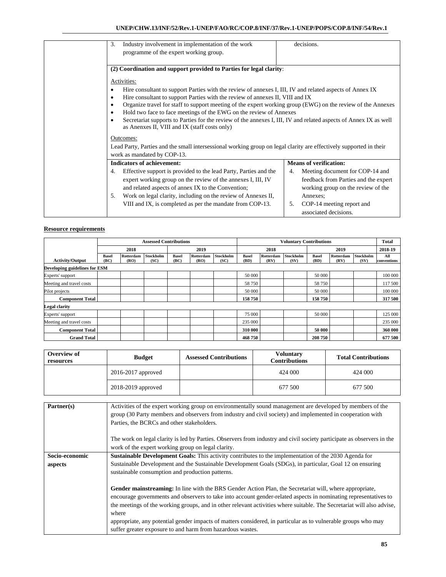| 3.        | Industry involvement in implementation of the work                                                                 | decisions.                            |
|-----------|--------------------------------------------------------------------------------------------------------------------|---------------------------------------|
|           | programme of the expert working group.                                                                             |                                       |
|           |                                                                                                                    |                                       |
|           | (2) Coordination and support provided to Parties for legal clarity:                                                |                                       |
|           | Activities:                                                                                                        |                                       |
| $\bullet$ | Hire consultant to support Parties with the review of annexes I, III, IV and related aspects of Annex IX           |                                       |
| $\bullet$ | Hire consultant to support Parties with the review of annexes II, VIII and IX                                      |                                       |
| ٠         | Organize travel for staff to support meeting of the expert working group (EWG) on the review of the Annexes        |                                       |
| ٠         | Hold two face to face meetings of the EWG on the review of Annexes                                                 |                                       |
| ٠         | Secretariat supports to Parties for the review of the annexes I, III, IV and related aspects of Annex IX as well   |                                       |
|           | as Anenxes II, VIII and IX (staff costs only)                                                                      |                                       |
|           | Outcomes:                                                                                                          |                                       |
|           | Lead Party, Parties and the small intersessional working group on legal clarity are effectively supported in their |                                       |
|           | work as mandated by COP-13.                                                                                        |                                       |
|           | <b>Indicators of achievement:</b>                                                                                  | <b>Means of verification:</b>         |
| 4.        | Effective support is provided to the lead Party, Parties and the                                                   | Meeting document for COP-14 and<br>4. |
|           | expert working group on the review of the annexes I, III, IV                                                       | feedback from Parties and the expert  |
|           | and related aspects of annex IX to the Convention;                                                                 | working group on the review of the    |
| 5.        | Work on legal clarity, including on the review of Annexes II,                                                      | Annexes:                              |
|           | VIII and IX, is completed as per the mandate from COP-13.                                                          | COP-14 meeting report and<br>5.       |
|           |                                                                                                                    | associated decisions.                 |

|                               | <b>Assessed Contributions</b> |                   |                          |                      |                   | <b>Voluntary Contributions</b> |                      |                   |                   | <b>Total</b>         |                   |                          |                    |
|-------------------------------|-------------------------------|-------------------|--------------------------|----------------------|-------------------|--------------------------------|----------------------|-------------------|-------------------|----------------------|-------------------|--------------------------|--------------------|
|                               |                               | 2018              |                          |                      | 2019              |                                |                      | 2018              |                   |                      | 2019              |                          | 2018-19            |
| <b>Activity/Output</b>        | <b>Basel</b><br>(BC)          | Rotterdam<br>(RO) | <b>Stockholm</b><br>(SC) | <b>Basel</b><br>(BC) | Rotterdam<br>(RO) | Stockholm<br>(SC)              | <b>Basel</b><br>(BD) | Rotterdam<br>(RV) | Stockholm<br>(SV) | <b>Basel</b><br>(BD) | Rotterdam<br>(RV) | <b>Stockholm</b><br>(SV) | All<br>conventions |
| Developing guidelines for ESM |                               |                   |                          |                      |                   |                                |                      |                   |                   |                      |                   |                          |                    |
| Experts' support              |                               |                   |                          |                      |                   |                                | 50 000               |                   |                   | 50 000               |                   |                          | 100 000            |
| Meeting and travel costs      |                               |                   |                          |                      |                   |                                | 58 750               |                   |                   | 58 750               |                   |                          | 117 500            |
| Pilot projects                |                               |                   |                          |                      |                   |                                | 50 000               |                   |                   | 50 000               |                   |                          | 100 000            |
| <b>Component Total</b>        |                               |                   |                          |                      |                   |                                | 158 750              |                   |                   | 158 750              |                   |                          | 317 500            |
| <b>Legal clarity</b>          |                               |                   |                          |                      |                   |                                |                      |                   |                   |                      |                   |                          |                    |
| Experts' support              |                               |                   |                          |                      |                   |                                | 75 000               |                   |                   | 50 000               |                   |                          | 125 000            |
| Meeting and travel costs      |                               |                   |                          |                      |                   |                                | 235 000              |                   |                   |                      |                   |                          | 235 000            |
| <b>Component Total</b>        |                               |                   |                          |                      |                   |                                | 310 000              |                   |                   | 50 000               |                   |                          | 360 000            |
| <b>Grand Total</b>            |                               |                   |                          |                      |                   |                                | 468750               |                   |                   | 208 750              |                   |                          | 677 500            |

| Overview of<br>resources | <b>Budget</b>          | <b>Assessed Contributions</b> | Voluntary<br><b>Contributions</b> | <b>Total Contributions</b> |
|--------------------------|------------------------|-------------------------------|-----------------------------------|----------------------------|
|                          | $2016 - 2017$ approved |                               | 424 000                           | 424 000                    |
|                          | 2018-2019 approved     |                               | 677 500                           | 677 500                    |

| Partner(s)     | Activities of the expert working group on environmentally sound management are developed by members of the             |
|----------------|------------------------------------------------------------------------------------------------------------------------|
|                | group (30 Party members and observers from industry and civil society) and implemented in cooperation with             |
|                | Parties, the BCRCs and other stakeholders.                                                                             |
|                |                                                                                                                        |
|                | The work on legal clarity is led by Parties. Observers from industry and civil society participate as observers in the |
|                | work of the expert working group on legal clarity.                                                                     |
| Socio-economic | <b>Sustainable Development Goals:</b> This activity contributes to the implementation of the 2030 Agenda for           |
| aspects        | Sustainable Development and the Sustainable Development Goals (SDGs), in particular, Goal 12 on ensuring               |
|                | sustainable consumption and production patterns.                                                                       |
|                |                                                                                                                        |
|                | Gender mainstreaming: In line with the BRS Gender Action Plan, the Secretariat will, where appropriate,                |
|                | encourage governments and observers to take into account gender-related aspects in nominating representatives to       |
|                | the meetings of the working groups, and in other relevant activities where suitable. The Secretariat will also advise, |
|                | where                                                                                                                  |
|                | appropriate, any potential gender impacts of matters considered, in particular as to vulnerable groups who may         |
|                | suffer greater exposure to and harm from hazardous wastes.                                                             |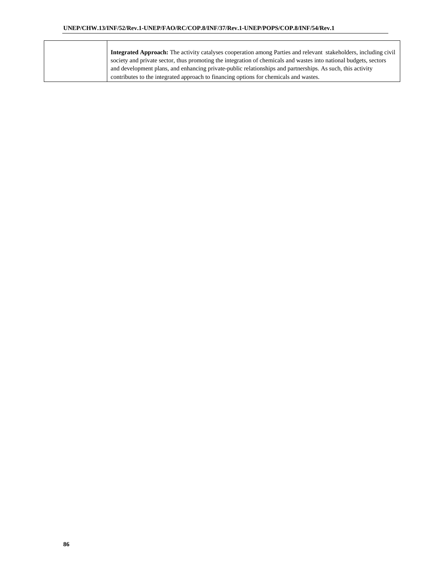| <b>Integrated Approach:</b> The activity catalyses cooperation among Parties and relevant stakeholders, including civil |
|-------------------------------------------------------------------------------------------------------------------------|
| society and private sector, thus promoting the integration of chemicals and wastes into national budgets, sectors       |
| and development plans, and enhancing private-public relationships and partnerships. As such, this activity              |
| contributes to the integrated approach to financing options for chemicals and wastes.                                   |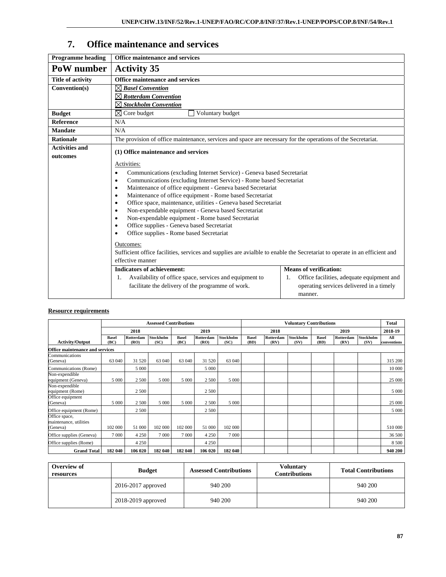# **7. Office maintenance and services**

| <b>Programme</b> heading | <b>Office maintenance and services</b>                                                                                     |                                                 |  |  |  |  |  |  |  |
|--------------------------|----------------------------------------------------------------------------------------------------------------------------|-------------------------------------------------|--|--|--|--|--|--|--|
| PoW number               | <b>Activity 35</b>                                                                                                         |                                                 |  |  |  |  |  |  |  |
| <b>Title of activity</b> | Office maintenance and services                                                                                            |                                                 |  |  |  |  |  |  |  |
| Convention(s)            | $\boxtimes$ Basel Convention                                                                                               |                                                 |  |  |  |  |  |  |  |
|                          | $\boxtimes$ Rotterdam Convention                                                                                           |                                                 |  |  |  |  |  |  |  |
|                          | $\boxtimes$ Stockholm Convention                                                                                           |                                                 |  |  |  |  |  |  |  |
| <b>Budget</b>            | $\boxtimes$ Core budget<br>Voluntary budget                                                                                |                                                 |  |  |  |  |  |  |  |
| <b>Reference</b>         | N/A                                                                                                                        |                                                 |  |  |  |  |  |  |  |
| <b>Mandate</b>           | N/A                                                                                                                        |                                                 |  |  |  |  |  |  |  |
| <b>Rationale</b>         | The provision of office maintenance, services and space are necessary for the operations of the Secretariat.               |                                                 |  |  |  |  |  |  |  |
| <b>Activities and</b>    | (1) Office maintenance and services                                                                                        |                                                 |  |  |  |  |  |  |  |
| outcomes                 |                                                                                                                            |                                                 |  |  |  |  |  |  |  |
|                          | Activities:                                                                                                                |                                                 |  |  |  |  |  |  |  |
|                          | Communications (excluding Internet Service) - Geneva based Secretariat<br>$\bullet$                                        |                                                 |  |  |  |  |  |  |  |
|                          | Communications (excluding Internet Service) - Rome based Secretariat<br>$\bullet$                                          |                                                 |  |  |  |  |  |  |  |
|                          | Maintenance of office equipment - Geneva based Secretariat<br>$\bullet$                                                    |                                                 |  |  |  |  |  |  |  |
|                          | Maintenance of office equipment - Rome based Secretariat<br>$\bullet$                                                      |                                                 |  |  |  |  |  |  |  |
|                          | Office space, maintenance, utilities - Geneva based Secretariat<br>$\bullet$                                               |                                                 |  |  |  |  |  |  |  |
|                          | Non-expendable equipment - Geneva based Secretariat<br>$\bullet$<br>Non-expendable equipment - Rome based Secretariat<br>٠ |                                                 |  |  |  |  |  |  |  |
|                          | Office supplies - Geneva based Secretariat<br>$\bullet$                                                                    |                                                 |  |  |  |  |  |  |  |
|                          | Office supplies - Rome based Secretariat<br>$\bullet$                                                                      |                                                 |  |  |  |  |  |  |  |
|                          |                                                                                                                            |                                                 |  |  |  |  |  |  |  |
|                          | Outcomes:                                                                                                                  |                                                 |  |  |  |  |  |  |  |
|                          | Sufficient office facilities, services and supplies are avialble to enable the Secretariat to operate in an efficient and  |                                                 |  |  |  |  |  |  |  |
|                          | effective manner                                                                                                           |                                                 |  |  |  |  |  |  |  |
|                          | <b>Indicators of achievement:</b>                                                                                          | <b>Means of verification:</b>                   |  |  |  |  |  |  |  |
|                          | Availability of office space, services and equipment to<br>1.                                                              | Office facilities, adequate equipment and<br>1. |  |  |  |  |  |  |  |
|                          | facilitate the delivery of the programme of work.                                                                          | operating services delivered in a timely        |  |  |  |  |  |  |  |
|                          |                                                                                                                            | manner.                                         |  |  |  |  |  |  |  |

|                                         | <b>Assessed Contributions</b> |                   |                   |                      | <b>Voluntary Contributions</b> |                   |                      |                   | <b>Total</b>      |                      |                   |                   |                    |
|-----------------------------------------|-------------------------------|-------------------|-------------------|----------------------|--------------------------------|-------------------|----------------------|-------------------|-------------------|----------------------|-------------------|-------------------|--------------------|
|                                         |                               | 2018              |                   |                      | 2019                           |                   |                      | 2018              |                   |                      | 2019              |                   | 2018-19            |
| <b>Activity/Output</b>                  | <b>Basel</b><br>(BC)          | Rotterdam<br>(RO) | Stockholm<br>(SC) | <b>Basel</b><br>(BC) | Rotterdam<br>(RO)              | Stockholm<br>(SC) | <b>Basel</b><br>(BD) | Rotterdam<br>(RV) | Stockholm<br>(SV) | <b>Basel</b><br>(BD) | Rotterdam<br>(RV) | Stockholm<br>(SV) | All<br>conventions |
| Office maintenance and services         |                               |                   |                   |                      |                                |                   |                      |                   |                   |                      |                   |                   |                    |
| Communications<br>(Geneva)              | 63 040                        | 31 520            | 63 040            | 63 040               | 31 520                         | 63 040            |                      |                   |                   |                      |                   |                   | 315 200            |
| Communications (Rome)                   |                               | 5 0 0 0           |                   |                      | 5 0 0 0                        |                   |                      |                   |                   |                      |                   |                   | 10 000             |
| Non-expendible<br>equipment (Geneva)    | 5 0 0 0                       | 2 500             | 5 000             | 5 0 0 0              | 2 500                          | 5 000             |                      |                   |                   |                      |                   |                   | 25 000             |
| Non-expendible<br>equipment (Rome)      |                               | 2 500             |                   |                      | 2 500                          |                   |                      |                   |                   |                      |                   |                   | 5 0 0 0            |
| Office equipment<br>(Geneva)            | 5 0 0 0                       | 2 500             | 5 0 0 0           | 5 0 0 0              | 2 500                          | 5 0 0 0           |                      |                   |                   |                      |                   |                   | 25 000             |
| Office equipment (Rome)                 |                               | 2 500             |                   |                      | 2 500                          |                   |                      |                   |                   |                      |                   |                   | 5 0 0 0            |
| Office space,<br>maintenance, utilities |                               |                   |                   |                      |                                |                   |                      |                   |                   |                      |                   |                   |                    |
| (Geneva)                                | 102 000                       | 51 000            | 102 000           | 102 000              | 51 000                         | 102 000           |                      |                   |                   |                      |                   |                   | 510 000            |
| Office supplies (Geneva)                | 7 0 0 0                       | 4 2 5 0           | 7 0 0 0           | 7 0 0 0              | 4 2 5 0                        | 7 0 0 0           |                      |                   |                   |                      |                   |                   | 36 500             |
| Office supplies (Rome)                  |                               | 4 2 5 0           |                   |                      | 4 2 5 0                        |                   |                      |                   |                   |                      |                   |                   | 8 5 0 0            |
| <b>Grand Total</b>                      | 182 040                       | 106 020           | 182 040           | 182 040              | 106 020                        | 182 040           |                      |                   |                   |                      |                   |                   | 940 200            |

| Overview of<br>resources | <b>Budget</b>      | <b>Assessed Contributions</b> | <b>Voluntary</b><br><b>Contributions</b> | <b>Total Contributions</b> |
|--------------------------|--------------------|-------------------------------|------------------------------------------|----------------------------|
|                          | 2016-2017 approved | 940 200                       |                                          | 940 200                    |
|                          | 2018-2019 approved | 940 200                       |                                          | 940 200                    |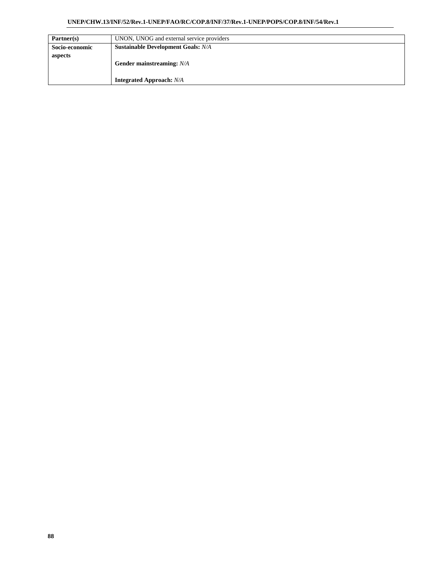#### **UNEP/CHW.13/INF/52/Rev.1-UNEP/FAO/RC/COP.8/INF/37/Rev.1-UNEP/POPS/COP.8/INF/54/Rev.1**

| Partner(s)     | UNON, UNOG and external service providers |
|----------------|-------------------------------------------|
| Socio-economic | <b>Sustainable Development Goals: N/A</b> |
| aspects        |                                           |
|                | Gender mainstreaming: N/A                 |
|                |                                           |
|                | <b>Integrated Approach:</b> N/A           |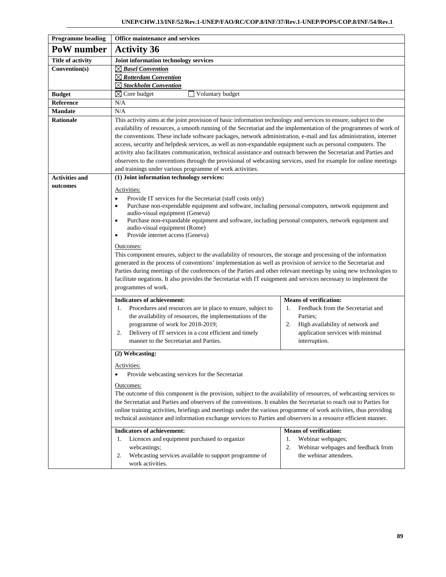| <b>Programme heading</b> | Office maintenance and services                                                                                                                                                                                                                                                                                                                                                                                                                                                                                                                                                                                                                                                                                                                                                                                                                                                                                                                                                                                                              |                                                                                                                                |  |  |  |  |  |
|--------------------------|----------------------------------------------------------------------------------------------------------------------------------------------------------------------------------------------------------------------------------------------------------------------------------------------------------------------------------------------------------------------------------------------------------------------------------------------------------------------------------------------------------------------------------------------------------------------------------------------------------------------------------------------------------------------------------------------------------------------------------------------------------------------------------------------------------------------------------------------------------------------------------------------------------------------------------------------------------------------------------------------------------------------------------------------|--------------------------------------------------------------------------------------------------------------------------------|--|--|--|--|--|
| PoW number               | <b>Activity 36</b>                                                                                                                                                                                                                                                                                                                                                                                                                                                                                                                                                                                                                                                                                                                                                                                                                                                                                                                                                                                                                           |                                                                                                                                |  |  |  |  |  |
| <b>Title of activity</b> | Joint information technology services                                                                                                                                                                                                                                                                                                                                                                                                                                                                                                                                                                                                                                                                                                                                                                                                                                                                                                                                                                                                        |                                                                                                                                |  |  |  |  |  |
| Convention(s)            | $\boxtimes$ Basel Convention                                                                                                                                                                                                                                                                                                                                                                                                                                                                                                                                                                                                                                                                                                                                                                                                                                                                                                                                                                                                                 |                                                                                                                                |  |  |  |  |  |
|                          | $\boxtimes$ Rotterdam Convention                                                                                                                                                                                                                                                                                                                                                                                                                                                                                                                                                                                                                                                                                                                                                                                                                                                                                                                                                                                                             |                                                                                                                                |  |  |  |  |  |
|                          | $\boxtimes$ Stockholm Convention                                                                                                                                                                                                                                                                                                                                                                                                                                                                                                                                                                                                                                                                                                                                                                                                                                                                                                                                                                                                             |                                                                                                                                |  |  |  |  |  |
| <b>Budget</b>            | $\boxtimes$ Core budget<br>Voluntary budget                                                                                                                                                                                                                                                                                                                                                                                                                                                                                                                                                                                                                                                                                                                                                                                                                                                                                                                                                                                                  |                                                                                                                                |  |  |  |  |  |
| <b>Reference</b>         | N/A                                                                                                                                                                                                                                                                                                                                                                                                                                                                                                                                                                                                                                                                                                                                                                                                                                                                                                                                                                                                                                          |                                                                                                                                |  |  |  |  |  |
| <b>Mandate</b>           | N/A                                                                                                                                                                                                                                                                                                                                                                                                                                                                                                                                                                                                                                                                                                                                                                                                                                                                                                                                                                                                                                          |                                                                                                                                |  |  |  |  |  |
| <b>Rationale</b>         | This activity aims at the joint provision of basic information technology and services to ensure, subject to the<br>availability of resources, a smooth running of the Secretariat and the implementation of the programmes of work of<br>the conventions. These include software packages, network administration, e-mail and fax administration, internet<br>access, security and helpdesk services, as well as non-expandable equipment such as personal computers. The<br>activity also facilitates communication, technical assistance and outreach between the Secretariat and Parties and<br>observers to the conventions through the provisional of webcasting services, used for example for online meetings<br>and trainings under various programme of work activities.                                                                                                                                                                                                                                                           |                                                                                                                                |  |  |  |  |  |
| <b>Activities and</b>    | (1) Joint information technology services:                                                                                                                                                                                                                                                                                                                                                                                                                                                                                                                                                                                                                                                                                                                                                                                                                                                                                                                                                                                                   |                                                                                                                                |  |  |  |  |  |
| outcomes                 | Activities:<br>Provide IT services for the Secretariat (staff costs only)<br>$\bullet$<br>Purchase non-expendable equipment and software, including personal computers, network equipment and<br>$\bullet$<br>audio-visual equipment (Geneva)<br>Purchase non-expandable equipment and software, including personal computers, network equipment and<br>$\bullet$<br>audio-visual equipment (Rome)<br>Provide internet access (Geneva)<br>$\bullet$<br>Outcomes:<br>This component ensures, subject to the availability of resources, the storage and processing of the information<br>generated in the process of conventions' implementation as well as provision of service to the Secretariat and<br>Parties during meetings of the conferences of the Parties and other relevant meetings by using new technologies to<br>facilitate negations. It also provides the Secretariat with IT euiqpment and services necessary to implement the<br>programmes of work.<br><b>Indicators of achievement:</b><br><b>Means of verification:</b> |                                                                                                                                |  |  |  |  |  |
|                          | Procedures and resources are in place to ensure, subject to<br>Feedback from the Secretariat and<br>1.<br>1.<br>the availability of resources, the implementations of the<br>Parties:<br>programme of work for 2018-2019;<br>High availability of network and<br>2.<br>Delivery of IT services in a cost efficient and timely<br>application services with minimal<br>2.<br>manner to the Secretariat and Parties.<br>interruption.                                                                                                                                                                                                                                                                                                                                                                                                                                                                                                                                                                                                          |                                                                                                                                |  |  |  |  |  |
|                          | (2) Webcasting:                                                                                                                                                                                                                                                                                                                                                                                                                                                                                                                                                                                                                                                                                                                                                                                                                                                                                                                                                                                                                              |                                                                                                                                |  |  |  |  |  |
|                          | Activities:<br>Provide webcasting services for the Secretariat<br>Outcomes:<br>The outcome of this component is the provision, subject to the availability of resources, of webcasting services to<br>the Secretatiat and Parties and observers of the conventions. It enables the Secretariat to reach out to Parties for                                                                                                                                                                                                                                                                                                                                                                                                                                                                                                                                                                                                                                                                                                                   |                                                                                                                                |  |  |  |  |  |
|                          | online training activities, briefings and meetings under the various programme of work activities, thus providing<br>technical assistance and information exchange services to Parties and observers in a resource efficient manner.                                                                                                                                                                                                                                                                                                                                                                                                                                                                                                                                                                                                                                                                                                                                                                                                         |                                                                                                                                |  |  |  |  |  |
|                          | <b>Indicators of achievement:</b><br>Licences and equipment purchased to organize<br>1.<br>webcastings;<br>Webcasting services available to support programme of<br>2.<br>work activities.                                                                                                                                                                                                                                                                                                                                                                                                                                                                                                                                                                                                                                                                                                                                                                                                                                                   | <b>Means of verification:</b><br>Webinar webpages;<br>1.<br>2.<br>Webinar webpages and feedback from<br>the webinar attendees. |  |  |  |  |  |